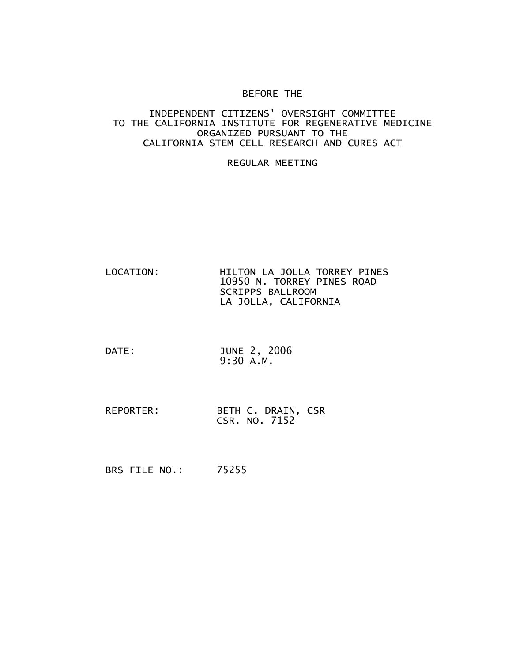## BEFORE THE

## INDEPENDENT CITIZENS' OVERSIGHT COMMITTEE TO THE CALIFORNIA INSTITUTE FOR REGENERATIVE MEDICINE ORGANIZED PURSUANT TO THE CALIFORNIA STEM CELL RESEARCH AND CURES ACT

## REGULAR MEETING

- LOCATION: HILTON LA JOLLA TORREY PINES 10950 N. TORREY PINES ROAD SCRIPPS BALLROOM LA JOLLA, CALIFORNIA
- DATE: JUNE 2, 2006 9:30 A.M.
- REPORTER: BETH C. DRAIN, CSR CSR. NO. 7152

BRS FILE NO.: 75255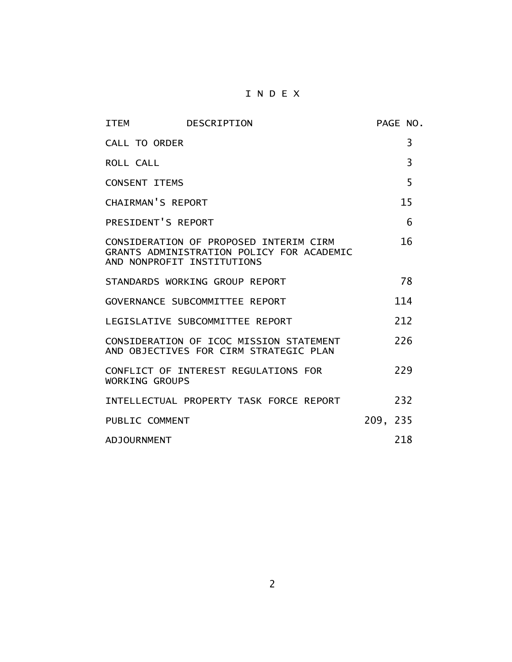## I N D E X

| <b>ITEM</b>                | DESCRIPTION                                                                         |          | PAGE NO. |
|----------------------------|-------------------------------------------------------------------------------------|----------|----------|
| <b>CALL TO ORDER</b>       |                                                                                     |          | 3        |
| ROLL CALL                  |                                                                                     |          | 3        |
| <b>CONSENT ITEMS</b>       |                                                                                     |          | 5        |
| CHAIRMAN'S REPORT          |                                                                                     |          | 15       |
| PRESIDENT'S REPORT         |                                                                                     |          | 6        |
| AND NONPROFIT INSTITUTIONS | CONSIDERATION OF PROPOSED INTERIM CIRM<br>GRANTS ADMINISTRATION POLICY FOR ACADEMIC |          | 16       |
|                            | STANDARDS WORKING GROUP REPORT                                                      |          | 78       |
|                            | GOVERNANCE SUBCOMMITTEE REPORT                                                      |          | 114      |
|                            | LEGISLATIVE SUBCOMMITTEE REPORT                                                     |          | 212      |
|                            | CONSIDERATION OF ICOC MISSION STATEMENT<br>AND OBJECTIVES FOR CIRM STRATEGIC PLAN   |          | 226      |
| <b>WORKING GROUPS</b>      | CONFLICT OF INTEREST REGULATIONS FOR                                                |          | 229      |
|                            | INTELLECTUAL PROPERTY TASK FORCE REPORT                                             |          | 232      |
| PUBLIC COMMENT             |                                                                                     | 209, 235 |          |
| <b>ADJOURNMENT</b>         |                                                                                     |          | 218      |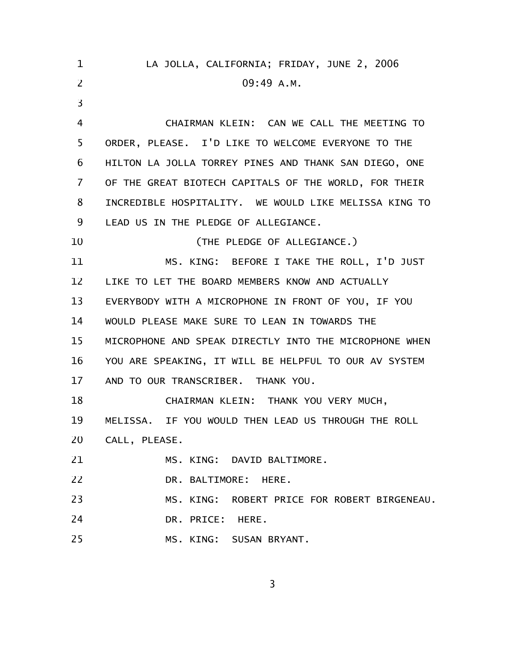| 1              | LA JOLLA, CALIFORNIA; FRIDAY, JUNE 2, 2006             |
|----------------|--------------------------------------------------------|
| $\overline{2}$ | 09:49 A.M.                                             |
| $\overline{3}$ |                                                        |
| 4              | CHAIRMAN KLEIN: CAN WE CALL THE MEETING TO             |
| 5              | ORDER, PLEASE. I'D LIKE TO WELCOME EVERYONE TO THE     |
| 6              | HILTON LA JOLLA TORREY PINES AND THANK SAN DIEGO, ONE  |
| 7              | OF THE GREAT BIOTECH CAPITALS OF THE WORLD, FOR THEIR  |
| 8              | INCREDIBLE HOSPITALITY. WE WOULD LIKE MELISSA KING TO  |
| 9              | LEAD US IN THE PLEDGE OF ALLEGIANCE.                   |
| 10             | (THE PLEDGE OF ALLEGIANCE.)                            |
| 11             | MS. KING: BEFORE I TAKE THE ROLL, I'D JUST             |
| 12             | LIKE TO LET THE BOARD MEMBERS KNOW AND ACTUALLY        |
| 13             | EVERYBODY WITH A MICROPHONE IN FRONT OF YOU, IF YOU    |
| 14             | WOULD PLEASE MAKE SURE TO LEAN IN TOWARDS THE          |
| 15             | MICROPHONE AND SPEAK DIRECTLY INTO THE MICROPHONE WHEN |
| 16             | YOU ARE SPEAKING, IT WILL BE HELPFUL TO OUR AV SYSTEM  |
| 17             | AND TO OUR TRANSCRIBER. THANK YOU.                     |
| 18             | CHAIRMAN KLEIN: THANK YOU VERY MUCH,                   |
| 19             | MELISSA. IF YOU WOULD THEN LEAD US THROUGH THE ROLL    |
| 20             | CALL, PLEASE.                                          |
| 21             | MS. KING: DAVID BALTIMORE.                             |
| 22             | DR. BALTIMORE: HERE.                                   |
| 23             | MS. KING: ROBERT PRICE FOR ROBERT BIRGENEAU.           |
| 24             | DR. PRICE: HERE.                                       |
| 25             | MS. KING: SUSAN BRYANT.                                |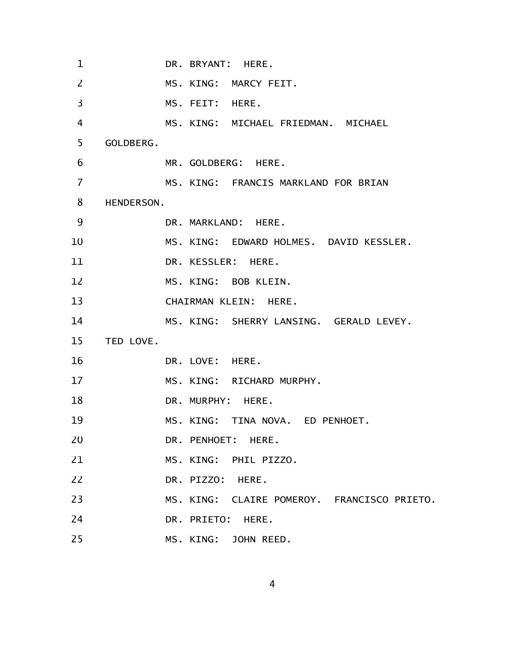| 1  | DR. BRYANT: HERE.                           |
|----|---------------------------------------------|
| 2  | MS. KING: MARCY FEIT.                       |
| 3  | MS. FEIT: HERE.                             |
| 4  | MS. KING: MICHAEL FRIEDMAN. MICHAEL         |
| 5  | GOLDBERG.                                   |
| 6  | MR. GOLDBERG: HERE.                         |
| 7  | MS. KING: FRANCIS MARKLAND FOR BRIAN        |
| 8  | HENDERSON.                                  |
| 9  | DR. MARKLAND: HERE.                         |
| 10 | MS. KING: EDWARD HOLMES. DAVID KESSLER.     |
| 11 | DR. KESSLER: HERE.                          |
| 12 | MS. KING: BOB KLEIN.                        |
| 13 | CHAIRMAN KLEIN: HERE.                       |
| 14 | MS. KING: SHERRY LANSING. GERALD LEVEY.     |
| 15 | TED LOVE.                                   |
| 16 | DR. LOVE: HERE.                             |
| 17 | MS. KING: RICHARD MURPHY.                   |
| 18 | DR. MURPHY: HERE.                           |
| 19 | MS. KING: TINA NOVA. ED PENHOET.            |
| 20 | DR. PENHOET: HERE.                          |
| 21 | MS. KING: PHIL PIZZO.                       |
| 22 | DR. PIZZO: HERE.                            |
| 23 | MS. KING: CLAIRE POMEROY. FRANCISCO PRIETO. |
| 24 | DR. PRIETO: HERE.                           |
| 25 | MS. KING: JOHN REED.                        |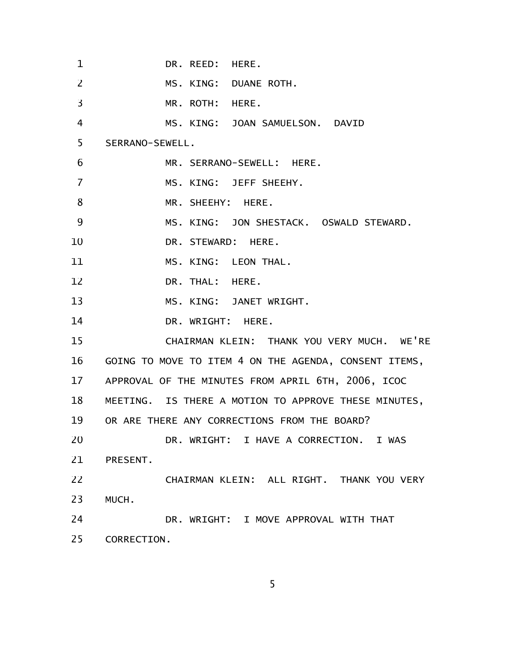DR. REED: HERE. MS. KING: DUANE ROTH. MR. ROTH: HERE. MS. KING: JOAN SAMUELSON. DAVID SERRANO-SEWELL. MR. SERRANO-SEWELL: HERE. MS. KING: JEFF SHEEHY. MR. SHEEHY: HERE. MS. KING: JON SHESTACK. OSWALD STEWARD. DR. STEWARD: HERE. MS. KING: LEON THAL. DR. THAL: HERE. MS. KING: JANET WRIGHT. DR. WRIGHT: HERE. CHAIRMAN KLEIN: THANK YOU VERY MUCH. WE'RE GOING TO MOVE TO ITEM 4 ON THE AGENDA, CONSENT ITEMS, APPROVAL OF THE MINUTES FROM APRIL 6TH, 2006, ICOC MEETING. IS THERE A MOTION TO APPROVE THESE MINUTES, OR ARE THERE ANY CORRECTIONS FROM THE BOARD? DR. WRIGHT: I HAVE A CORRECTION. I WAS PRESENT. CHAIRMAN KLEIN: ALL RIGHT. THANK YOU VERY MUCH. DR. WRIGHT: I MOVE APPROVAL WITH THAT CORRECTION. 1 2 3 4 5 6 7 8 9 10 11 12 13 14 15 16 17 18 19 20 21 22 23 24 25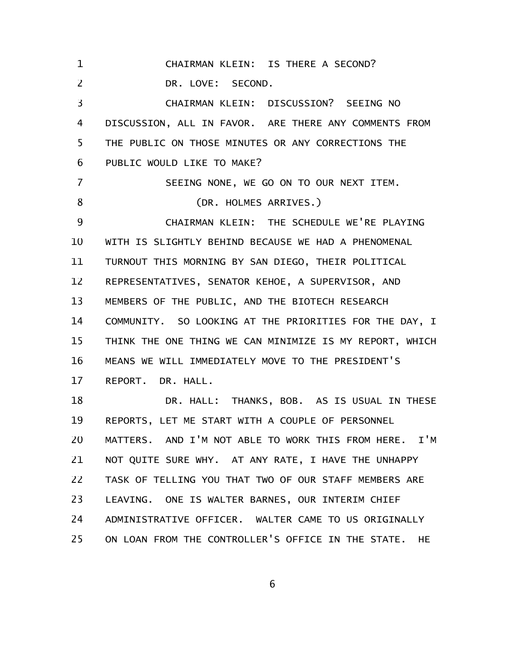CHAIRMAN KLEIN: IS THERE A SECOND? DR. LOVE: SECOND. CHAIRMAN KLEIN: DISCUSSION? SEEING NO DISCUSSION, ALL IN FAVOR. ARE THERE ANY COMMENTS FROM THE PUBLIC ON THOSE MINUTES OR ANY CORRECTIONS THE PUBLIC WOULD LIKE TO MAKE? SEEING NONE, WE GO ON TO OUR NEXT ITEM. (DR. HOLMES ARRIVES.) CHAIRMAN KLEIN: THE SCHEDULE WE'RE PLAYING WITH IS SLIGHTLY BEHIND BECAUSE WE HAD A PHENOMENAL TURNOUT THIS MORNING BY SAN DIEGO, THEIR POLITICAL REPRESENTATIVES, SENATOR KEHOE, A SUPERVISOR, AND MEMBERS OF THE PUBLIC, AND THE BIOTECH RESEARCH COMMUNITY. SO LOOKING AT THE PRIORITIES FOR THE DAY, I THINK THE ONE THING WE CAN MINIMIZE IS MY REPORT, WHICH MEANS WE WILL IMMEDIATELY MOVE TO THE PRESIDENT'S REPORT. DR. HALL. DR. HALL: THANKS, BOB. AS IS USUAL IN THESE REPORTS, LET ME START WITH A COUPLE OF PERSONNEL MATTERS. AND I'M NOT ABLE TO WORK THIS FROM HERE. I'M NOT QUITE SURE WHY. AT ANY RATE, I HAVE THE UNHAPPY TASK OF TELLING YOU THAT TWO OF OUR STAFF MEMBERS ARE LEAVING. ONE IS WALTER BARNES, OUR INTERIM CHIEF ADMINISTRATIVE OFFICER. WALTER CAME TO US ORIGINALLY ON LOAN FROM THE CONTROLLER'S OFFICE IN THE STATE. HE 1 2 3 4 5 6 7 8 9 10 11 12 13 14 15 16 17 18 19 20 21 22 23 24 25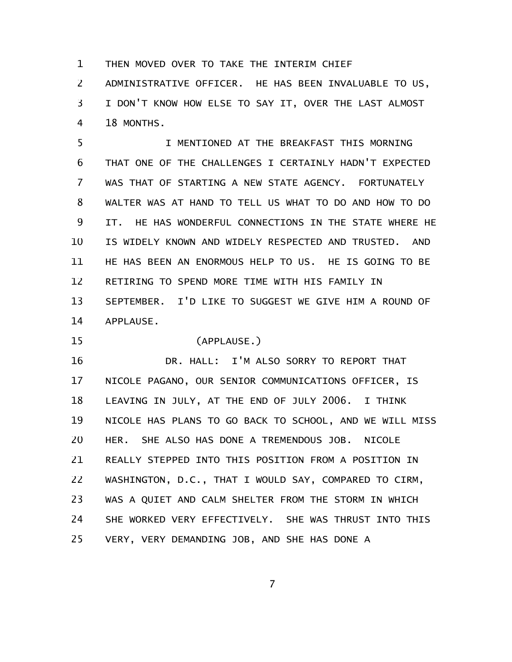THEN MOVED OVER TO TAKE THE INTERIM CHIEF 1

ADMINISTRATIVE OFFICER. HE HAS BEEN INVALUABLE TO US, I DON'T KNOW HOW ELSE TO SAY IT, OVER THE LAST ALMOST 18 MONTHS. 2 3 4

I MENTIONED AT THE BREAKFAST THIS MORNING THAT ONE OF THE CHALLENGES I CERTAINLY HADN'T EXPECTED WAS THAT OF STARTING A NEW STATE AGENCY. FORTUNATELY WALTER WAS AT HAND TO TELL US WHAT TO DO AND HOW TO DO IT. HE HAS WONDERFUL CONNECTIONS IN THE STATE WHERE HE IS WIDELY KNOWN AND WIDELY RESPECTED AND TRUSTED. AND HE HAS BEEN AN ENORMOUS HELP TO US. HE IS GOING TO BE RETIRING TO SPEND MORE TIME WITH HIS FAMILY IN SEPTEMBER. I'D LIKE TO SUGGEST WE GIVE HIM A ROUND OF APPLAUSE. 5 6 7 8 9 10 11 12 13 14

(APPLAUSE.) 15

DR. HALL: I'M ALSO SORRY TO REPORT THAT NICOLE PAGANO, OUR SENIOR COMMUNICATIONS OFFICER, IS LEAVING IN JULY, AT THE END OF JULY 2006. I THINK NICOLE HAS PLANS TO GO BACK TO SCHOOL, AND WE WILL MISS HER. SHE ALSO HAS DONE A TREMENDOUS JOB. NICOLE REALLY STEPPED INTO THIS POSITION FROM A POSITION IN WASHINGTON, D.C., THAT I WOULD SAY, COMPARED TO CIRM, WAS A QUIET AND CALM SHELTER FROM THE STORM IN WHICH SHE WORKED VERY EFFECTIVELY. SHE WAS THRUST INTO THIS VERY, VERY DEMANDING JOB, AND SHE HAS DONE A 16 17 18 19 20 21 22 23 24 25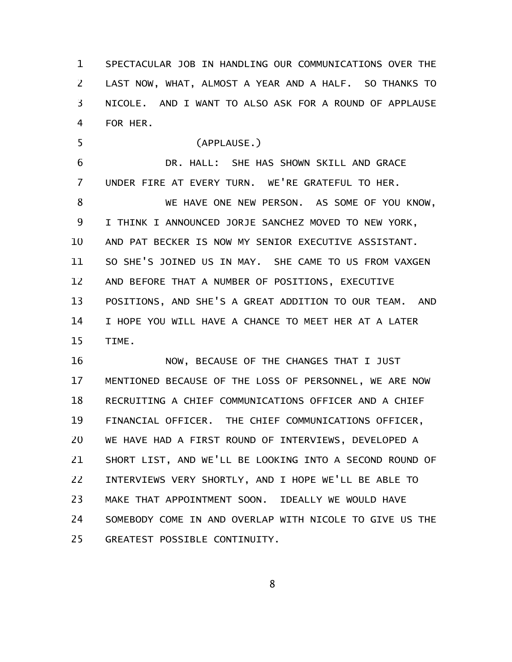SPECTACULAR JOB IN HANDLING OUR COMMUNICATIONS OVER THE LAST NOW, WHAT, ALMOST A YEAR AND A HALF. SO THANKS TO NICOLE. AND I WANT TO ALSO ASK FOR A ROUND OF APPLAUSE FOR HER. 1 2 3 4

(APPLAUSE.) DR. HALL: SHE HAS SHOWN SKILL AND GRACE UNDER FIRE AT EVERY TURN. WE'RE GRATEFUL TO HER. WE HAVE ONE NEW PERSON. AS SOME OF YOU KNOW, I THINK I ANNOUNCED JORJE SANCHEZ MOVED TO NEW YORK, AND PAT BECKER IS NOW MY SENIOR EXECUTIVE ASSISTANT. SO SHE'S JOINED US IN MAY. SHE CAME TO US FROM VAXGEN AND BEFORE THAT A NUMBER OF POSITIONS, EXECUTIVE POSITIONS, AND SHE'S A GREAT ADDITION TO OUR TEAM. AND I HOPE YOU WILL HAVE A CHANCE TO MEET HER AT A LATER TIME. 5 6 7 8 9 10 11 12 13 14 15

NOW, BECAUSE OF THE CHANGES THAT I JUST MENTIONED BECAUSE OF THE LOSS OF PERSONNEL, WE ARE NOW RECRUITING A CHIEF COMMUNICATIONS OFFICER AND A CHIEF FINANCIAL OFFICER. THE CHIEF COMMUNICATIONS OFFICER, WE HAVE HAD A FIRST ROUND OF INTERVIEWS, DEVELOPED A SHORT LIST, AND WE'LL BE LOOKING INTO A SECOND ROUND OF INTERVIEWS VERY SHORTLY, AND I HOPE WE'LL BE ABLE TO MAKE THAT APPOINTMENT SOON. IDEALLY WE WOULD HAVE SOMEBODY COME IN AND OVERLAP WITH NICOLE TO GIVE US THE GREATEST POSSIBLE CONTINUITY. 16 17 18 19 20 21 22 23 24 25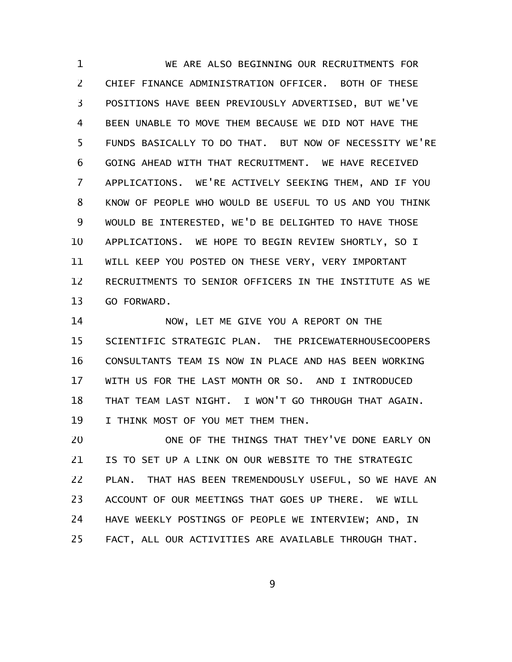WE ARE ALSO BEGINNING OUR RECRUITMENTS FOR CHIEF FINANCE ADMINISTRATION OFFICER. BOTH OF THESE POSITIONS HAVE BEEN PREVIOUSLY ADVERTISED, BUT WE'VE BEEN UNABLE TO MOVE THEM BECAUSE WE DID NOT HAVE THE FUNDS BASICALLY TO DO THAT. BUT NOW OF NECESSITY WE'RE GOING AHEAD WITH THAT RECRUITMENT. WE HAVE RECEIVED APPLICATIONS. WE'RE ACTIVELY SEEKING THEM, AND IF YOU KNOW OF PEOPLE WHO WOULD BE USEFUL TO US AND YOU THINK WOULD BE INTERESTED, WE'D BE DELIGHTED TO HAVE THOSE APPLICATIONS. WE HOPE TO BEGIN REVIEW SHORTLY, SO I WILL KEEP YOU POSTED ON THESE VERY, VERY IMPORTANT RECRUITMENTS TO SENIOR OFFICERS IN THE INSTITUTE AS WE GO FORWARD. 1 2 3 4 5 6 7 8 9 10 11 12 13

NOW, LET ME GIVE YOU A REPORT ON THE SCIENTIFIC STRATEGIC PLAN. THE PRICEWATERHOUSECOOPERS CONSULTANTS TEAM IS NOW IN PLACE AND HAS BEEN WORKING WITH US FOR THE LAST MONTH OR SO. AND I INTRODUCED THAT TEAM LAST NIGHT. I WON'T GO THROUGH THAT AGAIN. I THINK MOST OF YOU MET THEM THEN. 14 15 16 17 18 19

ONE OF THE THINGS THAT THEY'VE DONE EARLY ON IS TO SET UP A LINK ON OUR WEBSITE TO THE STRATEGIC PLAN. THAT HAS BEEN TREMENDOUSLY USEFUL, SO WE HAVE AN ACCOUNT OF OUR MEETINGS THAT GOES UP THERE. WE WILL HAVE WEEKLY POSTINGS OF PEOPLE WE INTERVIEW; AND, IN FACT, ALL OUR ACTIVITIES ARE AVAILABLE THROUGH THAT. 20 21 22 23 24 25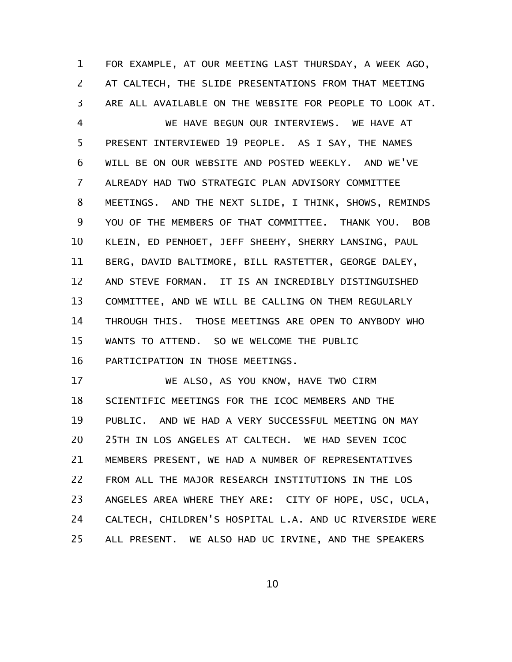FOR EXAMPLE, AT OUR MEETING LAST THURSDAY, A WEEK AGO, AT CALTECH, THE SLIDE PRESENTATIONS FROM THAT MEETING ARE ALL AVAILABLE ON THE WEBSITE FOR PEOPLE TO LOOK AT. 1 2 3

WE HAVE BEGUN OUR INTERVIEWS. WE HAVE AT PRESENT INTERVIEWED 19 PEOPLE. AS I SAY, THE NAMES WILL BE ON OUR WEBSITE AND POSTED WEEKLY. AND WE'VE ALREADY HAD TWO STRATEGIC PLAN ADVISORY COMMITTEE MEETINGS. AND THE NEXT SLIDE, I THINK, SHOWS, REMINDS YOU OF THE MEMBERS OF THAT COMMITTEE. THANK YOU. BOB KLEIN, ED PENHOET, JEFF SHEEHY, SHERRY LANSING, PAUL BERG, DAVID BALTIMORE, BILL RASTETTER, GEORGE DALEY, AND STEVE FORMAN. IT IS AN INCREDIBLY DISTINGUISHED COMMITTEE, AND WE WILL BE CALLING ON THEM REGULARLY THROUGH THIS. THOSE MEETINGS ARE OPEN TO ANYBODY WHO WANTS TO ATTEND. SO WE WELCOME THE PUBLIC PARTICIPATION IN THOSE MEETINGS. 4 5 6 7 8 9 10 11 12 13 14 15 16

WE ALSO, AS YOU KNOW, HAVE TWO CIRM SCIENTIFIC MEETINGS FOR THE ICOC MEMBERS AND THE PUBLIC. AND WE HAD A VERY SUCCESSFUL MEETING ON MAY 25TH IN LOS ANGELES AT CALTECH. WE HAD SEVEN ICOC MEMBERS PRESENT, WE HAD A NUMBER OF REPRESENTATIVES FROM ALL THE MAJOR RESEARCH INSTITUTIONS IN THE LOS ANGELES AREA WHERE THEY ARE: CITY OF HOPE, USC, UCLA, CALTECH, CHILDREN'S HOSPITAL L.A. AND UC RIVERSIDE WERE ALL PRESENT. WE ALSO HAD UC IRVINE, AND THE SPEAKERS 17 18 19 20 21 22 23 24 25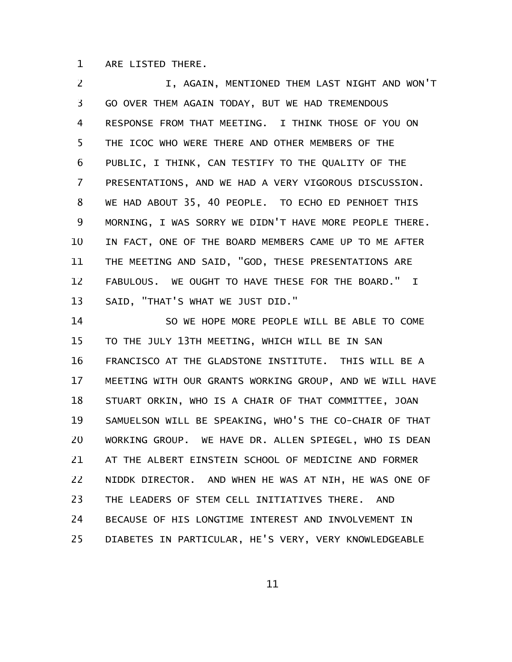ARE LISTED THERE. 1

I, AGAIN, MENTIONED THEM LAST NIGHT AND WON'T GO OVER THEM AGAIN TODAY, BUT WE HAD TREMENDOUS RESPONSE FROM THAT MEETING. I THINK THOSE OF YOU ON THE ICOC WHO WERE THERE AND OTHER MEMBERS OF THE PUBLIC, I THINK, CAN TESTIFY TO THE QUALITY OF THE PRESENTATIONS, AND WE HAD A VERY VIGOROUS DISCUSSION. WE HAD ABOUT 35, 40 PEOPLE. TO ECHO ED PENHOET THIS MORNING, I WAS SORRY WE DIDN'T HAVE MORE PEOPLE THERE. IN FACT, ONE OF THE BOARD MEMBERS CAME UP TO ME AFTER THE MEETING AND SAID, "GOD, THESE PRESENTATIONS ARE FABULOUS. WE OUGHT TO HAVE THESE FOR THE BOARD." I SAID, "THAT'S WHAT WE JUST DID." 2 3 4 5 6 7 8 9 10 11 12 13

SO WE HOPE MORE PEOPLE WILL BE ABLE TO COME TO THE JULY 13TH MEETING, WHICH WILL BE IN SAN FRANCISCO AT THE GLADSTONE INSTITUTE. THIS WILL BE A MEETING WITH OUR GRANTS WORKING GROUP, AND WE WILL HAVE STUART ORKIN, WHO IS A CHAIR OF THAT COMMITTEE, JOAN SAMUELSON WILL BE SPEAKING, WHO'S THE CO-CHAIR OF THAT WORKING GROUP. WE HAVE DR. ALLEN SPIEGEL, WHO IS DEAN AT THE ALBERT EINSTEIN SCHOOL OF MEDICINE AND FORMER NIDDK DIRECTOR. AND WHEN HE WAS AT NIH, HE WAS ONE OF THE LEADERS OF STEM CELL INITIATIVES THERE. AND BECAUSE OF HIS LONGTIME INTEREST AND INVOLVEMENT IN DIABETES IN PARTICULAR, HE'S VERY, VERY KNOWLEDGEABLE 14 15 16 17 18 19 20 21 22 23 24 25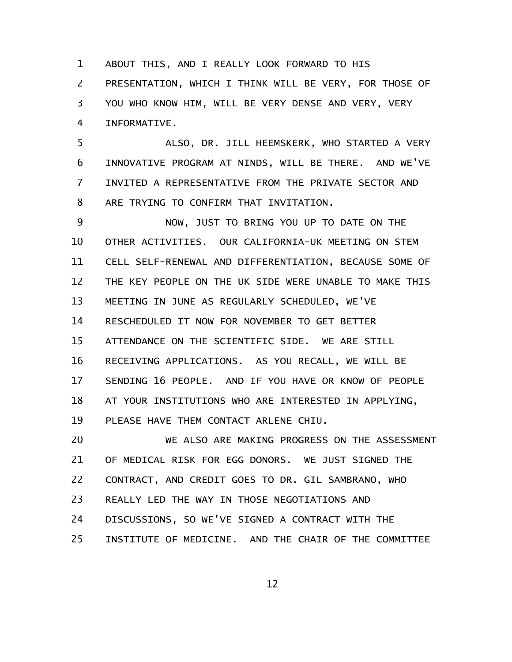ABOUT THIS, AND I REALLY LOOK FORWARD TO HIS PRESENTATION, WHICH I THINK WILL BE VERY, FOR THOSE OF YOU WHO KNOW HIM, WILL BE VERY DENSE AND VERY, VERY INFORMATIVE. 1 2 3 4

ALSO, DR. JILL HEEMSKERK, WHO STARTED A VERY INNOVATIVE PROGRAM AT NINDS, WILL BE THERE. AND WE'VE INVITED A REPRESENTATIVE FROM THE PRIVATE SECTOR AND ARE TRYING TO CONFIRM THAT INVITATION. 5 6 7 8

NOW, JUST TO BRING YOU UP TO DATE ON THE OTHER ACTIVITIES. OUR CALIFORNIA-UK MEETING ON STEM CELL SELF-RENEWAL AND DIFFERENTIATION, BECAUSE SOME OF THE KEY PEOPLE ON THE UK SIDE WERE UNABLE TO MAKE THIS MEETING IN JUNE AS REGULARLY SCHEDULED, WE'VE RESCHEDULED IT NOW FOR NOVEMBER TO GET BETTER ATTENDANCE ON THE SCIENTIFIC SIDE. WE ARE STILL RECEIVING APPLICATIONS. AS YOU RECALL, WE WILL BE SENDING 16 PEOPLE. AND IF YOU HAVE OR KNOW OF PEOPLE AT YOUR INSTITUTIONS WHO ARE INTERESTED IN APPLYING, PLEASE HAVE THEM CONTACT ARLENE CHIU. 9 10 11 12 13 14 15 16 17 18 19

WE ALSO ARE MAKING PROGRESS ON THE ASSESSMENT OF MEDICAL RISK FOR EGG DONORS. WE JUST SIGNED THE CONTRACT, AND CREDIT GOES TO DR. GIL SAMBRANO, WHO REALLY LED THE WAY IN THOSE NEGOTIATIONS AND DISCUSSIONS, SO WE'VE SIGNED A CONTRACT WITH THE INSTITUTE OF MEDICINE. AND THE CHAIR OF THE COMMITTEE 20 21 22 23 24 25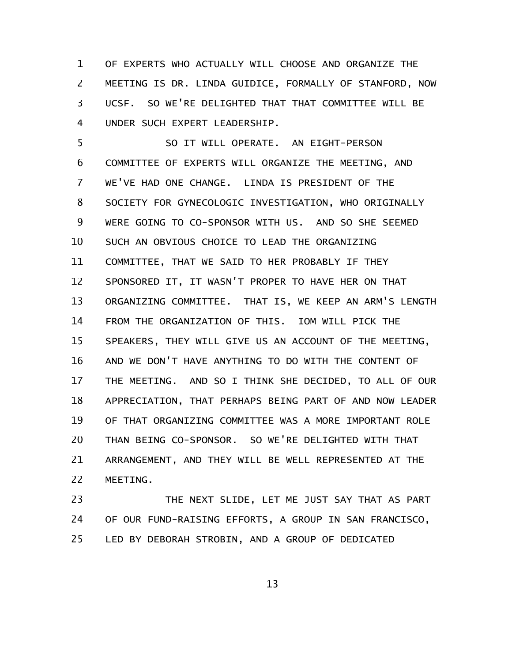OF EXPERTS WHO ACTUALLY WILL CHOOSE AND ORGANIZE THE MEETING IS DR. LINDA GUIDICE, FORMALLY OF STANFORD, NOW UCSF. SO WE'RE DELIGHTED THAT THAT COMMITTEE WILL BE UNDER SUCH EXPERT LEADERSHIP. 1 2 3 4

SO IT WILL OPERATE. AN EIGHT-PERSON COMMITTEE OF EXPERTS WILL ORGANIZE THE MEETING, AND WE'VE HAD ONE CHANGE. LINDA IS PRESIDENT OF THE SOCIETY FOR GYNECOLOGIC INVESTIGATION, WHO ORIGINALLY WERE GOING TO CO-SPONSOR WITH US. AND SO SHE SEEMED SUCH AN OBVIOUS CHOICE TO LEAD THE ORGANIZING COMMITTEE, THAT WE SAID TO HER PROBABLY IF THEY SPONSORED IT, IT WASN'T PROPER TO HAVE HER ON THAT ORGANIZING COMMITTEE. THAT IS, WE KEEP AN ARM'S LENGTH FROM THE ORGANIZATION OF THIS. IOM WILL PICK THE SPEAKERS, THEY WILL GIVE US AN ACCOUNT OF THE MEETING, AND WE DON'T HAVE ANYTHING TO DO WITH THE CONTENT OF THE MEETING. AND SO I THINK SHE DECIDED, TO ALL OF OUR APPRECIATION, THAT PERHAPS BEING PART OF AND NOW LEADER OF THAT ORGANIZING COMMITTEE WAS A MORE IMPORTANT ROLE THAN BEING CO-SPONSOR. SO WE'RE DELIGHTED WITH THAT ARRANGEMENT, AND THEY WILL BE WELL REPRESENTED AT THE MEETING. 5 6 7 8 9 10 11 12 13 14 15 16 17 18 19 20 21 22

THE NEXT SLIDE, LET ME JUST SAY THAT AS PART OF OUR FUND-RAISING EFFORTS, A GROUP IN SAN FRANCISCO, LED BY DEBORAH STROBIN, AND A GROUP OF DEDICATED 23 24 25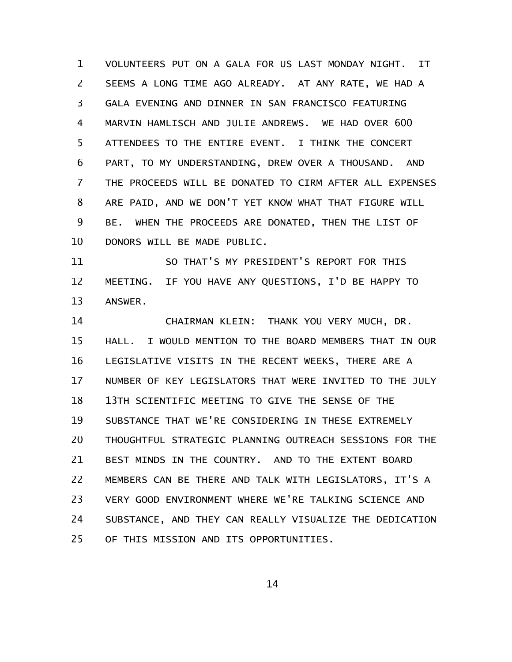VOLUNTEERS PUT ON A GALA FOR US LAST MONDAY NIGHT. IT SEEMS A LONG TIME AGO ALREADY. AT ANY RATE, WE HAD A GALA EVENING AND DINNER IN SAN FRANCISCO FEATURING MARVIN HAMLISCH AND JULIE ANDREWS. WE HAD OVER 600 ATTENDEES TO THE ENTIRE EVENT. I THINK THE CONCERT PART, TO MY UNDERSTANDING, DREW OVER A THOUSAND. AND THE PROCEEDS WILL BE DONATED TO CIRM AFTER ALL EXPENSES ARE PAID, AND WE DON'T YET KNOW WHAT THAT FIGURE WILL BE. WHEN THE PROCEEDS ARE DONATED, THEN THE LIST OF DONORS WILL BE MADE PUBLIC. 1 2 3 4 5 6 7 8 9 10

SO THAT'S MY PRESIDENT'S REPORT FOR THIS MEETING. IF YOU HAVE ANY QUESTIONS, I'D BE HAPPY TO ANSWER. 11 12 13

CHAIRMAN KLEIN: THANK YOU VERY MUCH, DR. HALL. I WOULD MENTION TO THE BOARD MEMBERS THAT IN OUR LEGISLATIVE VISITS IN THE RECENT WEEKS, THERE ARE A NUMBER OF KEY LEGISLATORS THAT WERE INVITED TO THE JULY 13TH SCIENTIFIC MEETING TO GIVE THE SENSE OF THE SUBSTANCE THAT WE'RE CONSIDERING IN THESE EXTREMELY THOUGHTFUL STRATEGIC PLANNING OUTREACH SESSIONS FOR THE BEST MINDS IN THE COUNTRY. AND TO THE EXTENT BOARD MEMBERS CAN BE THERE AND TALK WITH LEGISLATORS, IT'S A VERY GOOD ENVIRONMENT WHERE WE'RE TALKING SCIENCE AND SUBSTANCE, AND THEY CAN REALLY VISUALIZE THE DEDICATION OF THIS MISSION AND ITS OPPORTUNITIES. 14 15 16 17 18 19 20 21 22 23 24 25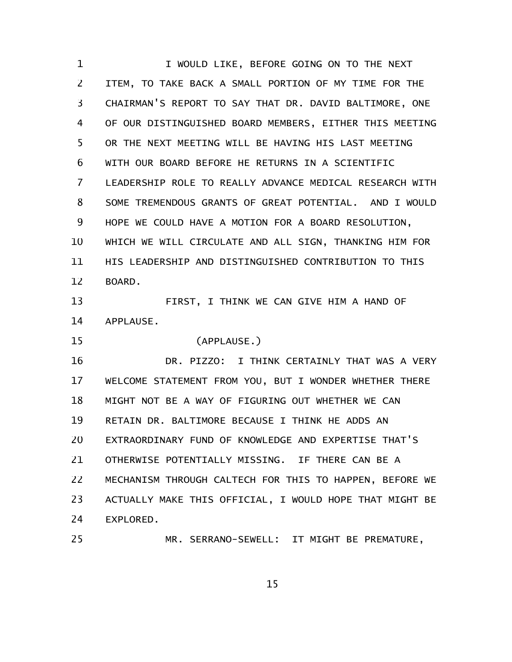I WOULD LIKE, BEFORE GOING ON TO THE NEXT ITEM, TO TAKE BACK A SMALL PORTION OF MY TIME FOR THE CHAIRMAN'S REPORT TO SAY THAT DR. DAVID BALTIMORE, ONE OF OUR DISTINGUISHED BOARD MEMBERS, EITHER THIS MEETING OR THE NEXT MEETING WILL BE HAVING HIS LAST MEETING WITH OUR BOARD BEFORE HE RETURNS IN A SCIENTIFIC LEADERSHIP ROLE TO REALLY ADVANCE MEDICAL RESEARCH WITH SOME TREMENDOUS GRANTS OF GREAT POTENTIAL. AND I WOULD HOPE WE COULD HAVE A MOTION FOR A BOARD RESOLUTION, WHICH WE WILL CIRCULATE AND ALL SIGN, THANKING HIM FOR HIS LEADERSHIP AND DISTINGUISHED CONTRIBUTION TO THIS BOARD. FIRST, I THINK WE CAN GIVE HIM A HAND OF APPLAUSE. (APPLAUSE.) DR. PIZZO: I THINK CERTAINLY THAT WAS A VERY WELCOME STATEMENT FROM YOU, BUT I WONDER WHETHER THERE 1 2 3 4 5 6 7 8 9 10 11 12 13 14 15 16 17

MIGHT NOT BE A WAY OF FIGURING OUT WHETHER WE CAN 18

RETAIN DR. BALTIMORE BECAUSE I THINK HE ADDS AN 19

EXTRAORDINARY FUND OF KNOWLEDGE AND EXPERTISE THAT'S 20

OTHERWISE POTENTIALLY MISSING. IF THERE CAN BE A 21

25

MECHANISM THROUGH CALTECH FOR THIS TO HAPPEN, BEFORE WE ACTUALLY MAKE THIS OFFICIAL, I WOULD HOPE THAT MIGHT BE EXPLORED. 22 23 24

MR. SERRANO-SEWELL: IT MIGHT BE PREMATURE,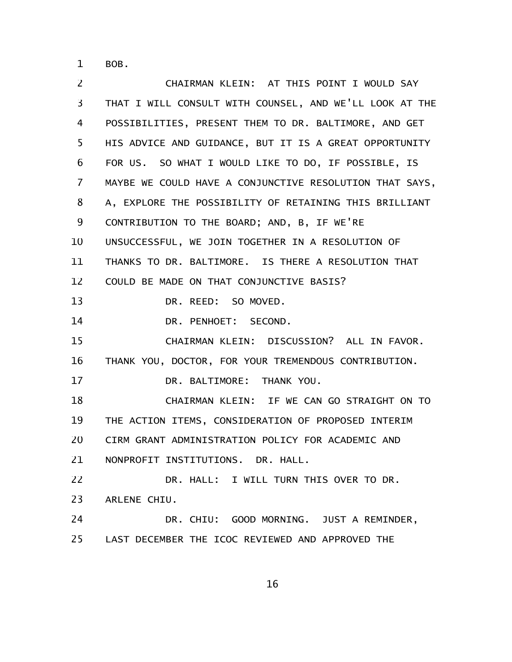BOB. 1

CHAIRMAN KLEIN: AT THIS POINT I WOULD SAY THAT I WILL CONSULT WITH COUNSEL, AND WE'LL LOOK AT THE POSSIBILITIES, PRESENT THEM TO DR. BALTIMORE, AND GET HIS ADVICE AND GUIDANCE, BUT IT IS A GREAT OPPORTUNITY FOR US. SO WHAT I WOULD LIKE TO DO, IF POSSIBLE, IS MAYBE WE COULD HAVE A CONJUNCTIVE RESOLUTION THAT SAYS, A, EXPLORE THE POSSIBILITY OF RETAINING THIS BRILLIANT CONTRIBUTION TO THE BOARD; AND, B, IF WE'RE UNSUCCESSFUL, WE JOIN TOGETHER IN A RESOLUTION OF THANKS TO DR. BALTIMORE. IS THERE A RESOLUTION THAT COULD BE MADE ON THAT CONJUNCTIVE BASIS? DR. REED: SO MOVED. DR. PENHOET: SECOND. CHAIRMAN KLEIN: DISCUSSION? ALL IN FAVOR. THANK YOU, DOCTOR, FOR YOUR TREMENDOUS CONTRIBUTION. DR. BALTIMORE: THANK YOU. CHAIRMAN KLEIN: IF WE CAN GO STRAIGHT ON TO THE ACTION ITEMS, CONSIDERATION OF PROPOSED INTERIM CIRM GRANT ADMINISTRATION POLICY FOR ACADEMIC AND NONPROFIT INSTITUTIONS. DR. HALL. DR. HALL: I WILL TURN THIS OVER TO DR. ARLENE CHIU. DR. CHIU: GOOD MORNING. JUST A REMINDER, LAST DECEMBER THE ICOC REVIEWED AND APPROVED THE 2 3 4 5 6 7 8 9 10 11 12 13 14 15 16 17 18 19 20 21 22 23 24 25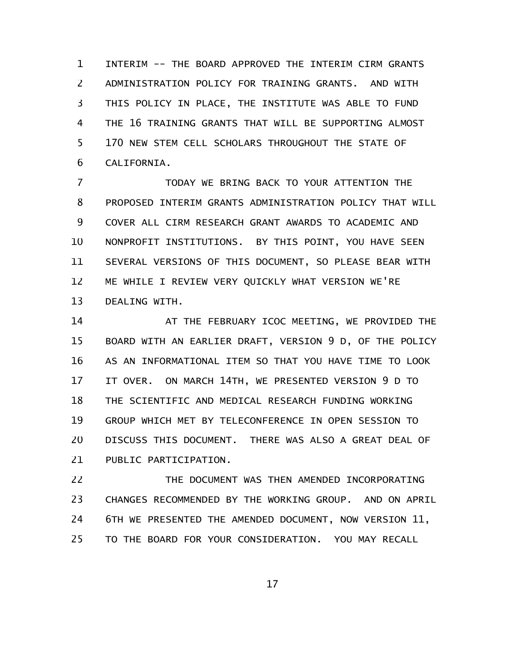INTERIM -- THE BOARD APPROVED THE INTERIM CIRM GRANTS ADMINISTRATION POLICY FOR TRAINING GRANTS. AND WITH THIS POLICY IN PLACE, THE INSTITUTE WAS ABLE TO FUND THE 16 TRAINING GRANTS THAT WILL BE SUPPORTING ALMOST 170 NEW STEM CELL SCHOLARS THROUGHOUT THE STATE OF CALIFORNIA. 1 2 3 4 5 6

TODAY WE BRING BACK TO YOUR ATTENTION THE PROPOSED INTERIM GRANTS ADMINISTRATION POLICY THAT WILL COVER ALL CIRM RESEARCH GRANT AWARDS TO ACADEMIC AND NONPROFIT INSTITUTIONS. BY THIS POINT, YOU HAVE SEEN SEVERAL VERSIONS OF THIS DOCUMENT, SO PLEASE BEAR WITH ME WHILE I REVIEW VERY QUICKLY WHAT VERSION WE'RE DEALING WITH. 7 8 9 10 11 12 13

AT THE FEBRUARY ICOC MEETING, WE PROVIDED THE BOARD WITH AN EARLIER DRAFT, VERSION 9 D, OF THE POLICY AS AN INFORMATIONAL ITEM SO THAT YOU HAVE TIME TO LOOK IT OVER. ON MARCH 14TH, WE PRESENTED VERSION 9 D TO THE SCIENTIFIC AND MEDICAL RESEARCH FUNDING WORKING GROUP WHICH MET BY TELECONFERENCE IN OPEN SESSION TO DISCUSS THIS DOCUMENT. THERE WAS ALSO A GREAT DEAL OF PUBLIC PARTICIPATION. 14 15 16 17 18 19 20 21

THE DOCUMENT WAS THEN AMENDED INCORPORATING CHANGES RECOMMENDED BY THE WORKING GROUP. AND ON APRIL 6TH WE PRESENTED THE AMENDED DOCUMENT, NOW VERSION 11, TO THE BOARD FOR YOUR CONSIDERATION. YOU MAY RECALL 22 23 24 25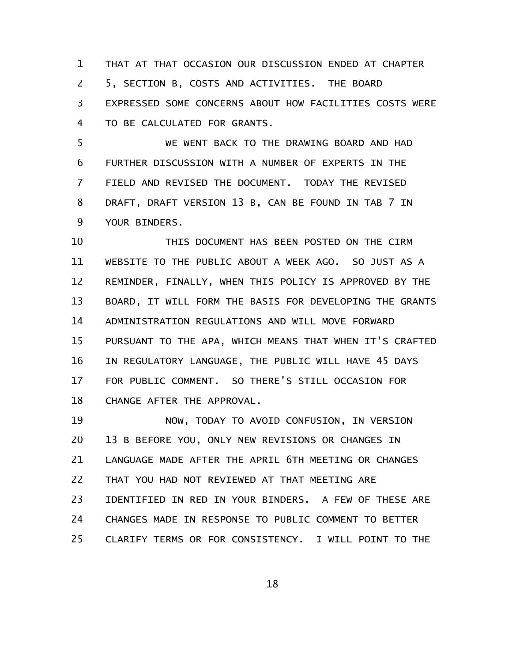THAT AT THAT OCCASION OUR DISCUSSION ENDED AT CHAPTER 5, SECTION B, COSTS AND ACTIVITIES. THE BOARD EXPRESSED SOME CONCERNS ABOUT HOW FACILITIES COSTS WERE TO BE CALCULATED FOR GRANTS. 1 2 3 4

WE WENT BACK TO THE DRAWING BOARD AND HAD FURTHER DISCUSSION WITH A NUMBER OF EXPERTS IN THE FIELD AND REVISED THE DOCUMENT. TODAY THE REVISED DRAFT, DRAFT VERSION 13 B, CAN BE FOUND IN TAB 7 IN YOUR BINDERS. 5 6 7 8 9

THIS DOCUMENT HAS BEEN POSTED ON THE CIRM WEBSITE TO THE PUBLIC ABOUT A WEEK AGO. SO JUST AS A REMINDER, FINALLY, WHEN THIS POLICY IS APPROVED BY THE BOARD, IT WILL FORM THE BASIS FOR DEVELOPING THE GRANTS ADMINISTRATION REGULATIONS AND WILL MOVE FORWARD PURSUANT TO THE APA, WHICH MEANS THAT WHEN IT'S CRAFTED IN REGULATORY LANGUAGE, THE PUBLIC WILL HAVE 45 DAYS FOR PUBLIC COMMENT. SO THERE'S STILL OCCASION FOR CHANGE AFTER THE APPROVAL. 10 11 12 13 14 15 16 17 18

NOW, TODAY TO AVOID CONFUSION, IN VERSION 13 B BEFORE YOU, ONLY NEW REVISIONS OR CHANGES IN LANGUAGE MADE AFTER THE APRIL 6TH MEETING OR CHANGES THAT YOU HAD NOT REVIEWED AT THAT MEETING ARE IDENTIFIED IN RED IN YOUR BINDERS. A FEW OF THESE ARE CHANGES MADE IN RESPONSE TO PUBLIC COMMENT TO BETTER CLARIFY TERMS OR FOR CONSISTENCY. I WILL POINT TO THE 19 20 21 22 23 24 25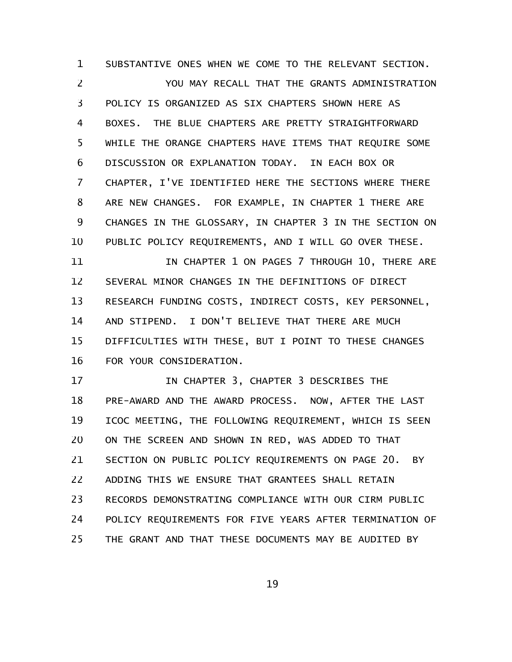SUBSTANTIVE ONES WHEN WE COME TO THE RELEVANT SECTION. YOU MAY RECALL THAT THE GRANTS ADMINISTRATION POLICY IS ORGANIZED AS SIX CHAPTERS SHOWN HERE AS BOXES. THE BLUE CHAPTERS ARE PRETTY STRAIGHTFORWARD WHILE THE ORANGE CHAPTERS HAVE ITEMS THAT REQUIRE SOME DISCUSSION OR EXPLANATION TODAY. IN EACH BOX OR CHAPTER, I'VE IDENTIFIED HERE THE SECTIONS WHERE THERE ARE NEW CHANGES. FOR EXAMPLE, IN CHAPTER 1 THERE ARE CHANGES IN THE GLOSSARY, IN CHAPTER 3 IN THE SECTION ON PUBLIC POLICY REQUIREMENTS, AND I WILL GO OVER THESE. 1 2 3 4 5 6 7 8 9 10

IN CHAPTER 1 ON PAGES 7 THROUGH 10, THERE ARE SEVERAL MINOR CHANGES IN THE DEFINITIONS OF DIRECT RESEARCH FUNDING COSTS, INDIRECT COSTS, KEY PERSONNEL, AND STIPEND. I DON'T BELIEVE THAT THERE ARE MUCH DIFFICULTIES WITH THESE, BUT I POINT TO THESE CHANGES FOR YOUR CONSIDERATION. 11 12 13 14 15 16

IN CHAPTER 3, CHAPTER 3 DESCRIBES THE PRE-AWARD AND THE AWARD PROCESS. NOW, AFTER THE LAST ICOC MEETING, THE FOLLOWING REQUIREMENT, WHICH IS SEEN ON THE SCREEN AND SHOWN IN RED, WAS ADDED TO THAT SECTION ON PUBLIC POLICY REQUIREMENTS ON PAGE 20. BY ADDING THIS WE ENSURE THAT GRANTEES SHALL RETAIN RECORDS DEMONSTRATING COMPLIANCE WITH OUR CIRM PUBLIC POLICY REQUIREMENTS FOR FIVE YEARS AFTER TERMINATION OF THE GRANT AND THAT THESE DOCUMENTS MAY BE AUDITED BY 17 18 19 20 21 22 23 24 25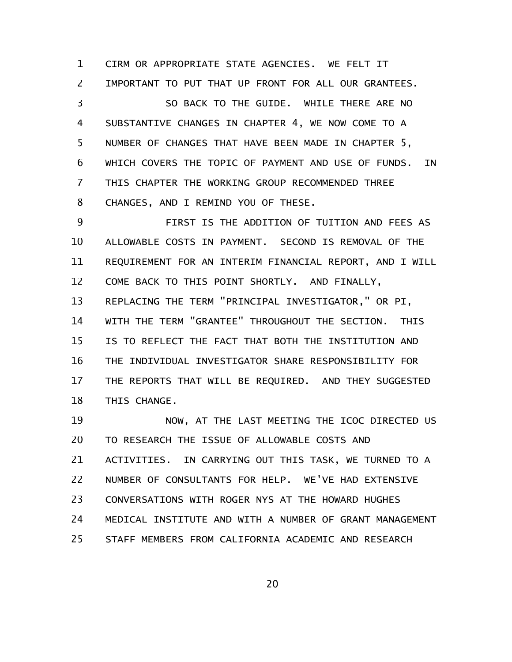CIRM OR APPROPRIATE STATE AGENCIES. WE FELT IT IMPORTANT TO PUT THAT UP FRONT FOR ALL OUR GRANTEES. SO BACK TO THE GUIDE. WHILE THERE ARE NO SUBSTANTIVE CHANGES IN CHAPTER 4, WE NOW COME TO A NUMBER OF CHANGES THAT HAVE BEEN MADE IN CHAPTER 5, WHICH COVERS THE TOPIC OF PAYMENT AND USE OF FUNDS. IN THIS CHAPTER THE WORKING GROUP RECOMMENDED THREE CHANGES, AND I REMIND YOU OF THESE. 1 2 3 4 5 6 7 8

FIRST IS THE ADDITION OF TUITION AND FEES AS ALLOWABLE COSTS IN PAYMENT. SECOND IS REMOVAL OF THE REQUIREMENT FOR AN INTERIM FINANCIAL REPORT, AND I WILL COME BACK TO THIS POINT SHORTLY. AND FINALLY, REPLACING THE TERM "PRINCIPAL INVESTIGATOR," OR PI, WITH THE TERM "GRANTEE" THROUGHOUT THE SECTION. THIS IS TO REFLECT THE FACT THAT BOTH THE INSTITUTION AND THE INDIVIDUAL INVESTIGATOR SHARE RESPONSIBILITY FOR THE REPORTS THAT WILL BE REQUIRED. AND THEY SUGGESTED THIS CHANGE. 9 10 11 12 13 14 15 16 17 18

NOW, AT THE LAST MEETING THE ICOC DIRECTED US TO RESEARCH THE ISSUE OF ALLOWABLE COSTS AND ACTIVITIES. IN CARRYING OUT THIS TASK, WE TURNED TO A NUMBER OF CONSULTANTS FOR HELP. WE'VE HAD EXTENSIVE CONVERSATIONS WITH ROGER NYS AT THE HOWARD HUGHES MEDICAL INSTITUTE AND WITH A NUMBER OF GRANT MANAGEMENT STAFF MEMBERS FROM CALIFORNIA ACADEMIC AND RESEARCH 19 20 21 22 23 24 25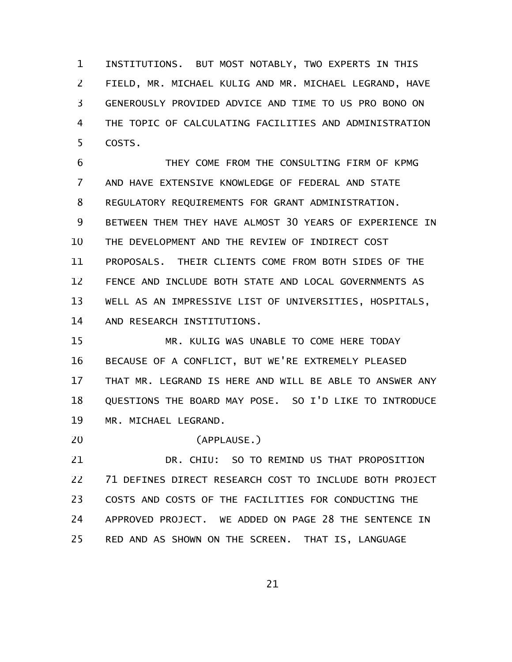INSTITUTIONS. BUT MOST NOTABLY, TWO EXPERTS IN THIS FIELD, MR. MICHAEL KULIG AND MR. MICHAEL LEGRAND, HAVE GENEROUSLY PROVIDED ADVICE AND TIME TO US PRO BONO ON THE TOPIC OF CALCULATING FACILITIES AND ADMINISTRATION COSTS. 1 2 3 4 5

THEY COME FROM THE CONSULTING FIRM OF KPMG AND HAVE EXTENSIVE KNOWLEDGE OF FEDERAL AND STATE REGULATORY REQUIREMENTS FOR GRANT ADMINISTRATION. BETWEEN THEM THEY HAVE ALMOST 30 YEARS OF EXPERIENCE IN THE DEVELOPMENT AND THE REVIEW OF INDIRECT COST PROPOSALS. THEIR CLIENTS COME FROM BOTH SIDES OF THE FENCE AND INCLUDE BOTH STATE AND LOCAL GOVERNMENTS AS WELL AS AN IMPRESSIVE LIST OF UNIVERSITIES, HOSPITALS, AND RESEARCH INSTITUTIONS. 6 7 8 9 10 11 12 13 14

MR. KULIG WAS UNABLE TO COME HERE TODAY BECAUSE OF A CONFLICT, BUT WE'RE EXTREMELY PLEASED THAT MR. LEGRAND IS HERE AND WILL BE ABLE TO ANSWER ANY QUESTIONS THE BOARD MAY POSE. SO I'D LIKE TO INTRODUCE MR. MICHAEL LEGRAND. 15 16 17 18 19

(APPLAUSE.) 20

DR. CHIU: SO TO REMIND US THAT PROPOSITION 71 DEFINES DIRECT RESEARCH COST TO INCLUDE BOTH PROJECT COSTS AND COSTS OF THE FACILITIES FOR CONDUCTING THE APPROVED PROJECT. WE ADDED ON PAGE 28 THE SENTENCE IN RED AND AS SHOWN ON THE SCREEN. THAT IS, LANGUAGE 21 22 23 24 25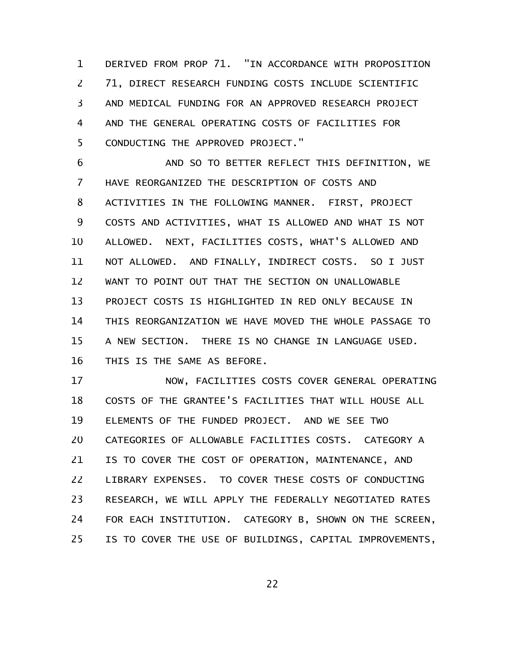DERIVED FROM PROP 71. "IN ACCORDANCE WITH PROPOSITION 71, DIRECT RESEARCH FUNDING COSTS INCLUDE SCIENTIFIC AND MEDICAL FUNDING FOR AN APPROVED RESEARCH PROJECT AND THE GENERAL OPERATING COSTS OF FACILITIES FOR CONDUCTING THE APPROVED PROJECT." 1 2 3 4 5

AND SO TO BETTER REFLECT THIS DEFINITION, WE HAVE REORGANIZED THE DESCRIPTION OF COSTS AND ACTIVITIES IN THE FOLLOWING MANNER. FIRST, PROJECT COSTS AND ACTIVITIES, WHAT IS ALLOWED AND WHAT IS NOT ALLOWED. NEXT, FACILITIES COSTS, WHAT'S ALLOWED AND NOT ALLOWED. AND FINALLY, INDIRECT COSTS. SO I JUST WANT TO POINT OUT THAT THE SECTION ON UNALLOWABLE PROJECT COSTS IS HIGHLIGHTED IN RED ONLY BECAUSE IN THIS REORGANIZATION WE HAVE MOVED THE WHOLE PASSAGE TO A NEW SECTION. THERE IS NO CHANGE IN LANGUAGE USED. THIS IS THE SAME AS BEFORE. 6 7 8 9 10 11 12 13 14 15 16

NOW, FACILITIES COSTS COVER GENERAL OPERATING COSTS OF THE GRANTEE'S FACILITIES THAT WILL HOUSE ALL ELEMENTS OF THE FUNDED PROJECT. AND WE SEE TWO CATEGORIES OF ALLOWABLE FACILITIES COSTS. CATEGORY A IS TO COVER THE COST OF OPERATION, MAINTENANCE, AND LIBRARY EXPENSES. TO COVER THESE COSTS OF CONDUCTING RESEARCH, WE WILL APPLY THE FEDERALLY NEGOTIATED RATES FOR EACH INSTITUTION. CATEGORY B, SHOWN ON THE SCREEN, IS TO COVER THE USE OF BUILDINGS, CAPITAL IMPROVEMENTS, 17 18 19 20 21 22 23 24 25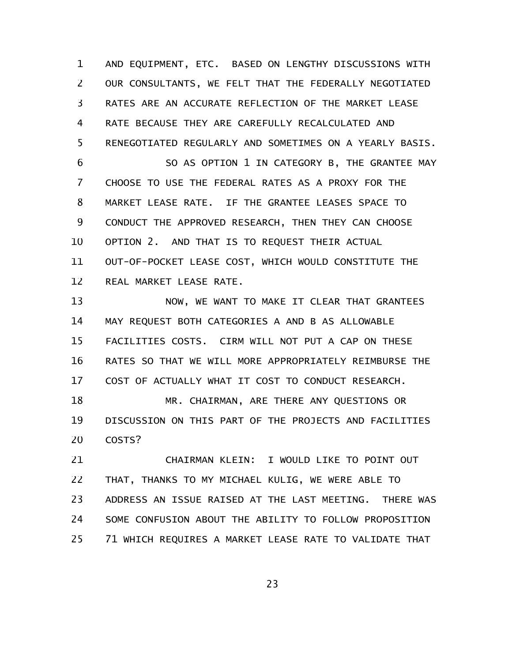AND EQUIPMENT, ETC. BASED ON LENGTHY DISCUSSIONS WITH OUR CONSULTANTS, WE FELT THAT THE FEDERALLY NEGOTIATED RATES ARE AN ACCURATE REFLECTION OF THE MARKET LEASE RATE BECAUSE THEY ARE CAREFULLY RECALCULATED AND RENEGOTIATED REGULARLY AND SOMETIMES ON A YEARLY BASIS. 1 2 3 4 5

SO AS OPTION 1 IN CATEGORY B, THE GRANTEE MAY CHOOSE TO USE THE FEDERAL RATES AS A PROXY FOR THE MARKET LEASE RATE. IF THE GRANTEE LEASES SPACE TO CONDUCT THE APPROVED RESEARCH, THEN THEY CAN CHOOSE OPTION 2. AND THAT IS TO REQUEST THEIR ACTUAL OUT-OF-POCKET LEASE COST, WHICH WOULD CONSTITUTE THE REAL MARKET LEASE RATE. 6 7 8 9 10 11 12

NOW, WE WANT TO MAKE IT CLEAR THAT GRANTEES MAY REQUEST BOTH CATEGORIES A AND B AS ALLOWABLE FACILITIES COSTS. CIRM WILL NOT PUT A CAP ON THESE RATES SO THAT WE WILL MORE APPROPRIATELY REIMBURSE THE COST OF ACTUALLY WHAT IT COST TO CONDUCT RESEARCH. 13 14 15 16 17

MR. CHAIRMAN, ARE THERE ANY QUESTIONS OR DISCUSSION ON THIS PART OF THE PROJECTS AND FACILITIES COSTS? 18 19 20

CHAIRMAN KLEIN: I WOULD LIKE TO POINT OUT THAT, THANKS TO MY MICHAEL KULIG, WE WERE ABLE TO ADDRESS AN ISSUE RAISED AT THE LAST MEETING. THERE WAS SOME CONFUSION ABOUT THE ABILITY TO FOLLOW PROPOSITION 71 WHICH REQUIRES A MARKET LEASE RATE TO VALIDATE THAT 21 22 23 24 25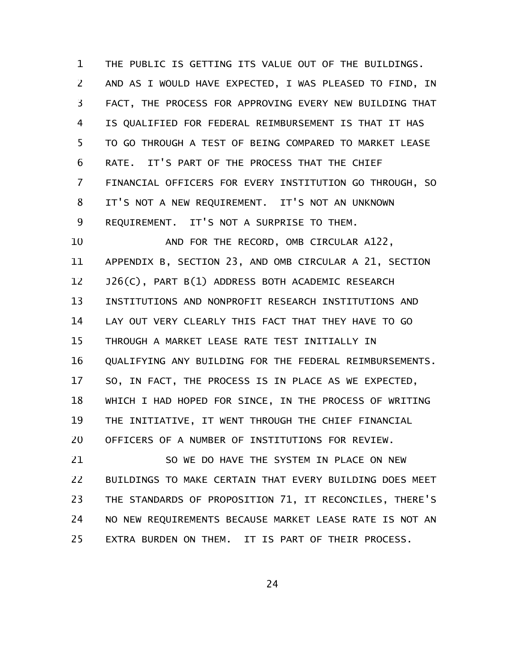THE PUBLIC IS GETTING ITS VALUE OUT OF THE BUILDINGS. AND AS I WOULD HAVE EXPECTED, I WAS PLEASED TO FIND, IN FACT, THE PROCESS FOR APPROVING EVERY NEW BUILDING THAT IS QUALIFIED FOR FEDERAL REIMBURSEMENT IS THAT IT HAS TO GO THROUGH A TEST OF BEING COMPARED TO MARKET LEASE RATE. IT'S PART OF THE PROCESS THAT THE CHIEF FINANCIAL OFFICERS FOR EVERY INSTITUTION GO THROUGH, SO IT'S NOT A NEW REQUIREMENT. IT'S NOT AN UNKNOWN REQUIREMENT. IT'S NOT A SURPRISE TO THEM. 1 2 3 4 5 6 7 8 9

AND FOR THE RECORD, OMB CIRCULAR A122, APPENDIX B, SECTION 23, AND OMB CIRCULAR A 21, SECTION J26(C), PART B(1) ADDRESS BOTH ACADEMIC RESEARCH INSTITUTIONS AND NONPROFIT RESEARCH INSTITUTIONS AND LAY OUT VERY CLEARLY THIS FACT THAT THEY HAVE TO GO THROUGH A MARKET LEASE RATE TEST INITIALLY IN QUALIFYING ANY BUILDING FOR THE FEDERAL REIMBURSEMENTS. SO, IN FACT, THE PROCESS IS IN PLACE AS WE EXPECTED, WHICH I HAD HOPED FOR SINCE, IN THE PROCESS OF WRITING THE INITIATIVE, IT WENT THROUGH THE CHIEF FINANCIAL OFFICERS OF A NUMBER OF INSTITUTIONS FOR REVIEW. 10 11 12 13 14 15 16 17 18 19 20

SO WE DO HAVE THE SYSTEM IN PLACE ON NEW BUILDINGS TO MAKE CERTAIN THAT EVERY BUILDING DOES MEET THE STANDARDS OF PROPOSITION 71, IT RECONCILES, THERE'S NO NEW REQUIREMENTS BECAUSE MARKET LEASE RATE IS NOT AN EXTRA BURDEN ON THEM. IT IS PART OF THEIR PROCESS. 21 22 23 24 25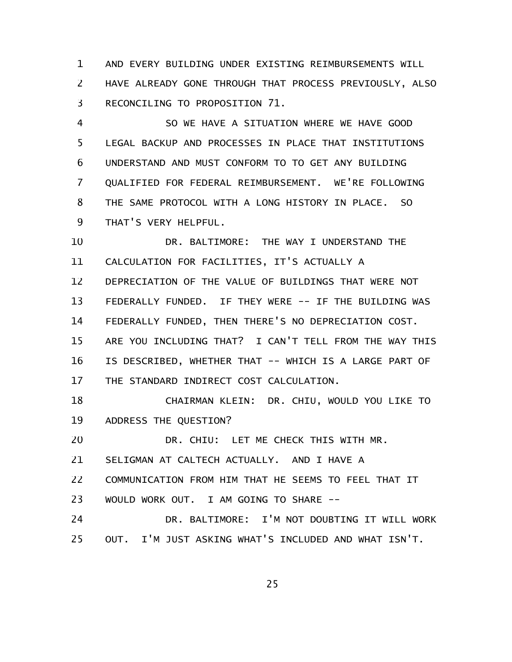AND EVERY BUILDING UNDER EXISTING REIMBURSEMENTS WILL HAVE ALREADY GONE THROUGH THAT PROCESS PREVIOUSLY, ALSO RECONCILING TO PROPOSITION 71. 1 2 3

SO WE HAVE A SITUATION WHERE WE HAVE GOOD LEGAL BACKUP AND PROCESSES IN PLACE THAT INSTITUTIONS UNDERSTAND AND MUST CONFORM TO TO GET ANY BUILDING QUALIFIED FOR FEDERAL REIMBURSEMENT. WE'RE FOLLOWING THE SAME PROTOCOL WITH A LONG HISTORY IN PLACE. SO THAT'S VERY HELPFUL. 4 5 6 7 8 9

DR. BALTIMORE: THE WAY I UNDERSTAND THE CALCULATION FOR FACILITIES, IT'S ACTUALLY A DEPRECIATION OF THE VALUE OF BUILDINGS THAT WERE NOT FEDERALLY FUNDED. IF THEY WERE -- IF THE BUILDING WAS FEDERALLY FUNDED, THEN THERE'S NO DEPRECIATION COST. ARE YOU INCLUDING THAT? I CAN'T TELL FROM THE WAY THIS IS DESCRIBED, WHETHER THAT -- WHICH IS A LARGE PART OF THE STANDARD INDIRECT COST CALCULATION. 10 11 12 13 14 15 16 17

CHAIRMAN KLEIN: DR. CHIU, WOULD YOU LIKE TO ADDRESS THE QUESTION? 18 19

DR. CHIU: LET ME CHECK THIS WITH MR. 20

SELIGMAN AT CALTECH ACTUALLY. AND I HAVE A 21

COMMUNICATION FROM HIM THAT HE SEEMS TO FEEL THAT IT 22

WOULD WORK OUT. I AM GOING TO SHARE -- 23

DR. BALTIMORE: I'M NOT DOUBTING IT WILL WORK OUT. I'M JUST ASKING WHAT'S INCLUDED AND WHAT ISN'T. 24 25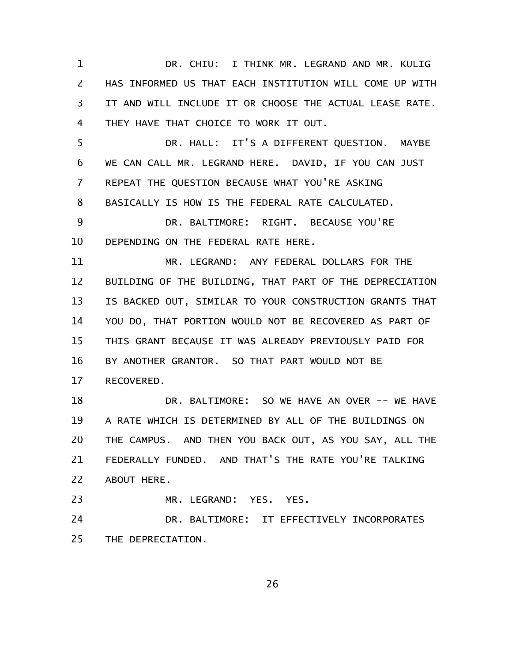DR. CHIU: I THINK MR. LEGRAND AND MR. KULIG HAS INFORMED US THAT EACH INSTITUTION WILL COME UP WITH IT AND WILL INCLUDE IT OR CHOOSE THE ACTUAL LEASE RATE. THEY HAVE THAT CHOICE TO WORK IT OUT. 1 2 3 4

DR. HALL: IT'S A DIFFERENT QUESTION. MAYBE WE CAN CALL MR. LEGRAND HERE. DAVID, IF YOU CAN JUST REPEAT THE QUESTION BECAUSE WHAT YOU'RE ASKING BASICALLY IS HOW IS THE FEDERAL RATE CALCULATED. 5 6 7 8

DR. BALTIMORE: RIGHT. BECAUSE YOU'RE DEPENDING ON THE FEDERAL RATE HERE. 9 10

MR. LEGRAND: ANY FEDERAL DOLLARS FOR THE BUILDING OF THE BUILDING, THAT PART OF THE DEPRECIATION IS BACKED OUT, SIMILAR TO YOUR CONSTRUCTION GRANTS THAT YOU DO, THAT PORTION WOULD NOT BE RECOVERED AS PART OF THIS GRANT BECAUSE IT WAS ALREADY PREVIOUSLY PAID FOR BY ANOTHER GRANTOR. SO THAT PART WOULD NOT BE RECOVERED. 11 12 13 14 15 16 17

DR. BALTIMORE: SO WE HAVE AN OVER -- WE HAVE A RATE WHICH IS DETERMINED BY ALL OF THE BUILDINGS ON THE CAMPUS. AND THEN YOU BACK OUT, AS YOU SAY, ALL THE FEDERALLY FUNDED. AND THAT'S THE RATE YOU'RE TALKING ABOUT HERE. 18 19 20 21 22

MR. LEGRAND: YES. YES. DR. BALTIMORE: IT EFFECTIVELY INCORPORATES THE DEPRECIATION. 23 24 25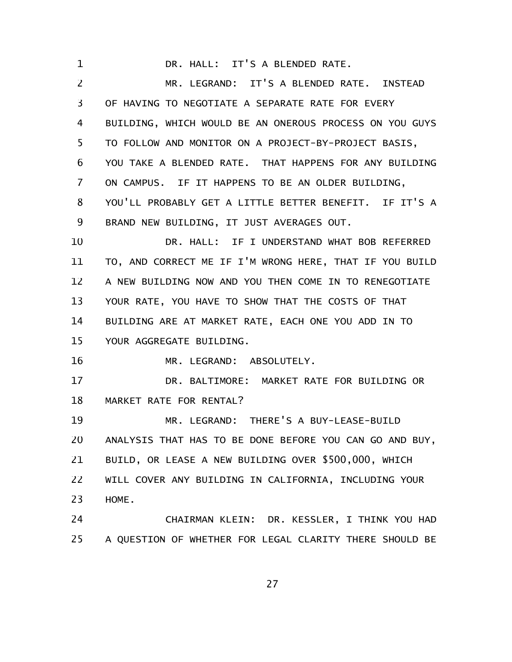DR. HALL: IT'S A BLENDED RATE. MR. LEGRAND: IT'S A BLENDED RATE. INSTEAD OF HAVING TO NEGOTIATE A SEPARATE RATE FOR EVERY BUILDING, WHICH WOULD BE AN ONEROUS PROCESS ON YOU GUYS TO FOLLOW AND MONITOR ON A PROJECT-BY-PROJECT BASIS, YOU TAKE A BLENDED RATE. THAT HAPPENS FOR ANY BUILDING ON CAMPUS. IF IT HAPPENS TO BE AN OLDER BUILDING, YOU'LL PROBABLY GET A LITTLE BETTER BENEFIT. IF IT'S A BRAND NEW BUILDING, IT JUST AVERAGES OUT. DR. HALL: IF I UNDERSTAND WHAT BOB REFERRED TO, AND CORRECT ME IF I'M WRONG HERE, THAT IF YOU BUILD A NEW BUILDING NOW AND YOU THEN COME IN TO RENEGOTIATE YOUR RATE, YOU HAVE TO SHOW THAT THE COSTS OF THAT BUILDING ARE AT MARKET RATE, EACH ONE YOU ADD IN TO YOUR AGGREGATE BUILDING. MR. LEGRAND: ABSOLUTELY. DR. BALTIMORE: MARKET RATE FOR BUILDING OR MARKET RATE FOR RENTAL? MR. LEGRAND: THERE'S A BUY-LEASE-BUILD ANALYSIS THAT HAS TO BE DONE BEFORE YOU CAN GO AND BUY, BUILD, OR LEASE A NEW BUILDING OVER \$500,000, WHICH WILL COVER ANY BUILDING IN CALIFORNIA, INCLUDING YOUR HOME. CHAIRMAN KLEIN: DR. KESSLER, I THINK YOU HAD A QUESTION OF WHETHER FOR LEGAL CLARITY THERE SHOULD BE 1 2 3 4 5 6 7 8 9 10 11 12 13 14 15 16 17 18 19 20 21 22 23 24 25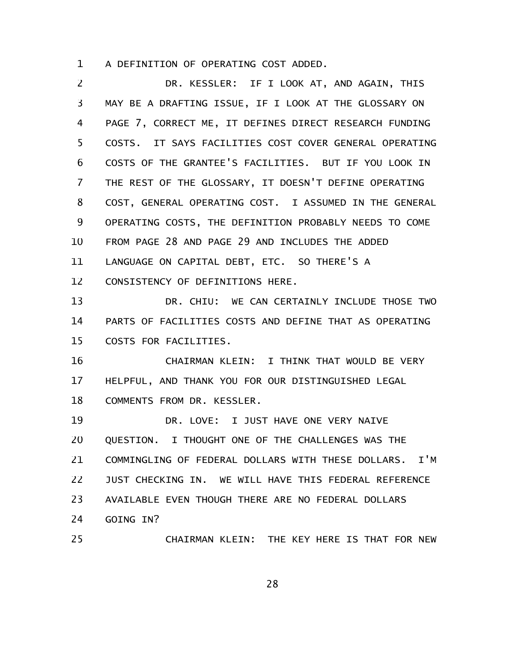A DEFINITION OF OPERATING COST ADDED. 1

DR. KESSLER: IF I LOOK AT, AND AGAIN, THIS MAY BE A DRAFTING ISSUE, IF I LOOK AT THE GLOSSARY ON PAGE 7, CORRECT ME, IT DEFINES DIRECT RESEARCH FUNDING COSTS. IT SAYS FACILITIES COST COVER GENERAL OPERATING COSTS OF THE GRANTEE'S FACILITIES. BUT IF YOU LOOK IN THE REST OF THE GLOSSARY, IT DOESN'T DEFINE OPERATING COST, GENERAL OPERATING COST. I ASSUMED IN THE GENERAL OPERATING COSTS, THE DEFINITION PROBABLY NEEDS TO COME FROM PAGE 28 AND PAGE 29 AND INCLUDES THE ADDED LANGUAGE ON CAPITAL DEBT, ETC. SO THERE'S A CONSISTENCY OF DEFINITIONS HERE. DR. CHIU: WE CAN CERTAINLY INCLUDE THOSE TWO PARTS OF FACILITIES COSTS AND DEFINE THAT AS OPERATING COSTS FOR FACILITIES. CHAIRMAN KLEIN: I THINK THAT WOULD BE VERY HELPFUL, AND THANK YOU FOR OUR DISTINGUISHED LEGAL COMMENTS FROM DR. KESSLER. DR. LOVE: I JUST HAVE ONE VERY NAIVE QUESTION. I THOUGHT ONE OF THE CHALLENGES WAS THE COMMINGLING OF FEDERAL DOLLARS WITH THESE DOLLARS. I'M JUST CHECKING IN. WE WILL HAVE THIS FEDERAL REFERENCE AVAILABLE EVEN THOUGH THERE ARE NO FEDERAL DOLLARS GOING IN? CHAIRMAN KLEIN: THE KEY HERE IS THAT FOR NEW 2 3 4 5 6 7 8 9 10 11 12 13 14 15 16 17 18 19 20 21 22 23 24 25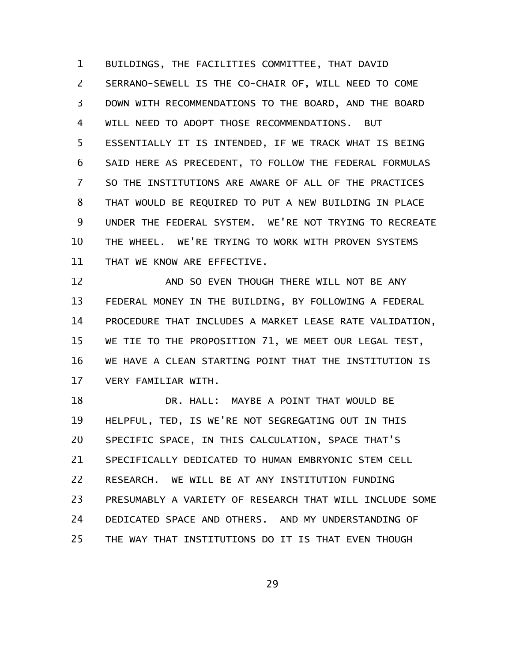BUILDINGS, THE FACILITIES COMMITTEE, THAT DAVID SERRANO-SEWELL IS THE CO-CHAIR OF, WILL NEED TO COME DOWN WITH RECOMMENDATIONS TO THE BOARD, AND THE BOARD WILL NEED TO ADOPT THOSE RECOMMENDATIONS. BUT ESSENTIALLY IT IS INTENDED, IF WE TRACK WHAT IS BEING SAID HERE AS PRECEDENT, TO FOLLOW THE FEDERAL FORMULAS SO THE INSTITUTIONS ARE AWARE OF ALL OF THE PRACTICES THAT WOULD BE REQUIRED TO PUT A NEW BUILDING IN PLACE UNDER THE FEDERAL SYSTEM. WE'RE NOT TRYING TO RECREATE THE WHEEL. WE'RE TRYING TO WORK WITH PROVEN SYSTEMS THAT WE KNOW ARE EFFECTIVE. 1 2 3 4 5 6 7 8 9 10 11

AND SO EVEN THOUGH THERE WILL NOT BE ANY FEDERAL MONEY IN THE BUILDING, BY FOLLOWING A FEDERAL PROCEDURE THAT INCLUDES A MARKET LEASE RATE VALIDATION, WE TIE TO THE PROPOSITION 71, WE MEET OUR LEGAL TEST, WE HAVE A CLEAN STARTING POINT THAT THE INSTITUTION IS VERY FAMILIAR WITH. 12 13 14 15 16 17

DR. HALL: MAYBE A POINT THAT WOULD BE HELPFUL, TED, IS WE'RE NOT SEGREGATING OUT IN THIS SPECIFIC SPACE, IN THIS CALCULATION, SPACE THAT'S SPECIFICALLY DEDICATED TO HUMAN EMBRYONIC STEM CELL RESEARCH. WE WILL BE AT ANY INSTITUTION FUNDING PRESUMABLY A VARIETY OF RESEARCH THAT WILL INCLUDE SOME DEDICATED SPACE AND OTHERS. AND MY UNDERSTANDING OF THE WAY THAT INSTITUTIONS DO IT IS THAT EVEN THOUGH 18 19 20 21 22 23 24 25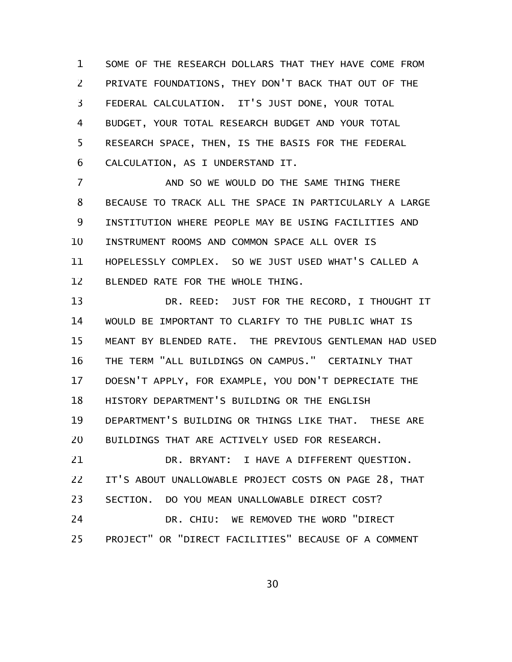SOME OF THE RESEARCH DOLLARS THAT THEY HAVE COME FROM PRIVATE FOUNDATIONS, THEY DON'T BACK THAT OUT OF THE FEDERAL CALCULATION. IT'S JUST DONE, YOUR TOTAL BUDGET, YOUR TOTAL RESEARCH BUDGET AND YOUR TOTAL RESEARCH SPACE, THEN, IS THE BASIS FOR THE FEDERAL CALCULATION, AS I UNDERSTAND IT. 1 2 3 4 5 6

AND SO WE WOULD DO THE SAME THING THERE BECAUSE TO TRACK ALL THE SPACE IN PARTICULARLY A LARGE INSTITUTION WHERE PEOPLE MAY BE USING FACILITIES AND INSTRUMENT ROOMS AND COMMON SPACE ALL OVER IS HOPELESSLY COMPLEX. SO WE JUST USED WHAT'S CALLED A BLENDED RATE FOR THE WHOLE THING. 7 8 9 10 11 12

DR. REED: JUST FOR THE RECORD, I THOUGHT IT WOULD BE IMPORTANT TO CLARIFY TO THE PUBLIC WHAT IS MEANT BY BLENDED RATE. THE PREVIOUS GENTLEMAN HAD USED THE TERM "ALL BUILDINGS ON CAMPUS." CERTAINLY THAT DOESN'T APPLY, FOR EXAMPLE, YOU DON'T DEPRECIATE THE HISTORY DEPARTMENT'S BUILDING OR THE ENGLISH DEPARTMENT'S BUILDING OR THINGS LIKE THAT. THESE ARE BUILDINGS THAT ARE ACTIVELY USED FOR RESEARCH. DR. BRYANT: I HAVE A DIFFERENT QUESTION. IT'S ABOUT UNALLOWABLE PROJECT COSTS ON PAGE 28, THAT SECTION. DO YOU MEAN UNALLOWABLE DIRECT COST? DR. CHIU: WE REMOVED THE WORD "DIRECT 13 14 15 16 17 18 19 20 21 22 23 24

PROJECT" OR "DIRECT FACILITIES" BECAUSE OF A COMMENT 25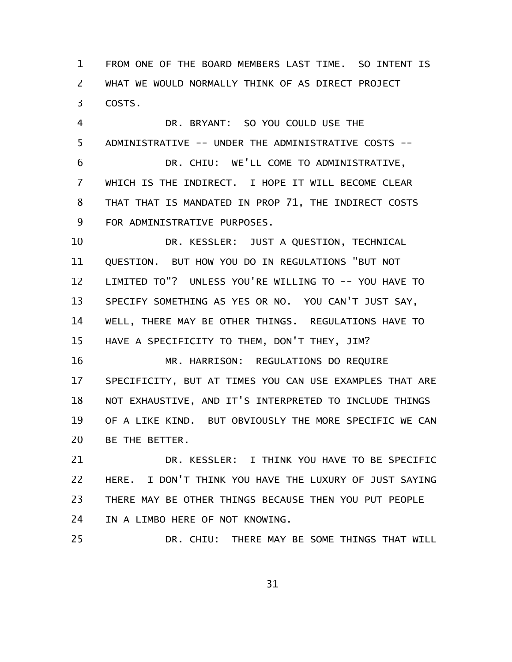FROM ONE OF THE BOARD MEMBERS LAST TIME. SO INTENT IS WHAT WE WOULD NORMALLY THINK OF AS DIRECT PROJECT COSTS. 1 2 3

DR. BRYANT: SO YOU COULD USE THE ADMINISTRATIVE -- UNDER THE ADMINISTRATIVE COSTS -- DR. CHIU: WE'LL COME TO ADMINISTRATIVE, WHICH IS THE INDIRECT. I HOPE IT WILL BECOME CLEAR THAT THAT IS MANDATED IN PROP 71, THE INDIRECT COSTS FOR ADMINISTRATIVE PURPOSES. 4 5 6 7 8 9

DR. KESSLER: JUST A QUESTION, TECHNICAL QUESTION. BUT HOW YOU DO IN REGULATIONS "BUT NOT LIMITED TO"? UNLESS YOU'RE WILLING TO -- YOU HAVE TO SPECIFY SOMETHING AS YES OR NO. YOU CAN'T JUST SAY, WELL, THERE MAY BE OTHER THINGS. REGULATIONS HAVE TO HAVE A SPECIFICITY TO THEM, DON'T THEY, JIM? 10 11 12 13 14 15

MR. HARRISON: REGULATIONS DO REQUIRE SPECIFICITY, BUT AT TIMES YOU CAN USE EXAMPLES THAT ARE NOT EXHAUSTIVE, AND IT'S INTERPRETED TO INCLUDE THINGS OF A LIKE KIND. BUT OBVIOUSLY THE MORE SPECIFIC WE CAN BE THE BETTER. 16 17 18 19 20

DR. KESSLER: I THINK YOU HAVE TO BE SPECIFIC HERE. I DON'T THINK YOU HAVE THE LUXURY OF JUST SAYING THERE MAY BE OTHER THINGS BECAUSE THEN YOU PUT PEOPLE IN A LIMBO HERE OF NOT KNOWING. 21 22 23 24

DR. CHIU: THERE MAY BE SOME THINGS THAT WILL 25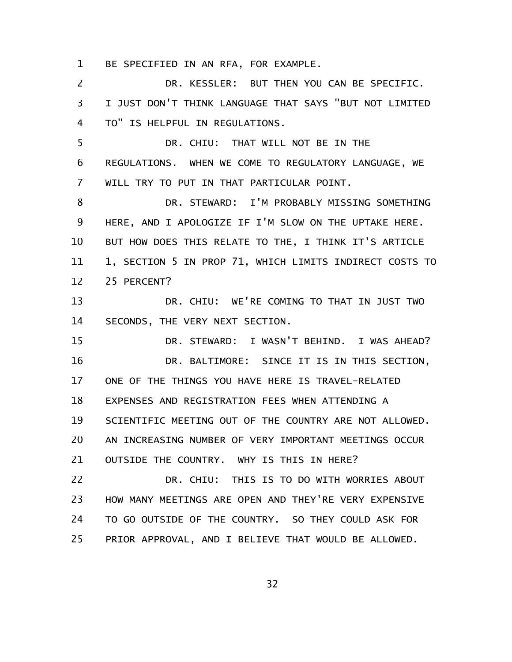BE SPECIFIED IN AN RFA, FOR EXAMPLE. 1

DR. KESSLER: BUT THEN YOU CAN BE SPECIFIC. I JUST DON'T THINK LANGUAGE THAT SAYS "BUT NOT LIMITED TO" IS HELPFUL IN REGULATIONS. DR. CHIU: THAT WILL NOT BE IN THE REGULATIONS. WHEN WE COME TO REGULATORY LANGUAGE, WE WILL TRY TO PUT IN THAT PARTICULAR POINT. DR. STEWARD: I'M PROBABLY MISSING SOMETHING HERE, AND I APOLOGIZE IF I'M SLOW ON THE UPTAKE HERE. BUT HOW DOES THIS RELATE TO THE, I THINK IT'S ARTICLE 1, SECTION 5 IN PROP 71, WHICH LIMITS INDIRECT COSTS TO 25 PERCENT? DR. CHIU: WE'RE COMING TO THAT IN JUST TWO SECONDS, THE VERY NEXT SECTION. DR. STEWARD: I WASN'T BEHIND. I WAS AHEAD? DR. BALTIMORE: SINCE IT IS IN THIS SECTION, ONE OF THE THINGS YOU HAVE HERE IS TRAVEL-RELATED EXPENSES AND REGISTRATION FEES WHEN ATTENDING A SCIENTIFIC MEETING OUT OF THE COUNTRY ARE NOT ALLOWED. AN INCREASING NUMBER OF VERY IMPORTANT MEETINGS OCCUR OUTSIDE THE COUNTRY. WHY IS THIS IN HERE? DR. CHIU: THIS IS TO DO WITH WORRIES ABOUT HOW MANY MEETINGS ARE OPEN AND THEY'RE VERY EXPENSIVE TO GO OUTSIDE OF THE COUNTRY. SO THEY COULD ASK FOR 2 3 4 5 6 7 8 9 10 11 12 13 14 15 16 17 18 19 20 21 22 23 24

PRIOR APPROVAL, AND I BELIEVE THAT WOULD BE ALLOWED. 25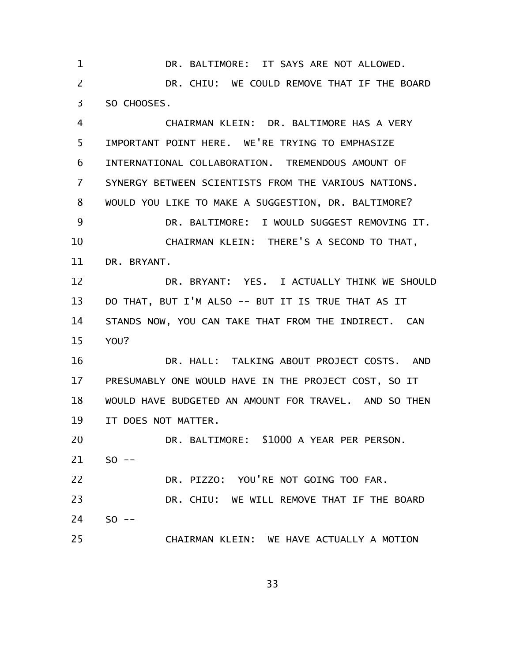DR. BALTIMORE: IT SAYS ARE NOT ALLOWED. DR. CHIU: WE COULD REMOVE THAT IF THE BOARD SO CHOOSES. 1 2 3

CHAIRMAN KLEIN: DR. BALTIMORE HAS A VERY IMPORTANT POINT HERE. WE'RE TRYING TO EMPHASIZE INTERNATIONAL COLLABORATION. TREMENDOUS AMOUNT OF SYNERGY BETWEEN SCIENTISTS FROM THE VARIOUS NATIONS. WOULD YOU LIKE TO MAKE A SUGGESTION, DR. BALTIMORE? DR. BALTIMORE: I WOULD SUGGEST REMOVING IT. CHAIRMAN KLEIN: THERE'S A SECOND TO THAT, DR. BRYANT. DR. BRYANT: YES. I ACTUALLY THINK WE SHOULD DO THAT, BUT I'M ALSO -- BUT IT IS TRUE THAT AS IT STANDS NOW, YOU CAN TAKE THAT FROM THE INDIRECT. CAN YOU? DR. HALL: TALKING ABOUT PROJECT COSTS. AND PRESUMABLY ONE WOULD HAVE IN THE PROJECT COST, SO IT WOULD HAVE BUDGETED AN AMOUNT FOR TRAVEL. AND SO THEN IT DOES NOT MATTER. 4 5 6 7 8 9 10 11 12 13 14 15 16 17 18 19

DR. BALTIMORE: \$1000 A YEAR PER PERSON.  $SO$  --DR. PIZZO: YOU'RE NOT GOING TOO FAR. 20 21 22

DR. CHIU: WE WILL REMOVE THAT IF THE BOARD  $SO$  --23 24

25

CHAIRMAN KLEIN: WE HAVE ACTUALLY A MOTION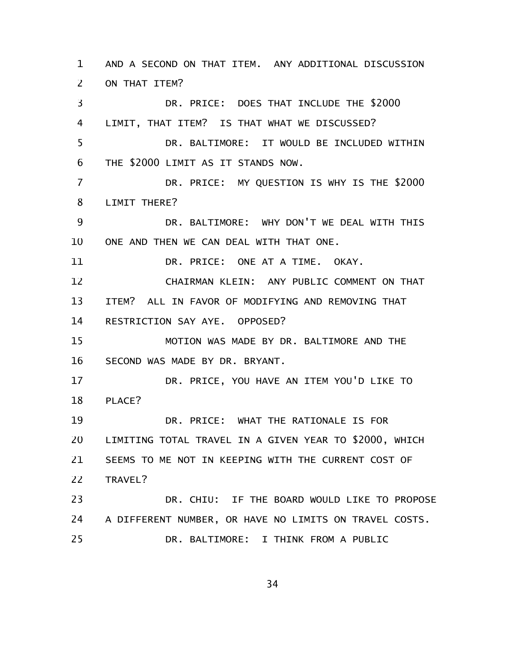AND A SECOND ON THAT ITEM. ANY ADDITIONAL DISCUSSION ON THAT ITEM? DR. PRICE: DOES THAT INCLUDE THE \$2000 LIMIT, THAT ITEM? IS THAT WHAT WE DISCUSSED? DR. BALTIMORE: IT WOULD BE INCLUDED WITHIN THE \$2000 LIMIT AS IT STANDS NOW. DR. PRICE: MY QUESTION IS WHY IS THE \$2000 LIMIT THERE? DR. BALTIMORE: WHY DON'T WE DEAL WITH THIS ONE AND THEN WE CAN DEAL WITH THAT ONE. DR. PRICE: ONE AT A TIME. OKAY. CHAIRMAN KLEIN: ANY PUBLIC COMMENT ON THAT ITEM? ALL IN FAVOR OF MODIFYING AND REMOVING THAT RESTRICTION SAY AYE. OPPOSED? MOTION WAS MADE BY DR. BALTIMORE AND THE SECOND WAS MADE BY DR. BRYANT. DR. PRICE, YOU HAVE AN ITEM YOU'D LIKE TO PLACE? DR. PRICE: WHAT THE RATIONALE IS FOR LIMITING TOTAL TRAVEL IN A GIVEN YEAR TO \$2000, WHICH SEEMS TO ME NOT IN KEEPING WITH THE CURRENT COST OF TRAVEL? DR. CHIU: IF THE BOARD WOULD LIKE TO PROPOSE A DIFFERENT NUMBER, OR HAVE NO LIMITS ON TRAVEL COSTS. DR. BALTIMORE: I THINK FROM A PUBLIC 1 2 3 4 5 6 7 8 9 10 11 12 13 14 15 16 17 18 19 20 21 22 23 24 25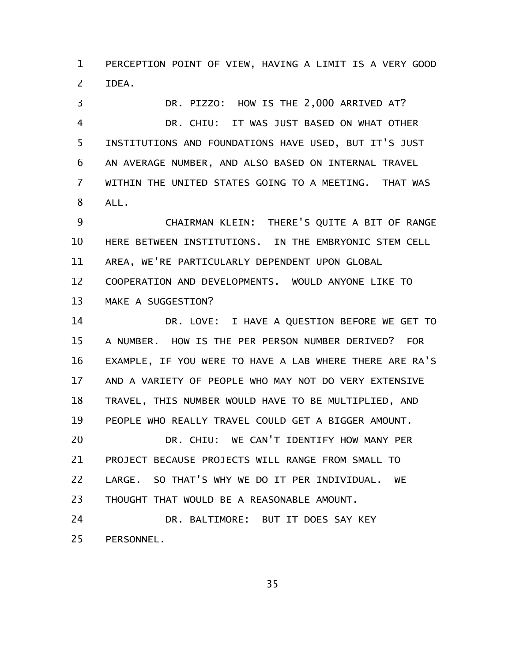PERCEPTION POINT OF VIEW, HAVING A LIMIT IS A VERY GOOD IDEA. 1 2

DR. PIZZO: HOW IS THE 2,000 ARRIVED AT? DR. CHIU: IT WAS JUST BASED ON WHAT OTHER INSTITUTIONS AND FOUNDATIONS HAVE USED, BUT IT'S JUST AN AVERAGE NUMBER, AND ALSO BASED ON INTERNAL TRAVEL WITHIN THE UNITED STATES GOING TO A MEETING. THAT WAS ALL. 3 4 5 6 7 8

CHAIRMAN KLEIN: THERE'S QUITE A BIT OF RANGE HERE BETWEEN INSTITUTIONS. IN THE EMBRYONIC STEM CELL AREA, WE'RE PARTICULARLY DEPENDENT UPON GLOBAL COOPERATION AND DEVELOPMENTS. WOULD ANYONE LIKE TO MAKE A SUGGESTION? 9 10 11 12 13

DR. LOVE: I HAVE A QUESTION BEFORE WE GET TO A NUMBER. HOW IS THE PER PERSON NUMBER DERIVED? FOR EXAMPLE, IF YOU WERE TO HAVE A LAB WHERE THERE ARE RA'S AND A VARIETY OF PEOPLE WHO MAY NOT DO VERY EXTENSIVE TRAVEL, THIS NUMBER WOULD HAVE TO BE MULTIPLIED, AND PEOPLE WHO REALLY TRAVEL COULD GET A BIGGER AMOUNT. DR. CHIU: WE CAN'T IDENTIFY HOW MANY PER PROJECT BECAUSE PROJECTS WILL RANGE FROM SMALL TO LARGE. SO THAT'S WHY WE DO IT PER INDIVIDUAL. WE THOUGHT THAT WOULD BE A REASONABLE AMOUNT. 14 15 16 17 18 19 20 21 22 23

DR. BALTIMORE: BUT IT DOES SAY KEY PERSONNEL. 24 25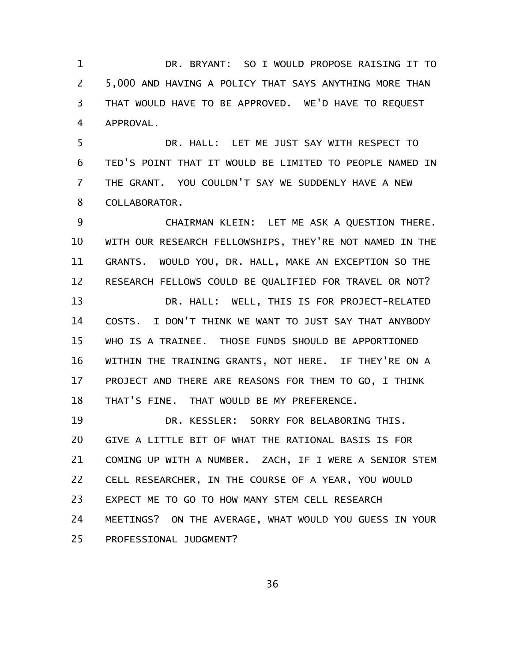DR. BRYANT: SO I WOULD PROPOSE RAISING IT TO 5,000 AND HAVING A POLICY THAT SAYS ANYTHING MORE THAN THAT WOULD HAVE TO BE APPROVED. WE'D HAVE TO REQUEST APPROVAL. 1 2 3 4

DR. HALL: LET ME JUST SAY WITH RESPECT TO TED'S POINT THAT IT WOULD BE LIMITED TO PEOPLE NAMED IN THE GRANT. YOU COULDN'T SAY WE SUDDENLY HAVE A NEW COLLABORATOR. 5 6 7 8

CHAIRMAN KLEIN: LET ME ASK A QUESTION THERE. WITH OUR RESEARCH FELLOWSHIPS, THEY'RE NOT NAMED IN THE GRANTS. WOULD YOU, DR. HALL, MAKE AN EXCEPTION SO THE RESEARCH FELLOWS COULD BE QUALIFIED FOR TRAVEL OR NOT? DR. HALL: WELL, THIS IS FOR PROJECT-RELATED COSTS. I DON'T THINK WE WANT TO JUST SAY THAT ANYBODY WHO IS A TRAINEE. THOSE FUNDS SHOULD BE APPORTIONED WITHIN THE TRAINING GRANTS, NOT HERE. IF THEY'RE ON A PROJECT AND THERE ARE REASONS FOR THEM TO GO, I THINK THAT'S FINE. THAT WOULD BE MY PREFERENCE. 9 10 11 12 13 14 15 16 17 18

DR. KESSLER: SORRY FOR BELABORING THIS. GIVE A LITTLE BIT OF WHAT THE RATIONAL BASIS IS FOR COMING UP WITH A NUMBER. ZACH, IF I WERE A SENIOR STEM CELL RESEARCHER, IN THE COURSE OF A YEAR, YOU WOULD EXPECT ME TO GO TO HOW MANY STEM CELL RESEARCH MEETINGS? ON THE AVERAGE, WHAT WOULD YOU GUESS IN YOUR PROFESSIONAL JUDGMENT? 19 20 21 22 23 24 25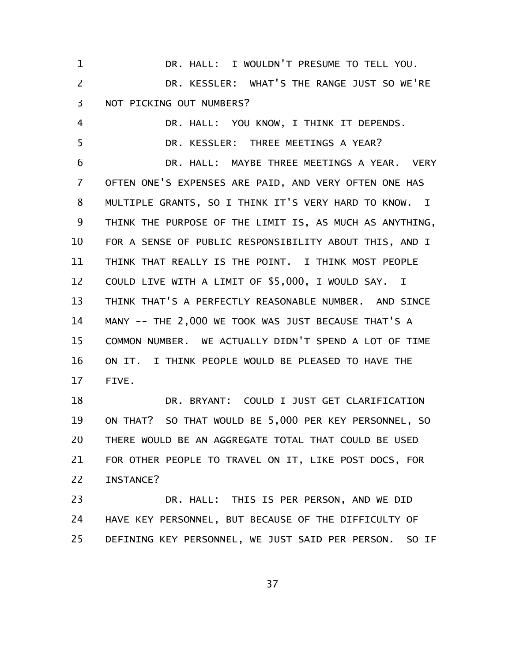DR. HALL: I WOULDN'T PRESUME TO TELL YOU. DR. KESSLER: WHAT'S THE RANGE JUST SO WE'RE NOT PICKING OUT NUMBERS? DR. HALL: YOU KNOW, I THINK IT DEPENDS. DR. KESSLER: THREE MEETINGS A YEAR? DR. HALL: MAYBE THREE MEETINGS A YEAR. VERY OFTEN ONE'S EXPENSES ARE PAID, AND VERY OFTEN ONE HAS MULTIPLE GRANTS, SO I THINK IT'S VERY HARD TO KNOW. I THINK THE PURPOSE OF THE LIMIT IS, AS MUCH AS ANYTHING, FOR A SENSE OF PUBLIC RESPONSIBILITY ABOUT THIS, AND I THINK THAT REALLY IS THE POINT. I THINK MOST PEOPLE COULD LIVE WITH A LIMIT OF \$5,000, I WOULD SAY. I THINK THAT'S A PERFECTLY REASONABLE NUMBER. AND SINCE MANY -- THE 2,000 WE TOOK WAS JUST BECAUSE THAT'S A COMMON NUMBER. WE ACTUALLY DIDN'T SPEND A LOT OF TIME ON IT. I THINK PEOPLE WOULD BE PLEASED TO HAVE THE FIVE. DR. BRYANT: COULD I JUST GET CLARIFICATION ON THAT? SO THAT WOULD BE 5,000 PER KEY PERSONNEL, SO THERE WOULD BE AN AGGREGATE TOTAL THAT COULD BE USED FOR OTHER PEOPLE TO TRAVEL ON IT, LIKE POST DOCS, FOR INSTANCE? 1 2 3 4 5 6 7 8 9 10 11 12 13 14 15 16 17 18 19 20 21 22

DR. HALL: THIS IS PER PERSON, AND WE DID HAVE KEY PERSONNEL, BUT BECAUSE OF THE DIFFICULTY OF DEFINING KEY PERSONNEL, WE JUST SAID PER PERSON. SO IF 23 24 25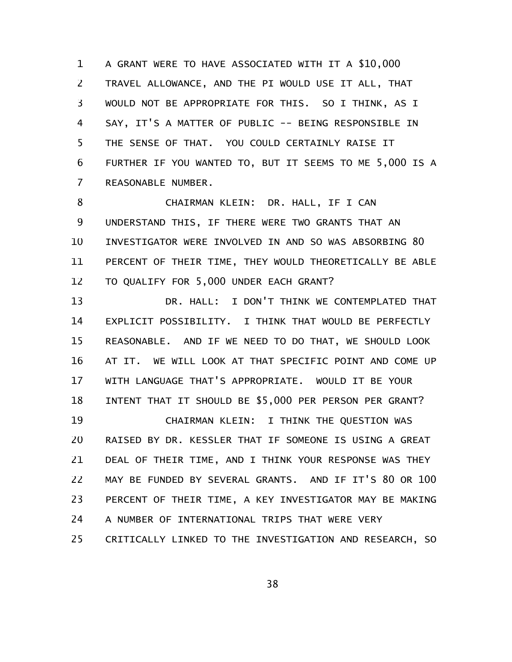A GRANT WERE TO HAVE ASSOCIATED WITH IT A \$10,000 TRAVEL ALLOWANCE, AND THE PI WOULD USE IT ALL, THAT WOULD NOT BE APPROPRIATE FOR THIS. SO I THINK, AS I SAY, IT'S A MATTER OF PUBLIC -- BEING RESPONSIBLE IN THE SENSE OF THAT. YOU COULD CERTAINLY RAISE IT FURTHER IF YOU WANTED TO, BUT IT SEEMS TO ME 5,000 IS A REASONABLE NUMBER. 1 2 3 4 5 6 7

CHAIRMAN KLEIN: DR. HALL, IF I CAN UNDERSTAND THIS, IF THERE WERE TWO GRANTS THAT AN INVESTIGATOR WERE INVOLVED IN AND SO WAS ABSORBING 80 PERCENT OF THEIR TIME, THEY WOULD THEORETICALLY BE ABLE TO QUALIFY FOR 5,000 UNDER EACH GRANT? 8 9 10 11 12

DR. HALL: I DON'T THINK WE CONTEMPLATED THAT EXPLICIT POSSIBILITY. I THINK THAT WOULD BE PERFECTLY REASONABLE. AND IF WE NEED TO DO THAT, WE SHOULD LOOK AT IT. WE WILL LOOK AT THAT SPECIFIC POINT AND COME UP WITH LANGUAGE THAT'S APPROPRIATE. WOULD IT BE YOUR INTENT THAT IT SHOULD BE \$5,000 PER PERSON PER GRANT? CHAIRMAN KLEIN: I THINK THE QUESTION WAS RAISED BY DR. KESSLER THAT IF SOMEONE IS USING A GREAT DEAL OF THEIR TIME, AND I THINK YOUR RESPONSE WAS THEY MAY BE FUNDED BY SEVERAL GRANTS. AND IF IT'S 80 OR 100 PERCENT OF THEIR TIME, A KEY INVESTIGATOR MAY BE MAKING 13 14 15 16 17 18 19 20 21 22 23

A NUMBER OF INTERNATIONAL TRIPS THAT WERE VERY 24

CRITICALLY LINKED TO THE INVESTIGATION AND RESEARCH, SO 25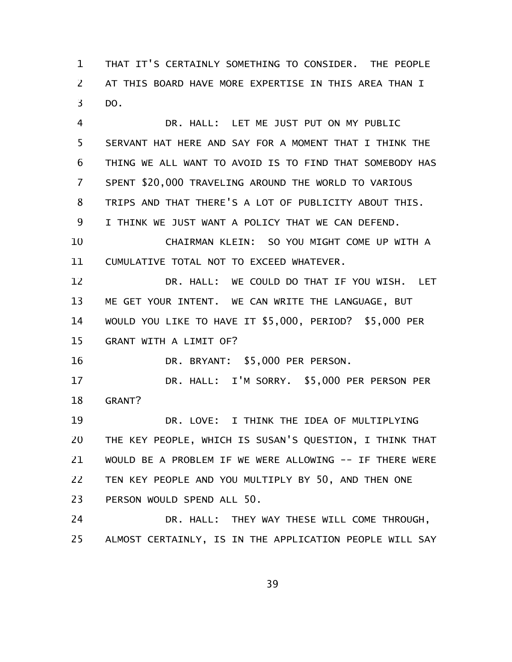THAT IT'S CERTAINLY SOMETHING TO CONSIDER. THE PEOPLE AT THIS BOARD HAVE MORE EXPERTISE IN THIS AREA THAN I DO. 1 2 3

DR. HALL: LET ME JUST PUT ON MY PUBLIC SERVANT HAT HERE AND SAY FOR A MOMENT THAT I THINK THE THING WE ALL WANT TO AVOID IS TO FIND THAT SOMEBODY HAS SPENT \$20,000 TRAVELING AROUND THE WORLD TO VARIOUS TRIPS AND THAT THERE'S A LOT OF PUBLICITY ABOUT THIS. I THINK WE JUST WANT A POLICY THAT WE CAN DEFEND. CHAIRMAN KLEIN: SO YOU MIGHT COME UP WITH A CUMULATIVE TOTAL NOT TO EXCEED WHATEVER. DR. HALL: WE COULD DO THAT IF YOU WISH. LET ME GET YOUR INTENT. WE CAN WRITE THE LANGUAGE, BUT WOULD YOU LIKE TO HAVE IT \$5,000, PERIOD? \$5,000 PER GRANT WITH A LIMIT OF? DR. BRYANT: \$5,000 PER PERSON. DR. HALL: I'M SORRY. \$5,000 PER PERSON PER GRANT? DR. LOVE: I THINK THE IDEA OF MULTIPLYING THE KEY PEOPLE, WHICH IS SUSAN'S QUESTION, I THINK THAT WOULD BE A PROBLEM IF WE WERE ALLOWING -- IF THERE WERE TEN KEY PEOPLE AND YOU MULTIPLY BY 50, AND THEN ONE PERSON WOULD SPEND ALL 50. DR. HALL: THEY WAY THESE WILL COME THROUGH, 4 5 6 7 8 9 10 11 12 13 14 15 16 17 18 19 20 21 22 23 24

ALMOST CERTAINLY, IS IN THE APPLICATION PEOPLE WILL SAY 25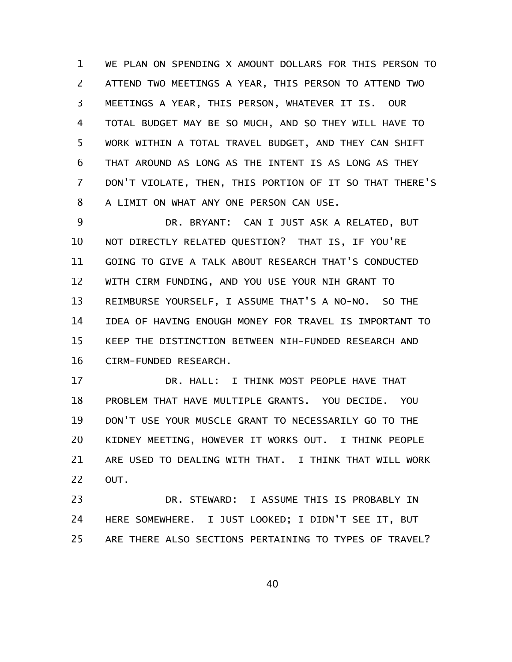WE PLAN ON SPENDING X AMOUNT DOLLARS FOR THIS PERSON TO ATTEND TWO MEETINGS A YEAR, THIS PERSON TO ATTEND TWO MEETINGS A YEAR, THIS PERSON, WHATEVER IT IS. OUR TOTAL BUDGET MAY BE SO MUCH, AND SO THEY WILL HAVE TO WORK WITHIN A TOTAL TRAVEL BUDGET, AND THEY CAN SHIFT THAT AROUND AS LONG AS THE INTENT IS AS LONG AS THEY DON'T VIOLATE, THEN, THIS PORTION OF IT SO THAT THERE'S A LIMIT ON WHAT ANY ONE PERSON CAN USE. 1 2 3 4 5 6 7 8

DR. BRYANT: CAN I JUST ASK A RELATED, BUT NOT DIRECTLY RELATED QUESTION? THAT IS, IF YOU'RE GOING TO GIVE A TALK ABOUT RESEARCH THAT'S CONDUCTED WITH CIRM FUNDING, AND YOU USE YOUR NIH GRANT TO REIMBURSE YOURSELF, I ASSUME THAT'S A NO-NO. SO THE IDEA OF HAVING ENOUGH MONEY FOR TRAVEL IS IMPORTANT TO KEEP THE DISTINCTION BETWEEN NIH-FUNDED RESEARCH AND CIRM-FUNDED RESEARCH. 9 10 11 12 13 14 15 16

DR. HALL: I THINK MOST PEOPLE HAVE THAT PROBLEM THAT HAVE MULTIPLE GRANTS. YOU DECIDE. YOU DON'T USE YOUR MUSCLE GRANT TO NECESSARILY GO TO THE KIDNEY MEETING, HOWEVER IT WORKS OUT. I THINK PEOPLE ARE USED TO DEALING WITH THAT. I THINK THAT WILL WORK OUT. 17 18 19 20 21 22

DR. STEWARD: I ASSUME THIS IS PROBABLY IN HERE SOMEWHERE. I JUST LOOKED; I DIDN'T SEE IT, BUT ARE THERE ALSO SECTIONS PERTAINING TO TYPES OF TRAVEL? 23 24 25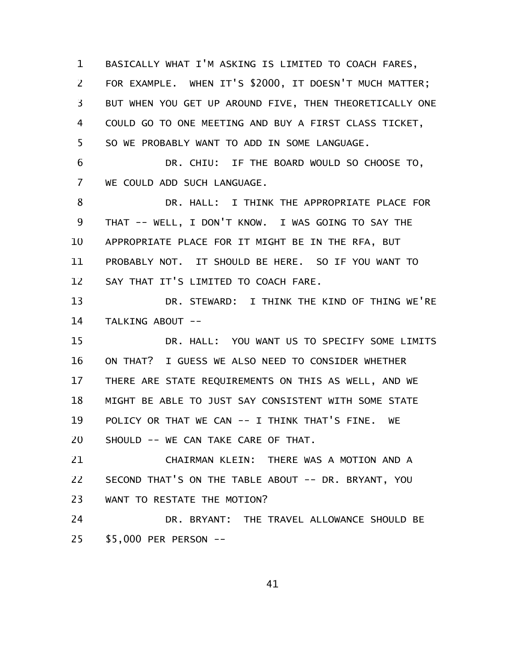BASICALLY WHAT I'M ASKING IS LIMITED TO COACH FARES, FOR EXAMPLE. WHEN IT'S \$2000, IT DOESN'T MUCH MATTER; BUT WHEN YOU GET UP AROUND FIVE, THEN THEORETICALLY ONE COULD GO TO ONE MEETING AND BUY A FIRST CLASS TICKET, SO WE PROBABLY WANT TO ADD IN SOME LANGUAGE. 1 2 3 4 5

DR. CHIU: IF THE BOARD WOULD SO CHOOSE TO, WE COULD ADD SUCH LANGUAGE. 6 7

DR. HALL: I THINK THE APPROPRIATE PLACE FOR THAT -- WELL, I DON'T KNOW. I WAS GOING TO SAY THE APPROPRIATE PLACE FOR IT MIGHT BE IN THE RFA, BUT PROBABLY NOT. IT SHOULD BE HERE. SO IF YOU WANT TO SAY THAT IT'S LIMITED TO COACH FARE. 8 9 10 11 12

DR. STEWARD: I THINK THE KIND OF THING WE'RE TALKING ABOUT -- 13 14

DR. HALL: YOU WANT US TO SPECIFY SOME LIMITS ON THAT? I GUESS WE ALSO NEED TO CONSIDER WHETHER THERE ARE STATE REQUIREMENTS ON THIS AS WELL, AND WE MIGHT BE ABLE TO JUST SAY CONSISTENT WITH SOME STATE POLICY OR THAT WE CAN -- I THINK THAT'S FINE. WE SHOULD -- WE CAN TAKE CARE OF THAT. 15 16 17 18 19 20

CHAIRMAN KLEIN: THERE WAS A MOTION AND A SECOND THAT'S ON THE TABLE ABOUT -- DR. BRYANT, YOU WANT TO RESTATE THE MOTION? 21 22 23

DR. BRYANT: THE TRAVEL ALLOWANCE SHOULD BE \$5,000 PER PERSON -- 24 25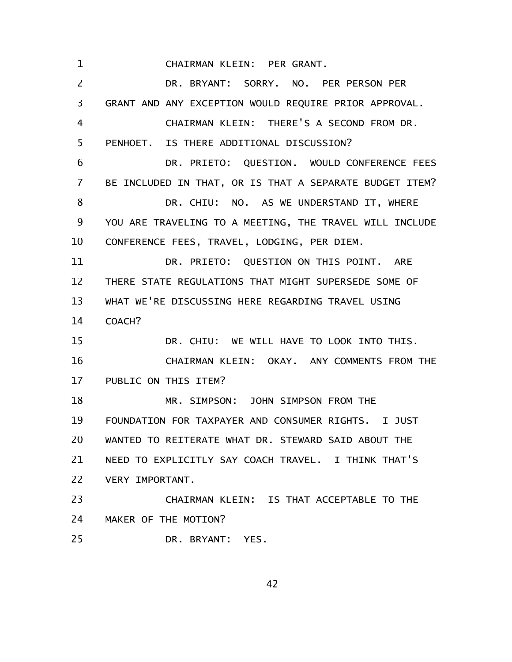CHAIRMAN KLEIN: PER GRANT. 1

DR. BRYANT: SORRY. NO. PER PERSON PER GRANT AND ANY EXCEPTION WOULD REQUIRE PRIOR APPROVAL. CHAIRMAN KLEIN: THERE'S A SECOND FROM DR. PENHOET. IS THERE ADDITIONAL DISCUSSION? DR. PRIETO: QUESTION. WOULD CONFERENCE FEES BE INCLUDED IN THAT, OR IS THAT A SEPARATE BUDGET ITEM? DR. CHIU: NO. AS WE UNDERSTAND IT, WHERE YOU ARE TRAVELING TO A MEETING, THE TRAVEL WILL INCLUDE CONFERENCE FEES, TRAVEL, LODGING, PER DIEM. DR. PRIETO: QUESTION ON THIS POINT. ARE THERE STATE REGULATIONS THAT MIGHT SUPERSEDE SOME OF WHAT WE'RE DISCUSSING HERE REGARDING TRAVEL USING COACH? DR. CHIU: WE WILL HAVE TO LOOK INTO THIS. CHAIRMAN KLEIN: OKAY. ANY COMMENTS FROM THE PUBLIC ON THIS ITEM? MR. SIMPSON: JOHN SIMPSON FROM THE FOUNDATION FOR TAXPAYER AND CONSUMER RIGHTS. I JUST WANTED TO REITERATE WHAT DR. STEWARD SAID ABOUT THE NEED TO EXPLICITLY SAY COACH TRAVEL. I THINK THAT'S VERY IMPORTANT. CHAIRMAN KLEIN: IS THAT ACCEPTABLE TO THE MAKER OF THE MOTION? DR. BRYANT: YES. 2 3 4 5 6 7 8 9 10 11 12 13 14 15 16 17 18 19 20 21 22 23 24 25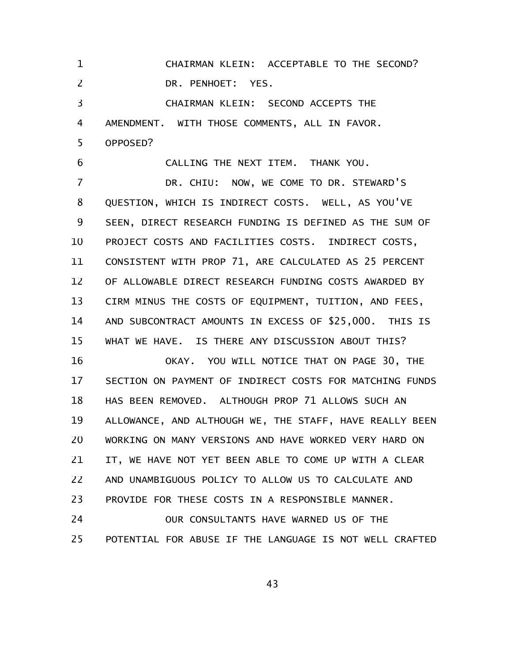CHAIRMAN KLEIN: ACCEPTABLE TO THE SECOND? DR. PENHOET: YES. 1 2

CHAIRMAN KLEIN: SECOND ACCEPTS THE AMENDMENT. WITH THOSE COMMENTS, ALL IN FAVOR. OPPOSED? 3 4 5

CALLING THE NEXT ITEM. THANK YOU. DR. CHIU: NOW, WE COME TO DR. STEWARD'S QUESTION, WHICH IS INDIRECT COSTS. WELL, AS YOU'VE SEEN, DIRECT RESEARCH FUNDING IS DEFINED AS THE SUM OF PROJECT COSTS AND FACILITIES COSTS. INDIRECT COSTS, CONSISTENT WITH PROP 71, ARE CALCULATED AS 25 PERCENT OF ALLOWABLE DIRECT RESEARCH FUNDING COSTS AWARDED BY CIRM MINUS THE COSTS OF EQUIPMENT, TUITION, AND FEES, AND SUBCONTRACT AMOUNTS IN EXCESS OF \$25,000. THIS IS WHAT WE HAVE. IS THERE ANY DISCUSSION ABOUT THIS? 6 7 8 9 10 11 12 13 14 15

OKAY. YOU WILL NOTICE THAT ON PAGE 30, THE SECTION ON PAYMENT OF INDIRECT COSTS FOR MATCHING FUNDS HAS BEEN REMOVED. ALTHOUGH PROP 71 ALLOWS SUCH AN ALLOWANCE, AND ALTHOUGH WE, THE STAFF, HAVE REALLY BEEN WORKING ON MANY VERSIONS AND HAVE WORKED VERY HARD ON IT, WE HAVE NOT YET BEEN ABLE TO COME UP WITH A CLEAR AND UNAMBIGUOUS POLICY TO ALLOW US TO CALCULATE AND PROVIDE FOR THESE COSTS IN A RESPONSIBLE MANNER. 16 17 18 19 20 21 22 23

OUR CONSULTANTS HAVE WARNED US OF THE POTENTIAL FOR ABUSE IF THE LANGUAGE IS NOT WELL CRAFTED 24 25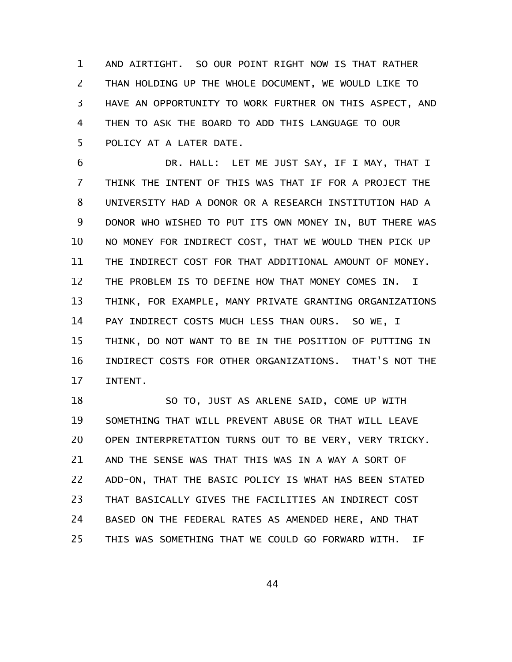AND AIRTIGHT. SO OUR POINT RIGHT NOW IS THAT RATHER THAN HOLDING UP THE WHOLE DOCUMENT, WE WOULD LIKE TO HAVE AN OPPORTUNITY TO WORK FURTHER ON THIS ASPECT, AND THEN TO ASK THE BOARD TO ADD THIS LANGUAGE TO OUR POLICY AT A LATER DATE. 1 2 3 4 5

DR. HALL: LET ME JUST SAY, IF I MAY, THAT I THINK THE INTENT OF THIS WAS THAT IF FOR A PROJECT THE UNIVERSITY HAD A DONOR OR A RESEARCH INSTITUTION HAD A DONOR WHO WISHED TO PUT ITS OWN MONEY IN, BUT THERE WAS NO MONEY FOR INDIRECT COST, THAT WE WOULD THEN PICK UP THE INDIRECT COST FOR THAT ADDITIONAL AMOUNT OF MONEY. THE PROBLEM IS TO DEFINE HOW THAT MONEY COMES IN. I THINK, FOR EXAMPLE, MANY PRIVATE GRANTING ORGANIZATIONS PAY INDIRECT COSTS MUCH LESS THAN OURS. SO WE, I THINK, DO NOT WANT TO BE IN THE POSITION OF PUTTING IN INDIRECT COSTS FOR OTHER ORGANIZATIONS. THAT'S NOT THE INTENT. 6 7 8 9 10 11 12 13 14 15 16 17

SO TO, JUST AS ARLENE SAID, COME UP WITH SOMETHING THAT WILL PREVENT ABUSE OR THAT WILL LEAVE OPEN INTERPRETATION TURNS OUT TO BE VERY, VERY TRICKY. AND THE SENSE WAS THAT THIS WAS IN A WAY A SORT OF ADD-ON, THAT THE BASIC POLICY IS WHAT HAS BEEN STATED THAT BASICALLY GIVES THE FACILITIES AN INDIRECT COST BASED ON THE FEDERAL RATES AS AMENDED HERE, AND THAT THIS WAS SOMETHING THAT WE COULD GO FORWARD WITH. IF 18 19 20 21 22 23 24 25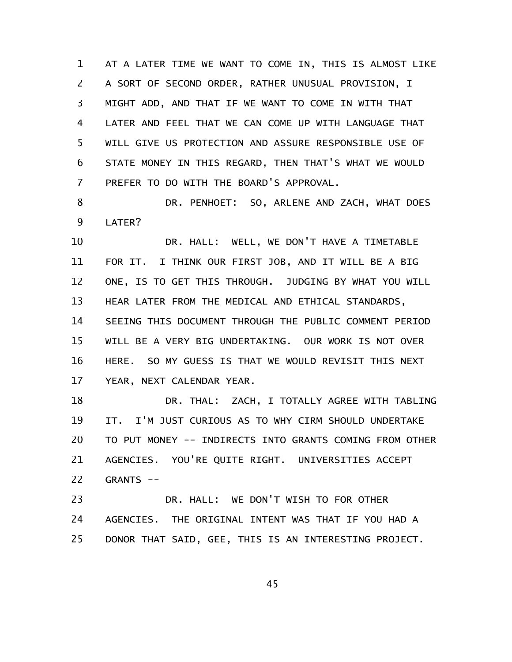AT A LATER TIME WE WANT TO COME IN, THIS IS ALMOST LIKE A SORT OF SECOND ORDER, RATHER UNUSUAL PROVISION, I MIGHT ADD, AND THAT IF WE WANT TO COME IN WITH THAT LATER AND FEEL THAT WE CAN COME UP WITH LANGUAGE THAT WILL GIVE US PROTECTION AND ASSURE RESPONSIBLE USE OF STATE MONEY IN THIS REGARD, THEN THAT'S WHAT WE WOULD PREFER TO DO WITH THE BOARD'S APPROVAL. 1 2 3 4 5 6 7

DR. PENHOET: SO, ARLENE AND ZACH, WHAT DOES LATER? 8 9

DR. HALL: WELL, WE DON'T HAVE A TIMETABLE FOR IT. I THINK OUR FIRST JOB, AND IT WILL BE A BIG ONE, IS TO GET THIS THROUGH. JUDGING BY WHAT YOU WILL HEAR LATER FROM THE MEDICAL AND ETHICAL STANDARDS, SEEING THIS DOCUMENT THROUGH THE PUBLIC COMMENT PERIOD WILL BE A VERY BIG UNDERTAKING. OUR WORK IS NOT OVER HERE. SO MY GUESS IS THAT WE WOULD REVISIT THIS NEXT YEAR, NEXT CALENDAR YEAR. 10 11 12 13 14 15 16 17

DR. THAL: ZACH, I TOTALLY AGREE WITH TABLING IT. I'M JUST CURIOUS AS TO WHY CIRM SHOULD UNDERTAKE TO PUT MONEY -- INDIRECTS INTO GRANTS COMING FROM OTHER AGENCIES. YOU'RE QUITE RIGHT. UNIVERSITIES ACCEPT GRANTS -- 18 19 20 21 22

DR. HALL: WE DON'T WISH TO FOR OTHER AGENCIES. THE ORIGINAL INTENT WAS THAT IF YOU HAD A DONOR THAT SAID, GEE, THIS IS AN INTERESTING PROJECT. 23 24 25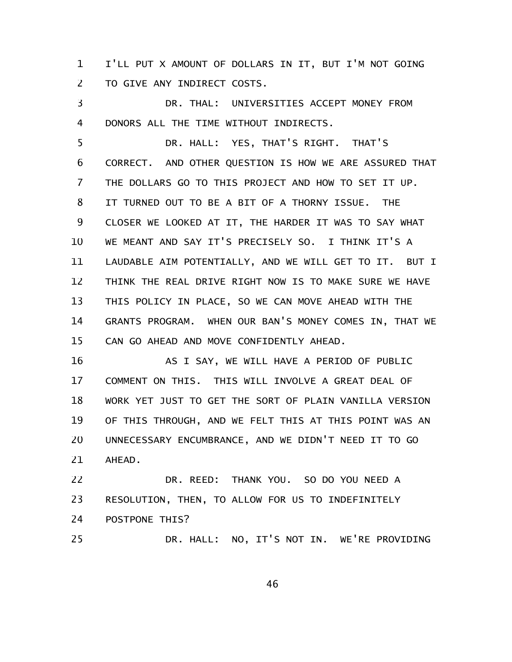I'LL PUT X AMOUNT OF DOLLARS IN IT, BUT I'M NOT GOING TO GIVE ANY INDIRECT COSTS. 1 2

DR. THAL: UNIVERSITIES ACCEPT MONEY FROM DONORS ALL THE TIME WITHOUT INDIRECTS. 3 4

DR. HALL: YES, THAT'S RIGHT. THAT'S CORRECT. AND OTHER QUESTION IS HOW WE ARE ASSURED THAT THE DOLLARS GO TO THIS PROJECT AND HOW TO SET IT UP. IT TURNED OUT TO BE A BIT OF A THORNY ISSUE. THE CLOSER WE LOOKED AT IT, THE HARDER IT WAS TO SAY WHAT WE MEANT AND SAY IT'S PRECISELY SO. I THINK IT'S A LAUDABLE AIM POTENTIALLY, AND WE WILL GET TO IT. BUT I THINK THE REAL DRIVE RIGHT NOW IS TO MAKE SURE WE HAVE THIS POLICY IN PLACE, SO WE CAN MOVE AHEAD WITH THE GRANTS PROGRAM. WHEN OUR BAN'S MONEY COMES IN, THAT WE CAN GO AHEAD AND MOVE CONFIDENTLY AHEAD. 5 6 7 8 9 10 11 12 13 14 15

AS I SAY, WE WILL HAVE A PERIOD OF PUBLIC COMMENT ON THIS. THIS WILL INVOLVE A GREAT DEAL OF WORK YET JUST TO GET THE SORT OF PLAIN VANILLA VERSION OF THIS THROUGH, AND WE FELT THIS AT THIS POINT WAS AN UNNECESSARY ENCUMBRANCE, AND WE DIDN'T NEED IT TO GO AHEAD. 16 17 18 19 20 21

DR. REED: THANK YOU. SO DO YOU NEED A RESOLUTION, THEN, TO ALLOW FOR US TO INDEFINITELY POSTPONE THIS? DR. HALL: NO, IT'S NOT IN. WE'RE PROVIDING 22 23 24 25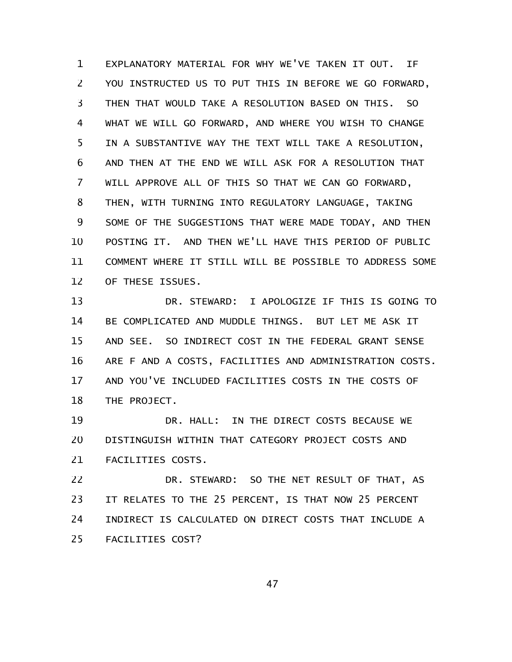EXPLANATORY MATERIAL FOR WHY WE'VE TAKEN IT OUT. IF YOU INSTRUCTED US TO PUT THIS IN BEFORE WE GO FORWARD, THEN THAT WOULD TAKE A RESOLUTION BASED ON THIS. SO WHAT WE WILL GO FORWARD, AND WHERE YOU WISH TO CHANGE IN A SUBSTANTIVE WAY THE TEXT WILL TAKE A RESOLUTION, AND THEN AT THE END WE WILL ASK FOR A RESOLUTION THAT WILL APPROVE ALL OF THIS SO THAT WE CAN GO FORWARD, THEN, WITH TURNING INTO REGULATORY LANGUAGE, TAKING SOME OF THE SUGGESTIONS THAT WERE MADE TODAY, AND THEN POSTING IT. AND THEN WE'LL HAVE THIS PERIOD OF PUBLIC COMMENT WHERE IT STILL WILL BE POSSIBLE TO ADDRESS SOME OF THESE ISSUES. 1 2 3 4 5 6 7 8 9 10 11 12

DR. STEWARD: I APOLOGIZE IF THIS IS GOING TO BE COMPLICATED AND MUDDLE THINGS. BUT LET ME ASK IT AND SEE. SO INDIRECT COST IN THE FEDERAL GRANT SENSE ARE F AND A COSTS, FACILITIES AND ADMINISTRATION COSTS. AND YOU'VE INCLUDED FACILITIES COSTS IN THE COSTS OF THE PROJECT. 13 14 15 16 17 18

DR. HALL: IN THE DIRECT COSTS BECAUSE WE DISTINGUISH WITHIN THAT CATEGORY PROJECT COSTS AND FACILITIES COSTS. 19 20 21

DR. STEWARD: SO THE NET RESULT OF THAT, AS IT RELATES TO THE 25 PERCENT, IS THAT NOW 25 PERCENT INDIRECT IS CALCULATED ON DIRECT COSTS THAT INCLUDE A FACILITIES COST? 22 23 24 25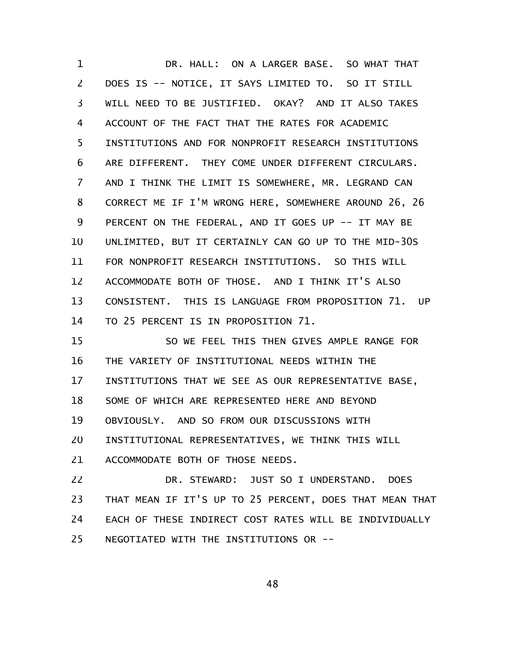DR. HALL: ON A LARGER BASE. SO WHAT THAT DOES IS -- NOTICE, IT SAYS LIMITED TO. SO IT STILL WILL NEED TO BE JUSTIFIED. OKAY? AND IT ALSO TAKES ACCOUNT OF THE FACT THAT THE RATES FOR ACADEMIC INSTITUTIONS AND FOR NONPROFIT RESEARCH INSTITUTIONS ARE DIFFERENT. THEY COME UNDER DIFFERENT CIRCULARS. AND I THINK THE LIMIT IS SOMEWHERE, MR. LEGRAND CAN CORRECT ME IF I'M WRONG HERE, SOMEWHERE AROUND 26, 26 PERCENT ON THE FEDERAL, AND IT GOES UP -- IT MAY BE UNLIMITED, BUT IT CERTAINLY CAN GO UP TO THE MID-30S FOR NONPROFIT RESEARCH INSTITUTIONS. SO THIS WILL ACCOMMODATE BOTH OF THOSE. AND I THINK IT'S ALSO CONSISTENT. THIS IS LANGUAGE FROM PROPOSITION 71. UP TO 25 PERCENT IS IN PROPOSITION 71. SO WE FEEL THIS THEN GIVES AMPLE RANGE FOR THE VARIETY OF INSTITUTIONAL NEEDS WITHIN THE INSTITUTIONS THAT WE SEE AS OUR REPRESENTATIVE BASE, SOME OF WHICH ARE REPRESENTED HERE AND BEYOND OBVIOUSLY. AND SO FROM OUR DISCUSSIONS WITH INSTITUTIONAL REPRESENTATIVES, WE THINK THIS WILL 1 2 3 4 5 6 7 8 9 10 11 12 13 14 15 16 17 18 19 20

ACCOMMODATE BOTH OF THOSE NEEDS. 21

DR. STEWARD: JUST SO I UNDERSTAND. DOES THAT MEAN IF IT'S UP TO 25 PERCENT, DOES THAT MEAN THAT EACH OF THESE INDIRECT COST RATES WILL BE INDIVIDUALLY NEGOTIATED WITH THE INSTITUTIONS OR -- 22 23 24 25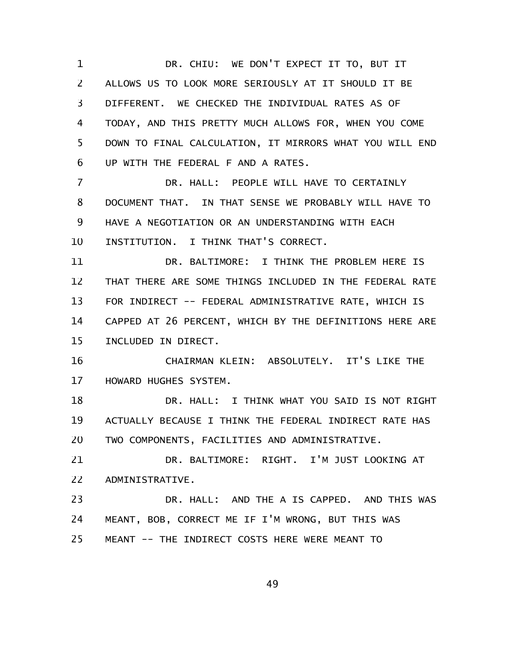DR. CHIU: WE DON'T EXPECT IT TO, BUT IT ALLOWS US TO LOOK MORE SERIOUSLY AT IT SHOULD IT BE DIFFERENT. WE CHECKED THE INDIVIDUAL RATES AS OF TODAY, AND THIS PRETTY MUCH ALLOWS FOR, WHEN YOU COME DOWN TO FINAL CALCULATION, IT MIRRORS WHAT YOU WILL END UP WITH THE FEDERAL F AND A RATES. DR. HALL: PEOPLE WILL HAVE TO CERTAINLY DOCUMENT THAT. IN THAT SENSE WE PROBABLY WILL HAVE TO HAVE A NEGOTIATION OR AN UNDERSTANDING WITH EACH INSTITUTION. I THINK THAT'S CORRECT. DR. BALTIMORE: I THINK THE PROBLEM HERE IS THAT THERE ARE SOME THINGS INCLUDED IN THE FEDERAL RATE FOR INDIRECT -- FEDERAL ADMINISTRATIVE RATE, WHICH IS CAPPED AT 26 PERCENT, WHICH BY THE DEFINITIONS HERE ARE INCLUDED IN DIRECT. CHAIRMAN KLEIN: ABSOLUTELY. IT'S LIKE THE HOWARD HUGHES SYSTEM. DR. HALL: I THINK WHAT YOU SAID IS NOT RIGHT ACTUALLY BECAUSE I THINK THE FEDERAL INDIRECT RATE HAS TWO COMPONENTS, FACILITIES AND ADMINISTRATIVE. DR. BALTIMORE: RIGHT. I'M JUST LOOKING AT ADMINISTRATIVE. DR. HALL: AND THE A IS CAPPED. AND THIS WAS MEANT, BOB, CORRECT ME IF I'M WRONG, BUT THIS WAS MEANT -- THE INDIRECT COSTS HERE WERE MEANT TO 1 2 3 4 5 6 7 8 9 10 11 12 13 14 15 16 17 18 19 20 21 22 23 24 25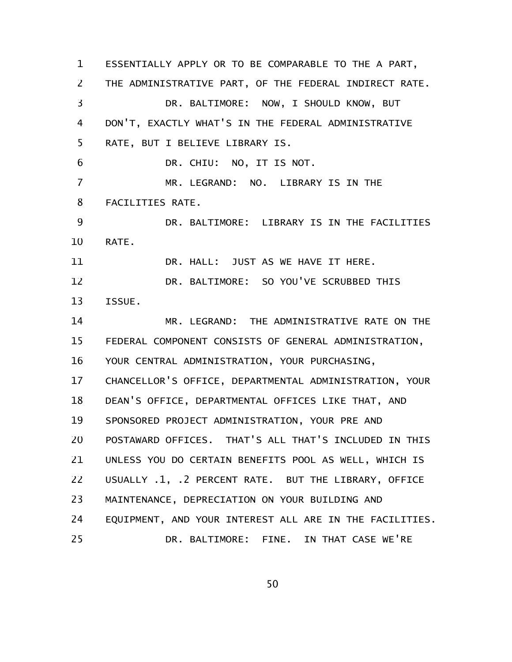ESSENTIALLY APPLY OR TO BE COMPARABLE TO THE A PART, THE ADMINISTRATIVE PART, OF THE FEDERAL INDIRECT RATE. DR. BALTIMORE: NOW, I SHOULD KNOW, BUT DON'T, EXACTLY WHAT'S IN THE FEDERAL ADMINISTRATIVE RATE, BUT I BELIEVE LIBRARY IS. DR. CHIU: NO, IT IS NOT. MR. LEGRAND: NO. LIBRARY IS IN THE FACILITIES RATE. DR. BALTIMORE: LIBRARY IS IN THE FACILITIES RATE. DR. HALL: JUST AS WE HAVE IT HERE. DR. BALTIMORE: SO YOU'VE SCRUBBED THIS ISSUE. MR. LEGRAND: THE ADMINISTRATIVE RATE ON THE FEDERAL COMPONENT CONSISTS OF GENERAL ADMINISTRATION, YOUR CENTRAL ADMINISTRATION, YOUR PURCHASING, CHANCELLOR'S OFFICE, DEPARTMENTAL ADMINISTRATION, YOUR DEAN'S OFFICE, DEPARTMENTAL OFFICES LIKE THAT, AND SPONSORED PROJECT ADMINISTRATION, YOUR PRE AND POSTAWARD OFFICES. THAT'S ALL THAT'S INCLUDED IN THIS UNLESS YOU DO CERTAIN BENEFITS POOL AS WELL, WHICH IS USUALLY .1, .2 PERCENT RATE. BUT THE LIBRARY, OFFICE MAINTENANCE, DEPRECIATION ON YOUR BUILDING AND EQUIPMENT, AND YOUR INTEREST ALL ARE IN THE FACILITIES. DR. BALTIMORE: FINE. IN THAT CASE WE'RE 1 2 3 4 5 6 7 8 9 10 11 12 13 14 15 16 17 18 19 20 21 22 23 24 25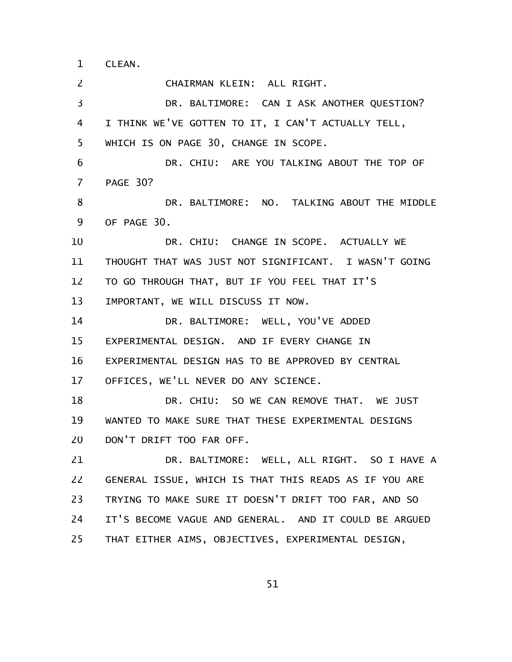CLEAN. 1

CHAIRMAN KLEIN: ALL RIGHT. DR. BALTIMORE: CAN I ASK ANOTHER QUESTION? I THINK WE'VE GOTTEN TO IT, I CAN'T ACTUALLY TELL, WHICH IS ON PAGE 30, CHANGE IN SCOPE. DR. CHIU: ARE YOU TALKING ABOUT THE TOP OF PAGE 30? DR. BALTIMORE: NO. TALKING ABOUT THE MIDDLE OF PAGE 30. DR. CHIU: CHANGE IN SCOPE. ACTUALLY WE THOUGHT THAT WAS JUST NOT SIGNIFICANT. I WASN'T GOING TO GO THROUGH THAT, BUT IF YOU FEEL THAT IT'S IMPORTANT, WE WILL DISCUSS IT NOW. DR. BALTIMORE: WELL, YOU'VE ADDED EXPERIMENTAL DESIGN. AND IF EVERY CHANGE IN EXPERIMENTAL DESIGN HAS TO BE APPROVED BY CENTRAL OFFICES, WE'LL NEVER DO ANY SCIENCE. DR. CHIU: SO WE CAN REMOVE THAT. WE JUST WANTED TO MAKE SURE THAT THESE EXPERIMENTAL DESIGNS DON'T DRIFT TOO FAR OFF. DR. BALTIMORE: WELL, ALL RIGHT. SO I HAVE A GENERAL ISSUE, WHICH IS THAT THIS READS AS IF YOU ARE TRYING TO MAKE SURE IT DOESN'T DRIFT TOO FAR, AND SO IT'S BECOME VAGUE AND GENERAL. AND IT COULD BE ARGUED THAT EITHER AIMS, OBJECTIVES, EXPERIMENTAL DESIGN, 2 3 4 5 6 7 8 9 10 11 12 13 14 15 16 17 18 19 20 21 22 23 24 25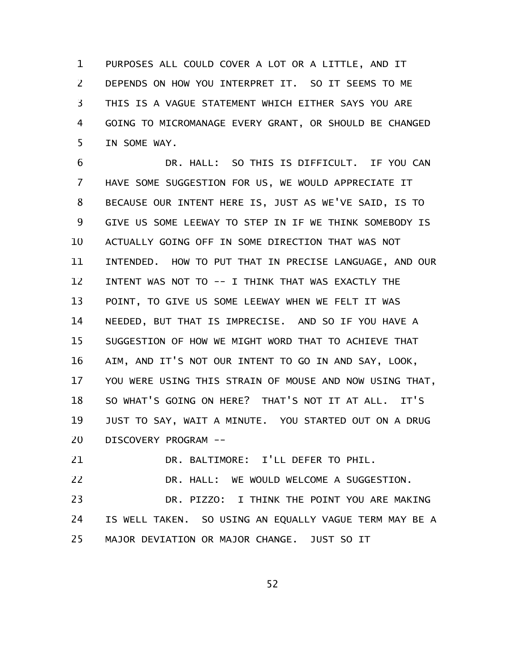PURPOSES ALL COULD COVER A LOT OR A LITTLE, AND IT DEPENDS ON HOW YOU INTERPRET IT. SO IT SEEMS TO ME THIS IS A VAGUE STATEMENT WHICH EITHER SAYS YOU ARE GOING TO MICROMANAGE EVERY GRANT, OR SHOULD BE CHANGED IN SOME WAY. 1 2 3 4 5

DR. HALL: SO THIS IS DIFFICULT. IF YOU CAN HAVE SOME SUGGESTION FOR US, WE WOULD APPRECIATE IT BECAUSE OUR INTENT HERE IS, JUST AS WE'VE SAID, IS TO GIVE US SOME LEEWAY TO STEP IN IF WE THINK SOMEBODY IS ACTUALLY GOING OFF IN SOME DIRECTION THAT WAS NOT INTENDED. HOW TO PUT THAT IN PRECISE LANGUAGE, AND OUR INTENT WAS NOT TO -- I THINK THAT WAS EXACTLY THE POINT, TO GIVE US SOME LEEWAY WHEN WE FELT IT WAS NEEDED, BUT THAT IS IMPRECISE. AND SO IF YOU HAVE A SUGGESTION OF HOW WE MIGHT WORD THAT TO ACHIEVE THAT AIM, AND IT'S NOT OUR INTENT TO GO IN AND SAY, LOOK, YOU WERE USING THIS STRAIN OF MOUSE AND NOW USING THAT, SO WHAT'S GOING ON HERE? THAT'S NOT IT AT ALL. IT'S JUST TO SAY, WAIT A MINUTE. YOU STARTED OUT ON A DRUG DISCOVERY PROGRAM -- 6 7 8 9 10 11 12 13 14 15 16 17 18 19 20

DR. BALTIMORE: I'LL DEFER TO PHIL. 21

DR. HALL: WE WOULD WELCOME A SUGGESTION. 22

DR. PIZZO: I THINK THE POINT YOU ARE MAKING IS WELL TAKEN. SO USING AN EQUALLY VAGUE TERM MAY BE A MAJOR DEVIATION OR MAJOR CHANGE. JUST SO IT 23 24 25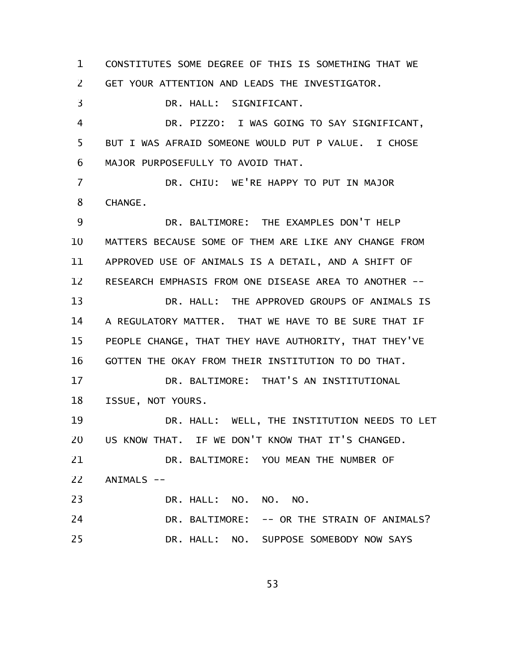CONSTITUTES SOME DEGREE OF THIS IS SOMETHING THAT WE GET YOUR ATTENTION AND LEADS THE INVESTIGATOR. DR. HALL: SIGNIFICANT. DR. PIZZO: I WAS GOING TO SAY SIGNIFICANT, BUT I WAS AFRAID SOMEONE WOULD PUT P VALUE. I CHOSE MAJOR PURPOSEFULLY TO AVOID THAT. DR. CHIU: WE'RE HAPPY TO PUT IN MAJOR CHANGE. DR. BALTIMORE: THE EXAMPLES DON'T HELP MATTERS BECAUSE SOME OF THEM ARE LIKE ANY CHANGE FROM APPROVED USE OF ANIMALS IS A DETAIL, AND A SHIFT OF RESEARCH EMPHASIS FROM ONE DISEASE AREA TO ANOTHER -- DR. HALL: THE APPROVED GROUPS OF ANIMALS IS A REGULATORY MATTER. THAT WE HAVE TO BE SURE THAT IF PEOPLE CHANGE, THAT THEY HAVE AUTHORITY, THAT THEY'VE GOTTEN THE OKAY FROM THEIR INSTITUTION TO DO THAT. DR. BALTIMORE: THAT'S AN INSTITUTIONAL ISSUE, NOT YOURS. DR. HALL: WELL, THE INSTITUTION NEEDS TO LET US KNOW THAT. IF WE DON'T KNOW THAT IT'S CHANGED. DR. BALTIMORE: YOU MEAN THE NUMBER OF ANIMALS -- DR. HALL: NO. NO. NO. DR. BALTIMORE: -- OR THE STRAIN OF ANIMALS? DR. HALL: NO. SUPPOSE SOMEBODY NOW SAYS 1 2 3 4 5 6 7 8 9 10 11 12 13 14 15 16 17 18 19 20 21 22 23 24 25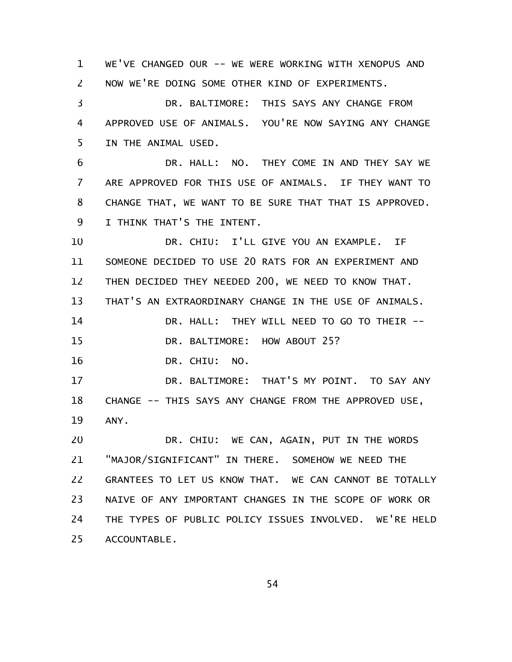WE'VE CHANGED OUR -- WE WERE WORKING WITH XENOPUS AND NOW WE'RE DOING SOME OTHER KIND OF EXPERIMENTS. DR. BALTIMORE: THIS SAYS ANY CHANGE FROM APPROVED USE OF ANIMALS. YOU'RE NOW SAYING ANY CHANGE IN THE ANIMAL USED. DR. HALL: NO. THEY COME IN AND THEY SAY WE ARE APPROVED FOR THIS USE OF ANIMALS. IF THEY WANT TO CHANGE THAT, WE WANT TO BE SURE THAT THAT IS APPROVED. I THINK THAT'S THE INTENT. DR. CHIU: I'LL GIVE YOU AN EXAMPLE. IF SOMEONE DECIDED TO USE 20 RATS FOR AN EXPERIMENT AND THEN DECIDED THEY NEEDED 200, WE NEED TO KNOW THAT. THAT'S AN EXTRAORDINARY CHANGE IN THE USE OF ANIMALS. DR. HALL: THEY WILL NEED TO GO TO THEIR -- DR. BALTIMORE: HOW ABOUT 25? DR. CHIU: NO. DR. BALTIMORE: THAT'S MY POINT. TO SAY ANY CHANGE -- THIS SAYS ANY CHANGE FROM THE APPROVED USE, ANY. DR. CHIU: WE CAN, AGAIN, PUT IN THE WORDS "MAJOR/SIGNIFICANT" IN THERE. SOMEHOW WE NEED THE GRANTEES TO LET US KNOW THAT. WE CAN CANNOT BE TOTALLY NAIVE OF ANY IMPORTANT CHANGES IN THE SCOPE OF WORK OR THE TYPES OF PUBLIC POLICY ISSUES INVOLVED. WE'RE HELD ACCOUNTABLE. 1 2 3 4 5 6 7 8 9 10 11 12 13 14 15 16 17 18 19 20 21 22 23 24 25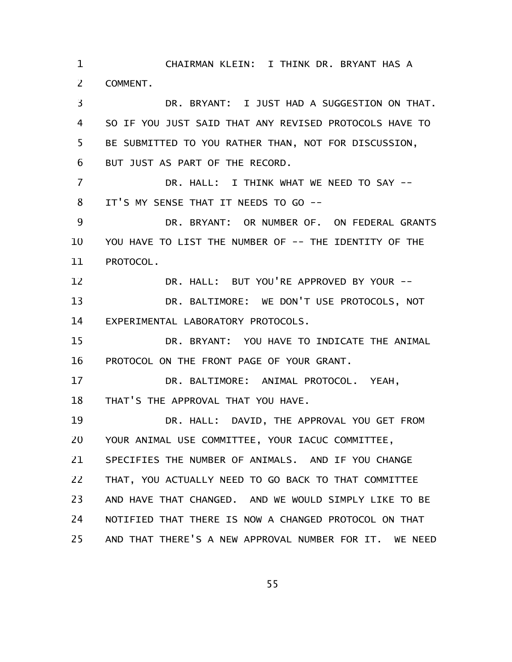CHAIRMAN KLEIN: I THINK DR. BRYANT HAS A COMMENT. 1 2

DR. BRYANT: I JUST HAD A SUGGESTION ON THAT. SO IF YOU JUST SAID THAT ANY REVISED PROTOCOLS HAVE TO BE SUBMITTED TO YOU RATHER THAN, NOT FOR DISCUSSION, BUT JUST AS PART OF THE RECORD. DR. HALL: I THINK WHAT WE NEED TO SAY -- IT'S MY SENSE THAT IT NEEDS TO GO -- DR. BRYANT: OR NUMBER OF. ON FEDERAL GRANTS YOU HAVE TO LIST THE NUMBER OF -- THE IDENTITY OF THE PROTOCOL. DR. HALL: BUT YOU'RE APPROVED BY YOUR -- DR. BALTIMORE: WE DON'T USE PROTOCOLS, NOT EXPERIMENTAL LABORATORY PROTOCOLS. DR. BRYANT: YOU HAVE TO INDICATE THE ANIMAL PROTOCOL ON THE FRONT PAGE OF YOUR GRANT. DR. BALTIMORE: ANIMAL PROTOCOL. YEAH, THAT'S THE APPROVAL THAT YOU HAVE. DR. HALL: DAVID, THE APPROVAL YOU GET FROM YOUR ANIMAL USE COMMITTEE, YOUR IACUC COMMITTEE, SPECIFIES THE NUMBER OF ANIMALS. AND IF YOU CHANGE THAT, YOU ACTUALLY NEED TO GO BACK TO THAT COMMITTEE AND HAVE THAT CHANGED. AND WE WOULD SIMPLY LIKE TO BE NOTIFIED THAT THERE IS NOW A CHANGED PROTOCOL ON THAT AND THAT THERE'S A NEW APPROVAL NUMBER FOR IT. WE NEED 3 4 5 6 7 8 9 10 11 12 13 14 15 16 17 18 19 20 21 22 23 24 25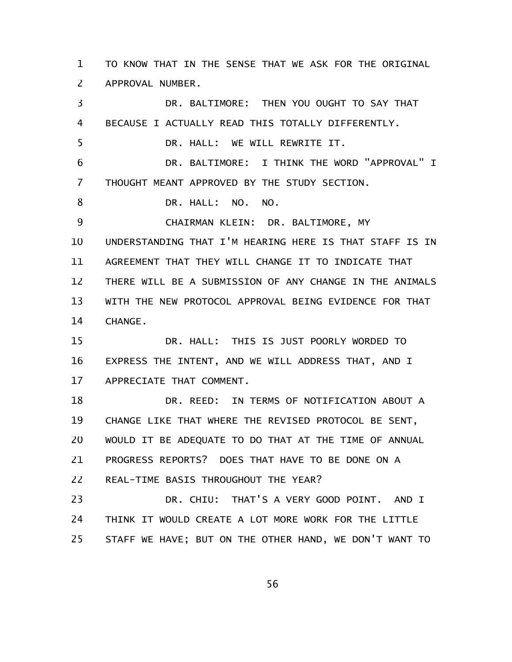TO KNOW THAT IN THE SENSE THAT WE ASK FOR THE ORIGINAL APPROVAL NUMBER. 1 2

DR. BALTIMORE: THEN YOU OUGHT TO SAY THAT BECAUSE I ACTUALLY READ THIS TOTALLY DIFFERENTLY. DR. HALL: WE WILL REWRITE IT. DR. BALTIMORE: I THINK THE WORD "APPROVAL" I THOUGHT MEANT APPROVED BY THE STUDY SECTION. DR. HALL: NO. NO. CHAIRMAN KLEIN: DR. BALTIMORE, MY UNDERSTANDING THAT I'M HEARING HERE IS THAT STAFF IS IN AGREEMENT THAT THEY WILL CHANGE IT TO INDICATE THAT THERE WILL BE A SUBMISSION OF ANY CHANGE IN THE ANIMALS WITH THE NEW PROTOCOL APPROVAL BEING EVIDENCE FOR THAT CHANGE. DR. HALL: THIS IS JUST POORLY WORDED TO EXPRESS THE INTENT, AND WE WILL ADDRESS THAT, AND I APPRECIATE THAT COMMENT. DR. REED: IN TERMS OF NOTIFICATION ABOUT A CHANGE LIKE THAT WHERE THE REVISED PROTOCOL BE SENT, WOULD IT BE ADEQUATE TO DO THAT AT THE TIME OF ANNUAL PROGRESS REPORTS? DOES THAT HAVE TO BE DONE ON A REAL-TIME BASIS THROUGHOUT THE YEAR? DR. CHIU: THAT'S A VERY GOOD POINT. AND I THINK IT WOULD CREATE A LOT MORE WORK FOR THE LITTLE STAFF WE HAVE; BUT ON THE OTHER HAND, WE DON'T WANT TO 3 4 5 6 7 8 9 10 11 12 13 14 15 16 17 18 19 20 21 22 23 24 25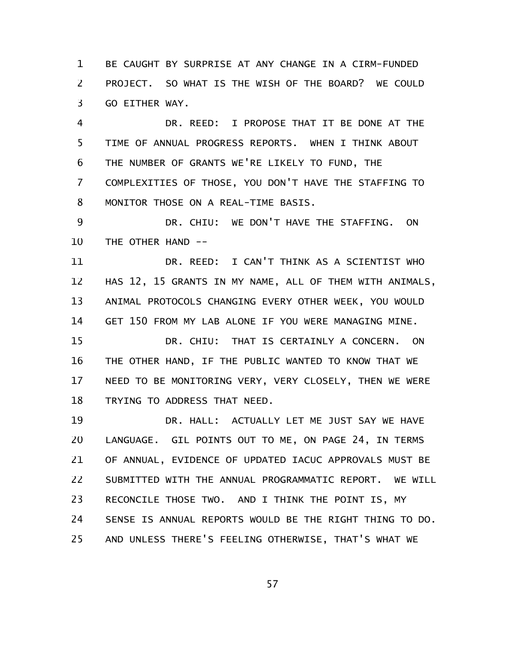BE CAUGHT BY SURPRISE AT ANY CHANGE IN A CIRM-FUNDED PROJECT. SO WHAT IS THE WISH OF THE BOARD? WE COULD GO EITHER WAY. 1 2 3

DR. REED: I PROPOSE THAT IT BE DONE AT THE TIME OF ANNUAL PROGRESS REPORTS. WHEN I THINK ABOUT THE NUMBER OF GRANTS WE'RE LIKELY TO FUND, THE COMPLEXITIES OF THOSE, YOU DON'T HAVE THE STAFFING TO MONITOR THOSE ON A REAL-TIME BASIS. 4 5 6 7 8

DR. CHIU: WE DON'T HAVE THE STAFFING. ON THE OTHER HAND -- 9 10

DR. REED: I CAN'T THINK AS A SCIENTIST WHO HAS 12, 15 GRANTS IN MY NAME, ALL OF THEM WITH ANIMALS, ANIMAL PROTOCOLS CHANGING EVERY OTHER WEEK, YOU WOULD GET 150 FROM MY LAB ALONE IF YOU WERE MANAGING MINE. 11 12 13 14

DR. CHIU: THAT IS CERTAINLY A CONCERN. ON THE OTHER HAND, IF THE PUBLIC WANTED TO KNOW THAT WE NEED TO BE MONITORING VERY, VERY CLOSELY, THEN WE WERE TRYING TO ADDRESS THAT NEED. 15 16 17 18

DR. HALL: ACTUALLY LET ME JUST SAY WE HAVE LANGUAGE. GIL POINTS OUT TO ME, ON PAGE 24, IN TERMS OF ANNUAL, EVIDENCE OF UPDATED IACUC APPROVALS MUST BE SUBMITTED WITH THE ANNUAL PROGRAMMATIC REPORT. WE WILL RECONCILE THOSE TWO. AND I THINK THE POINT IS, MY SENSE IS ANNUAL REPORTS WOULD BE THE RIGHT THING TO DO. AND UNLESS THERE'S FEELING OTHERWISE, THAT'S WHAT WE 19 20 21 22 23 24 25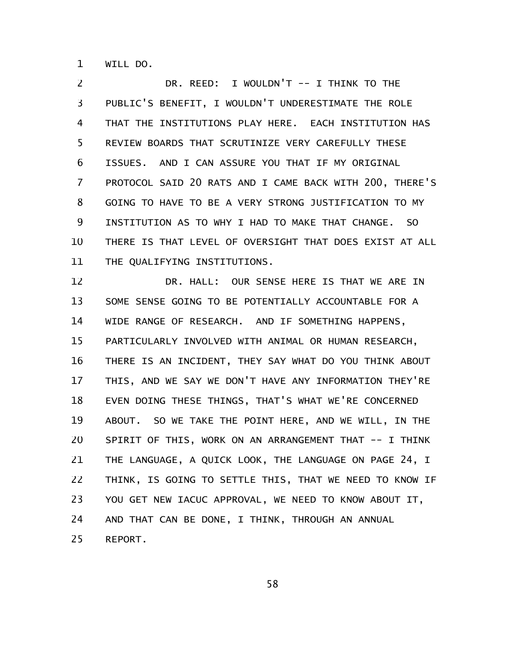WILL DO. 1

DR. REED: I WOULDN'T -- I THINK TO THE PUBLIC'S BENEFIT, I WOULDN'T UNDERESTIMATE THE ROLE THAT THE INSTITUTIONS PLAY HERE. EACH INSTITUTION HAS REVIEW BOARDS THAT SCRUTINIZE VERY CAREFULLY THESE ISSUES. AND I CAN ASSURE YOU THAT IF MY ORIGINAL PROTOCOL SAID 20 RATS AND I CAME BACK WITH 200, THERE'S GOING TO HAVE TO BE A VERY STRONG JUSTIFICATION TO MY INSTITUTION AS TO WHY I HAD TO MAKE THAT CHANGE. SO THERE IS THAT LEVEL OF OVERSIGHT THAT DOES EXIST AT ALL THE QUALIFYING INSTITUTIONS. 2 3 4 5 6 7 8 9 10 11

DR. HALL: OUR SENSE HERE IS THAT WE ARE IN SOME SENSE GOING TO BE POTENTIALLY ACCOUNTABLE FOR A WIDE RANGE OF RESEARCH. AND IF SOMETHING HAPPENS, PARTICULARLY INVOLVED WITH ANIMAL OR HUMAN RESEARCH, THERE IS AN INCIDENT, THEY SAY WHAT DO YOU THINK ABOUT THIS, AND WE SAY WE DON'T HAVE ANY INFORMATION THEY'RE EVEN DOING THESE THINGS, THAT'S WHAT WE'RE CONCERNED ABOUT. SO WE TAKE THE POINT HERE, AND WE WILL, IN THE SPIRIT OF THIS, WORK ON AN ARRANGEMENT THAT -- I THINK THE LANGUAGE, A QUICK LOOK, THE LANGUAGE ON PAGE 24, I THINK, IS GOING TO SETTLE THIS, THAT WE NEED TO KNOW IF YOU GET NEW IACUC APPROVAL, WE NEED TO KNOW ABOUT IT, AND THAT CAN BE DONE, I THINK, THROUGH AN ANNUAL REPORT. 12 13 14 15 16 17 18 19 20 21 22 23 24 25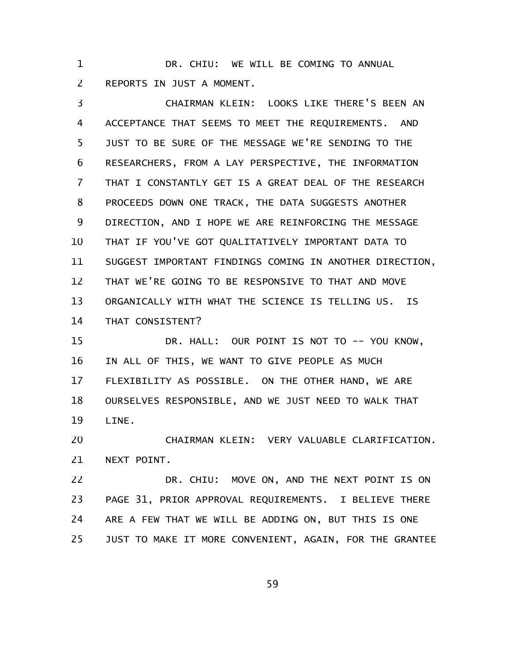DR. CHIU: WE WILL BE COMING TO ANNUAL REPORTS IN JUST A MOMENT. 1 2

CHAIRMAN KLEIN: LOOKS LIKE THERE'S BEEN AN ACCEPTANCE THAT SEEMS TO MEET THE REQUIREMENTS. AND JUST TO BE SURE OF THE MESSAGE WE'RE SENDING TO THE RESEARCHERS, FROM A LAY PERSPECTIVE, THE INFORMATION THAT I CONSTANTLY GET IS A GREAT DEAL OF THE RESEARCH PROCEEDS DOWN ONE TRACK, THE DATA SUGGESTS ANOTHER DIRECTION, AND I HOPE WE ARE REINFORCING THE MESSAGE THAT IF YOU'VE GOT QUALITATIVELY IMPORTANT DATA TO SUGGEST IMPORTANT FINDINGS COMING IN ANOTHER DIRECTION, THAT WE'RE GOING TO BE RESPONSIVE TO THAT AND MOVE ORGANICALLY WITH WHAT THE SCIENCE IS TELLING US. IS THAT CONSISTENT? DR. HALL: OUR POINT IS NOT TO -- YOU KNOW, IN ALL OF THIS, WE WANT TO GIVE PEOPLE AS MUCH FLEXIBILITY AS POSSIBLE. ON THE OTHER HAND, WE ARE OURSELVES RESPONSIBLE, AND WE JUST NEED TO WALK THAT 3 4 5 6 7 8 9 10 11 12 13 14 15 16 17 18

LINE. 19

CHAIRMAN KLEIN: VERY VALUABLE CLARIFICATION. NEXT POINT. 20 21

DR. CHIU: MOVE ON, AND THE NEXT POINT IS ON PAGE 31, PRIOR APPROVAL REQUIREMENTS. I BELIEVE THERE ARE A FEW THAT WE WILL BE ADDING ON, BUT THIS IS ONE JUST TO MAKE IT MORE CONVENIENT, AGAIN, FOR THE GRANTEE 22 23 24 25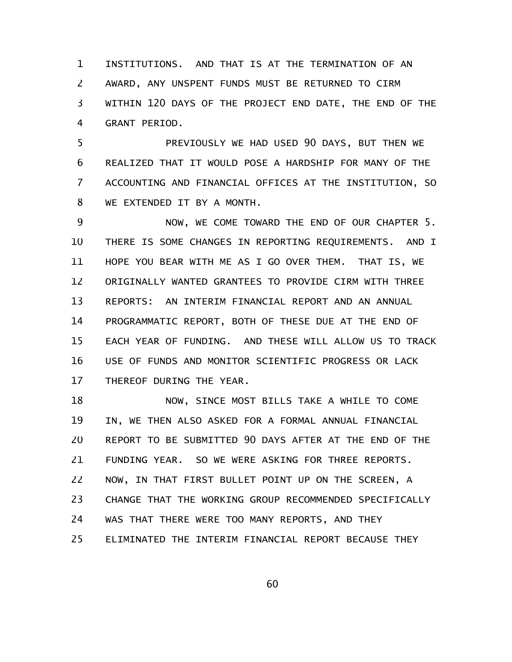INSTITUTIONS. AND THAT IS AT THE TERMINATION OF AN AWARD, ANY UNSPENT FUNDS MUST BE RETURNED TO CIRM WITHIN 120 DAYS OF THE PROJECT END DATE, THE END OF THE GRANT PERIOD. 1 2 3 4

PREVIOUSLY WE HAD USED 90 DAYS, BUT THEN WE REALIZED THAT IT WOULD POSE A HARDSHIP FOR MANY OF THE ACCOUNTING AND FINANCIAL OFFICES AT THE INSTITUTION, SO WE EXTENDED IT BY A MONTH. 5 6 7 8

NOW, WE COME TOWARD THE END OF OUR CHAPTER 5. THERE IS SOME CHANGES IN REPORTING REQUIREMENTS. AND I HOPE YOU BEAR WITH ME AS I GO OVER THEM. THAT IS, WE ORIGINALLY WANTED GRANTEES TO PROVIDE CIRM WITH THREE REPORTS: AN INTERIM FINANCIAL REPORT AND AN ANNUAL PROGRAMMATIC REPORT, BOTH OF THESE DUE AT THE END OF EACH YEAR OF FUNDING. AND THESE WILL ALLOW US TO TRACK USE OF FUNDS AND MONITOR SCIENTIFIC PROGRESS OR LACK THEREOF DURING THE YEAR. 9 10 11 12 13 14 15 16 17

NOW, SINCE MOST BILLS TAKE A WHILE TO COME IN, WE THEN ALSO ASKED FOR A FORMAL ANNUAL FINANCIAL REPORT TO BE SUBMITTED 90 DAYS AFTER AT THE END OF THE FUNDING YEAR. SO WE WERE ASKING FOR THREE REPORTS. NOW, IN THAT FIRST BULLET POINT UP ON THE SCREEN, A CHANGE THAT THE WORKING GROUP RECOMMENDED SPECIFICALLY WAS THAT THERE WERE TOO MANY REPORTS, AND THEY ELIMINATED THE INTERIM FINANCIAL REPORT BECAUSE THEY 18 19 20 21 22 23 24 25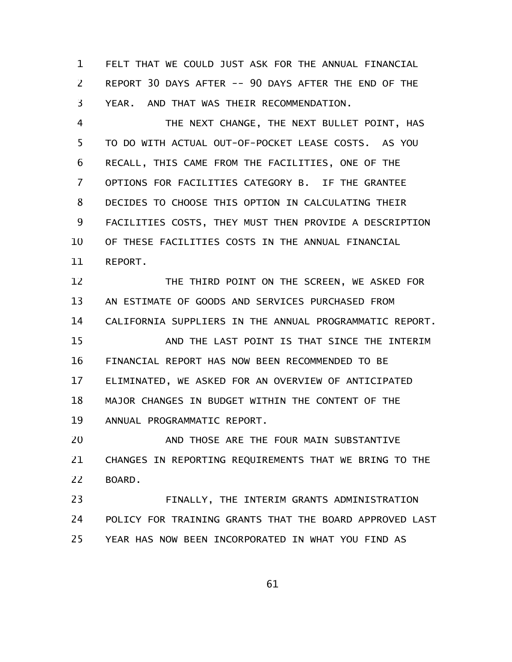FELT THAT WE COULD JUST ASK FOR THE ANNUAL FINANCIAL REPORT 30 DAYS AFTER -- 90 DAYS AFTER THE END OF THE YEAR. AND THAT WAS THEIR RECOMMENDATION. 1 2 3

THE NEXT CHANGE, THE NEXT BULLET POINT, HAS TO DO WITH ACTUAL OUT-OF-POCKET LEASE COSTS. AS YOU RECALL, THIS CAME FROM THE FACILITIES, ONE OF THE OPTIONS FOR FACILITIES CATEGORY B. IF THE GRANTEE DECIDES TO CHOOSE THIS OPTION IN CALCULATING THEIR FACILITIES COSTS, THEY MUST THEN PROVIDE A DESCRIPTION OF THESE FACILITIES COSTS IN THE ANNUAL FINANCIAL REPORT. 4 5 6 7 8 9 10 11

THE THIRD POINT ON THE SCREEN, WE ASKED FOR AN ESTIMATE OF GOODS AND SERVICES PURCHASED FROM CALIFORNIA SUPPLIERS IN THE ANNUAL PROGRAMMATIC REPORT. AND THE LAST POINT IS THAT SINCE THE INTERIM FINANCIAL REPORT HAS NOW BEEN RECOMMENDED TO BE ELIMINATED, WE ASKED FOR AN OVERVIEW OF ANTICIPATED MAJOR CHANGES IN BUDGET WITHIN THE CONTENT OF THE ANNUAL PROGRAMMATIC REPORT. 12 13 14 15 16 17 18 19

AND THOSE ARE THE FOUR MAIN SUBSTANTIVE CHANGES IN REPORTING REQUIREMENTS THAT WE BRING TO THE BOARD. 20 21 22

FINALLY, THE INTERIM GRANTS ADMINISTRATION POLICY FOR TRAINING GRANTS THAT THE BOARD APPROVED LAST YEAR HAS NOW BEEN INCORPORATED IN WHAT YOU FIND AS 23 24 25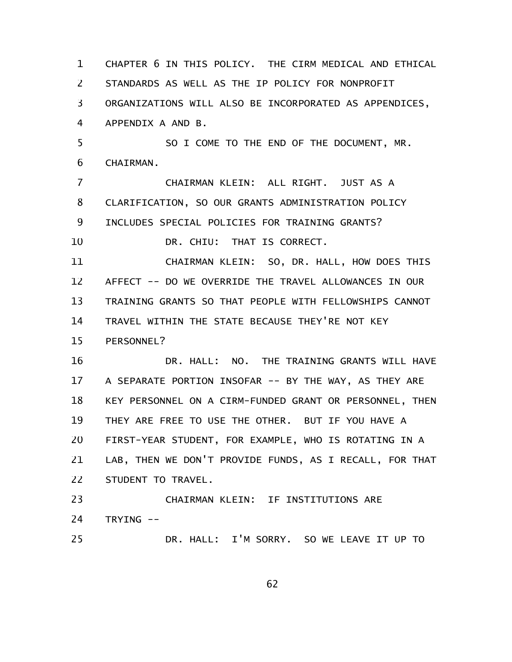CHAPTER 6 IN THIS POLICY. THE CIRM MEDICAL AND ETHICAL STANDARDS AS WELL AS THE IP POLICY FOR NONPROFIT ORGANIZATIONS WILL ALSO BE INCORPORATED AS APPENDICES, APPENDIX A AND B. SO I COME TO THE END OF THE DOCUMENT, MR. CHAIRMAN. CHAIRMAN KLEIN: ALL RIGHT. JUST AS A CLARIFICATION, SO OUR GRANTS ADMINISTRATION POLICY INCLUDES SPECIAL POLICIES FOR TRAINING GRANTS? DR. CHIU: THAT IS CORRECT. CHAIRMAN KLEIN: SO, DR. HALL, HOW DOES THIS AFFECT -- DO WE OVERRIDE THE TRAVEL ALLOWANCES IN OUR TRAINING GRANTS SO THAT PEOPLE WITH FELLOWSHIPS CANNOT TRAVEL WITHIN THE STATE BECAUSE THEY'RE NOT KEY PERSONNEL? DR. HALL: NO. THE TRAINING GRANTS WILL HAVE A SEPARATE PORTION INSOFAR -- BY THE WAY, AS THEY ARE KEY PERSONNEL ON A CIRM-FUNDED GRANT OR PERSONNEL, THEN THEY ARE FREE TO USE THE OTHER. BUT IF YOU HAVE A FIRST-YEAR STUDENT, FOR EXAMPLE, WHO IS ROTATING IN A LAB, THEN WE DON'T PROVIDE FUNDS, AS I RECALL, FOR THAT STUDENT TO TRAVEL. CHAIRMAN KLEIN: IF INSTITUTIONS ARE TRYING -- DR. HALL: I'M SORRY. SO WE LEAVE IT UP TO 1 2 3 4 5 6 7 8 9 10 11 12 13 14 15 16 17 18 19 20 21 22 23 24 25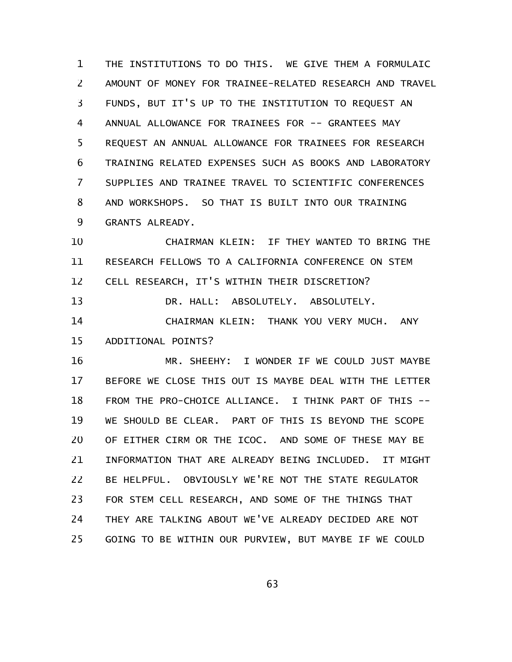THE INSTITUTIONS TO DO THIS. WE GIVE THEM A FORMULAIC AMOUNT OF MONEY FOR TRAINEE-RELATED RESEARCH AND TRAVEL FUNDS, BUT IT'S UP TO THE INSTITUTION TO REQUEST AN ANNUAL ALLOWANCE FOR TRAINEES FOR -- GRANTEES MAY REQUEST AN ANNUAL ALLOWANCE FOR TRAINEES FOR RESEARCH TRAINING RELATED EXPENSES SUCH AS BOOKS AND LABORATORY SUPPLIES AND TRAINEE TRAVEL TO SCIENTIFIC CONFERENCES AND WORKSHOPS. SO THAT IS BUILT INTO OUR TRAINING GRANTS ALREADY. 1 2 3 4 5 6 7 8 9

CHAIRMAN KLEIN: IF THEY WANTED TO BRING THE RESEARCH FELLOWS TO A CALIFORNIA CONFERENCE ON STEM CELL RESEARCH, IT'S WITHIN THEIR DISCRETION? 10 11 12

DR. HALL: ABSOLUTELY. ABSOLUTELY. CHAIRMAN KLEIN: THANK YOU VERY MUCH. ANY ADDITIONAL POINTS? 13 14 15

MR. SHEEHY: I WONDER IF WE COULD JUST MAYBE BEFORE WE CLOSE THIS OUT IS MAYBE DEAL WITH THE LETTER FROM THE PRO-CHOICE ALLIANCE. I THINK PART OF THIS -- WE SHOULD BE CLEAR. PART OF THIS IS BEYOND THE SCOPE OF EITHER CIRM OR THE ICOC. AND SOME OF THESE MAY BE INFORMATION THAT ARE ALREADY BEING INCLUDED. IT MIGHT BE HELPFUL. OBVIOUSLY WE'RE NOT THE STATE REGULATOR FOR STEM CELL RESEARCH, AND SOME OF THE THINGS THAT THEY ARE TALKING ABOUT WE'VE ALREADY DECIDED ARE NOT GOING TO BE WITHIN OUR PURVIEW, BUT MAYBE IF WE COULD 16 17 18 19 20 21 22 23 24 25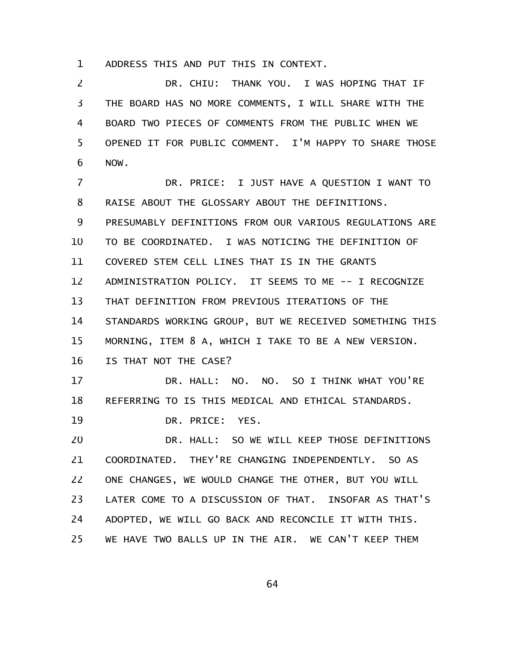ADDRESS THIS AND PUT THIS IN CONTEXT. 1

DR. CHIU: THANK YOU. I WAS HOPING THAT IF THE BOARD HAS NO MORE COMMENTS, I WILL SHARE WITH THE BOARD TWO PIECES OF COMMENTS FROM THE PUBLIC WHEN WE OPENED IT FOR PUBLIC COMMENT. I'M HAPPY TO SHARE THOSE NOW. 2 3 4 5 6

DR. PRICE: I JUST HAVE A QUESTION I WANT TO RAISE ABOUT THE GLOSSARY ABOUT THE DEFINITIONS. PRESUMABLY DEFINITIONS FROM OUR VARIOUS REGULATIONS ARE TO BE COORDINATED. I WAS NOTICING THE DEFINITION OF COVERED STEM CELL LINES THAT IS IN THE GRANTS ADMINISTRATION POLICY. IT SEEMS TO ME -- I RECOGNIZE THAT DEFINITION FROM PREVIOUS ITERATIONS OF THE STANDARDS WORKING GROUP, BUT WE RECEIVED SOMETHING THIS MORNING, ITEM 8 A, WHICH I TAKE TO BE A NEW VERSION. IS THAT NOT THE CASE? DR. HALL: NO. NO. SO I THINK WHAT YOU'RE REFERRING TO IS THIS MEDICAL AND ETHICAL STANDARDS. DR. PRICE: YES. DR. HALL: SO WE WILL KEEP THOSE DEFINITIONS COORDINATED. THEY'RE CHANGING INDEPENDENTLY. SO AS ONE CHANGES, WE WOULD CHANGE THE OTHER, BUT YOU WILL LATER COME TO A DISCUSSION OF THAT. INSOFAR AS THAT'S ADOPTED, WE WILL GO BACK AND RECONCILE IT WITH THIS. WE HAVE TWO BALLS UP IN THE AIR. WE CAN'T KEEP THEM 7 8 9 10 11 12 13 14 15 16 17 18 19 20 21 22 23 24 25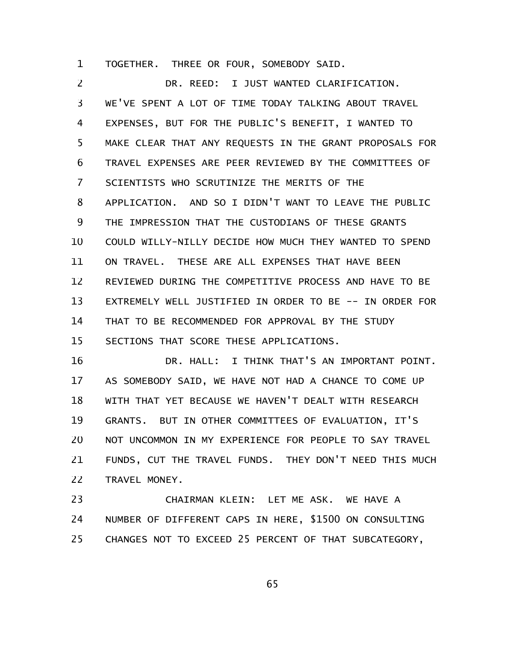TOGETHER. THREE OR FOUR, SOMEBODY SAID. 1

DR. REED: I JUST WANTED CLARIFICATION. WE'VE SPENT A LOT OF TIME TODAY TALKING ABOUT TRAVEL EXPENSES, BUT FOR THE PUBLIC'S BENEFIT, I WANTED TO MAKE CLEAR THAT ANY REQUESTS IN THE GRANT PROPOSALS FOR TRAVEL EXPENSES ARE PEER REVIEWED BY THE COMMITTEES OF SCIENTISTS WHO SCRUTINIZE THE MERITS OF THE APPLICATION. AND SO I DIDN'T WANT TO LEAVE THE PUBLIC THE IMPRESSION THAT THE CUSTODIANS OF THESE GRANTS COULD WILLY-NILLY DECIDE HOW MUCH THEY WANTED TO SPEND ON TRAVEL. THESE ARE ALL EXPENSES THAT HAVE BEEN REVIEWED DURING THE COMPETITIVE PROCESS AND HAVE TO BE EXTREMELY WELL JUSTIFIED IN ORDER TO BE -- IN ORDER FOR THAT TO BE RECOMMENDED FOR APPROVAL BY THE STUDY SECTIONS THAT SCORE THESE APPLICATIONS. 2 3 4 5 6 7 8 9 10 11 12 13 14 15

DR. HALL: I THINK THAT'S AN IMPORTANT POINT. AS SOMEBODY SAID, WE HAVE NOT HAD A CHANCE TO COME UP WITH THAT YET BECAUSE WE HAVEN'T DEALT WITH RESEARCH GRANTS. BUT IN OTHER COMMITTEES OF EVALUATION, IT'S NOT UNCOMMON IN MY EXPERIENCE FOR PEOPLE TO SAY TRAVEL FUNDS, CUT THE TRAVEL FUNDS. THEY DON'T NEED THIS MUCH TRAVEL MONEY. 16 17 18 19 20 21 22

CHAIRMAN KLEIN: LET ME ASK. WE HAVE A NUMBER OF DIFFERENT CAPS IN HERE, \$1500 ON CONSULTING CHANGES NOT TO EXCEED 25 PERCENT OF THAT SUBCATEGORY, 23 24 25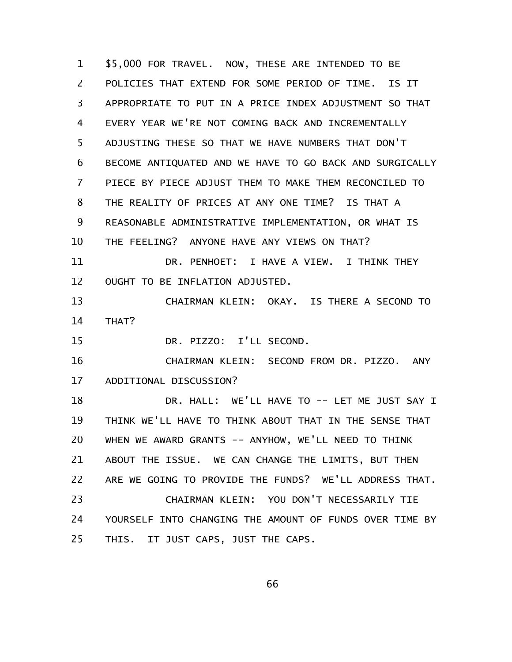\$5,000 FOR TRAVEL. NOW, THESE ARE INTENDED TO BE POLICIES THAT EXTEND FOR SOME PERIOD OF TIME. IS IT APPROPRIATE TO PUT IN A PRICE INDEX ADJUSTMENT SO THAT EVERY YEAR WE'RE NOT COMING BACK AND INCREMENTALLY ADJUSTING THESE SO THAT WE HAVE NUMBERS THAT DON'T BECOME ANTIQUATED AND WE HAVE TO GO BACK AND SURGICALLY PIECE BY PIECE ADJUST THEM TO MAKE THEM RECONCILED TO THE REALITY OF PRICES AT ANY ONE TIME? IS THAT A REASONABLE ADMINISTRATIVE IMPLEMENTATION, OR WHAT IS THE FEELING? ANYONE HAVE ANY VIEWS ON THAT? DR. PENHOET: I HAVE A VIEW. I THINK THEY OUGHT TO BE INFLATION ADJUSTED. CHAIRMAN KLEIN: OKAY. IS THERE A SECOND TO THAT? DR. PIZZO: I'LL SECOND. CHAIRMAN KLEIN: SECOND FROM DR. PIZZO. ANY ADDITIONAL DISCUSSION? DR. HALL: WE'LL HAVE TO -- LET ME JUST SAY I THINK WE'LL HAVE TO THINK ABOUT THAT IN THE SENSE THAT WHEN WE AWARD GRANTS -- ANYHOW, WE'LL NEED TO THINK ABOUT THE ISSUE. WE CAN CHANGE THE LIMITS, BUT THEN ARE WE GOING TO PROVIDE THE FUNDS? WE'LL ADDRESS THAT. 1 2 3 4 5 6 7 8 9 10 11 12 13 14 15 16 17 18 19 20 21 22

CHAIRMAN KLEIN: YOU DON'T NECESSARILY TIE YOURSELF INTO CHANGING THE AMOUNT OF FUNDS OVER TIME BY THIS. IT JUST CAPS, JUST THE CAPS. 23 24 25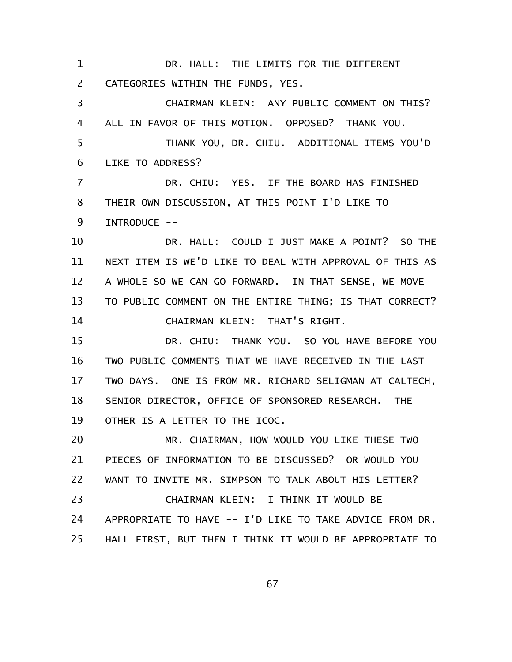DR. HALL: THE LIMITS FOR THE DIFFERENT CATEGORIES WITHIN THE FUNDS, YES. CHAIRMAN KLEIN: ANY PUBLIC COMMENT ON THIS? ALL IN FAVOR OF THIS MOTION. OPPOSED? THANK YOU. THANK YOU, DR. CHIU. ADDITIONAL ITEMS YOU'D LIKE TO ADDRESS? DR. CHIU: YES. IF THE BOARD HAS FINISHED THEIR OWN DISCUSSION, AT THIS POINT I'D LIKE TO INTRODUCE -- DR. HALL: COULD I JUST MAKE A POINT? SO THE NEXT ITEM IS WE'D LIKE TO DEAL WITH APPROVAL OF THIS AS A WHOLE SO WE CAN GO FORWARD. IN THAT SENSE, WE MOVE TO PUBLIC COMMENT ON THE ENTIRE THING; IS THAT CORRECT? CHAIRMAN KLEIN: THAT'S RIGHT. DR. CHIU: THANK YOU. SO YOU HAVE BEFORE YOU TWO PUBLIC COMMENTS THAT WE HAVE RECEIVED IN THE LAST TWO DAYS. ONE IS FROM MR. RICHARD SELIGMAN AT CALTECH, SENIOR DIRECTOR, OFFICE OF SPONSORED RESEARCH. THE OTHER IS A LETTER TO THE ICOC. MR. CHAIRMAN, HOW WOULD YOU LIKE THESE TWO PIECES OF INFORMATION TO BE DISCUSSED? OR WOULD YOU WANT TO INVITE MR. SIMPSON TO TALK ABOUT HIS LETTER? CHAIRMAN KLEIN: I THINK IT WOULD BE APPROPRIATE TO HAVE -- I'D LIKE TO TAKE ADVICE FROM DR. HALL FIRST, BUT THEN I THINK IT WOULD BE APPROPRIATE TO 1 2 3 4 5 6 7 8 9 10 11 12 13 14 15 16 17 18 19 20 21 22 23 24 25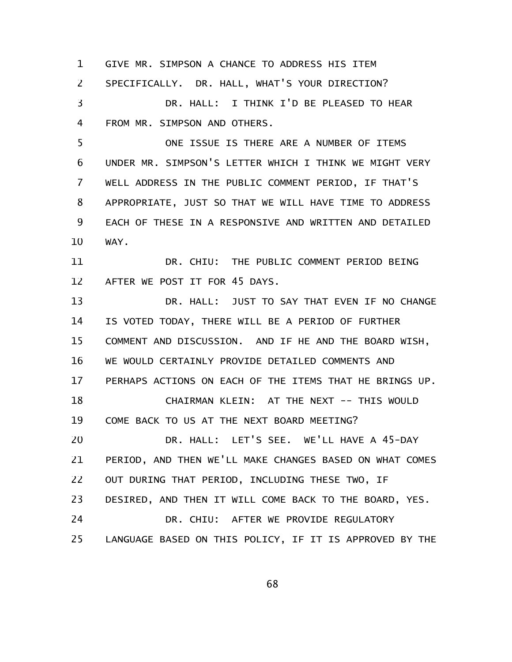GIVE MR. SIMPSON A CHANCE TO ADDRESS HIS ITEM SPECIFICALLY. DR. HALL, WHAT'S YOUR DIRECTION? DR. HALL: I THINK I'D BE PLEASED TO HEAR FROM MR. SIMPSON AND OTHERS. 1 2 3 4

ONE ISSUE IS THERE ARE A NUMBER OF ITEMS UNDER MR. SIMPSON'S LETTER WHICH I THINK WE MIGHT VERY WELL ADDRESS IN THE PUBLIC COMMENT PERIOD, IF THAT'S APPROPRIATE, JUST SO THAT WE WILL HAVE TIME TO ADDRESS EACH OF THESE IN A RESPONSIVE AND WRITTEN AND DETAILED WAY. 5 6 7 8 9 10

DR. CHIU: THE PUBLIC COMMENT PERIOD BEING AFTER WE POST IT FOR 45 DAYS. 11 12

DR. HALL: JUST TO SAY THAT EVEN IF NO CHANGE IS VOTED TODAY, THERE WILL BE A PERIOD OF FURTHER COMMENT AND DISCUSSION. AND IF HE AND THE BOARD WISH, WE WOULD CERTAINLY PROVIDE DETAILED COMMENTS AND PERHAPS ACTIONS ON EACH OF THE ITEMS THAT HE BRINGS UP. CHAIRMAN KLEIN: AT THE NEXT -- THIS WOULD COME BACK TO US AT THE NEXT BOARD MEETING? DR. HALL: LET'S SEE. WE'LL HAVE A 45-DAY PERIOD, AND THEN WE'LL MAKE CHANGES BASED ON WHAT COMES OUT DURING THAT PERIOD, INCLUDING THESE TWO, IF DESIRED, AND THEN IT WILL COME BACK TO THE BOARD, YES. DR. CHIU: AFTER WE PROVIDE REGULATORY LANGUAGE BASED ON THIS POLICY, IF IT IS APPROVED BY THE 13 14 15 16 17 18 19 20 21 22 23 24 25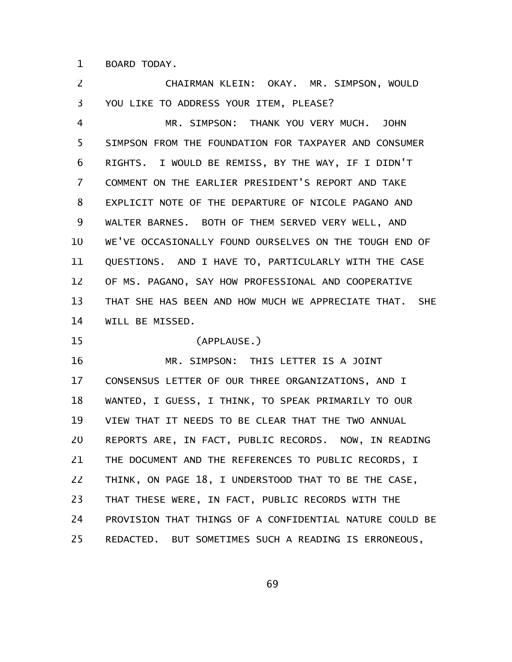BOARD TODAY. 1

CHAIRMAN KLEIN: OKAY. MR. SIMPSON, WOULD YOU LIKE TO ADDRESS YOUR ITEM, PLEASE? 2 3

MR. SIMPSON: THANK YOU VERY MUCH. JOHN SIMPSON FROM THE FOUNDATION FOR TAXPAYER AND CONSUMER RIGHTS. I WOULD BE REMISS, BY THE WAY, IF I DIDN'T COMMENT ON THE EARLIER PRESIDENT'S REPORT AND TAKE EXPLICIT NOTE OF THE DEPARTURE OF NICOLE PAGANO AND WALTER BARNES. BOTH OF THEM SERVED VERY WELL, AND WE'VE OCCASIONALLY FOUND OURSELVES ON THE TOUGH END OF QUESTIONS. AND I HAVE TO, PARTICULARLY WITH THE CASE OF MS. PAGANO, SAY HOW PROFESSIONAL AND COOPERATIVE THAT SHE HAS BEEN AND HOW MUCH WE APPRECIATE THAT. SHE WILL BE MISSED. 4 5 6 7 8 9 10 11 12 13 14

(APPLAUSE.) 15

MR. SIMPSON: THIS LETTER IS A JOINT CONSENSUS LETTER OF OUR THREE ORGANIZATIONS, AND I WANTED, I GUESS, I THINK, TO SPEAK PRIMARILY TO OUR VIEW THAT IT NEEDS TO BE CLEAR THAT THE TWO ANNUAL REPORTS ARE, IN FACT, PUBLIC RECORDS. NOW, IN READING THE DOCUMENT AND THE REFERENCES TO PUBLIC RECORDS, I THINK, ON PAGE 18, I UNDERSTOOD THAT TO BE THE CASE, THAT THESE WERE, IN FACT, PUBLIC RECORDS WITH THE PROVISION THAT THINGS OF A CONFIDENTIAL NATURE COULD BE REDACTED. BUT SOMETIMES SUCH A READING IS ERRONEOUS, 16 17 18 19 20 21 22 23 24 25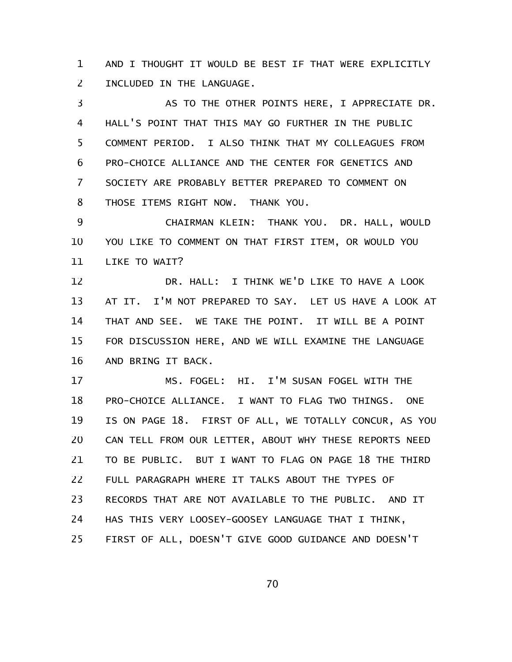AND I THOUGHT IT WOULD BE BEST IF THAT WERE EXPLICITLY INCLUDED IN THE LANGUAGE. 1 2

AS TO THE OTHER POINTS HERE, I APPRECIATE DR. HALL'S POINT THAT THIS MAY GO FURTHER IN THE PUBLIC COMMENT PERIOD. I ALSO THINK THAT MY COLLEAGUES FROM PRO-CHOICE ALLIANCE AND THE CENTER FOR GENETICS AND SOCIETY ARE PROBABLY BETTER PREPARED TO COMMENT ON THOSE ITEMS RIGHT NOW. THANK YOU. 3 4 5 6 7 8

CHAIRMAN KLEIN: THANK YOU. DR. HALL, WOULD YOU LIKE TO COMMENT ON THAT FIRST ITEM, OR WOULD YOU LIKE TO WAIT? 9 10 11

DR. HALL: I THINK WE'D LIKE TO HAVE A LOOK AT IT. I'M NOT PREPARED TO SAY. LET US HAVE A LOOK AT THAT AND SEE. WE TAKE THE POINT. IT WILL BE A POINT FOR DISCUSSION HERE, AND WE WILL EXAMINE THE LANGUAGE AND BRING IT BACK. 12 13 14 15 16

MS. FOGEL: HI. I'M SUSAN FOGEL WITH THE PRO-CHOICE ALLIANCE. I WANT TO FLAG TWO THINGS. ONE IS ON PAGE 18. FIRST OF ALL, WE TOTALLY CONCUR, AS YOU CAN TELL FROM OUR LETTER, ABOUT WHY THESE REPORTS NEED TO BE PUBLIC. BUT I WANT TO FLAG ON PAGE 18 THE THIRD FULL PARAGRAPH WHERE IT TALKS ABOUT THE TYPES OF RECORDS THAT ARE NOT AVAILABLE TO THE PUBLIC. AND IT HAS THIS VERY LOOSEY-GOOSEY LANGUAGE THAT I THINK, FIRST OF ALL, DOESN'T GIVE GOOD GUIDANCE AND DOESN'T 17 18 19 20 21 22 23 24 25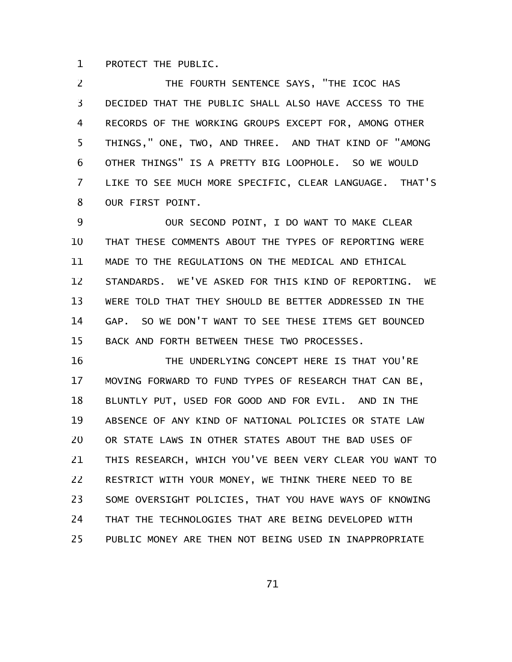PROTECT THE PUBLIC. 1

THE FOURTH SENTENCE SAYS, "THE ICOC HAS DECIDED THAT THE PUBLIC SHALL ALSO HAVE ACCESS TO THE RECORDS OF THE WORKING GROUPS EXCEPT FOR, AMONG OTHER THINGS," ONE, TWO, AND THREE. AND THAT KIND OF "AMONG OTHER THINGS" IS A PRETTY BIG LOOPHOLE. SO WE WOULD LIKE TO SEE MUCH MORE SPECIFIC, CLEAR LANGUAGE. THAT'S OUR FIRST POINT. 2 3 4 5 6 7 8

OUR SECOND POINT, I DO WANT TO MAKE CLEAR THAT THESE COMMENTS ABOUT THE TYPES OF REPORTING WERE MADE TO THE REGULATIONS ON THE MEDICAL AND ETHICAL STANDARDS. WE'VE ASKED FOR THIS KIND OF REPORTING. WE WERE TOLD THAT THEY SHOULD BE BETTER ADDRESSED IN THE GAP. SO WE DON'T WANT TO SEE THESE ITEMS GET BOUNCED BACK AND FORTH BETWEEN THESE TWO PROCESSES. 9 10 11 12 13 14 15

THE UNDERLYING CONCEPT HERE IS THAT YOU'RE MOVING FORWARD TO FUND TYPES OF RESEARCH THAT CAN BE, BLUNTLY PUT, USED FOR GOOD AND FOR EVIL. AND IN THE ABSENCE OF ANY KIND OF NATIONAL POLICIES OR STATE LAW OR STATE LAWS IN OTHER STATES ABOUT THE BAD USES OF THIS RESEARCH, WHICH YOU'VE BEEN VERY CLEAR YOU WANT TO RESTRICT WITH YOUR MONEY, WE THINK THERE NEED TO BE SOME OVERSIGHT POLICIES, THAT YOU HAVE WAYS OF KNOWING THAT THE TECHNOLOGIES THAT ARE BEING DEVELOPED WITH PUBLIC MONEY ARE THEN NOT BEING USED IN INAPPROPRIATE 16 17 18 19 20 21 22 23 24 25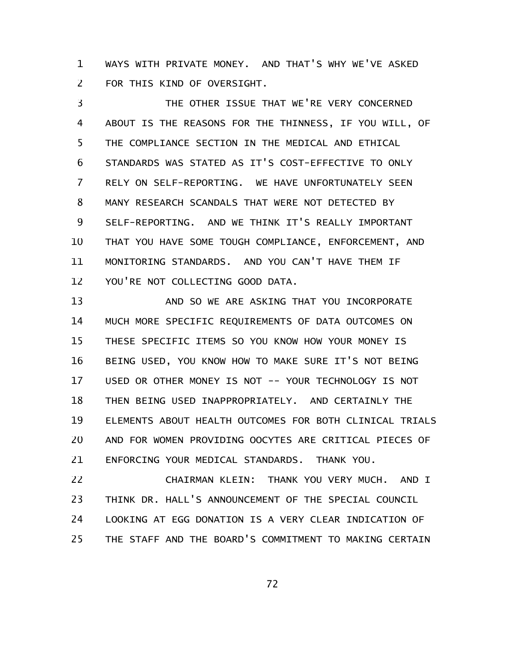WAYS WITH PRIVATE MONEY. AND THAT'S WHY WE'VE ASKED FOR THIS KIND OF OVERSIGHT. 1 2

THE OTHER ISSUE THAT WE'RE VERY CONCERNED ABOUT IS THE REASONS FOR THE THINNESS, IF YOU WILL, OF THE COMPLIANCE SECTION IN THE MEDICAL AND ETHICAL STANDARDS WAS STATED AS IT'S COST-EFFECTIVE TO ONLY RELY ON SELF-REPORTING. WE HAVE UNFORTUNATELY SEEN MANY RESEARCH SCANDALS THAT WERE NOT DETECTED BY SELF-REPORTING. AND WE THINK IT'S REALLY IMPORTANT THAT YOU HAVE SOME TOUGH COMPLIANCE, ENFORCEMENT, AND MONITORING STANDARDS. AND YOU CAN'T HAVE THEM IF YOU'RE NOT COLLECTING GOOD DATA. 3 4 5 6 7 8 9 10 11 12

AND SO WE ARE ASKING THAT YOU INCORPORATE MUCH MORE SPECIFIC REQUIREMENTS OF DATA OUTCOMES ON THESE SPECIFIC ITEMS SO YOU KNOW HOW YOUR MONEY IS BEING USED, YOU KNOW HOW TO MAKE SURE IT'S NOT BEING USED OR OTHER MONEY IS NOT -- YOUR TECHNOLOGY IS NOT THEN BEING USED INAPPROPRIATELY. AND CERTAINLY THE ELEMENTS ABOUT HEALTH OUTCOMES FOR BOTH CLINICAL TRIALS AND FOR WOMEN PROVIDING OOCYTES ARE CRITICAL PIECES OF ENFORCING YOUR MEDICAL STANDARDS. THANK YOU. 13 14 15 16 17 18 19 20 21

CHAIRMAN KLEIN: THANK YOU VERY MUCH. AND I THINK DR. HALL'S ANNOUNCEMENT OF THE SPECIAL COUNCIL LOOKING AT EGG DONATION IS A VERY CLEAR INDICATION OF THE STAFF AND THE BOARD'S COMMITMENT TO MAKING CERTAIN 22 23 24 25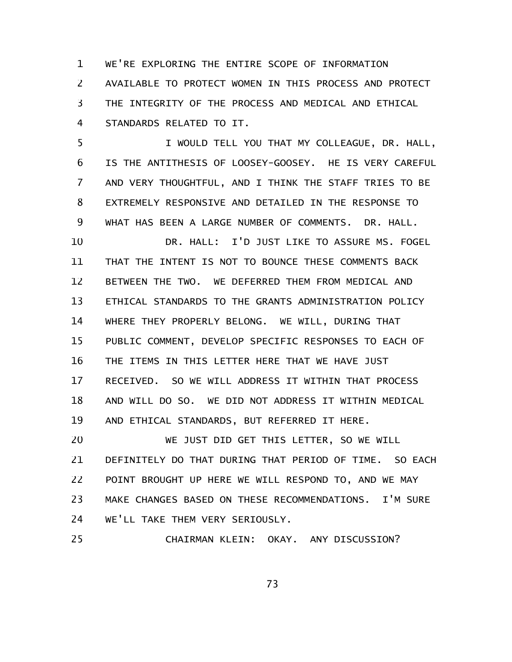WE'RE EXPLORING THE ENTIRE SCOPE OF INFORMATION AVAILABLE TO PROTECT WOMEN IN THIS PROCESS AND PROTECT THE INTEGRITY OF THE PROCESS AND MEDICAL AND ETHICAL STANDARDS RELATED TO IT. 1 2 3 4

I WOULD TELL YOU THAT MY COLLEAGUE, DR. HALL, IS THE ANTITHESIS OF LOOSEY-GOOSEY. HE IS VERY CAREFUL AND VERY THOUGHTFUL, AND I THINK THE STAFF TRIES TO BE EXTREMELY RESPONSIVE AND DETAILED IN THE RESPONSE TO WHAT HAS BEEN A LARGE NUMBER OF COMMENTS. DR. HALL. 5 6 7 8 9

DR. HALL: I'D JUST LIKE TO ASSURE MS. FOGEL THAT THE INTENT IS NOT TO BOUNCE THESE COMMENTS BACK BETWEEN THE TWO. WE DEFERRED THEM FROM MEDICAL AND ETHICAL STANDARDS TO THE GRANTS ADMINISTRATION POLICY WHERE THEY PROPERLY BELONG. WE WILL, DURING THAT PUBLIC COMMENT, DEVELOP SPECIFIC RESPONSES TO EACH OF THE ITEMS IN THIS LETTER HERE THAT WE HAVE JUST RECEIVED. SO WE WILL ADDRESS IT WITHIN THAT PROCESS AND WILL DO SO. WE DID NOT ADDRESS IT WITHIN MEDICAL AND ETHICAL STANDARDS, BUT REFERRED IT HERE. 10 11 12 13 14 15 16 17 18 19

WE JUST DID GET THIS LETTER, SO WE WILL DEFINITELY DO THAT DURING THAT PERIOD OF TIME. SO EACH POINT BROUGHT UP HERE WE WILL RESPOND TO, AND WE MAY MAKE CHANGES BASED ON THESE RECOMMENDATIONS. I'M SURE WE'LL TAKE THEM VERY SERIOUSLY. 20 21 22 23 24

CHAIRMAN KLEIN: OKAY. ANY DISCUSSION? 25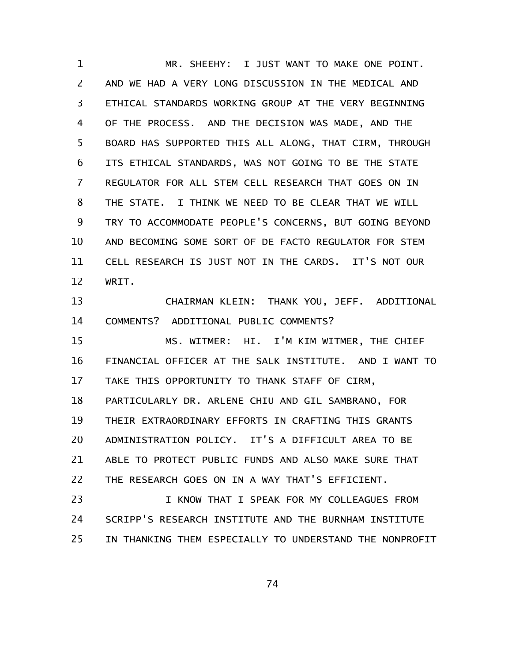MR. SHEEHY: I JUST WANT TO MAKE ONE POINT. AND WE HAD A VERY LONG DISCUSSION IN THE MEDICAL AND ETHICAL STANDARDS WORKING GROUP AT THE VERY BEGINNING OF THE PROCESS. AND THE DECISION WAS MADE, AND THE BOARD HAS SUPPORTED THIS ALL ALONG, THAT CIRM, THROUGH ITS ETHICAL STANDARDS, WAS NOT GOING TO BE THE STATE REGULATOR FOR ALL STEM CELL RESEARCH THAT GOES ON IN THE STATE. I THINK WE NEED TO BE CLEAR THAT WE WILL TRY TO ACCOMMODATE PEOPLE'S CONCERNS, BUT GOING BEYOND AND BECOMING SOME SORT OF DE FACTO REGULATOR FOR STEM CELL RESEARCH IS JUST NOT IN THE CARDS. IT'S NOT OUR WRIT. 1 2 3 4 5 6 7 8 9 10 11 12

CHAIRMAN KLEIN: THANK YOU, JEFF. ADDITIONAL COMMENTS? ADDITIONAL PUBLIC COMMENTS? 13 14

MS. WITMER: HI. I'M KIM WITMER, THE CHIEF FINANCIAL OFFICER AT THE SALK INSTITUTE. AND I WANT TO TAKE THIS OPPORTUNITY TO THANK STAFF OF CIRM, PARTICULARLY DR. ARLENE CHIU AND GIL SAMBRANO, FOR THEIR EXTRAORDINARY EFFORTS IN CRAFTING THIS GRANTS 15 16 17 18 19

ADMINISTRATION POLICY. IT'S A DIFFICULT AREA TO BE ABLE TO PROTECT PUBLIC FUNDS AND ALSO MAKE SURE THAT THE RESEARCH GOES ON IN A WAY THAT'S EFFICIENT. 20 21 22

I KNOW THAT I SPEAK FOR MY COLLEAGUES FROM SCRIPP'S RESEARCH INSTITUTE AND THE BURNHAM INSTITUTE IN THANKING THEM ESPECIALLY TO UNDERSTAND THE NONPROFIT 23 24 25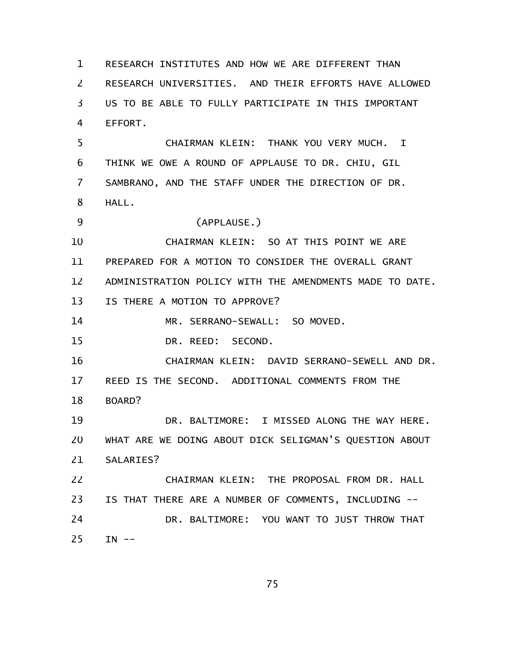RESEARCH INSTITUTES AND HOW WE ARE DIFFERENT THAN RESEARCH UNIVERSITIES. AND THEIR EFFORTS HAVE ALLOWED US TO BE ABLE TO FULLY PARTICIPATE IN THIS IMPORTANT EFFORT. CHAIRMAN KLEIN: THANK YOU VERY MUCH. I THINK WE OWE A ROUND OF APPLAUSE TO DR. CHIU, GIL SAMBRANO, AND THE STAFF UNDER THE DIRECTION OF DR. HALL. (APPLAUSE.) CHAIRMAN KLEIN: SO AT THIS POINT WE ARE PREPARED FOR A MOTION TO CONSIDER THE OVERALL GRANT ADMINISTRATION POLICY WITH THE AMENDMENTS MADE TO DATE. IS THERE A MOTION TO APPROVE? MR. SERRANO-SEWALL: SO MOVED. DR. REED: SECOND. CHAIRMAN KLEIN: DAVID SERRANO-SEWELL AND DR. REED IS THE SECOND. ADDITIONAL COMMENTS FROM THE BOARD? DR. BALTIMORE: I MISSED ALONG THE WAY HERE. WHAT ARE WE DOING ABOUT DICK SELIGMAN'S QUESTION ABOUT SALARIES? CHAIRMAN KLEIN: THE PROPOSAL FROM DR. HALL IS THAT THERE ARE A NUMBER OF COMMENTS, INCLUDING -- DR. BALTIMORE: YOU WANT TO JUST THROW THAT  $IN$   $--$ 1 2 3 4 5 6 7 8 9 10 11 12 13 14 15 16 17 18 19 20 21 22 23 24 25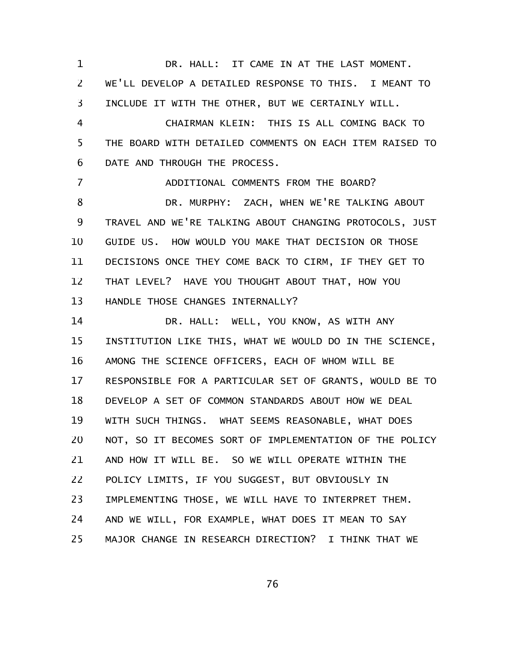DR. HALL: IT CAME IN AT THE LAST MOMENT. WE'LL DEVELOP A DETAILED RESPONSE TO THIS. I MEANT TO INCLUDE IT WITH THE OTHER, BUT WE CERTAINLY WILL. CHAIRMAN KLEIN: THIS IS ALL COMING BACK TO THE BOARD WITH DETAILED COMMENTS ON EACH ITEM RAISED TO DATE AND THROUGH THE PROCESS. ADDITIONAL COMMENTS FROM THE BOARD? DR. MURPHY: ZACH, WHEN WE'RE TALKING ABOUT TRAVEL AND WE'RE TALKING ABOUT CHANGING PROTOCOLS, JUST GUIDE US. HOW WOULD YOU MAKE THAT DECISION OR THOSE DECISIONS ONCE THEY COME BACK TO CIRM, IF THEY GET TO THAT LEVEL? HAVE YOU THOUGHT ABOUT THAT, HOW YOU HANDLE THOSE CHANGES INTERNALLY? DR. HALL: WELL, YOU KNOW, AS WITH ANY INSTITUTION LIKE THIS, WHAT WE WOULD DO IN THE SCIENCE, AMONG THE SCIENCE OFFICERS, EACH OF WHOM WILL BE RESPONSIBLE FOR A PARTICULAR SET OF GRANTS, WOULD BE TO DEVELOP A SET OF COMMON STANDARDS ABOUT HOW WE DEAL WITH SUCH THINGS. WHAT SEEMS REASONABLE, WHAT DOES NOT, SO IT BECOMES SORT OF IMPLEMENTATION OF THE POLICY AND HOW IT WILL BE. SO WE WILL OPERATE WITHIN THE POLICY LIMITS, IF YOU SUGGEST, BUT OBVIOUSLY IN IMPLEMENTING THOSE, WE WILL HAVE TO INTERPRET THEM. AND WE WILL, FOR EXAMPLE, WHAT DOES IT MEAN TO SAY MAJOR CHANGE IN RESEARCH DIRECTION? I THINK THAT WE 1 2 3 4 5 6 7 8 9 10 11 12 13 14 15 16 17 18 19 20 21 22 23 24 25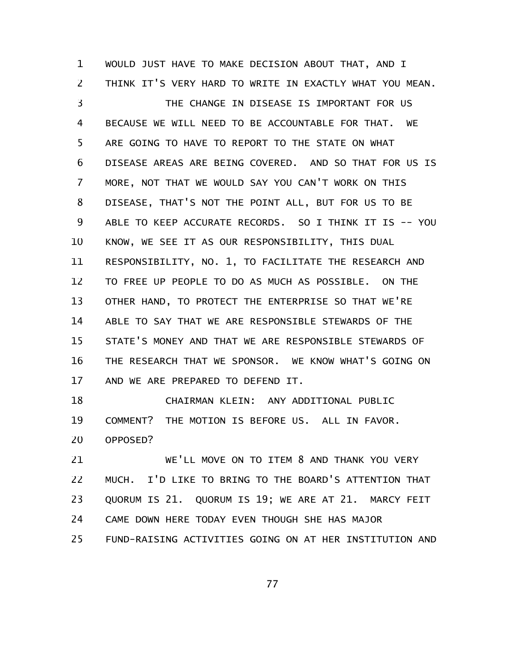WOULD JUST HAVE TO MAKE DECISION ABOUT THAT, AND I THINK IT'S VERY HARD TO WRITE IN EXACTLY WHAT YOU MEAN. THE CHANGE IN DISEASE IS IMPORTANT FOR US BECAUSE WE WILL NEED TO BE ACCOUNTABLE FOR THAT. WE ARE GOING TO HAVE TO REPORT TO THE STATE ON WHAT DISEASE AREAS ARE BEING COVERED. AND SO THAT FOR US IS MORE, NOT THAT WE WOULD SAY YOU CAN'T WORK ON THIS DISEASE, THAT'S NOT THE POINT ALL, BUT FOR US TO BE ABLE TO KEEP ACCURATE RECORDS. SO I THINK IT IS -- YOU KNOW, WE SEE IT AS OUR RESPONSIBILITY, THIS DUAL RESPONSIBILITY, NO. 1, TO FACILITATE THE RESEARCH AND TO FREE UP PEOPLE TO DO AS MUCH AS POSSIBLE. ON THE OTHER HAND, TO PROTECT THE ENTERPRISE SO THAT WE'RE ABLE TO SAY THAT WE ARE RESPONSIBLE STEWARDS OF THE STATE'S MONEY AND THAT WE ARE RESPONSIBLE STEWARDS OF THE RESEARCH THAT WE SPONSOR. WE KNOW WHAT'S GOING ON AND WE ARE PREPARED TO DEFEND IT. 1 2 3 4 5 6 7 8 9 10 11 12 13 14 15 16 17

CHAIRMAN KLEIN: ANY ADDITIONAL PUBLIC COMMENT? THE MOTION IS BEFORE US. ALL IN FAVOR. OPPOSED? 18 19 20

WE'LL MOVE ON TO ITEM 8 AND THANK YOU VERY MUCH. I'D LIKE TO BRING TO THE BOARD'S ATTENTION THAT QUORUM IS 21. QUORUM IS 19; WE ARE AT 21. MARCY FEIT CAME DOWN HERE TODAY EVEN THOUGH SHE HAS MAJOR FUND-RAISING ACTIVITIES GOING ON AT HER INSTITUTION AND 21 22 23 24 25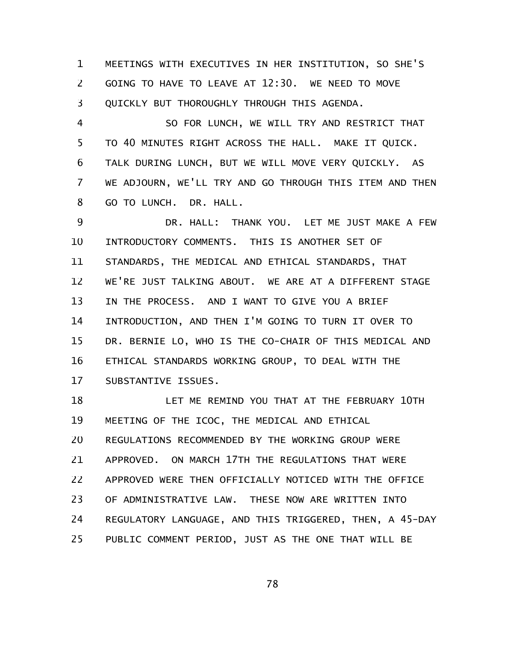MEETINGS WITH EXECUTIVES IN HER INSTITUTION, SO SHE'S GOING TO HAVE TO LEAVE AT 12:30. WE NEED TO MOVE QUICKLY BUT THOROUGHLY THROUGH THIS AGENDA. 1 2 3

SO FOR LUNCH, WE WILL TRY AND RESTRICT THAT TO 40 MINUTES RIGHT ACROSS THE HALL. MAKE IT QUICK. TALK DURING LUNCH, BUT WE WILL MOVE VERY QUICKLY. AS WE ADJOURN, WE'LL TRY AND GO THROUGH THIS ITEM AND THEN GO TO LUNCH. DR. HALL. 4 5 6 7 8

DR. HALL: THANK YOU. LET ME JUST MAKE A FEW INTRODUCTORY COMMENTS. THIS IS ANOTHER SET OF STANDARDS, THE MEDICAL AND ETHICAL STANDARDS, THAT WE'RE JUST TALKING ABOUT. WE ARE AT A DIFFERENT STAGE IN THE PROCESS. AND I WANT TO GIVE YOU A BRIEF INTRODUCTION, AND THEN I'M GOING TO TURN IT OVER TO DR. BERNIE LO, WHO IS THE CO-CHAIR OF THIS MEDICAL AND ETHICAL STANDARDS WORKING GROUP, TO DEAL WITH THE SUBSTANTIVE ISSUES. 9 10 11 12 13 14 15 16 17

LET ME REMIND YOU THAT AT THE FEBRUARY 10TH MEETING OF THE ICOC, THE MEDICAL AND ETHICAL REGULATIONS RECOMMENDED BY THE WORKING GROUP WERE APPROVED. ON MARCH 17TH THE REGULATIONS THAT WERE APPROVED WERE THEN OFFICIALLY NOTICED WITH THE OFFICE OF ADMINISTRATIVE LAW. THESE NOW ARE WRITTEN INTO REGULATORY LANGUAGE, AND THIS TRIGGERED, THEN, A 45-DAY PUBLIC COMMENT PERIOD, JUST AS THE ONE THAT WILL BE 18 19 20 21 22 23 24 25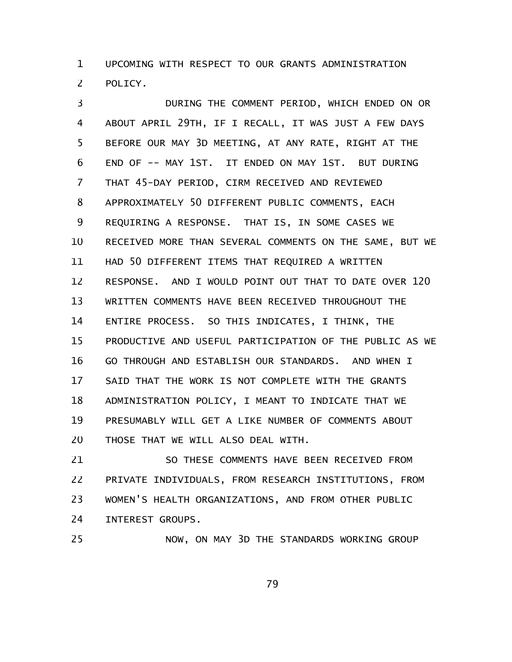UPCOMING WITH RESPECT TO OUR GRANTS ADMINISTRATION POLICY. 1 2

DURING THE COMMENT PERIOD, WHICH ENDED ON OR ABOUT APRIL 29TH, IF I RECALL, IT WAS JUST A FEW DAYS BEFORE OUR MAY 3D MEETING, AT ANY RATE, RIGHT AT THE END OF -- MAY 1ST. IT ENDED ON MAY 1ST. BUT DURING THAT 45-DAY PERIOD, CIRM RECEIVED AND REVIEWED APPROXIMATELY 50 DIFFERENT PUBLIC COMMENTS, EACH REQUIRING A RESPONSE. THAT IS, IN SOME CASES WE RECEIVED MORE THAN SEVERAL COMMENTS ON THE SAME, BUT WE HAD 50 DIFFERENT ITEMS THAT REQUIRED A WRITTEN RESPONSE. AND I WOULD POINT OUT THAT TO DATE OVER 120 WRITTEN COMMENTS HAVE BEEN RECEIVED THROUGHOUT THE ENTIRE PROCESS. SO THIS INDICATES, I THINK, THE PRODUCTIVE AND USEFUL PARTICIPATION OF THE PUBLIC AS WE GO THROUGH AND ESTABLISH OUR STANDARDS. AND WHEN I SAID THAT THE WORK IS NOT COMPLETE WITH THE GRANTS ADMINISTRATION POLICY, I MEANT TO INDICATE THAT WE PRESUMABLY WILL GET A LIKE NUMBER OF COMMENTS ABOUT THOSE THAT WE WILL ALSO DEAL WITH. 3 4 5 6 7 8 9 10 11 12 13 14 15 16 17 18 19 20

SO THESE COMMENTS HAVE BEEN RECEIVED FROM PRIVATE INDIVIDUALS, FROM RESEARCH INSTITUTIONS, FROM WOMEN'S HEALTH ORGANIZATIONS, AND FROM OTHER PUBLIC INTEREST GROUPS. 21 22 23 24

25

NOW, ON MAY 3D THE STANDARDS WORKING GROUP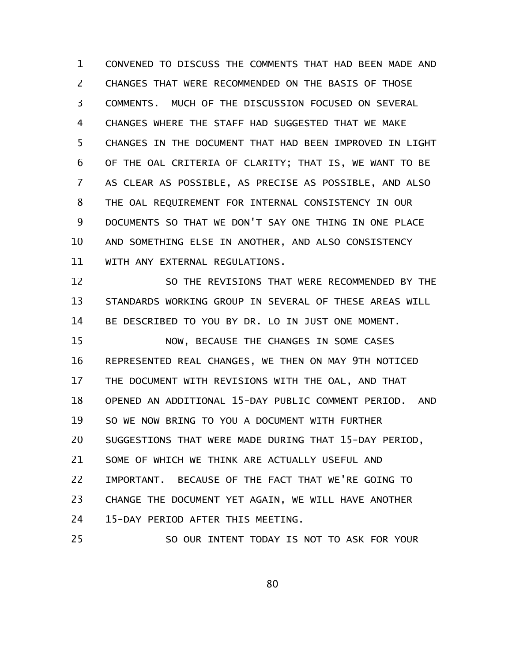CONVENED TO DISCUSS THE COMMENTS THAT HAD BEEN MADE AND CHANGES THAT WERE RECOMMENDED ON THE BASIS OF THOSE COMMENTS. MUCH OF THE DISCUSSION FOCUSED ON SEVERAL CHANGES WHERE THE STAFF HAD SUGGESTED THAT WE MAKE CHANGES IN THE DOCUMENT THAT HAD BEEN IMPROVED IN LIGHT OF THE OAL CRITERIA OF CLARITY; THAT IS, WE WANT TO BE AS CLEAR AS POSSIBLE, AS PRECISE AS POSSIBLE, AND ALSO THE OAL REQUIREMENT FOR INTERNAL CONSISTENCY IN OUR DOCUMENTS SO THAT WE DON'T SAY ONE THING IN ONE PLACE AND SOMETHING ELSE IN ANOTHER, AND ALSO CONSISTENCY WITH ANY EXTERNAL REGULATIONS. 1 2 3 4 5 6 7 8 9 10 11

SO THE REVISIONS THAT WERE RECOMMENDED BY THE STANDARDS WORKING GROUP IN SEVERAL OF THESE AREAS WILL BE DESCRIBED TO YOU BY DR. LO IN JUST ONE MOMENT. NOW, BECAUSE THE CHANGES IN SOME CASES REPRESENTED REAL CHANGES, WE THEN ON MAY 9TH NOTICED THE DOCUMENT WITH REVISIONS WITH THE OAL, AND THAT OPENED AN ADDITIONAL 15-DAY PUBLIC COMMENT PERIOD. AND SO WE NOW BRING TO YOU A DOCUMENT WITH FURTHER SUGGESTIONS THAT WERE MADE DURING THAT 15-DAY PERIOD, SOME OF WHICH WE THINK ARE ACTUALLY USEFUL AND IMPORTANT. BECAUSE OF THE FACT THAT WE'RE GOING TO CHANGE THE DOCUMENT YET AGAIN, WE WILL HAVE ANOTHER 15-DAY PERIOD AFTER THIS MEETING. SO OUR INTENT TODAY IS NOT TO ASK FOR YOUR 12 13 14 15 16 17 18 19 20 21 22 23 24 25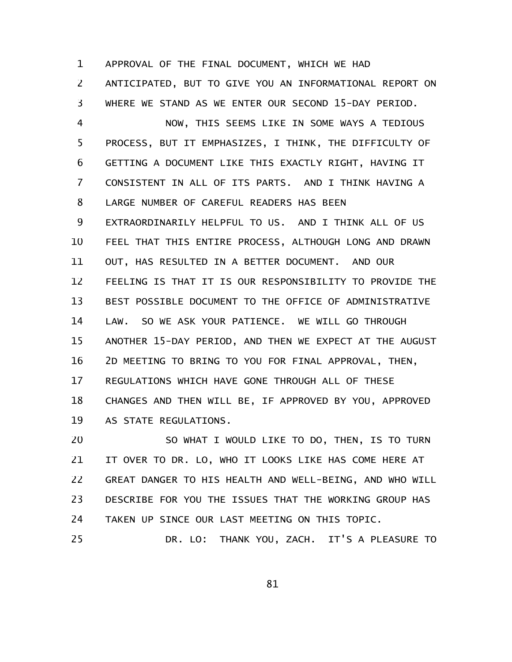APPROVAL OF THE FINAL DOCUMENT, WHICH WE HAD ANTICIPATED, BUT TO GIVE YOU AN INFORMATIONAL REPORT ON WHERE WE STAND AS WE ENTER OUR SECOND 15-DAY PERIOD. 1 2 3

NOW, THIS SEEMS LIKE IN SOME WAYS A TEDIOUS PROCESS, BUT IT EMPHASIZES, I THINK, THE DIFFICULTY OF GETTING A DOCUMENT LIKE THIS EXACTLY RIGHT, HAVING IT CONSISTENT IN ALL OF ITS PARTS. AND I THINK HAVING A LARGE NUMBER OF CAREFUL READERS HAS BEEN EXTRAORDINARILY HELPFUL TO US. AND I THINK ALL OF US FEEL THAT THIS ENTIRE PROCESS, ALTHOUGH LONG AND DRAWN OUT, HAS RESULTED IN A BETTER DOCUMENT. AND OUR FEELING IS THAT IT IS OUR RESPONSIBILITY TO PROVIDE THE BEST POSSIBLE DOCUMENT TO THE OFFICE OF ADMINISTRATIVE LAW. SO WE ASK YOUR PATIENCE. WE WILL GO THROUGH ANOTHER 15-DAY PERIOD, AND THEN WE EXPECT AT THE AUGUST 2D MEETING TO BRING TO YOU FOR FINAL APPROVAL, THEN, REGULATIONS WHICH HAVE GONE THROUGH ALL OF THESE CHANGES AND THEN WILL BE, IF APPROVED BY YOU, APPROVED AS STATE REGULATIONS. 4 5 6 7 8 9 10 11 12 13 14 15 16 17 18 19

SO WHAT I WOULD LIKE TO DO, THEN, IS TO TURN IT OVER TO DR. LO, WHO IT LOOKS LIKE HAS COME HERE AT GREAT DANGER TO HIS HEALTH AND WELL-BEING, AND WHO WILL DESCRIBE FOR YOU THE ISSUES THAT THE WORKING GROUP HAS TAKEN UP SINCE OUR LAST MEETING ON THIS TOPIC. DR. LO: THANK YOU, ZACH. IT'S A PLEASURE TO 20 21 22 23 24 25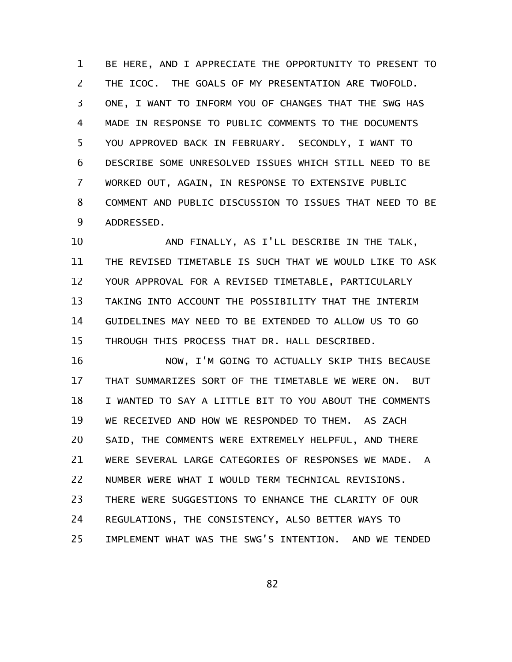BE HERE, AND I APPRECIATE THE OPPORTUNITY TO PRESENT TO THE ICOC. THE GOALS OF MY PRESENTATION ARE TWOFOLD. ONE, I WANT TO INFORM YOU OF CHANGES THAT THE SWG HAS MADE IN RESPONSE TO PUBLIC COMMENTS TO THE DOCUMENTS YOU APPROVED BACK IN FEBRUARY. SECONDLY, I WANT TO DESCRIBE SOME UNRESOLVED ISSUES WHICH STILL NEED TO BE WORKED OUT, AGAIN, IN RESPONSE TO EXTENSIVE PUBLIC COMMENT AND PUBLIC DISCUSSION TO ISSUES THAT NEED TO BE ADDRESSED. 1 2 3 4 5 6 7 8 9

AND FINALLY, AS I'LL DESCRIBE IN THE TALK, THE REVISED TIMETABLE IS SUCH THAT WE WOULD LIKE TO ASK YOUR APPROVAL FOR A REVISED TIMETABLE, PARTICULARLY TAKING INTO ACCOUNT THE POSSIBILITY THAT THE INTERIM GUIDELINES MAY NEED TO BE EXTENDED TO ALLOW US TO GO THROUGH THIS PROCESS THAT DR. HALL DESCRIBED. 10 11 12 13 14 15

NOW, I'M GOING TO ACTUALLY SKIP THIS BECAUSE THAT SUMMARIZES SORT OF THE TIMETABLE WE WERE ON. BUT I WANTED TO SAY A LITTLE BIT TO YOU ABOUT THE COMMENTS WE RECEIVED AND HOW WE RESPONDED TO THEM. AS ZACH SAID, THE COMMENTS WERE EXTREMELY HELPFUL, AND THERE WERE SEVERAL LARGE CATEGORIES OF RESPONSES WE MADE. A NUMBER WERE WHAT I WOULD TERM TECHNICAL REVISIONS. THERE WERE SUGGESTIONS TO ENHANCE THE CLARITY OF OUR REGULATIONS, THE CONSISTENCY, ALSO BETTER WAYS TO IMPLEMENT WHAT WAS THE SWG'S INTENTION. AND WE TENDED 16 17 18 19 20 21 22 23 24 25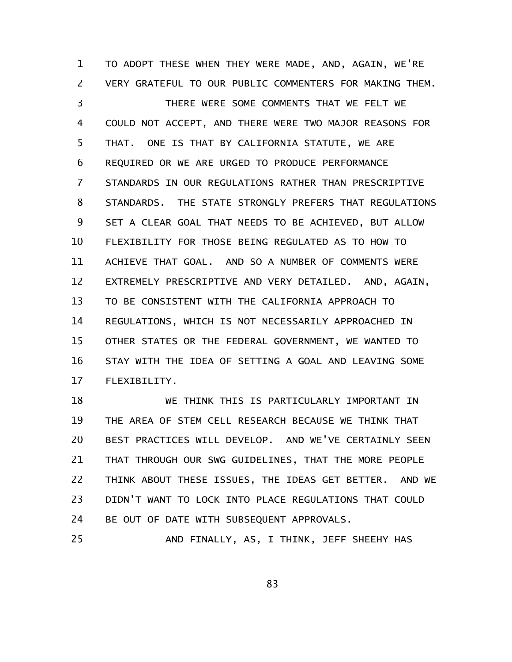TO ADOPT THESE WHEN THEY WERE MADE, AND, AGAIN, WE'RE VERY GRATEFUL TO OUR PUBLIC COMMENTERS FOR MAKING THEM. THERE WERE SOME COMMENTS THAT WE FELT WE COULD NOT ACCEPT, AND THERE WERE TWO MAJOR REASONS FOR THAT. ONE IS THAT BY CALIFORNIA STATUTE, WE ARE REQUIRED OR WE ARE URGED TO PRODUCE PERFORMANCE STANDARDS IN OUR REGULATIONS RATHER THAN PRESCRIPTIVE STANDARDS. THE STATE STRONGLY PREFERS THAT REGULATIONS SET A CLEAR GOAL THAT NEEDS TO BE ACHIEVED, BUT ALLOW FLEXIBILITY FOR THOSE BEING REGULATED AS TO HOW TO ACHIEVE THAT GOAL. AND SO A NUMBER OF COMMENTS WERE EXTREMELY PRESCRIPTIVE AND VERY DETAILED. AND, AGAIN, TO BE CONSISTENT WITH THE CALIFORNIA APPROACH TO REGULATIONS, WHICH IS NOT NECESSARILY APPROACHED IN OTHER STATES OR THE FEDERAL GOVERNMENT, WE WANTED TO STAY WITH THE IDEA OF SETTING A GOAL AND LEAVING SOME FLEXIBILITY. 1 2 3 4 5 6 7 8 9 10 11 12 13 14 15 16 17

WE THINK THIS IS PARTICULARLY IMPORTANT IN THE AREA OF STEM CELL RESEARCH BECAUSE WE THINK THAT BEST PRACTICES WILL DEVELOP. AND WE'VE CERTAINLY SEEN THAT THROUGH OUR SWG GUIDELINES, THAT THE MORE PEOPLE THINK ABOUT THESE ISSUES, THE IDEAS GET BETTER. AND WE DIDN'T WANT TO LOCK INTO PLACE REGULATIONS THAT COULD BE OUT OF DATE WITH SUBSEQUENT APPROVALS. 18 19 20 21 22 23 24

AND FINALLY, AS, I THINK, JEFF SHEEHY HAS 25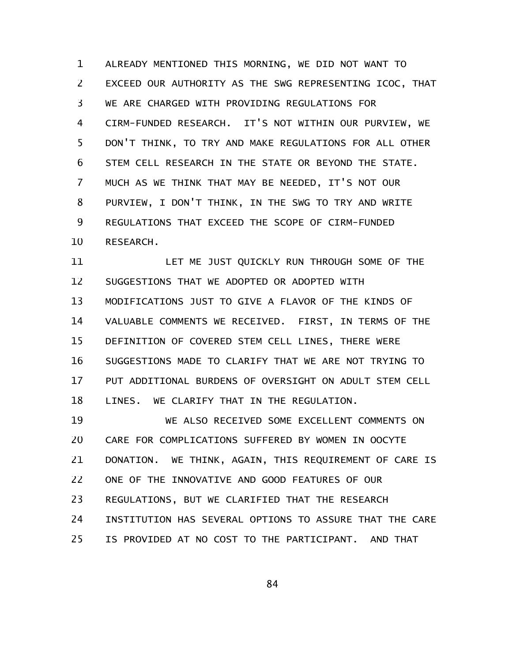ALREADY MENTIONED THIS MORNING, WE DID NOT WANT TO EXCEED OUR AUTHORITY AS THE SWG REPRESENTING ICOC, THAT WE ARE CHARGED WITH PROVIDING REGULATIONS FOR CIRM-FUNDED RESEARCH. IT'S NOT WITHIN OUR PURVIEW, WE DON'T THINK, TO TRY AND MAKE REGULATIONS FOR ALL OTHER STEM CELL RESEARCH IN THE STATE OR BEYOND THE STATE. MUCH AS WE THINK THAT MAY BE NEEDED, IT'S NOT OUR PURVIEW, I DON'T THINK, IN THE SWG TO TRY AND WRITE REGULATIONS THAT EXCEED THE SCOPE OF CIRM-FUNDED RESEARCH. 1 2 3 4 5 6 7 8 9 10

LET ME JUST QUICKLY RUN THROUGH SOME OF THE SUGGESTIONS THAT WE ADOPTED OR ADOPTED WITH MODIFICATIONS JUST TO GIVE A FLAVOR OF THE KINDS OF VALUABLE COMMENTS WE RECEIVED. FIRST, IN TERMS OF THE DEFINITION OF COVERED STEM CELL LINES, THERE WERE SUGGESTIONS MADE TO CLARIFY THAT WE ARE NOT TRYING TO PUT ADDITIONAL BURDENS OF OVERSIGHT ON ADULT STEM CELL LINES. WE CLARIFY THAT IN THE REGULATION. 11 12 13 14 15 16 17 18

WE ALSO RECEIVED SOME EXCELLENT COMMENTS ON CARE FOR COMPLICATIONS SUFFERED BY WOMEN IN OOCYTE DONATION. WE THINK, AGAIN, THIS REQUIREMENT OF CARE IS ONE OF THE INNOVATIVE AND GOOD FEATURES OF OUR REGULATIONS, BUT WE CLARIFIED THAT THE RESEARCH INSTITUTION HAS SEVERAL OPTIONS TO ASSURE THAT THE CARE IS PROVIDED AT NO COST TO THE PARTICIPANT. AND THAT 19 20 21 22 23 24 25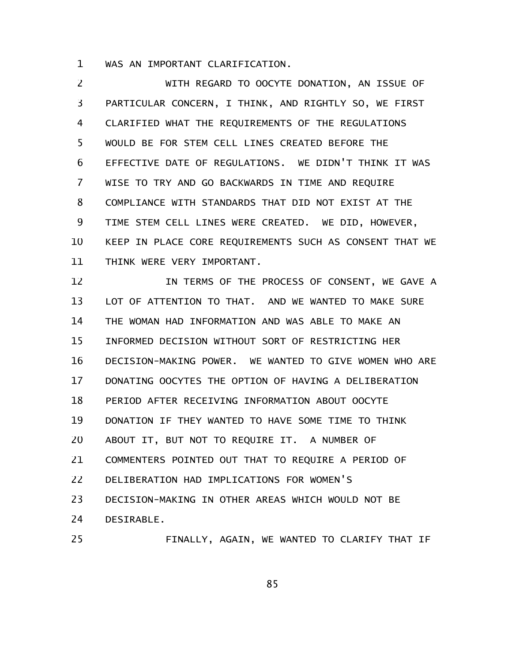WAS AN IMPORTANT CLARIFICATION. 1

WITH REGARD TO OOCYTE DONATION, AN ISSUE OF PARTICULAR CONCERN, I THINK, AND RIGHTLY SO, WE FIRST CLARIFIED WHAT THE REQUIREMENTS OF THE REGULATIONS WOULD BE FOR STEM CELL LINES CREATED BEFORE THE EFFECTIVE DATE OF REGULATIONS. WE DIDN'T THINK IT WAS WISE TO TRY AND GO BACKWARDS IN TIME AND REQUIRE COMPLIANCE WITH STANDARDS THAT DID NOT EXIST AT THE TIME STEM CELL LINES WERE CREATED. WE DID, HOWEVER, KEEP IN PLACE CORE REQUIREMENTS SUCH AS CONSENT THAT WE THINK WERE VERY IMPORTANT. 2 3 4 5 6 7 8 9 10 11

IN TERMS OF THE PROCESS OF CONSENT, WE GAVE A LOT OF ATTENTION TO THAT. AND WE WANTED TO MAKE SURE THE WOMAN HAD INFORMATION AND WAS ABLE TO MAKE AN INFORMED DECISION WITHOUT SORT OF RESTRICTING HER DECISION-MAKING POWER. WE WANTED TO GIVE WOMEN WHO ARE DONATING OOCYTES THE OPTION OF HAVING A DELIBERATION PERIOD AFTER RECEIVING INFORMATION ABOUT OOCYTE DONATION IF THEY WANTED TO HAVE SOME TIME TO THINK ABOUT IT, BUT NOT TO REQUIRE IT. A NUMBER OF COMMENTERS POINTED OUT THAT TO REQUIRE A PERIOD OF DELIBERATION HAD IMPLICATIONS FOR WOMEN'S DECISION-MAKING IN OTHER AREAS WHICH WOULD NOT BE DESIRABLE. FINALLY, AGAIN, WE WANTED TO CLARIFY THAT IF 12 13 14 15 16 17 18 19 20 21 22 23 24 25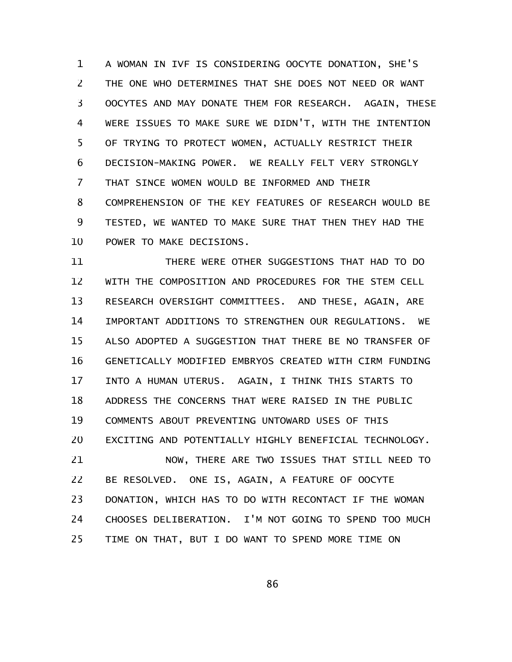A WOMAN IN IVF IS CONSIDERING OOCYTE DONATION, SHE'S THE ONE WHO DETERMINES THAT SHE DOES NOT NEED OR WANT OOCYTES AND MAY DONATE THEM FOR RESEARCH. AGAIN, THESE WERE ISSUES TO MAKE SURE WE DIDN'T, WITH THE INTENTION OF TRYING TO PROTECT WOMEN, ACTUALLY RESTRICT THEIR DECISION-MAKING POWER. WE REALLY FELT VERY STRONGLY THAT SINCE WOMEN WOULD BE INFORMED AND THEIR COMPREHENSION OF THE KEY FEATURES OF RESEARCH WOULD BE TESTED, WE WANTED TO MAKE SURE THAT THEN THEY HAD THE POWER TO MAKE DECISIONS. 1 2 3 4 5 6 7 8 9 10

THERE WERE OTHER SUGGESTIONS THAT HAD TO DO WITH THE COMPOSITION AND PROCEDURES FOR THE STEM CELL RESEARCH OVERSIGHT COMMITTEES. AND THESE, AGAIN, ARE IMPORTANT ADDITIONS TO STRENGTHEN OUR REGULATIONS. WE ALSO ADOPTED A SUGGESTION THAT THERE BE NO TRANSFER OF GENETICALLY MODIFIED EMBRYOS CREATED WITH CIRM FUNDING INTO A HUMAN UTERUS. AGAIN, I THINK THIS STARTS TO ADDRESS THE CONCERNS THAT WERE RAISED IN THE PUBLIC COMMENTS ABOUT PREVENTING UNTOWARD USES OF THIS EXCITING AND POTENTIALLY HIGHLY BENEFICIAL TECHNOLOGY. NOW, THERE ARE TWO ISSUES THAT STILL NEED TO BE RESOLVED. ONE IS, AGAIN, A FEATURE OF OOCYTE DONATION, WHICH HAS TO DO WITH RECONTACT IF THE WOMAN CHOOSES DELIBERATION. I'M NOT GOING TO SPEND TOO MUCH 11 12 13 14 15 16 17 18 19 20 21 22 23 24

TIME ON THAT, BUT I DO WANT TO SPEND MORE TIME ON 25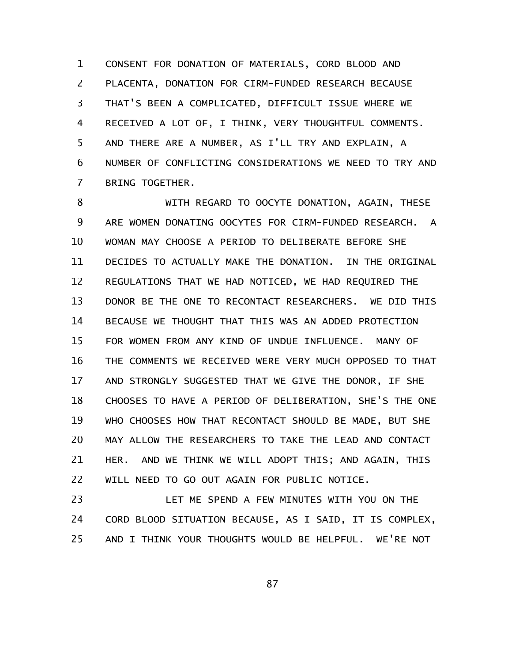CONSENT FOR DONATION OF MATERIALS, CORD BLOOD AND PLACENTA, DONATION FOR CIRM-FUNDED RESEARCH BECAUSE THAT'S BEEN A COMPLICATED, DIFFICULT ISSUE WHERE WE RECEIVED A LOT OF, I THINK, VERY THOUGHTFUL COMMENTS. AND THERE ARE A NUMBER, AS I'LL TRY AND EXPLAIN, A NUMBER OF CONFLICTING CONSIDERATIONS WE NEED TO TRY AND BRING TOGETHER. 1 2 3 4 5 6 7

WITH REGARD TO OOCYTE DONATION, AGAIN, THESE ARE WOMEN DONATING OOCYTES FOR CIRM-FUNDED RESEARCH. A WOMAN MAY CHOOSE A PERIOD TO DELIBERATE BEFORE SHE DECIDES TO ACTUALLY MAKE THE DONATION. IN THE ORIGINAL REGULATIONS THAT WE HAD NOTICED, WE HAD REQUIRED THE DONOR BE THE ONE TO RECONTACT RESEARCHERS. WE DID THIS BECAUSE WE THOUGHT THAT THIS WAS AN ADDED PROTECTION FOR WOMEN FROM ANY KIND OF UNDUE INFLUENCE. MANY OF THE COMMENTS WE RECEIVED WERE VERY MUCH OPPOSED TO THAT AND STRONGLY SUGGESTED THAT WE GIVE THE DONOR, IF SHE CHOOSES TO HAVE A PERIOD OF DELIBERATION, SHE'S THE ONE WHO CHOOSES HOW THAT RECONTACT SHOULD BE MADE, BUT SHE MAY ALLOW THE RESEARCHERS TO TAKE THE LEAD AND CONTACT HER. AND WE THINK WE WILL ADOPT THIS; AND AGAIN, THIS WILL NEED TO GO OUT AGAIN FOR PUBLIC NOTICE. 8 9 10 11 12 13 14 15 16 17 18 19 20 21 22

LET ME SPEND A FEW MINUTES WITH YOU ON THE CORD BLOOD SITUATION BECAUSE, AS I SAID, IT IS COMPLEX, AND I THINK YOUR THOUGHTS WOULD BE HELPFUL. WE'RE NOT 23 24 25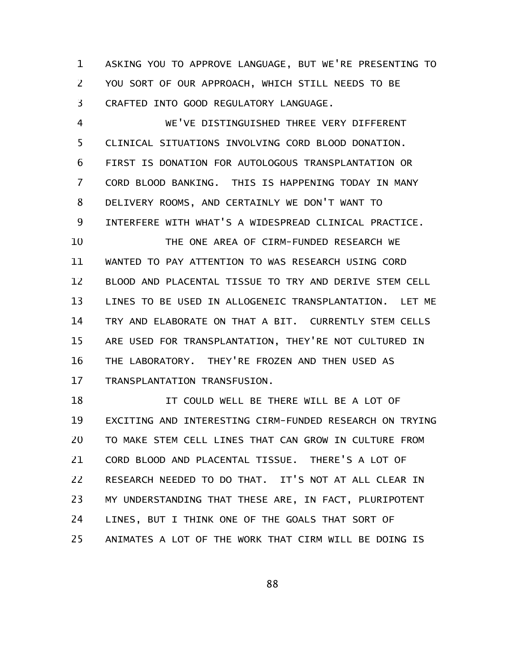ASKING YOU TO APPROVE LANGUAGE, BUT WE'RE PRESENTING TO YOU SORT OF OUR APPROACH, WHICH STILL NEEDS TO BE CRAFTED INTO GOOD REGULATORY LANGUAGE. 1 2 3

WE'VE DISTINGUISHED THREE VERY DIFFERENT CLINICAL SITUATIONS INVOLVING CORD BLOOD DONATION. FIRST IS DONATION FOR AUTOLOGOUS TRANSPLANTATION OR CORD BLOOD BANKING. THIS IS HAPPENING TODAY IN MANY DELIVERY ROOMS, AND CERTAINLY WE DON'T WANT TO INTERFERE WITH WHAT'S A WIDESPREAD CLINICAL PRACTICE. THE ONE AREA OF CIRM-FUNDED RESEARCH WE WANTED TO PAY ATTENTION TO WAS RESEARCH USING CORD BLOOD AND PLACENTAL TISSUE TO TRY AND DERIVE STEM CELL LINES TO BE USED IN ALLOGENEIC TRANSPLANTATION. LET ME TRY AND ELABORATE ON THAT A BIT. CURRENTLY STEM CELLS ARE USED FOR TRANSPLANTATION, THEY'RE NOT CULTURED IN THE LABORATORY. THEY'RE FROZEN AND THEN USED AS TRANSPLANTATION TRANSFUSION. 4 5 6 7 8 9 10 11 12 13 14 15 16 17

IT COULD WELL BE THERE WILL BE A LOT OF EXCITING AND INTERESTING CIRM-FUNDED RESEARCH ON TRYING TO MAKE STEM CELL LINES THAT CAN GROW IN CULTURE FROM CORD BLOOD AND PLACENTAL TISSUE. THERE'S A LOT OF RESEARCH NEEDED TO DO THAT. IT'S NOT AT ALL CLEAR IN MY UNDERSTANDING THAT THESE ARE, IN FACT, PLURIPOTENT LINES, BUT I THINK ONE OF THE GOALS THAT SORT OF ANIMATES A LOT OF THE WORK THAT CIRM WILL BE DOING IS 18 19 20 21 22 23 24 25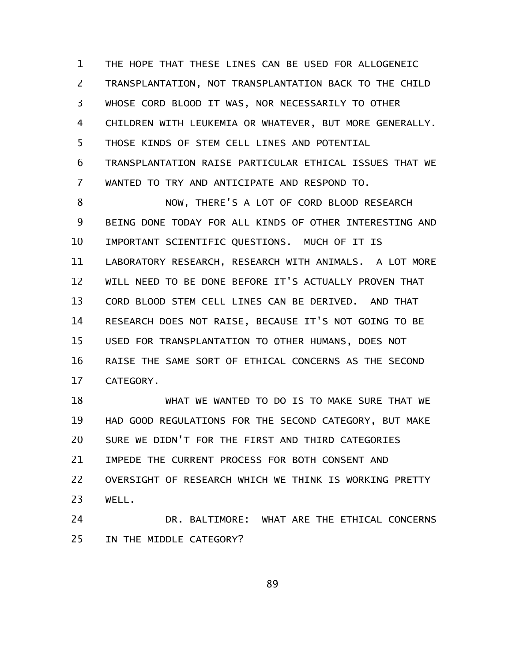THE HOPE THAT THESE LINES CAN BE USED FOR ALLOGENEIC TRANSPLANTATION, NOT TRANSPLANTATION BACK TO THE CHILD WHOSE CORD BLOOD IT WAS, NOR NECESSARILY TO OTHER CHILDREN WITH LEUKEMIA OR WHATEVER, BUT MORE GENERALLY. THOSE KINDS OF STEM CELL LINES AND POTENTIAL TRANSPLANTATION RAISE PARTICULAR ETHICAL ISSUES THAT WE WANTED TO TRY AND ANTICIPATE AND RESPOND TO. 1 2 3 4 5 6 7

NOW, THERE'S A LOT OF CORD BLOOD RESEARCH BEING DONE TODAY FOR ALL KINDS OF OTHER INTERESTING AND IMPORTANT SCIENTIFIC QUESTIONS. MUCH OF IT IS LABORATORY RESEARCH, RESEARCH WITH ANIMALS. A LOT MORE WILL NEED TO BE DONE BEFORE IT'S ACTUALLY PROVEN THAT CORD BLOOD STEM CELL LINES CAN BE DERIVED. AND THAT RESEARCH DOES NOT RAISE, BECAUSE IT'S NOT GOING TO BE USED FOR TRANSPLANTATION TO OTHER HUMANS, DOES NOT RAISE THE SAME SORT OF ETHICAL CONCERNS AS THE SECOND CATEGORY. 8 9 10 11 12 13 14 15 16 17

WHAT WE WANTED TO DO IS TO MAKE SURE THAT WE HAD GOOD REGULATIONS FOR THE SECOND CATEGORY, BUT MAKE SURE WE DIDN'T FOR THE FIRST AND THIRD CATEGORIES IMPEDE THE CURRENT PROCESS FOR BOTH CONSENT AND OVERSIGHT OF RESEARCH WHICH WE THINK IS WORKING PRETTY WELL. 18 19 20 21 22 23

DR. BALTIMORE: WHAT ARE THE ETHICAL CONCERNS IN THE MIDDLE CATEGORY? 24 25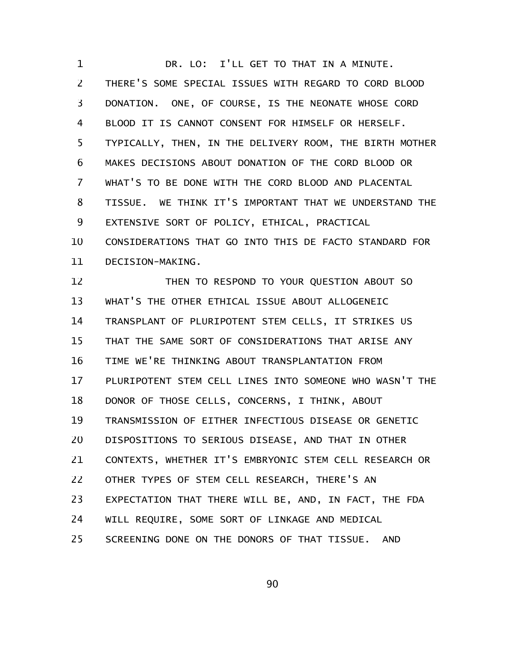DR. LO: I'LL GET TO THAT IN A MINUTE. THERE'S SOME SPECIAL ISSUES WITH REGARD TO CORD BLOOD DONATION. ONE, OF COURSE, IS THE NEONATE WHOSE CORD BLOOD IT IS CANNOT CONSENT FOR HIMSELF OR HERSELF. TYPICALLY, THEN, IN THE DELIVERY ROOM, THE BIRTH MOTHER MAKES DECISIONS ABOUT DONATION OF THE CORD BLOOD OR WHAT'S TO BE DONE WITH THE CORD BLOOD AND PLACENTAL TISSUE. WE THINK IT'S IMPORTANT THAT WE UNDERSTAND THE EXTENSIVE SORT OF POLICY, ETHICAL, PRACTICAL CONSIDERATIONS THAT GO INTO THIS DE FACTO STANDARD FOR DECISION-MAKING. THEN TO RESPOND TO YOUR QUESTION ABOUT SO WHAT'S THE OTHER ETHICAL ISSUE ABOUT ALLOGENEIC TRANSPLANT OF PLURIPOTENT STEM CELLS, IT STRIKES US THAT THE SAME SORT OF CONSIDERATIONS THAT ARISE ANY TIME WE'RE THINKING ABOUT TRANSPLANTATION FROM PLURIPOTENT STEM CELL LINES INTO SOMEONE WHO WASN'T THE DONOR OF THOSE CELLS, CONCERNS, I THINK, ABOUT TRANSMISSION OF EITHER INFECTIOUS DISEASE OR GENETIC DISPOSITIONS TO SERIOUS DISEASE, AND THAT IN OTHER CONTEXTS, WHETHER IT'S EMBRYONIC STEM CELL RESEARCH OR OTHER TYPES OF STEM CELL RESEARCH, THERE'S AN EXPECTATION THAT THERE WILL BE, AND, IN FACT, THE FDA WILL REQUIRE, SOME SORT OF LINKAGE AND MEDICAL 1 2 3 4 5 6 7 8 9 10 11 12 13 14 15 16 17 18 19 20 21 22 23 24

SCREENING DONE ON THE DONORS OF THAT TISSUE. AND 25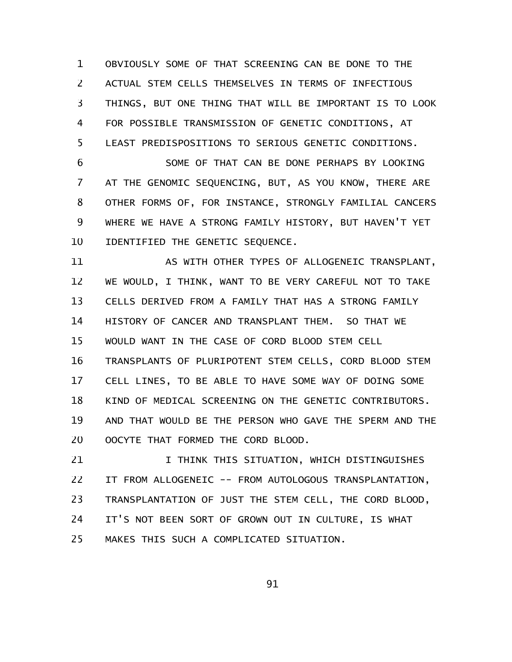OBVIOUSLY SOME OF THAT SCREENING CAN BE DONE TO THE ACTUAL STEM CELLS THEMSELVES IN TERMS OF INFECTIOUS THINGS, BUT ONE THING THAT WILL BE IMPORTANT IS TO LOOK FOR POSSIBLE TRANSMISSION OF GENETIC CONDITIONS, AT LEAST PREDISPOSITIONS TO SERIOUS GENETIC CONDITIONS. 1 2 3 4 5

SOME OF THAT CAN BE DONE PERHAPS BY LOOKING AT THE GENOMIC SEQUENCING, BUT, AS YOU KNOW, THERE ARE OTHER FORMS OF, FOR INSTANCE, STRONGLY FAMILIAL CANCERS WHERE WE HAVE A STRONG FAMILY HISTORY, BUT HAVEN'T YET IDENTIFIED THE GENETIC SEQUENCE. 6 7 8 9 10

AS WITH OTHER TYPES OF ALLOGENEIC TRANSPLANT, WE WOULD, I THINK, WANT TO BE VERY CAREFUL NOT TO TAKE CELLS DERIVED FROM A FAMILY THAT HAS A STRONG FAMILY HISTORY OF CANCER AND TRANSPLANT THEM. SO THAT WE WOULD WANT IN THE CASE OF CORD BLOOD STEM CELL TRANSPLANTS OF PLURIPOTENT STEM CELLS, CORD BLOOD STEM CELL LINES, TO BE ABLE TO HAVE SOME WAY OF DOING SOME KIND OF MEDICAL SCREENING ON THE GENETIC CONTRIBUTORS. AND THAT WOULD BE THE PERSON WHO GAVE THE SPERM AND THE OOCYTE THAT FORMED THE CORD BLOOD. 11 12 13 14 15 16 17 18 19 20

I THINK THIS SITUATION, WHICH DISTINGUISHES IT FROM ALLOGENEIC -- FROM AUTOLOGOUS TRANSPLANTATION, TRANSPLANTATION OF JUST THE STEM CELL, THE CORD BLOOD, IT'S NOT BEEN SORT OF GROWN OUT IN CULTURE, IS WHAT MAKES THIS SUCH A COMPLICATED SITUATION. 21 22 23 24 25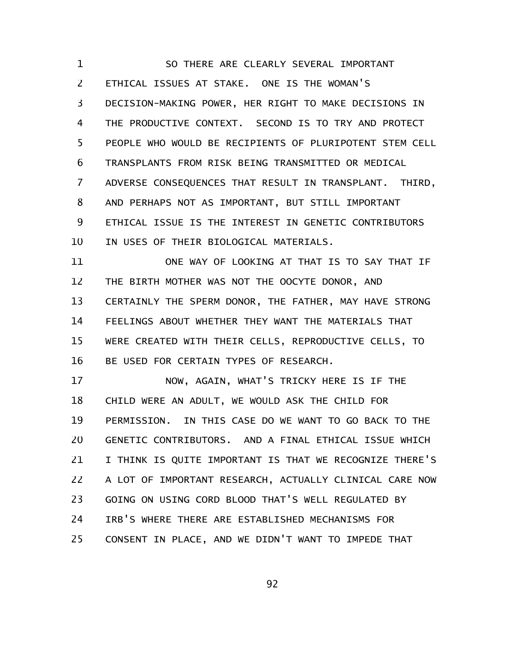SO THERE ARE CLEARLY SEVERAL IMPORTANT ETHICAL ISSUES AT STAKE. ONE IS THE WOMAN'S DECISION-MAKING POWER, HER RIGHT TO MAKE DECISIONS IN THE PRODUCTIVE CONTEXT. SECOND IS TO TRY AND PROTECT PEOPLE WHO WOULD BE RECIPIENTS OF PLURIPOTENT STEM CELL TRANSPLANTS FROM RISK BEING TRANSMITTED OR MEDICAL ADVERSE CONSEQUENCES THAT RESULT IN TRANSPLANT. THIRD, AND PERHAPS NOT AS IMPORTANT, BUT STILL IMPORTANT ETHICAL ISSUE IS THE INTEREST IN GENETIC CONTRIBUTORS IN USES OF THEIR BIOLOGICAL MATERIALS. 1 2 3 4 5 6 7 8 9 10

ONE WAY OF LOOKING AT THAT IS TO SAY THAT IF THE BIRTH MOTHER WAS NOT THE OOCYTE DONOR, AND CERTAINLY THE SPERM DONOR, THE FATHER, MAY HAVE STRONG FEELINGS ABOUT WHETHER THEY WANT THE MATERIALS THAT WERE CREATED WITH THEIR CELLS, REPRODUCTIVE CELLS, TO BE USED FOR CERTAIN TYPES OF RESEARCH. 11 12 13 14 15 16

NOW, AGAIN, WHAT'S TRICKY HERE IS IF THE CHILD WERE AN ADULT, WE WOULD ASK THE CHILD FOR PERMISSION. IN THIS CASE DO WE WANT TO GO BACK TO THE GENETIC CONTRIBUTORS. AND A FINAL ETHICAL ISSUE WHICH I THINK IS QUITE IMPORTANT IS THAT WE RECOGNIZE THERE'S A LOT OF IMPORTANT RESEARCH, ACTUALLY CLINICAL CARE NOW GOING ON USING CORD BLOOD THAT'S WELL REGULATED BY IRB'S WHERE THERE ARE ESTABLISHED MECHANISMS FOR CONSENT IN PLACE, AND WE DIDN'T WANT TO IMPEDE THAT 17 18 19 20 21 22 23 24 25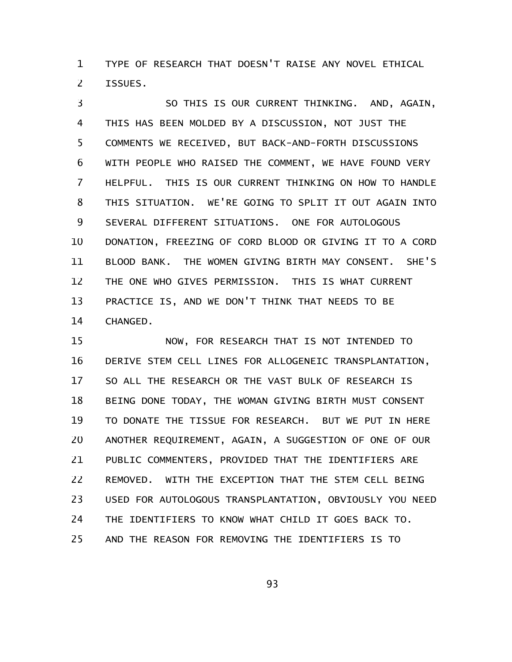TYPE OF RESEARCH THAT DOESN'T RAISE ANY NOVEL ETHICAL ISSUES. 1 2

SO THIS IS OUR CURRENT THINKING. AND, AGAIN, THIS HAS BEEN MOLDED BY A DISCUSSION, NOT JUST THE COMMENTS WE RECEIVED, BUT BACK-AND-FORTH DISCUSSIONS WITH PEOPLE WHO RAISED THE COMMENT, WE HAVE FOUND VERY HELPFUL. THIS IS OUR CURRENT THINKING ON HOW TO HANDLE THIS SITUATION. WE'RE GOING TO SPLIT IT OUT AGAIN INTO SEVERAL DIFFERENT SITUATIONS. ONE FOR AUTOLOGOUS DONATION, FREEZING OF CORD BLOOD OR GIVING IT TO A CORD BLOOD BANK. THE WOMEN GIVING BIRTH MAY CONSENT. SHE'S THE ONE WHO GIVES PERMISSION. THIS IS WHAT CURRENT PRACTICE IS, AND WE DON'T THINK THAT NEEDS TO BE CHANGED. 3 4 5 6 7 8 9 10 11 12 13 14

NOW, FOR RESEARCH THAT IS NOT INTENDED TO DERIVE STEM CELL LINES FOR ALLOGENEIC TRANSPLANTATION, SO ALL THE RESEARCH OR THE VAST BULK OF RESEARCH IS BEING DONE TODAY, THE WOMAN GIVING BIRTH MUST CONSENT TO DONATE THE TISSUE FOR RESEARCH. BUT WE PUT IN HERE ANOTHER REQUIREMENT, AGAIN, A SUGGESTION OF ONE OF OUR PUBLIC COMMENTERS, PROVIDED THAT THE IDENTIFIERS ARE REMOVED. WITH THE EXCEPTION THAT THE STEM CELL BEING USED FOR AUTOLOGOUS TRANSPLANTATION, OBVIOUSLY YOU NEED THE IDENTIFIERS TO KNOW WHAT CHILD IT GOES BACK TO. AND THE REASON FOR REMOVING THE IDENTIFIERS IS TO 15 16 17 18 19 20 21 22 23 24 25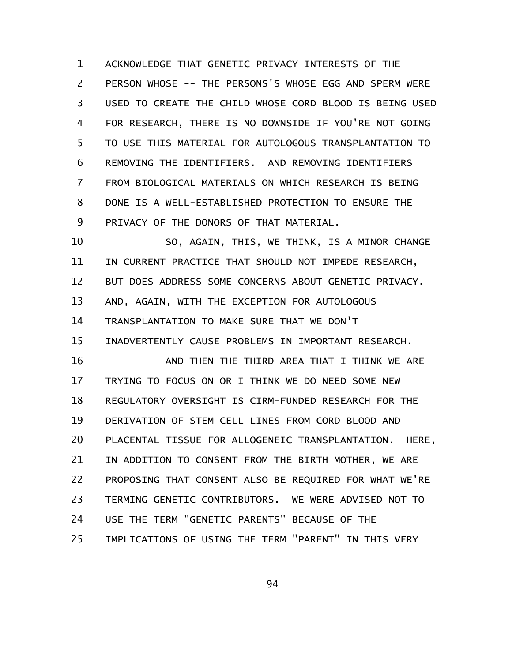ACKNOWLEDGE THAT GENETIC PRIVACY INTERESTS OF THE PERSON WHOSE -- THE PERSONS'S WHOSE EGG AND SPERM WERE USED TO CREATE THE CHILD WHOSE CORD BLOOD IS BEING USED FOR RESEARCH, THERE IS NO DOWNSIDE IF YOU'RE NOT GOING TO USE THIS MATERIAL FOR AUTOLOGOUS TRANSPLANTATION TO REMOVING THE IDENTIFIERS. AND REMOVING IDENTIFIERS FROM BIOLOGICAL MATERIALS ON WHICH RESEARCH IS BEING DONE IS A WELL-ESTABLISHED PROTECTION TO ENSURE THE PRIVACY OF THE DONORS OF THAT MATERIAL. 1 2 3 4 5 6 7 8 9

SO, AGAIN, THIS, WE THINK, IS A MINOR CHANGE IN CURRENT PRACTICE THAT SHOULD NOT IMPEDE RESEARCH, BUT DOES ADDRESS SOME CONCERNS ABOUT GENETIC PRIVACY. AND, AGAIN, WITH THE EXCEPTION FOR AUTOLOGOUS TRANSPLANTATION TO MAKE SURE THAT WE DON'T INADVERTENTLY CAUSE PROBLEMS IN IMPORTANT RESEARCH. AND THEN THE THIRD AREA THAT I THINK WE ARE 10 11 12 13 14 15 16

TRYING TO FOCUS ON OR I THINK WE DO NEED SOME NEW REGULATORY OVERSIGHT IS CIRM-FUNDED RESEARCH FOR THE DERIVATION OF STEM CELL LINES FROM CORD BLOOD AND PLACENTAL TISSUE FOR ALLOGENEIC TRANSPLANTATION. HERE, IN ADDITION TO CONSENT FROM THE BIRTH MOTHER, WE ARE PROPOSING THAT CONSENT ALSO BE REQUIRED FOR WHAT WE'RE TERMING GENETIC CONTRIBUTORS. WE WERE ADVISED NOT TO USE THE TERM "GENETIC PARENTS" BECAUSE OF THE IMPLICATIONS OF USING THE TERM "PARENT" IN THIS VERY 17 18 19 20 21 22 23 24 25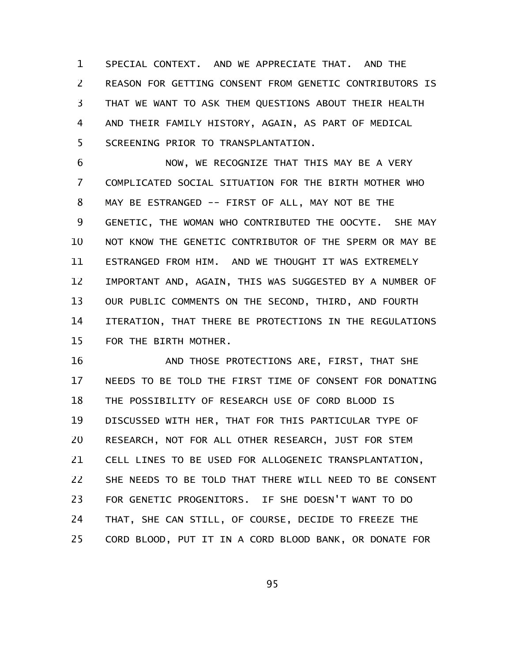SPECIAL CONTEXT. AND WE APPRECIATE THAT. AND THE REASON FOR GETTING CONSENT FROM GENETIC CONTRIBUTORS IS THAT WE WANT TO ASK THEM QUESTIONS ABOUT THEIR HEALTH AND THEIR FAMILY HISTORY, AGAIN, AS PART OF MEDICAL SCREENING PRIOR TO TRANSPLANTATION. 1 2 3 4 5

NOW, WE RECOGNIZE THAT THIS MAY BE A VERY COMPLICATED SOCIAL SITUATION FOR THE BIRTH MOTHER WHO MAY BE ESTRANGED -- FIRST OF ALL, MAY NOT BE THE GENETIC, THE WOMAN WHO CONTRIBUTED THE OOCYTE. SHE MAY NOT KNOW THE GENETIC CONTRIBUTOR OF THE SPERM OR MAY BE ESTRANGED FROM HIM. AND WE THOUGHT IT WAS EXTREMELY IMPORTANT AND, AGAIN, THIS WAS SUGGESTED BY A NUMBER OF OUR PUBLIC COMMENTS ON THE SECOND, THIRD, AND FOURTH ITERATION, THAT THERE BE PROTECTIONS IN THE REGULATIONS FOR THE BIRTH MOTHER. 6 7 8 9 10 11 12 13 14 15

AND THOSE PROTECTIONS ARE, FIRST, THAT SHE NEEDS TO BE TOLD THE FIRST TIME OF CONSENT FOR DONATING THE POSSIBILITY OF RESEARCH USE OF CORD BLOOD IS DISCUSSED WITH HER, THAT FOR THIS PARTICULAR TYPE OF RESEARCH, NOT FOR ALL OTHER RESEARCH, JUST FOR STEM CELL LINES TO BE USED FOR ALLOGENEIC TRANSPLANTATION, SHE NEEDS TO BE TOLD THAT THERE WILL NEED TO BE CONSENT FOR GENETIC PROGENITORS. IF SHE DOESN'T WANT TO DO THAT, SHE CAN STILL, OF COURSE, DECIDE TO FREEZE THE CORD BLOOD, PUT IT IN A CORD BLOOD BANK, OR DONATE FOR 16 17 18 19 20 21 22 23 24 25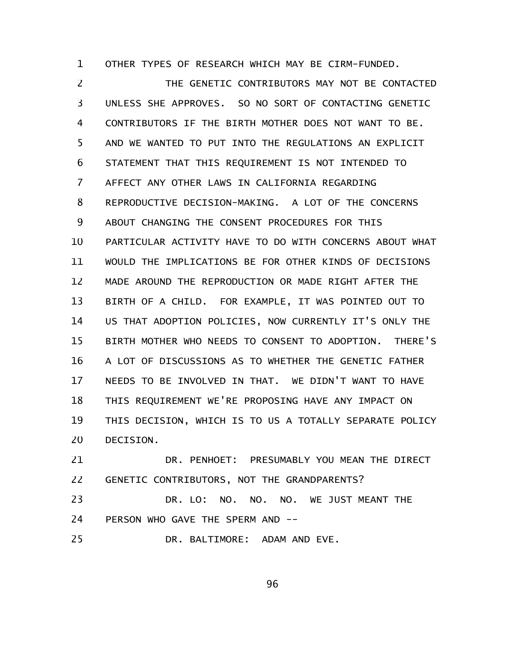OTHER TYPES OF RESEARCH WHICH MAY BE CIRM-FUNDED. 1

THE GENETIC CONTRIBUTORS MAY NOT BE CONTACTED UNLESS SHE APPROVES. SO NO SORT OF CONTACTING GENETIC CONTRIBUTORS IF THE BIRTH MOTHER DOES NOT WANT TO BE. AND WE WANTED TO PUT INTO THE REGULATIONS AN EXPLICIT STATEMENT THAT THIS REQUIREMENT IS NOT INTENDED TO AFFECT ANY OTHER LAWS IN CALIFORNIA REGARDING REPRODUCTIVE DECISION-MAKING. A LOT OF THE CONCERNS ABOUT CHANGING THE CONSENT PROCEDURES FOR THIS PARTICULAR ACTIVITY HAVE TO DO WITH CONCERNS ABOUT WHAT WOULD THE IMPLICATIONS BE FOR OTHER KINDS OF DECISIONS MADE AROUND THE REPRODUCTION OR MADE RIGHT AFTER THE BIRTH OF A CHILD. FOR EXAMPLE, IT WAS POINTED OUT TO US THAT ADOPTION POLICIES, NOW CURRENTLY IT'S ONLY THE BIRTH MOTHER WHO NEEDS TO CONSENT TO ADOPTION. THERE'S A LOT OF DISCUSSIONS AS TO WHETHER THE GENETIC FATHER NEEDS TO BE INVOLVED IN THAT. WE DIDN'T WANT TO HAVE THIS REQUIREMENT WE'RE PROPOSING HAVE ANY IMPACT ON THIS DECISION, WHICH IS TO US A TOTALLY SEPARATE POLICY DECISION. 2 3 4 5 6 7 8 9 10 11 12 13 14 15 16 17 18 19 20

DR. PENHOET: PRESUMABLY YOU MEAN THE DIRECT GENETIC CONTRIBUTORS, NOT THE GRANDPARENTS? 21 22

DR. LO: NO. NO. NO. WE JUST MEANT THE PERSON WHO GAVE THE SPERM AND --23 24

DR. BALTIMORE: ADAM AND EVE. 25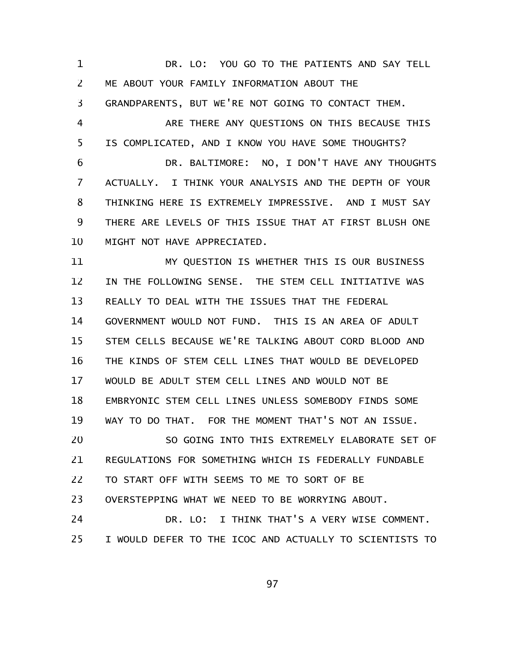DR. LO: YOU GO TO THE PATIENTS AND SAY TELL ME ABOUT YOUR FAMILY INFORMATION ABOUT THE GRANDPARENTS, BUT WE'RE NOT GOING TO CONTACT THEM. ARE THERE ANY QUESTIONS ON THIS BECAUSE THIS IS COMPLICATED, AND I KNOW YOU HAVE SOME THOUGHTS? DR. BALTIMORE: NO, I DON'T HAVE ANY THOUGHTS ACTUALLY. I THINK YOUR ANALYSIS AND THE DEPTH OF YOUR THINKING HERE IS EXTREMELY IMPRESSIVE. AND I MUST SAY THERE ARE LEVELS OF THIS ISSUE THAT AT FIRST BLUSH ONE MIGHT NOT HAVE APPRECIATED. MY QUESTION IS WHETHER THIS IS OUR BUSINESS IN THE FOLLOWING SENSE. THE STEM CELL INITIATIVE WAS REALLY TO DEAL WITH THE ISSUES THAT THE FEDERAL GOVERNMENT WOULD NOT FUND. THIS IS AN AREA OF ADULT STEM CELLS BECAUSE WE'RE TALKING ABOUT CORD BLOOD AND THE KINDS OF STEM CELL LINES THAT WOULD BE DEVELOPED WOULD BE ADULT STEM CELL LINES AND WOULD NOT BE EMBRYONIC STEM CELL LINES UNLESS SOMEBODY FINDS SOME WAY TO DO THAT. FOR THE MOMENT THAT'S NOT AN ISSUE. SO GOING INTO THIS EXTREMELY ELABORATE SET OF REGULATIONS FOR SOMETHING WHICH IS FEDERALLY FUNDABLE TO START OFF WITH SEEMS TO ME TO SORT OF BE OVERSTEPPING WHAT WE NEED TO BE WORRYING ABOUT. DR. LO: I THINK THAT'S A VERY WISE COMMENT. I WOULD DEFER TO THE ICOC AND ACTUALLY TO SCIENTISTS TO 1 2 3 4 5 6 7 8 9 10 11 12 13 14 15 16 17 18 19 20 21 22 23 24 25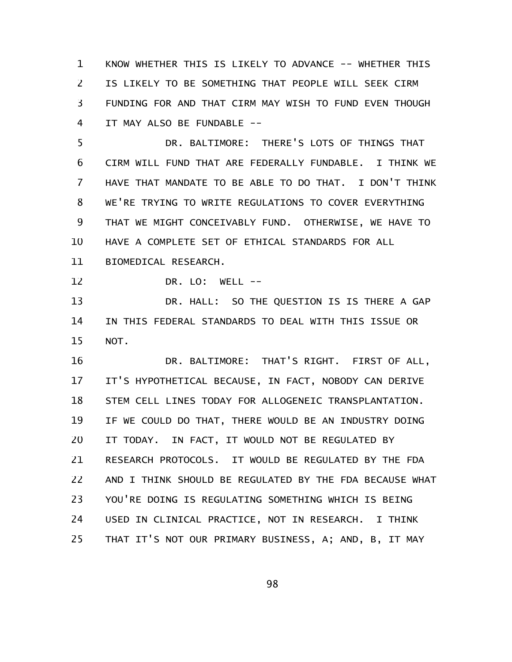KNOW WHETHER THIS IS LIKELY TO ADVANCE -- WHETHER THIS IS LIKELY TO BE SOMETHING THAT PEOPLE WILL SEEK CIRM FUNDING FOR AND THAT CIRM MAY WISH TO FUND EVEN THOUGH IT MAY ALSO BE FUNDABLE -- 1 2 3 4

DR. BALTIMORE: THERE'S LOTS OF THINGS THAT CIRM WILL FUND THAT ARE FEDERALLY FUNDABLE. I THINK WE HAVE THAT MANDATE TO BE ABLE TO DO THAT. I DON'T THINK WE'RE TRYING TO WRITE REGULATIONS TO COVER EVERYTHING THAT WE MIGHT CONCEIVABLY FUND. OTHERWISE, WE HAVE TO HAVE A COMPLETE SET OF ETHICAL STANDARDS FOR ALL BIOMEDICAL RESEARCH. 5 6 7 8 9 10 11

12

DR. LO: WELL --

DR. HALL: SO THE QUESTION IS IS THERE A GAP IN THIS FEDERAL STANDARDS TO DEAL WITH THIS ISSUE OR NOT. 13 14 15

DR. BALTIMORE: THAT'S RIGHT. FIRST OF ALL, IT'S HYPOTHETICAL BECAUSE, IN FACT, NOBODY CAN DERIVE STEM CELL LINES TODAY FOR ALLOGENEIC TRANSPLANTATION. IF WE COULD DO THAT, THERE WOULD BE AN INDUSTRY DOING IT TODAY. IN FACT, IT WOULD NOT BE REGULATED BY RESEARCH PROTOCOLS. IT WOULD BE REGULATED BY THE FDA AND I THINK SHOULD BE REGULATED BY THE FDA BECAUSE WHAT YOU'RE DOING IS REGULATING SOMETHING WHICH IS BEING USED IN CLINICAL PRACTICE, NOT IN RESEARCH. I THINK THAT IT'S NOT OUR PRIMARY BUSINESS, A; AND, B, IT MAY 16 17 18 19 20 21 22 23 24 25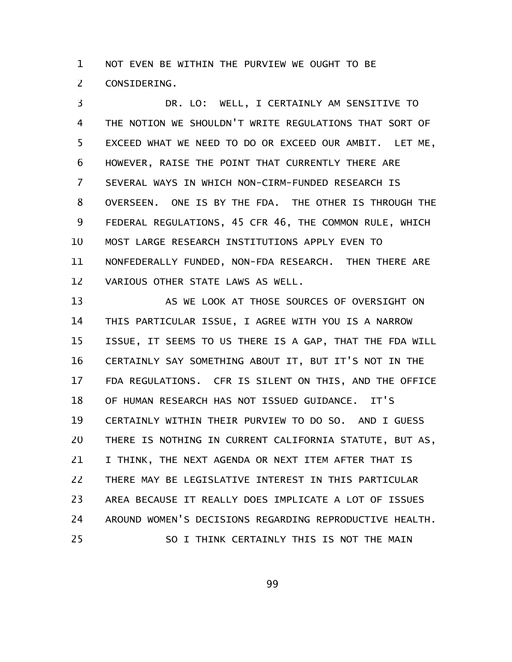NOT EVEN BE WITHIN THE PURVIEW WE OUGHT TO BE CONSIDERING. 1 2

DR. LO: WELL, I CERTAINLY AM SENSITIVE TO THE NOTION WE SHOULDN'T WRITE REGULATIONS THAT SORT OF EXCEED WHAT WE NEED TO DO OR EXCEED OUR AMBIT. LET ME, HOWEVER, RAISE THE POINT THAT CURRENTLY THERE ARE SEVERAL WAYS IN WHICH NON-CIRM-FUNDED RESEARCH IS OVERSEEN. ONE IS BY THE FDA. THE OTHER IS THROUGH THE FEDERAL REGULATIONS, 45 CFR 46, THE COMMON RULE, WHICH MOST LARGE RESEARCH INSTITUTIONS APPLY EVEN TO NONFEDERALLY FUNDED, NON-FDA RESEARCH. THEN THERE ARE VARIOUS OTHER STATE LAWS AS WELL. 3 4 5 6 7 8 9 10 11 12

AS WE LOOK AT THOSE SOURCES OF OVERSIGHT ON THIS PARTICULAR ISSUE, I AGREE WITH YOU IS A NARROW ISSUE, IT SEEMS TO US THERE IS A GAP, THAT THE FDA WILL CERTAINLY SAY SOMETHING ABOUT IT, BUT IT'S NOT IN THE FDA REGULATIONS. CFR IS SILENT ON THIS, AND THE OFFICE OF HUMAN RESEARCH HAS NOT ISSUED GUIDANCE. IT'S CERTAINLY WITHIN THEIR PURVIEW TO DO SO. AND I GUESS THERE IS NOTHING IN CURRENT CALIFORNIA STATUTE, BUT AS, I THINK, THE NEXT AGENDA OR NEXT ITEM AFTER THAT IS THERE MAY BE LEGISLATIVE INTEREST IN THIS PARTICULAR AREA BECAUSE IT REALLY DOES IMPLICATE A LOT OF ISSUES AROUND WOMEN'S DECISIONS REGARDING REPRODUCTIVE HEALTH. SO I THINK CERTAINLY THIS IS NOT THE MAIN 13 14 15 16 17 18 19 20 21 22 23 24 25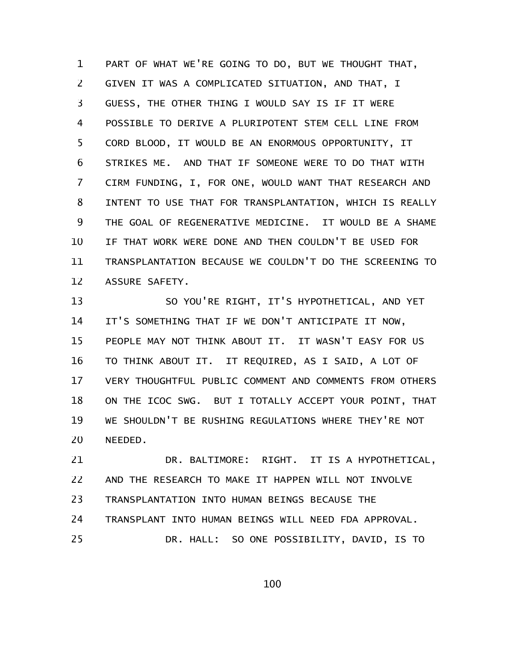PART OF WHAT WE'RE GOING TO DO, BUT WE THOUGHT THAT, GIVEN IT WAS A COMPLICATED SITUATION, AND THAT, I GUESS, THE OTHER THING I WOULD SAY IS IF IT WERE POSSIBLE TO DERIVE A PLURIPOTENT STEM CELL LINE FROM CORD BLOOD, IT WOULD BE AN ENORMOUS OPPORTUNITY, IT STRIKES ME. AND THAT IF SOMEONE WERE TO DO THAT WITH CIRM FUNDING, I, FOR ONE, WOULD WANT THAT RESEARCH AND INTENT TO USE THAT FOR TRANSPLANTATION, WHICH IS REALLY THE GOAL OF REGENERATIVE MEDICINE. IT WOULD BE A SHAME IF THAT WORK WERE DONE AND THEN COULDN'T BE USED FOR TRANSPLANTATION BECAUSE WE COULDN'T DO THE SCREENING TO ASSURE SAFETY. 1 2 3 4 5 6 7 8 9 10 11 12

SO YOU'RE RIGHT, IT'S HYPOTHETICAL, AND YET IT'S SOMETHING THAT IF WE DON'T ANTICIPATE IT NOW, PEOPLE MAY NOT THINK ABOUT IT. IT WASN'T EASY FOR US TO THINK ABOUT IT. IT REQUIRED, AS I SAID, A LOT OF VERY THOUGHTFUL PUBLIC COMMENT AND COMMENTS FROM OTHERS ON THE ICOC SWG. BUT I TOTALLY ACCEPT YOUR POINT, THAT WE SHOULDN'T BE RUSHING REGULATIONS WHERE THEY'RE NOT NEEDED. 13 14 15 16 17 18 19 20

DR. BALTIMORE: RIGHT. IT IS A HYPOTHETICAL, AND THE RESEARCH TO MAKE IT HAPPEN WILL NOT INVOLVE TRANSPLANTATION INTO HUMAN BEINGS BECAUSE THE TRANSPLANT INTO HUMAN BEINGS WILL NEED FDA APPROVAL. DR. HALL: SO ONE POSSIBILITY, DAVID, IS TO 21 22 23 24 25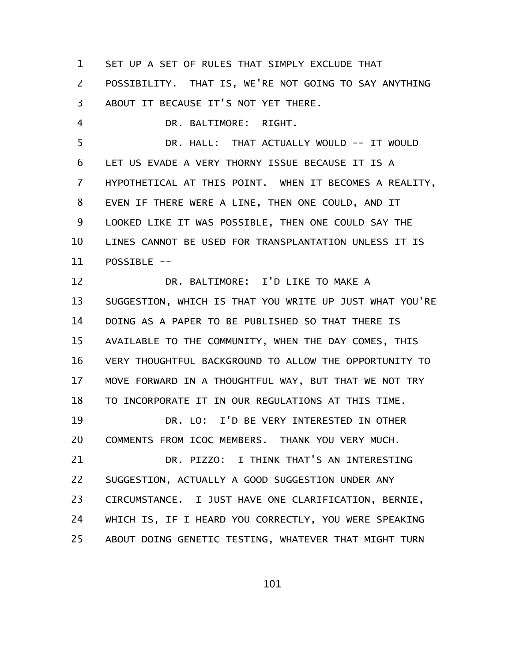SET UP A SET OF RULES THAT SIMPLY EXCLUDE THAT 1

POSSIBILITY. THAT IS, WE'RE NOT GOING TO SAY ANYTHING ABOUT IT BECAUSE IT'S NOT YET THERE. 2 3

DR. BALTIMORE: RIGHT. 4

DR. HALL: THAT ACTUALLY WOULD -- IT WOULD LET US EVADE A VERY THORNY ISSUE BECAUSE IT IS A HYPOTHETICAL AT THIS POINT. WHEN IT BECOMES A REALITY, EVEN IF THERE WERE A LINE, THEN ONE COULD, AND IT LOOKED LIKE IT WAS POSSIBLE, THEN ONE COULD SAY THE LINES CANNOT BE USED FOR TRANSPLANTATION UNLESS IT IS POSSIBLE -- 5 6 7 8 9 10 11

DR. BALTIMORE: I'D LIKE TO MAKE A SUGGESTION, WHICH IS THAT YOU WRITE UP JUST WHAT YOU'RE DOING AS A PAPER TO BE PUBLISHED SO THAT THERE IS AVAILABLE TO THE COMMUNITY, WHEN THE DAY COMES, THIS VERY THOUGHTFUL BACKGROUND TO ALLOW THE OPPORTUNITY TO MOVE FORWARD IN A THOUGHTFUL WAY, BUT THAT WE NOT TRY TO INCORPORATE IT IN OUR REGULATIONS AT THIS TIME. DR. LO: I'D BE VERY INTERESTED IN OTHER COMMENTS FROM ICOC MEMBERS. THANK YOU VERY MUCH. DR. PIZZO: I THINK THAT'S AN INTERESTING SUGGESTION, ACTUALLY A GOOD SUGGESTION UNDER ANY CIRCUMSTANCE. I JUST HAVE ONE CLARIFICATION, BERNIE, WHICH IS, IF I HEARD YOU CORRECTLY, YOU WERE SPEAKING ABOUT DOING GENETIC TESTING, WHATEVER THAT MIGHT TURN 12 13 14 15 16 17 18 19 20 21 22 23 24 25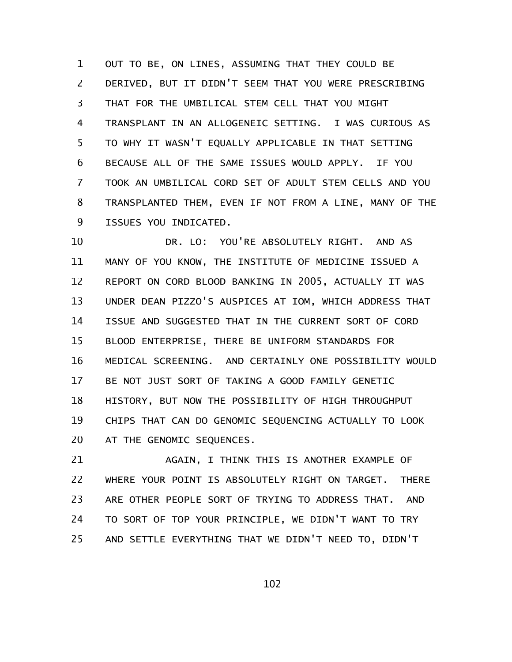OUT TO BE, ON LINES, ASSUMING THAT THEY COULD BE DERIVED, BUT IT DIDN'T SEEM THAT YOU WERE PRESCRIBING THAT FOR THE UMBILICAL STEM CELL THAT YOU MIGHT TRANSPLANT IN AN ALLOGENEIC SETTING. I WAS CURIOUS AS TO WHY IT WASN'T EQUALLY APPLICABLE IN THAT SETTING BECAUSE ALL OF THE SAME ISSUES WOULD APPLY. IF YOU TOOK AN UMBILICAL CORD SET OF ADULT STEM CELLS AND YOU TRANSPLANTED THEM, EVEN IF NOT FROM A LINE, MANY OF THE ISSUES YOU INDICATED. 1 2 3 4 5 6 7 8 9

DR. LO: YOU'RE ABSOLUTELY RIGHT. AND AS MANY OF YOU KNOW, THE INSTITUTE OF MEDICINE ISSUED A REPORT ON CORD BLOOD BANKING IN 2005, ACTUALLY IT WAS UNDER DEAN PIZZO'S AUSPICES AT IOM, WHICH ADDRESS THAT ISSUE AND SUGGESTED THAT IN THE CURRENT SORT OF CORD BLOOD ENTERPRISE, THERE BE UNIFORM STANDARDS FOR MEDICAL SCREENING. AND CERTAINLY ONE POSSIBILITY WOULD BE NOT JUST SORT OF TAKING A GOOD FAMILY GENETIC HISTORY, BUT NOW THE POSSIBILITY OF HIGH THROUGHPUT CHIPS THAT CAN DO GENOMIC SEQUENCING ACTUALLY TO LOOK AT THE GENOMIC SEQUENCES. 10 11 12 13 14 15 16 17 18 19 20

AGAIN, I THINK THIS IS ANOTHER EXAMPLE OF WHERE YOUR POINT IS ABSOLUTELY RIGHT ON TARGET. THERE ARE OTHER PEOPLE SORT OF TRYING TO ADDRESS THAT. AND TO SORT OF TOP YOUR PRINCIPLE, WE DIDN'T WANT TO TRY AND SETTLE EVERYTHING THAT WE DIDN'T NEED TO, DIDN'T 21 22 23 24 25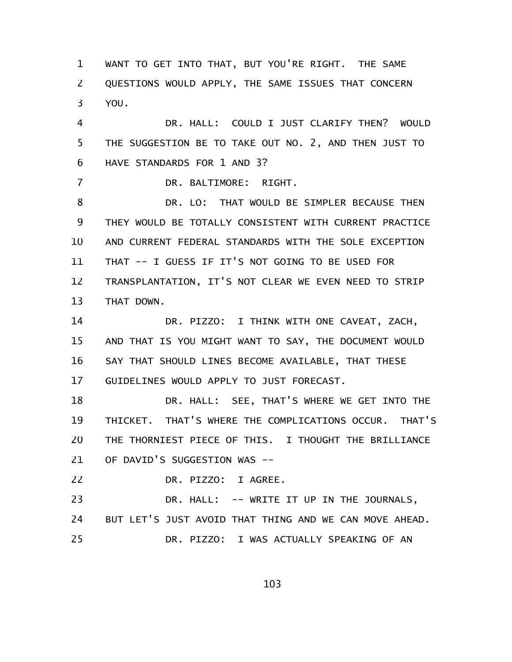WANT TO GET INTO THAT, BUT YOU'RE RIGHT. THE SAME QUESTIONS WOULD APPLY, THE SAME ISSUES THAT CONCERN YOU. 1 2 3

DR. HALL: COULD I JUST CLARIFY THEN? WOULD THE SUGGESTION BE TO TAKE OUT NO. 2, AND THEN JUST TO HAVE STANDARDS FOR 1 AND 3? 4 5 6

DR. BALTIMORE: RIGHT.

7

DR. LO: THAT WOULD BE SIMPLER BECAUSE THEN THEY WOULD BE TOTALLY CONSISTENT WITH CURRENT PRACTICE AND CURRENT FEDERAL STANDARDS WITH THE SOLE EXCEPTION THAT -- I GUESS IF IT'S NOT GOING TO BE USED FOR TRANSPLANTATION, IT'S NOT CLEAR WE EVEN NEED TO STRIP THAT DOWN. 8 9 10 11 12 13

DR. PIZZO: I THINK WITH ONE CAVEAT, ZACH, AND THAT IS YOU MIGHT WANT TO SAY, THE DOCUMENT WOULD SAY THAT SHOULD LINES BECOME AVAILABLE, THAT THESE GUIDELINES WOULD APPLY TO JUST FORECAST. 14 15 16 17

DR. HALL: SEE, THAT'S WHERE WE GET INTO THE THICKET. THAT'S WHERE THE COMPLICATIONS OCCUR. THAT'S THE THORNIEST PIECE OF THIS. I THOUGHT THE BRILLIANCE OF DAVID'S SUGGESTION WAS -- 18 19 20 21

DR. PIZZO: I AGREE. 22

DR. HALL: -- WRITE IT UP IN THE JOURNALS, BUT LET'S JUST AVOID THAT THING AND WE CAN MOVE AHEAD. DR. PIZZO: I WAS ACTUALLY SPEAKING OF AN 23 24 25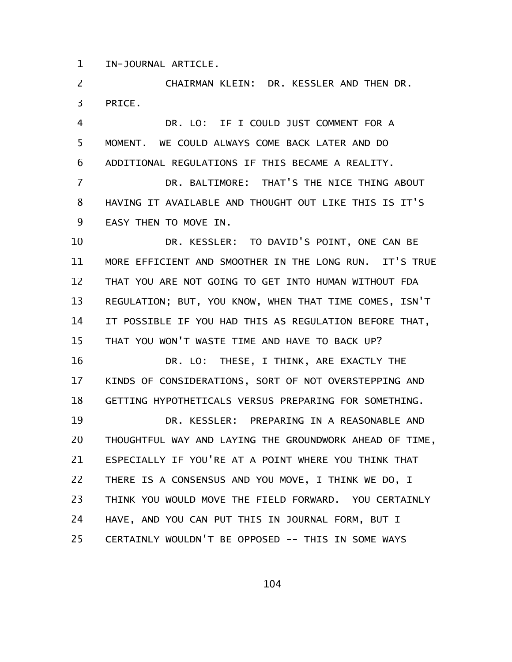IN-JOURNAL ARTICLE. 1

CHAIRMAN KLEIN: DR. KESSLER AND THEN DR. PRICE. 2 3

DR. LO: IF I COULD JUST COMMENT FOR A MOMENT. WE COULD ALWAYS COME BACK LATER AND DO ADDITIONAL REGULATIONS IF THIS BECAME A REALITY. 4 5 6

DR. BALTIMORE: THAT'S THE NICE THING ABOUT HAVING IT AVAILABLE AND THOUGHT OUT LIKE THIS IS IT'S EASY THEN TO MOVE IN. 7 8 9

DR. KESSLER: TO DAVID'S POINT, ONE CAN BE MORE EFFICIENT AND SMOOTHER IN THE LONG RUN. IT'S TRUE THAT YOU ARE NOT GOING TO GET INTO HUMAN WITHOUT FDA REGULATION; BUT, YOU KNOW, WHEN THAT TIME COMES, ISN'T IT POSSIBLE IF YOU HAD THIS AS REGULATION BEFORE THAT, THAT YOU WON'T WASTE TIME AND HAVE TO BACK UP? 10 11 12 13 14 15

DR. LO: THESE, I THINK, ARE EXACTLY THE KINDS OF CONSIDERATIONS, SORT OF NOT OVERSTEPPING AND GETTING HYPOTHETICALS VERSUS PREPARING FOR SOMETHING. 16 17 18

DR. KESSLER: PREPARING IN A REASONABLE AND THOUGHTFUL WAY AND LAYING THE GROUNDWORK AHEAD OF TIME, ESPECIALLY IF YOU'RE AT A POINT WHERE YOU THINK THAT THERE IS A CONSENSUS AND YOU MOVE, I THINK WE DO, I THINK YOU WOULD MOVE THE FIELD FORWARD. YOU CERTAINLY HAVE, AND YOU CAN PUT THIS IN JOURNAL FORM, BUT I CERTAINLY WOULDN'T BE OPPOSED -- THIS IN SOME WAYS 19 20 21 22 23 24 25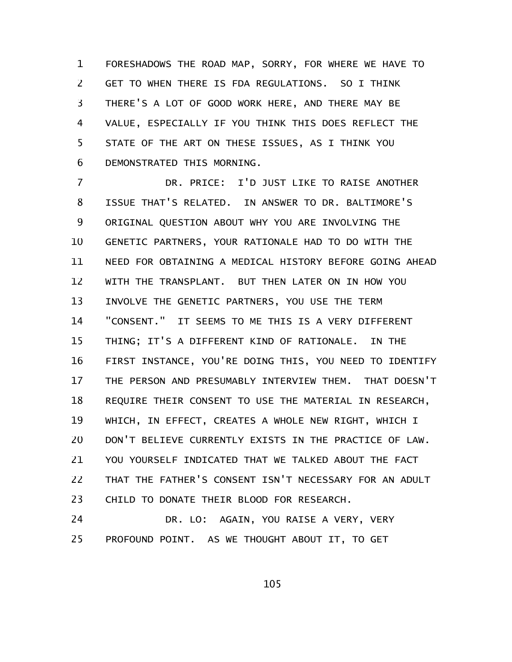FORESHADOWS THE ROAD MAP, SORRY, FOR WHERE WE HAVE TO GET TO WHEN THERE IS FDA REGULATIONS. SO I THINK THERE'S A LOT OF GOOD WORK HERE, AND THERE MAY BE VALUE, ESPECIALLY IF YOU THINK THIS DOES REFLECT THE STATE OF THE ART ON THESE ISSUES, AS I THINK YOU DEMONSTRATED THIS MORNING. 1 2 3 4 5 6

DR. PRICE: I'D JUST LIKE TO RAISE ANOTHER ISSUE THAT'S RELATED. IN ANSWER TO DR. BALTIMORE'S ORIGINAL QUESTION ABOUT WHY YOU ARE INVOLVING THE GENETIC PARTNERS, YOUR RATIONALE HAD TO DO WITH THE NEED FOR OBTAINING A MEDICAL HISTORY BEFORE GOING AHEAD WITH THE TRANSPLANT. BUT THEN LATER ON IN HOW YOU INVOLVE THE GENETIC PARTNERS, YOU USE THE TERM "CONSENT." IT SEEMS TO ME THIS IS A VERY DIFFERENT THING; IT'S A DIFFERENT KIND OF RATIONALE. IN THE FIRST INSTANCE, YOU'RE DOING THIS, YOU NEED TO IDENTIFY THE PERSON AND PRESUMABLY INTERVIEW THEM. THAT DOESN'T REQUIRE THEIR CONSENT TO USE THE MATERIAL IN RESEARCH, WHICH, IN EFFECT, CREATES A WHOLE NEW RIGHT, WHICH I DON'T BELIEVE CURRENTLY EXISTS IN THE PRACTICE OF LAW. YOU YOURSELF INDICATED THAT WE TALKED ABOUT THE FACT THAT THE FATHER'S CONSENT ISN'T NECESSARY FOR AN ADULT CHILD TO DONATE THEIR BLOOD FOR RESEARCH. 7 8 9 10 11 12 13 14 15 16 17 18 19 20 21 22 23

DR. LO: AGAIN, YOU RAISE A VERY, VERY PROFOUND POINT. AS WE THOUGHT ABOUT IT, TO GET 24 25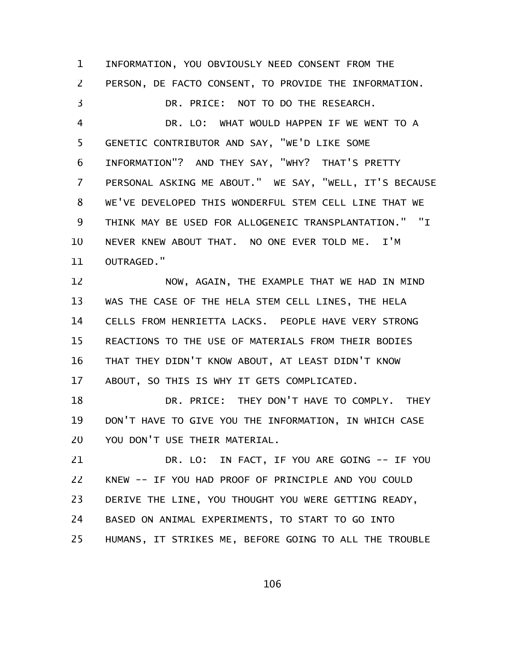INFORMATION, YOU OBVIOUSLY NEED CONSENT FROM THE PERSON, DE FACTO CONSENT, TO PROVIDE THE INFORMATION. DR. PRICE: NOT TO DO THE RESEARCH. DR. LO: WHAT WOULD HAPPEN IF WE WENT TO A GENETIC CONTRIBUTOR AND SAY, "WE'D LIKE SOME INFORMATION"? AND THEY SAY, "WHY? THAT'S PRETTY PERSONAL ASKING ME ABOUT." WE SAY, "WELL, IT'S BECAUSE WE'VE DEVELOPED THIS WONDERFUL STEM CELL LINE THAT WE THINK MAY BE USED FOR ALLOGENEIC TRANSPLANTATION." "I NEVER KNEW ABOUT THAT. NO ONE EVER TOLD ME. I'M OUTRAGED." NOW, AGAIN, THE EXAMPLE THAT WE HAD IN MIND WAS THE CASE OF THE HELA STEM CELL LINES, THE HELA CELLS FROM HENRIETTA LACKS. PEOPLE HAVE VERY STRONG REACTIONS TO THE USE OF MATERIALS FROM THEIR BODIES THAT THEY DIDN'T KNOW ABOUT, AT LEAST DIDN'T KNOW ABOUT, SO THIS IS WHY IT GETS COMPLICATED. DR. PRICE: THEY DON'T HAVE TO COMPLY. THEY DON'T HAVE TO GIVE YOU THE INFORMATION, IN WHICH CASE YOU DON'T USE THEIR MATERIAL. DR. LO: IN FACT, IF YOU ARE GOING -- IF YOU KNEW -- IF YOU HAD PROOF OF PRINCIPLE AND YOU COULD DERIVE THE LINE, YOU THOUGHT YOU WERE GETTING READY, BASED ON ANIMAL EXPERIMENTS, TO START TO GO INTO HUMANS, IT STRIKES ME, BEFORE GOING TO ALL THE TROUBLE 1 2 3 4 5 6 7 8 9 10 11 12 13 14 15 16 17 18 19 20 21 22 23 24 25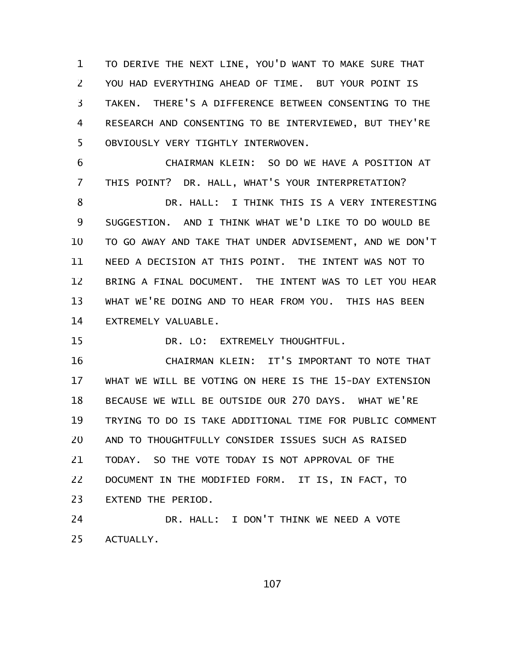TO DERIVE THE NEXT LINE, YOU'D WANT TO MAKE SURE THAT YOU HAD EVERYTHING AHEAD OF TIME. BUT YOUR POINT IS TAKEN. THERE'S A DIFFERENCE BETWEEN CONSENTING TO THE RESEARCH AND CONSENTING TO BE INTERVIEWED, BUT THEY'RE OBVIOUSLY VERY TIGHTLY INTERWOVEN. 1 2 3 4 5

CHAIRMAN KLEIN: SO DO WE HAVE A POSITION AT THIS POINT? DR. HALL, WHAT'S YOUR INTERPRETATION? DR. HALL: I THINK THIS IS A VERY INTERESTING SUGGESTION. AND I THINK WHAT WE'D LIKE TO DO WOULD BE TO GO AWAY AND TAKE THAT UNDER ADVISEMENT, AND WE DON'T NEED A DECISION AT THIS POINT. THE INTENT WAS NOT TO BRING A FINAL DOCUMENT. THE INTENT WAS TO LET YOU HEAR WHAT WE'RE DOING AND TO HEAR FROM YOU. THIS HAS BEEN EXTREMELY VALUABLE. 6 7 8 9 10 11 12 13 14

DR. LO: EXTREMELY THOUGHTFUL. 15

CHAIRMAN KLEIN: IT'S IMPORTANT TO NOTE THAT WHAT WE WILL BE VOTING ON HERE IS THE 15-DAY EXTENSION BECAUSE WE WILL BE OUTSIDE OUR 270 DAYS. WHAT WE'RE TRYING TO DO IS TAKE ADDITIONAL TIME FOR PUBLIC COMMENT AND TO THOUGHTFULLY CONSIDER ISSUES SUCH AS RAISED TODAY. SO THE VOTE TODAY IS NOT APPROVAL OF THE DOCUMENT IN THE MODIFIED FORM. IT IS, IN FACT, TO EXTEND THE PERIOD. 16 17 18 19 20 21 22 23

DR. HALL: I DON'T THINK WE NEED A VOTE ACTUALLY. 24 25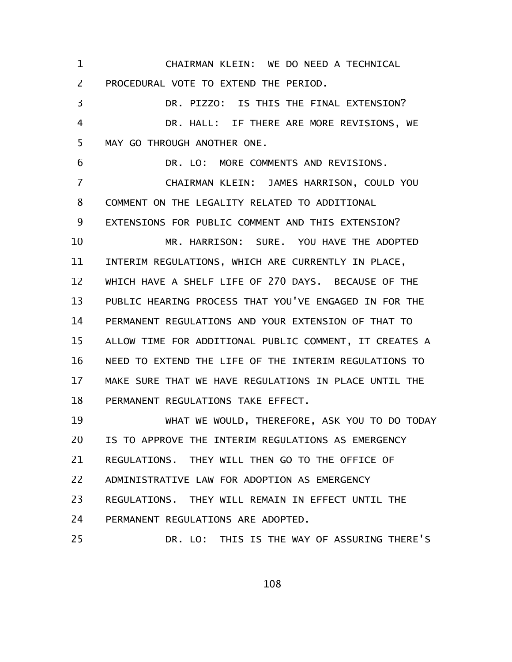CHAIRMAN KLEIN: WE DO NEED A TECHNICAL PROCEDURAL VOTE TO EXTEND THE PERIOD. 1 2

DR. PIZZO: IS THIS THE FINAL EXTENSION? DR. HALL: IF THERE ARE MORE REVISIONS, WE MAY GO THROUGH ANOTHER ONE. 3 4 5

DR. LO: MORE COMMENTS AND REVISIONS. CHAIRMAN KLEIN: JAMES HARRISON, COULD YOU COMMENT ON THE LEGALITY RELATED TO ADDITIONAL EXTENSIONS FOR PUBLIC COMMENT AND THIS EXTENSION? MR. HARRISON: SURE. YOU HAVE THE ADOPTED INTERIM REGULATIONS, WHICH ARE CURRENTLY IN PLACE, WHICH HAVE A SHELF LIFE OF 270 DAYS. BECAUSE OF THE PUBLIC HEARING PROCESS THAT YOU'VE ENGAGED IN FOR THE PERMANENT REGULATIONS AND YOUR EXTENSION OF THAT TO ALLOW TIME FOR ADDITIONAL PUBLIC COMMENT, IT CREATES A NEED TO EXTEND THE LIFE OF THE INTERIM REGULATIONS TO MAKE SURE THAT WE HAVE REGULATIONS IN PLACE UNTIL THE PERMANENT REGULATIONS TAKE EFFECT. 6 7 8 9 10 11 12 13 14 15 16 17 18

WHAT WE WOULD, THEREFORE, ASK YOU TO DO TODAY IS TO APPROVE THE INTERIM REGULATIONS AS EMERGENCY REGULATIONS. THEY WILL THEN GO TO THE OFFICE OF ADMINISTRATIVE LAW FOR ADOPTION AS EMERGENCY REGULATIONS. THEY WILL REMAIN IN EFFECT UNTIL THE PERMANENT REGULATIONS ARE ADOPTED. DR. LO: THIS IS THE WAY OF ASSURING THERE'S 19 20 21 22 23 24 25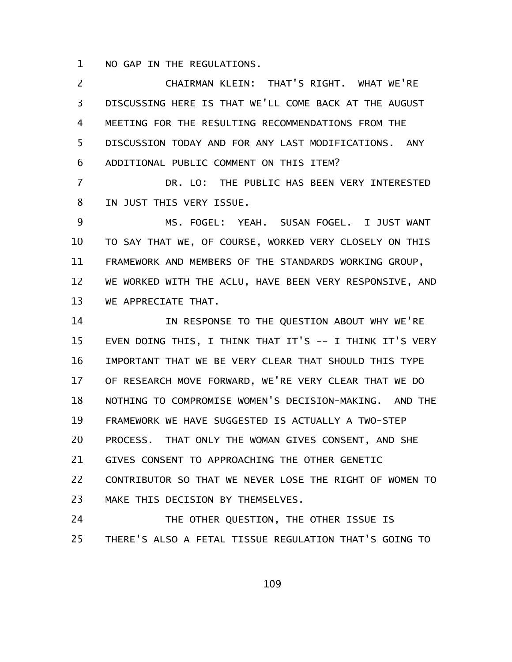NO GAP IN THE REGULATIONS. 1

CHAIRMAN KLEIN: THAT'S RIGHT. WHAT WE'RE DISCUSSING HERE IS THAT WE'LL COME BACK AT THE AUGUST MEETING FOR THE RESULTING RECOMMENDATIONS FROM THE DISCUSSION TODAY AND FOR ANY LAST MODIFICATIONS. ANY ADDITIONAL PUBLIC COMMENT ON THIS ITEM? 2 3 4 5 6

DR. LO: THE PUBLIC HAS BEEN VERY INTERESTED IN JUST THIS VERY ISSUE. 7 8

MS. FOGEL: YEAH. SUSAN FOGEL. I JUST WANT TO SAY THAT WE, OF COURSE, WORKED VERY CLOSELY ON THIS FRAMEWORK AND MEMBERS OF THE STANDARDS WORKING GROUP, WE WORKED WITH THE ACLU, HAVE BEEN VERY RESPONSIVE, AND WE APPRECIATE THAT. 9 10 11 12 13

IN RESPONSE TO THE QUESTION ABOUT WHY WE'RE EVEN DOING THIS, I THINK THAT IT'S -- I THINK IT'S VERY IMPORTANT THAT WE BE VERY CLEAR THAT SHOULD THIS TYPE OF RESEARCH MOVE FORWARD, WE'RE VERY CLEAR THAT WE DO NOTHING TO COMPROMISE WOMEN'S DECISION-MAKING. AND THE FRAMEWORK WE HAVE SUGGESTED IS ACTUALLY A TWO-STEP PROCESS. THAT ONLY THE WOMAN GIVES CONSENT, AND SHE GIVES CONSENT TO APPROACHING THE OTHER GENETIC CONTRIBUTOR SO THAT WE NEVER LOSE THE RIGHT OF WOMEN TO MAKE THIS DECISION BY THEMSELVES. 14 15 16 17 18 19 20 21 22 23

THE OTHER QUESTION, THE OTHER ISSUE IS THERE'S ALSO A FETAL TISSUE REGULATION THAT'S GOING TO 24 25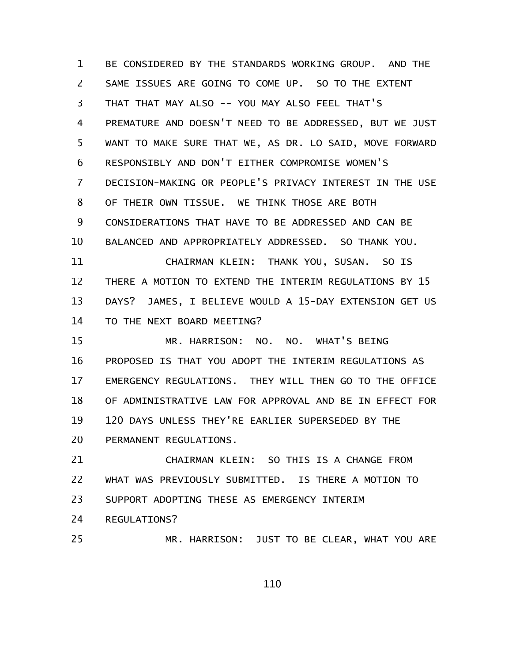BE CONSIDERED BY THE STANDARDS WORKING GROUP. AND THE SAME ISSUES ARE GOING TO COME UP. SO TO THE EXTENT THAT THAT MAY ALSO -- YOU MAY ALSO FEEL THAT'S PREMATURE AND DOESN'T NEED TO BE ADDRESSED, BUT WE JUST WANT TO MAKE SURE THAT WE, AS DR. LO SAID, MOVE FORWARD RESPONSIBLY AND DON'T EITHER COMPROMISE WOMEN'S DECISION-MAKING OR PEOPLE'S PRIVACY INTEREST IN THE USE OF THEIR OWN TISSUE. WE THINK THOSE ARE BOTH CONSIDERATIONS THAT HAVE TO BE ADDRESSED AND CAN BE BALANCED AND APPROPRIATELY ADDRESSED. SO THANK YOU. CHAIRMAN KLEIN: THANK YOU, SUSAN. SO IS THERE A MOTION TO EXTEND THE INTERIM REGULATIONS BY 15 DAYS? JAMES, I BELIEVE WOULD A 15-DAY EXTENSION GET US TO THE NEXT BOARD MEETING? MR. HARRISON: NO. NO. WHAT'S BEING PROPOSED IS THAT YOU ADOPT THE INTERIM REGULATIONS AS EMERGENCY REGULATIONS. THEY WILL THEN GO TO THE OFFICE OF ADMINISTRATIVE LAW FOR APPROVAL AND BE IN EFFECT FOR 120 DAYS UNLESS THEY'RE EARLIER SUPERSEDED BY THE PERMANENT REGULATIONS. 1 2 3 4 5 6 7 8 9 10 11 12 13 14 15 16 17 18 19 20

CHAIRMAN KLEIN: SO THIS IS A CHANGE FROM WHAT WAS PREVIOUSLY SUBMITTED. IS THERE A MOTION TO SUPPORT ADOPTING THESE AS EMERGENCY INTERIM 21 22 23

REGULATIONS? 24

MR. HARRISON: JUST TO BE CLEAR, WHAT YOU ARE 25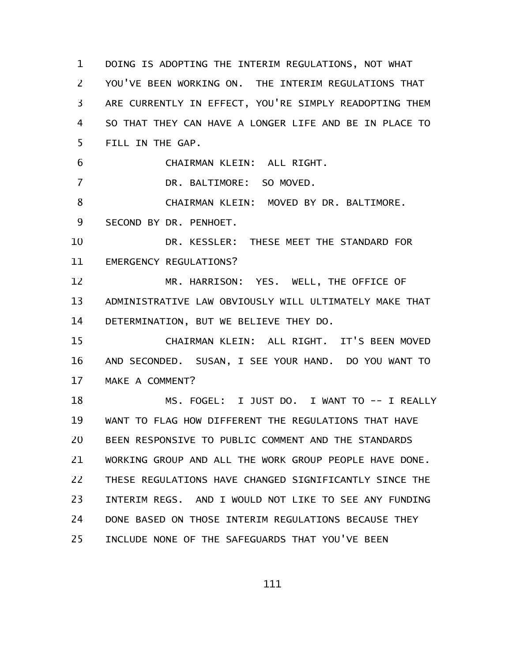DOING IS ADOPTING THE INTERIM REGULATIONS, NOT WHAT YOU'VE BEEN WORKING ON. THE INTERIM REGULATIONS THAT ARE CURRENTLY IN EFFECT, YOU'RE SIMPLY READOPTING THEM SO THAT THEY CAN HAVE A LONGER LIFE AND BE IN PLACE TO FILL IN THE GAP. CHAIRMAN KLEIN: ALL RIGHT. DR. BALTIMORE: SO MOVED. CHAIRMAN KLEIN: MOVED BY DR. BALTIMORE. SECOND BY DR. PENHOET. DR. KESSLER: THESE MEET THE STANDARD FOR EMERGENCY REGULATIONS? MR. HARRISON: YES. WELL, THE OFFICE OF ADMINISTRATIVE LAW OBVIOUSLY WILL ULTIMATELY MAKE THAT DETERMINATION, BUT WE BELIEVE THEY DO. CHAIRMAN KLEIN: ALL RIGHT. IT'S BEEN MOVED AND SECONDED. SUSAN, I SEE YOUR HAND. DO YOU WANT TO MAKE A COMMENT? MS. FOGEL: I JUST DO. I WANT TO -- I REALLY WANT TO FLAG HOW DIFFERENT THE REGULATIONS THAT HAVE BEEN RESPONSIVE TO PUBLIC COMMENT AND THE STANDARDS WORKING GROUP AND ALL THE WORK GROUP PEOPLE HAVE DONE. THESE REGULATIONS HAVE CHANGED SIGNIFICANTLY SINCE THE INTERIM REGS. AND I WOULD NOT LIKE TO SEE ANY FUNDING DONE BASED ON THOSE INTERIM REGULATIONS BECAUSE THEY INCLUDE NONE OF THE SAFEGUARDS THAT YOU'VE BEEN 1 2 3 4 5 6 7 8 9 10 11 12 13 14 15 16 17 18 19 20 21 22 23 24 25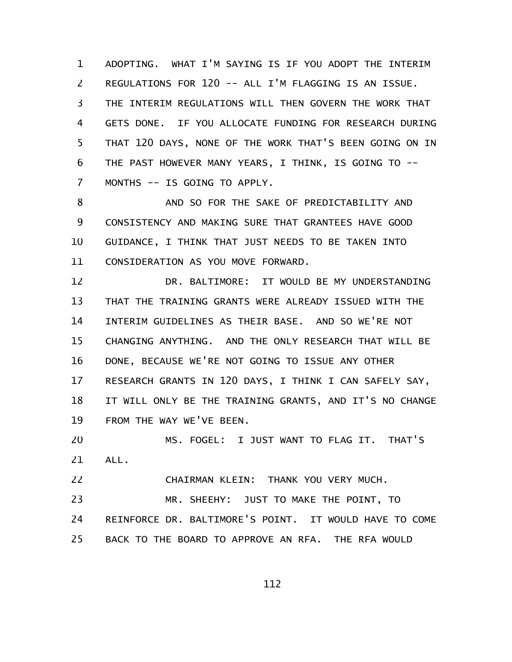ADOPTING. WHAT I'M SAYING IS IF YOU ADOPT THE INTERIM REGULATIONS FOR 120 -- ALL I'M FLAGGING IS AN ISSUE. THE INTERIM REGULATIONS WILL THEN GOVERN THE WORK THAT GETS DONE. IF YOU ALLOCATE FUNDING FOR RESEARCH DURING THAT 120 DAYS, NONE OF THE WORK THAT'S BEEN GOING ON IN THE PAST HOWEVER MANY YEARS, I THINK, IS GOING TO -- MONTHS -- IS GOING TO APPLY. 1 2 3 4 5 6 7

AND SO FOR THE SAKE OF PREDICTABILITY AND CONSISTENCY AND MAKING SURE THAT GRANTEES HAVE GOOD GUIDANCE, I THINK THAT JUST NEEDS TO BE TAKEN INTO CONSIDERATION AS YOU MOVE FORWARD. 8 9 10 11

DR. BALTIMORE: IT WOULD BE MY UNDERSTANDING THAT THE TRAINING GRANTS WERE ALREADY ISSUED WITH THE INTERIM GUIDELINES AS THEIR BASE. AND SO WE'RE NOT CHANGING ANYTHING. AND THE ONLY RESEARCH THAT WILL BE DONE, BECAUSE WE'RE NOT GOING TO ISSUE ANY OTHER RESEARCH GRANTS IN 120 DAYS, I THINK I CAN SAFELY SAY, IT WILL ONLY BE THE TRAINING GRANTS, AND IT'S NO CHANGE FROM THE WAY WE'VE BEEN. 12 13 14 15 16 17 18 19

MS. FOGEL: I JUST WANT TO FLAG IT. THAT'S ALL. 20 21

CHAIRMAN KLEIN: THANK YOU VERY MUCH. 22

MR. SHEEHY: JUST TO MAKE THE POINT, TO REINFORCE DR. BALTIMORE'S POINT. IT WOULD HAVE TO COME BACK TO THE BOARD TO APPROVE AN RFA. THE RFA WOULD 23 24 25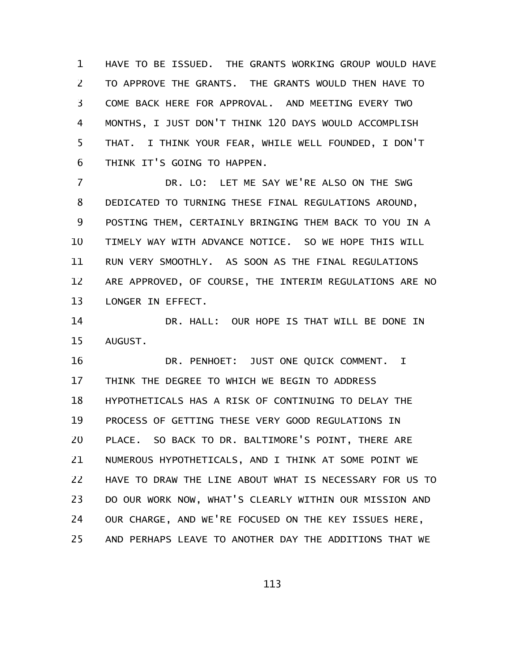HAVE TO BE ISSUED. THE GRANTS WORKING GROUP WOULD HAVE TO APPROVE THE GRANTS. THE GRANTS WOULD THEN HAVE TO COME BACK HERE FOR APPROVAL. AND MEETING EVERY TWO MONTHS, I JUST DON'T THINK 120 DAYS WOULD ACCOMPLISH THAT. I THINK YOUR FEAR, WHILE WELL FOUNDED, I DON'T THINK IT'S GOING TO HAPPEN. 1 2 3 4 5 6

DR. LO: LET ME SAY WE'RE ALSO ON THE SWG DEDICATED TO TURNING THESE FINAL REGULATIONS AROUND, POSTING THEM, CERTAINLY BRINGING THEM BACK TO YOU IN A TIMELY WAY WITH ADVANCE NOTICE. SO WE HOPE THIS WILL RUN VERY SMOOTHLY. AS SOON AS THE FINAL REGULATIONS ARE APPROVED, OF COURSE, THE INTERIM REGULATIONS ARE NO LONGER IN EFFECT. 7 8 9 10 11 12 13

DR. HALL: OUR HOPE IS THAT WILL BE DONE IN AUGUST. 14 15

DR. PENHOET: JUST ONE QUICK COMMENT. I THINK THE DEGREE TO WHICH WE BEGIN TO ADDRESS HYPOTHETICALS HAS A RISK OF CONTINUING TO DELAY THE PROCESS OF GETTING THESE VERY GOOD REGULATIONS IN PLACE. SO BACK TO DR. BALTIMORE'S POINT, THERE ARE NUMEROUS HYPOTHETICALS, AND I THINK AT SOME POINT WE HAVE TO DRAW THE LINE ABOUT WHAT IS NECESSARY FOR US TO DO OUR WORK NOW, WHAT'S CLEARLY WITHIN OUR MISSION AND OUR CHARGE, AND WE'RE FOCUSED ON THE KEY ISSUES HERE, AND PERHAPS LEAVE TO ANOTHER DAY THE ADDITIONS THAT WE 16 17 18 19 20 21 22 23 24 25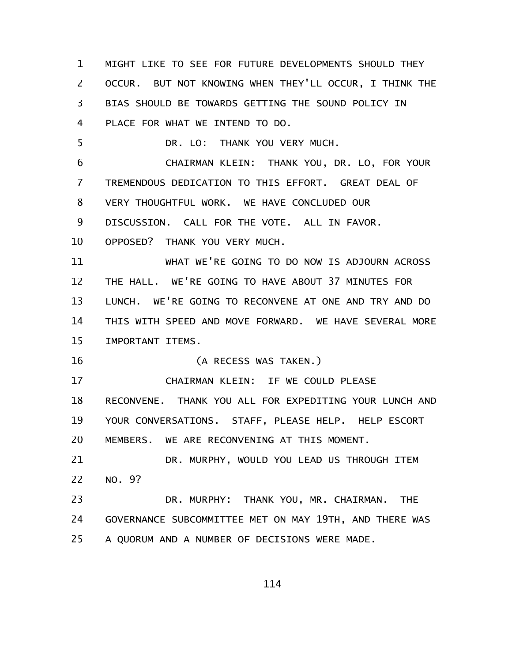MIGHT LIKE TO SEE FOR FUTURE DEVELOPMENTS SHOULD THEY OCCUR. BUT NOT KNOWING WHEN THEY'LL OCCUR, I THINK THE BIAS SHOULD BE TOWARDS GETTING THE SOUND POLICY IN PLACE FOR WHAT WE INTEND TO DO. DR. LO: THANK YOU VERY MUCH. CHAIRMAN KLEIN: THANK YOU, DR. LO, FOR YOUR TREMENDOUS DEDICATION TO THIS EFFORT. GREAT DEAL OF VERY THOUGHTFUL WORK. WE HAVE CONCLUDED OUR DISCUSSION. CALL FOR THE VOTE. ALL IN FAVOR. OPPOSED? THANK YOU VERY MUCH. WHAT WE'RE GOING TO DO NOW IS ADJOURN ACROSS THE HALL. WE'RE GOING TO HAVE ABOUT 37 MINUTES FOR LUNCH. WE'RE GOING TO RECONVENE AT ONE AND TRY AND DO THIS WITH SPEED AND MOVE FORWARD. WE HAVE SEVERAL MORE IMPORTANT ITEMS. (A RECESS WAS TAKEN.) CHAIRMAN KLEIN: IF WE COULD PLEASE RECONVENE. THANK YOU ALL FOR EXPEDITING YOUR LUNCH AND YOUR CONVERSATIONS. STAFF, PLEASE HELP. HELP ESCORT MEMBERS. WE ARE RECONVENING AT THIS MOMENT. DR. MURPHY, WOULD YOU LEAD US THROUGH ITEM NO. 9? DR. MURPHY: THANK YOU, MR. CHAIRMAN. THE GOVERNANCE SUBCOMMITTEE MET ON MAY 19TH, AND THERE WAS A QUORUM AND A NUMBER OF DECISIONS WERE MADE. 1 2 3 4 5 6 7 8 9 10 11 12 13 14 15 16 17 18 19 20 21 22 23 24 25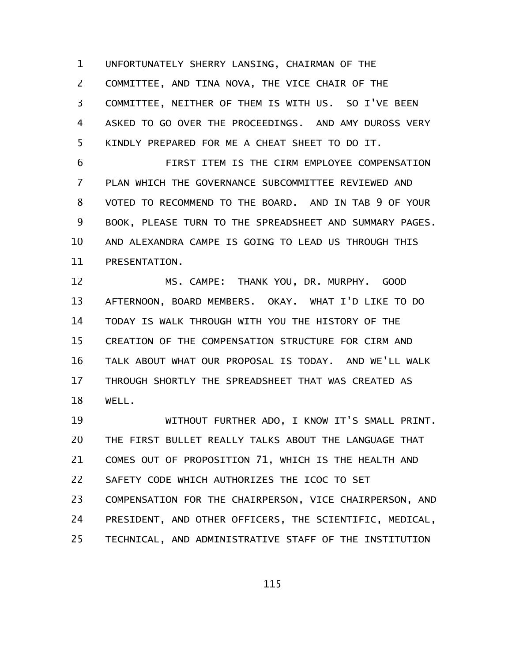UNFORTUNATELY SHERRY LANSING, CHAIRMAN OF THE COMMITTEE, AND TINA NOVA, THE VICE CHAIR OF THE COMMITTEE, NEITHER OF THEM IS WITH US. SO I'VE BEEN ASKED TO GO OVER THE PROCEEDINGS. AND AMY DUROSS VERY KINDLY PREPARED FOR ME A CHEAT SHEET TO DO IT. 1 2 3 4 5

FIRST ITEM IS THE CIRM EMPLOYEE COMPENSATION PLAN WHICH THE GOVERNANCE SUBCOMMITTEE REVIEWED AND VOTED TO RECOMMEND TO THE BOARD. AND IN TAB 9 OF YOUR BOOK, PLEASE TURN TO THE SPREADSHEET AND SUMMARY PAGES. AND ALEXANDRA CAMPE IS GOING TO LEAD US THROUGH THIS PRESENTATION. 6 7 8 9 10 11

MS. CAMPE: THANK YOU, DR. MURPHY. GOOD AFTERNOON, BOARD MEMBERS. OKAY. WHAT I'D LIKE TO DO TODAY IS WALK THROUGH WITH YOU THE HISTORY OF THE CREATION OF THE COMPENSATION STRUCTURE FOR CIRM AND TALK ABOUT WHAT OUR PROPOSAL IS TODAY. AND WE'LL WALK THROUGH SHORTLY THE SPREADSHEET THAT WAS CREATED AS WELL. 12 13 14 15 16 17 18

WITHOUT FURTHER ADO, I KNOW IT'S SMALL PRINT. THE FIRST BULLET REALLY TALKS ABOUT THE LANGUAGE THAT COMES OUT OF PROPOSITION 71, WHICH IS THE HEALTH AND SAFETY CODE WHICH AUTHORIZES THE ICOC TO SET COMPENSATION FOR THE CHAIRPERSON, VICE CHAIRPERSON, AND PRESIDENT, AND OTHER OFFICERS, THE SCIENTIFIC, MEDICAL, TECHNICAL, AND ADMINISTRATIVE STAFF OF THE INSTITUTION 19 20 21 22 23 24 25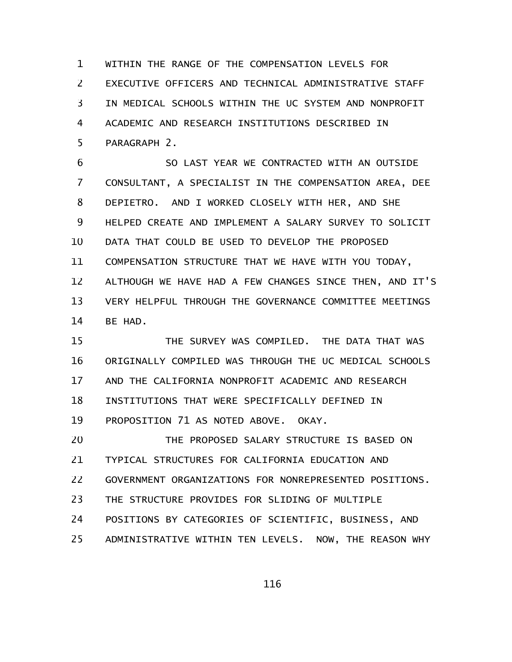WITHIN THE RANGE OF THE COMPENSATION LEVELS FOR EXECUTIVE OFFICERS AND TECHNICAL ADMINISTRATIVE STAFF IN MEDICAL SCHOOLS WITHIN THE UC SYSTEM AND NONPROFIT ACADEMIC AND RESEARCH INSTITUTIONS DESCRIBED IN PARAGRAPH 2. 1 2 3 4 5

SO LAST YEAR WE CONTRACTED WITH AN OUTSIDE CONSULTANT, A SPECIALIST IN THE COMPENSATION AREA, DEE DEPIETRO. AND I WORKED CLOSELY WITH HER, AND SHE HELPED CREATE AND IMPLEMENT A SALARY SURVEY TO SOLICIT DATA THAT COULD BE USED TO DEVELOP THE PROPOSED COMPENSATION STRUCTURE THAT WE HAVE WITH YOU TODAY, ALTHOUGH WE HAVE HAD A FEW CHANGES SINCE THEN, AND IT'S VERY HELPFUL THROUGH THE GOVERNANCE COMMITTEE MEETINGS BE HAD. 6 7 8 9 10 11 12 13 14

THE SURVEY WAS COMPILED. THE DATA THAT WAS ORIGINALLY COMPILED WAS THROUGH THE UC MEDICAL SCHOOLS AND THE CALIFORNIA NONPROFIT ACADEMIC AND RESEARCH INSTITUTIONS THAT WERE SPECIFICALLY DEFINED IN PROPOSITION 71 AS NOTED ABOVE. OKAY. 15 16 17 18 19

THE PROPOSED SALARY STRUCTURE IS BASED ON TYPICAL STRUCTURES FOR CALIFORNIA EDUCATION AND GOVERNMENT ORGANIZATIONS FOR NONREPRESENTED POSITIONS. THE STRUCTURE PROVIDES FOR SLIDING OF MULTIPLE POSITIONS BY CATEGORIES OF SCIENTIFIC, BUSINESS, AND ADMINISTRATIVE WITHIN TEN LEVELS. NOW, THE REASON WHY 20 21 22 23 24 25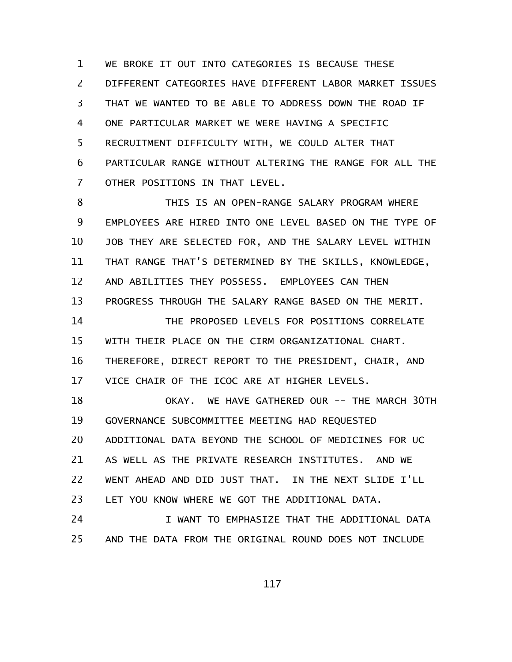WE BROKE IT OUT INTO CATEGORIES IS BECAUSE THESE DIFFERENT CATEGORIES HAVE DIFFERENT LABOR MARKET ISSUES THAT WE WANTED TO BE ABLE TO ADDRESS DOWN THE ROAD IF ONE PARTICULAR MARKET WE WERE HAVING A SPECIFIC RECRUITMENT DIFFICULTY WITH, WE COULD ALTER THAT PARTICULAR RANGE WITHOUT ALTERING THE RANGE FOR ALL THE OTHER POSITIONS IN THAT LEVEL. 1 2 3 4 5 6 7

THIS IS AN OPEN-RANGE SALARY PROGRAM WHERE EMPLOYEES ARE HIRED INTO ONE LEVEL BASED ON THE TYPE OF JOB THEY ARE SELECTED FOR, AND THE SALARY LEVEL WITHIN THAT RANGE THAT'S DETERMINED BY THE SKILLS, KNOWLEDGE, AND ABILITIES THEY POSSESS. EMPLOYEES CAN THEN PROGRESS THROUGH THE SALARY RANGE BASED ON THE MERIT. THE PROPOSED LEVELS FOR POSITIONS CORRELATE 8 9 10 11 12 13 14

WITH THEIR PLACE ON THE CIRM ORGANIZATIONAL CHART. THEREFORE, DIRECT REPORT TO THE PRESIDENT, CHAIR, AND VICE CHAIR OF THE ICOC ARE AT HIGHER LEVELS. 15 16 17

OKAY. WE HAVE GATHERED OUR -- THE MARCH 30TH GOVERNANCE SUBCOMMITTEE MEETING HAD REQUESTED ADDITIONAL DATA BEYOND THE SCHOOL OF MEDICINES FOR UC AS WELL AS THE PRIVATE RESEARCH INSTITUTES. AND WE WENT AHEAD AND DID JUST THAT. IN THE NEXT SLIDE I'LL LET YOU KNOW WHERE WE GOT THE ADDITIONAL DATA. 18 19 20 21 22 23

I WANT TO EMPHASIZE THAT THE ADDITIONAL DATA AND THE DATA FROM THE ORIGINAL ROUND DOES NOT INCLUDE 24 25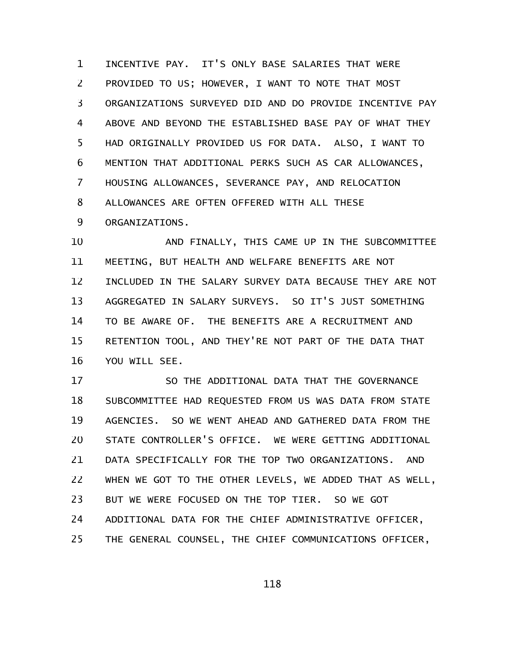INCENTIVE PAY. IT'S ONLY BASE SALARIES THAT WERE PROVIDED TO US; HOWEVER, I WANT TO NOTE THAT MOST ORGANIZATIONS SURVEYED DID AND DO PROVIDE INCENTIVE PAY ABOVE AND BEYOND THE ESTABLISHED BASE PAY OF WHAT THEY HAD ORIGINALLY PROVIDED US FOR DATA. ALSO, I WANT TO MENTION THAT ADDITIONAL PERKS SUCH AS CAR ALLOWANCES, HOUSING ALLOWANCES, SEVERANCE PAY, AND RELOCATION ALLOWANCES ARE OFTEN OFFERED WITH ALL THESE ORGANIZATIONS. 1 2 3 4 5 6 7 8 9

AND FINALLY, THIS CAME UP IN THE SUBCOMMITTEE MEETING, BUT HEALTH AND WELFARE BENEFITS ARE NOT INCLUDED IN THE SALARY SURVEY DATA BECAUSE THEY ARE NOT AGGREGATED IN SALARY SURVEYS. SO IT'S JUST SOMETHING TO BE AWARE OF. THE BENEFITS ARE A RECRUITMENT AND RETENTION TOOL, AND THEY'RE NOT PART OF THE DATA THAT YOU WILL SEE. 10 11 12 13 14 15 16

SO THE ADDITIONAL DATA THAT THE GOVERNANCE SUBCOMMITTEE HAD REQUESTED FROM US WAS DATA FROM STATE AGENCIES. SO WE WENT AHEAD AND GATHERED DATA FROM THE STATE CONTROLLER'S OFFICE. WE WERE GETTING ADDITIONAL DATA SPECIFICALLY FOR THE TOP TWO ORGANIZATIONS. AND WHEN WE GOT TO THE OTHER LEVELS, WE ADDED THAT AS WELL, BUT WE WERE FOCUSED ON THE TOP TIER. SO WE GOT ADDITIONAL DATA FOR THE CHIEF ADMINISTRATIVE OFFICER, THE GENERAL COUNSEL, THE CHIEF COMMUNICATIONS OFFICER, 17 18 19 20 21 22 23 24 25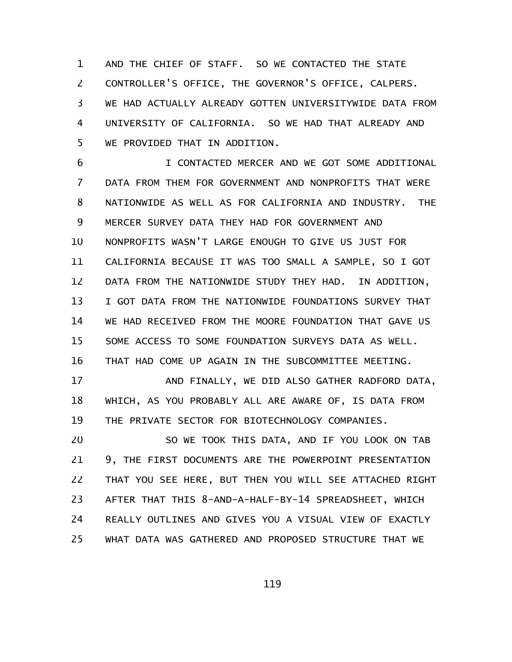AND THE CHIEF OF STAFF. SO WE CONTACTED THE STATE CONTROLLER'S OFFICE, THE GOVERNOR'S OFFICE, CALPERS. WE HAD ACTUALLY ALREADY GOTTEN UNIVERSITYWIDE DATA FROM UNIVERSITY OF CALIFORNIA. SO WE HAD THAT ALREADY AND WE PROVIDED THAT IN ADDITION. 1 2 3 4 5

I CONTACTED MERCER AND WE GOT SOME ADDITIONAL DATA FROM THEM FOR GOVERNMENT AND NONPROFITS THAT WERE NATIONWIDE AS WELL AS FOR CALIFORNIA AND INDUSTRY. THE MERCER SURVEY DATA THEY HAD FOR GOVERNMENT AND NONPROFITS WASN'T LARGE ENOUGH TO GIVE US JUST FOR CALIFORNIA BECAUSE IT WAS TOO SMALL A SAMPLE, SO I GOT DATA FROM THE NATIONWIDE STUDY THEY HAD. IN ADDITION, I GOT DATA FROM THE NATIONWIDE FOUNDATIONS SURVEY THAT WE HAD RECEIVED FROM THE MOORE FOUNDATION THAT GAVE US SOME ACCESS TO SOME FOUNDATION SURVEYS DATA AS WELL. THAT HAD COME UP AGAIN IN THE SUBCOMMITTEE MEETING. 6 7 8 9 10 11 12 13 14 15 16

AND FINALLY, WE DID ALSO GATHER RADFORD DATA, WHICH, AS YOU PROBABLY ALL ARE AWARE OF, IS DATA FROM THE PRIVATE SECTOR FOR BIOTECHNOLOGY COMPANIES. 17 18 19

SO WE TOOK THIS DATA, AND IF YOU LOOK ON TAB 9, THE FIRST DOCUMENTS ARE THE POWERPOINT PRESENTATION THAT YOU SEE HERE, BUT THEN YOU WILL SEE ATTACHED RIGHT AFTER THAT THIS 8-AND-A-HALF-BY-14 SPREADSHEET, WHICH REALLY OUTLINES AND GIVES YOU A VISUAL VIEW OF EXACTLY WHAT DATA WAS GATHERED AND PROPOSED STRUCTURE THAT WE 20 21 22 23 24 25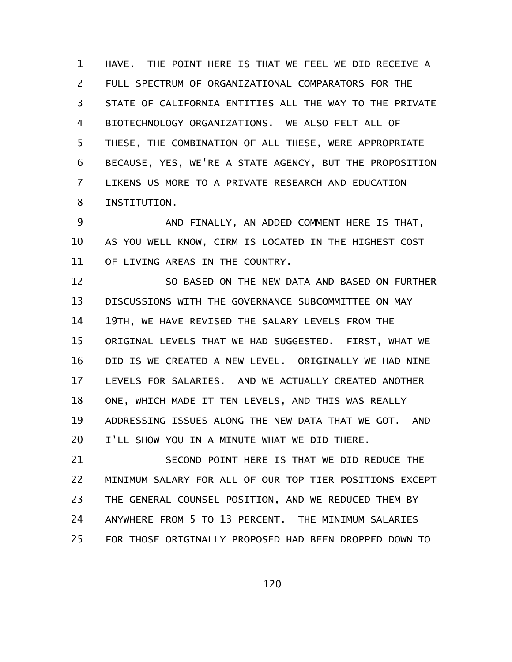HAVE. THE POINT HERE IS THAT WE FEEL WE DID RECEIVE A FULL SPECTRUM OF ORGANIZATIONAL COMPARATORS FOR THE STATE OF CALIFORNIA ENTITIES ALL THE WAY TO THE PRIVATE BIOTECHNOLOGY ORGANIZATIONS. WE ALSO FELT ALL OF THESE, THE COMBINATION OF ALL THESE, WERE APPROPRIATE BECAUSE, YES, WE'RE A STATE AGENCY, BUT THE PROPOSITION LIKENS US MORE TO A PRIVATE RESEARCH AND EDUCATION INSTITUTION. 1 2 3 4 5 6 7 8

AND FINALLY, AN ADDED COMMENT HERE IS THAT, AS YOU WELL KNOW, CIRM IS LOCATED IN THE HIGHEST COST OF LIVING AREAS IN THE COUNTRY. 9 10 11

SO BASED ON THE NEW DATA AND BASED ON FURTHER DISCUSSIONS WITH THE GOVERNANCE SUBCOMMITTEE ON MAY 19TH, WE HAVE REVISED THE SALARY LEVELS FROM THE ORIGINAL LEVELS THAT WE HAD SUGGESTED. FIRST, WHAT WE DID IS WE CREATED A NEW LEVEL. ORIGINALLY WE HAD NINE LEVELS FOR SALARIES. AND WE ACTUALLY CREATED ANOTHER ONE, WHICH MADE IT TEN LEVELS, AND THIS WAS REALLY ADDRESSING ISSUES ALONG THE NEW DATA THAT WE GOT. AND I'LL SHOW YOU IN A MINUTE WHAT WE DID THERE. 12 13 14 15 16 17 18 19 20

SECOND POINT HERE IS THAT WE DID REDUCE THE MINIMUM SALARY FOR ALL OF OUR TOP TIER POSITIONS EXCEPT THE GENERAL COUNSEL POSITION, AND WE REDUCED THEM BY ANYWHERE FROM 5 TO 13 PERCENT. THE MINIMUM SALARIES FOR THOSE ORIGINALLY PROPOSED HAD BEEN DROPPED DOWN TO 21 22 23 24 25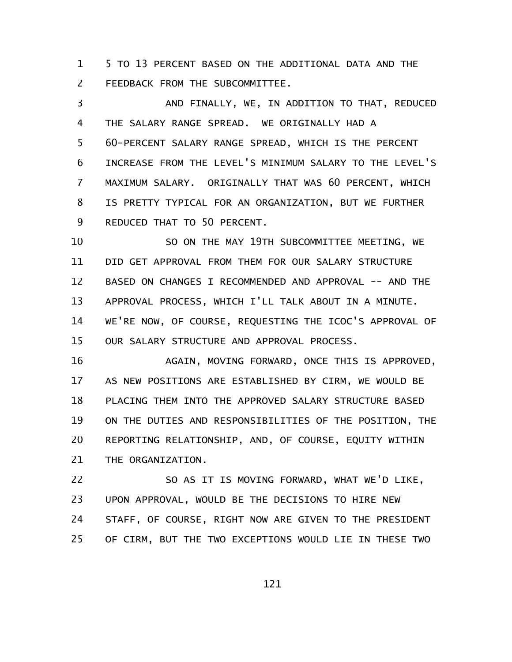5 TO 13 PERCENT BASED ON THE ADDITIONAL DATA AND THE FEEDBACK FROM THE SUBCOMMITTEE. 1 2

AND FINALLY, WE, IN ADDITION TO THAT, REDUCED THE SALARY RANGE SPREAD. WE ORIGINALLY HAD A 60-PERCENT SALARY RANGE SPREAD, WHICH IS THE PERCENT INCREASE FROM THE LEVEL'S MINIMUM SALARY TO THE LEVEL'S MAXIMUM SALARY. ORIGINALLY THAT WAS 60 PERCENT, WHICH IS PRETTY TYPICAL FOR AN ORGANIZATION, BUT WE FURTHER REDUCED THAT TO 50 PERCENT. 3 4 5 6 7 8 9

SO ON THE MAY 19TH SUBCOMMITTEE MEETING, WE DID GET APPROVAL FROM THEM FOR OUR SALARY STRUCTURE BASED ON CHANGES I RECOMMENDED AND APPROVAL -- AND THE APPROVAL PROCESS, WHICH I'LL TALK ABOUT IN A MINUTE. WE'RE NOW, OF COURSE, REQUESTING THE ICOC'S APPROVAL OF OUR SALARY STRUCTURE AND APPROVAL PROCESS. 10 11 12 13 14 15

AGAIN, MOVING FORWARD, ONCE THIS IS APPROVED, AS NEW POSITIONS ARE ESTABLISHED BY CIRM, WE WOULD BE PLACING THEM INTO THE APPROVED SALARY STRUCTURE BASED ON THE DUTIES AND RESPONSIBILITIES OF THE POSITION, THE REPORTING RELATIONSHIP, AND, OF COURSE, EQUITY WITHIN THE ORGANIZATION. 16 17 18 19 20 21

SO AS IT IS MOVING FORWARD, WHAT WE'D LIKE, UPON APPROVAL, WOULD BE THE DECISIONS TO HIRE NEW STAFF, OF COURSE, RIGHT NOW ARE GIVEN TO THE PRESIDENT OF CIRM, BUT THE TWO EXCEPTIONS WOULD LIE IN THESE TWO 22 23 24 25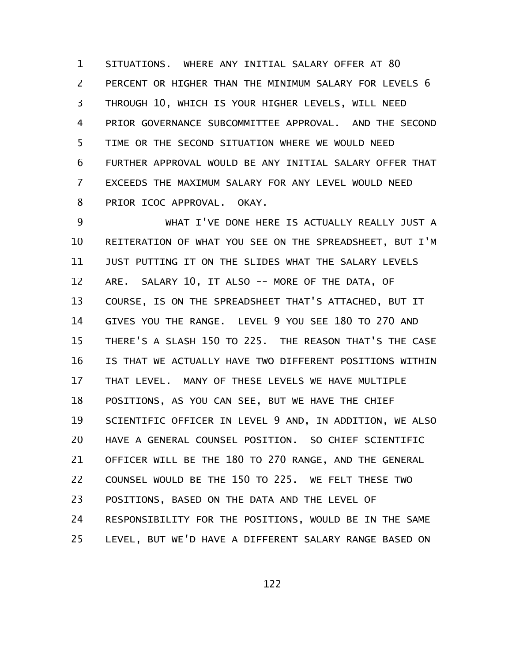SITUATIONS. WHERE ANY INITIAL SALARY OFFER AT 80 PERCENT OR HIGHER THAN THE MINIMUM SALARY FOR LEVELS 6 THROUGH 10, WHICH IS YOUR HIGHER LEVELS, WILL NEED PRIOR GOVERNANCE SUBCOMMITTEE APPROVAL. AND THE SECOND TIME OR THE SECOND SITUATION WHERE WE WOULD NEED FURTHER APPROVAL WOULD BE ANY INITIAL SALARY OFFER THAT EXCEEDS THE MAXIMUM SALARY FOR ANY LEVEL WOULD NEED PRIOR ICOC APPROVAL. OKAY. 1 2 3 4 5 6 7 8

WHAT I'VE DONE HERE IS ACTUALLY REALLY JUST A REITERATION OF WHAT YOU SEE ON THE SPREADSHEET, BUT I'M JUST PUTTING IT ON THE SLIDES WHAT THE SALARY LEVELS ARE. SALARY 10, IT ALSO -- MORE OF THE DATA, OF COURSE, IS ON THE SPREADSHEET THAT'S ATTACHED, BUT IT GIVES YOU THE RANGE. LEVEL 9 YOU SEE 180 TO 270 AND THERE'S A SLASH 150 TO 225. THE REASON THAT'S THE CASE IS THAT WE ACTUALLY HAVE TWO DIFFERENT POSITIONS WITHIN THAT LEVEL. MANY OF THESE LEVELS WE HAVE MULTIPLE POSITIONS, AS YOU CAN SEE, BUT WE HAVE THE CHIEF SCIENTIFIC OFFICER IN LEVEL 9 AND, IN ADDITION, WE ALSO HAVE A GENERAL COUNSEL POSITION. SO CHIEF SCIENTIFIC OFFICER WILL BE THE 180 TO 270 RANGE, AND THE GENERAL COUNSEL WOULD BE THE 150 TO 225. WE FELT THESE TWO POSITIONS, BASED ON THE DATA AND THE LEVEL OF RESPONSIBILITY FOR THE POSITIONS, WOULD BE IN THE SAME LEVEL, BUT WE'D HAVE A DIFFERENT SALARY RANGE BASED ON 9 10 11 12 13 14 15 16 17 18 19 20 21 22 23 24 25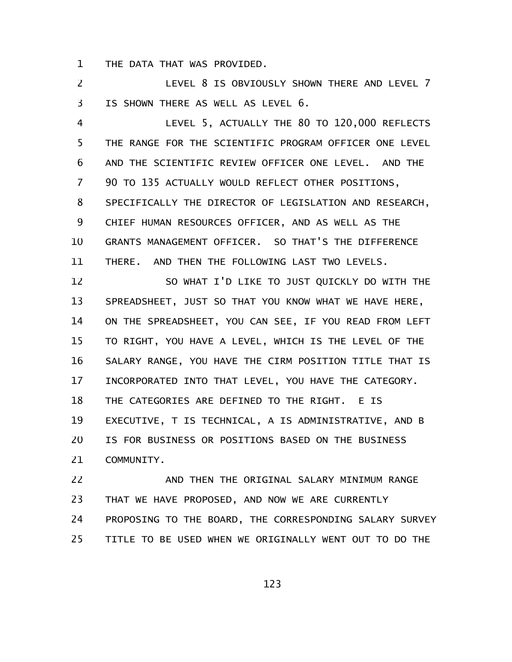THE DATA THAT WAS PROVIDED. 1

LEVEL 8 IS OBVIOUSLY SHOWN THERE AND LEVEL 7 IS SHOWN THERE AS WELL AS LEVEL 6. 2 3

LEVEL 5, ACTUALLY THE 80 TO 120,000 REFLECTS THE RANGE FOR THE SCIENTIFIC PROGRAM OFFICER ONE LEVEL AND THE SCIENTIFIC REVIEW OFFICER ONE LEVEL. AND THE 90 TO 135 ACTUALLY WOULD REFLECT OTHER POSITIONS, SPECIFICALLY THE DIRECTOR OF LEGISLATION AND RESEARCH, CHIEF HUMAN RESOURCES OFFICER, AND AS WELL AS THE GRANTS MANAGEMENT OFFICER. SO THAT'S THE DIFFERENCE THERE. AND THEN THE FOLLOWING LAST TWO LEVELS. 4 5 6 7 8 9 10 11

SO WHAT I'D LIKE TO JUST QUICKLY DO WITH THE SPREADSHEET, JUST SO THAT YOU KNOW WHAT WE HAVE HERE, ON THE SPREADSHEET, YOU CAN SEE, IF YOU READ FROM LEFT TO RIGHT, YOU HAVE A LEVEL, WHICH IS THE LEVEL OF THE SALARY RANGE, YOU HAVE THE CIRM POSITION TITLE THAT IS INCORPORATED INTO THAT LEVEL, YOU HAVE THE CATEGORY. THE CATEGORIES ARE DEFINED TO THE RIGHT. E IS EXECUTIVE, T IS TECHNICAL, A IS ADMINISTRATIVE, AND B IS FOR BUSINESS OR POSITIONS BASED ON THE BUSINESS COMMUNITY. 12 13 14 15 16 17 18 19 20 21

AND THEN THE ORIGINAL SALARY MINIMUM RANGE THAT WE HAVE PROPOSED, AND NOW WE ARE CURRENTLY PROPOSING TO THE BOARD, THE CORRESPONDING SALARY SURVEY TITLE TO BE USED WHEN WE ORIGINALLY WENT OUT TO DO THE 22 23 24 25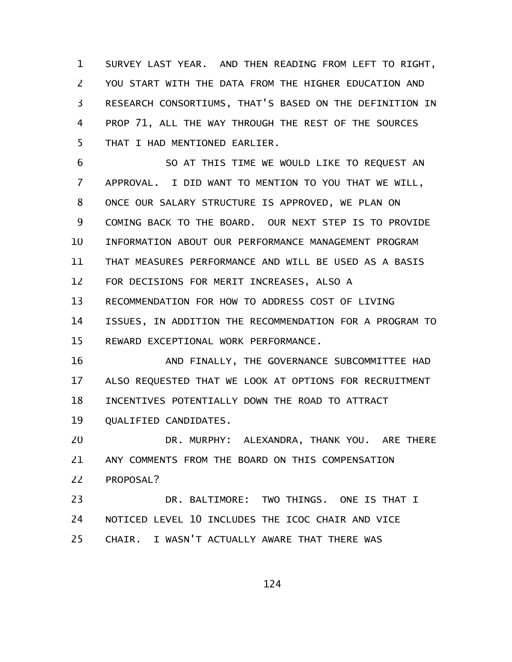SURVEY LAST YEAR. AND THEN READING FROM LEFT TO RIGHT, YOU START WITH THE DATA FROM THE HIGHER EDUCATION AND RESEARCH CONSORTIUMS, THAT'S BASED ON THE DEFINITION IN PROP 71, ALL THE WAY THROUGH THE REST OF THE SOURCES THAT I HAD MENTIONED EARLIER. 1 2 3 4 5

SO AT THIS TIME WE WOULD LIKE TO REQUEST AN APPROVAL. I DID WANT TO MENTION TO YOU THAT WE WILL, ONCE OUR SALARY STRUCTURE IS APPROVED, WE PLAN ON COMING BACK TO THE BOARD. OUR NEXT STEP IS TO PROVIDE INFORMATION ABOUT OUR PERFORMANCE MANAGEMENT PROGRAM THAT MEASURES PERFORMANCE AND WILL BE USED AS A BASIS FOR DECISIONS FOR MERIT INCREASES, ALSO A RECOMMENDATION FOR HOW TO ADDRESS COST OF LIVING ISSUES, IN ADDITION THE RECOMMENDATION FOR A PROGRAM TO REWARD EXCEPTIONAL WORK PERFORMANCE. 6 7 8 9 10 11 12 13 14 15

AND FINALLY, THE GOVERNANCE SUBCOMMITTEE HAD ALSO REQUESTED THAT WE LOOK AT OPTIONS FOR RECRUITMENT INCENTIVES POTENTIALLY DOWN THE ROAD TO ATTRACT QUALIFIED CANDIDATES. 16 17 18 19

DR. MURPHY: ALEXANDRA, THANK YOU. ARE THERE ANY COMMENTS FROM THE BOARD ON THIS COMPENSATION PROPOSAL? 20 21 22

DR. BALTIMORE: TWO THINGS. ONE IS THAT I NOTICED LEVEL 10 INCLUDES THE ICOC CHAIR AND VICE CHAIR. I WASN'T ACTUALLY AWARE THAT THERE WAS 23 24 25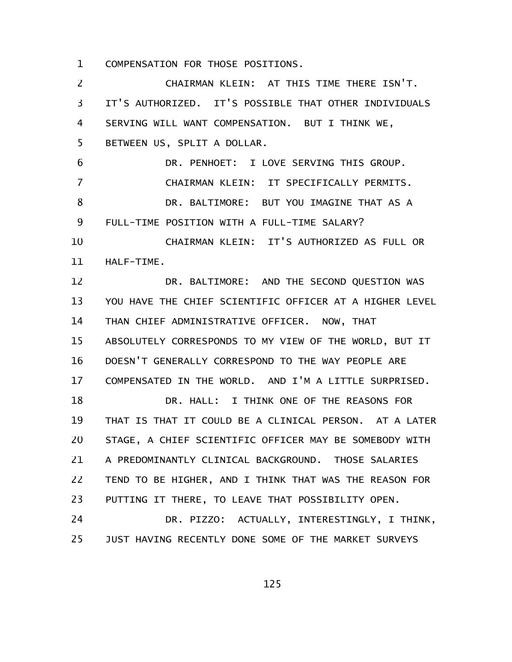COMPENSATION FOR THOSE POSITIONS. 1

CHAIRMAN KLEIN: AT THIS TIME THERE ISN'T. IT'S AUTHORIZED. IT'S POSSIBLE THAT OTHER INDIVIDUALS SERVING WILL WANT COMPENSATION. BUT I THINK WE, BETWEEN US, SPLIT A DOLLAR. DR. PENHOET: I LOVE SERVING THIS GROUP. CHAIRMAN KLEIN: IT SPECIFICALLY PERMITS. DR. BALTIMORE: BUT YOU IMAGINE THAT AS A FULL-TIME POSITION WITH A FULL-TIME SALARY? CHAIRMAN KLEIN: IT'S AUTHORIZED AS FULL OR HALF-TIME. DR. BALTIMORE: AND THE SECOND QUESTION WAS YOU HAVE THE CHIEF SCIENTIFIC OFFICER AT A HIGHER LEVEL THAN CHIEF ADMINISTRATIVE OFFICER. NOW, THAT ABSOLUTELY CORRESPONDS TO MY VIEW OF THE WORLD, BUT IT DOESN'T GENERALLY CORRESPOND TO THE WAY PEOPLE ARE COMPENSATED IN THE WORLD. AND I'M A LITTLE SURPRISED. DR. HALL: I THINK ONE OF THE REASONS FOR THAT IS THAT IT COULD BE A CLINICAL PERSON. AT A LATER STAGE, A CHIEF SCIENTIFIC OFFICER MAY BE SOMEBODY WITH A PREDOMINANTLY CLINICAL BACKGROUND. THOSE SALARIES TEND TO BE HIGHER, AND I THINK THAT WAS THE REASON FOR PUTTING IT THERE, TO LEAVE THAT POSSIBILITY OPEN. DR. PIZZO: ACTUALLY, INTERESTINGLY, I THINK, JUST HAVING RECENTLY DONE SOME OF THE MARKET SURVEYS 2 3 4 5 6 7 8 9 10 11 12 13 14 15 16 17 18 19 20 21 22 23 24 25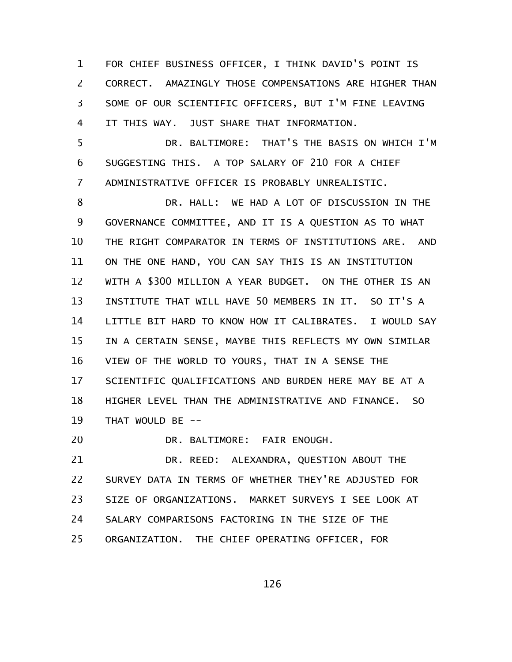FOR CHIEF BUSINESS OFFICER, I THINK DAVID'S POINT IS CORRECT. AMAZINGLY THOSE COMPENSATIONS ARE HIGHER THAN SOME OF OUR SCIENTIFIC OFFICERS, BUT I'M FINE LEAVING IT THIS WAY. JUST SHARE THAT INFORMATION. 1 2 3 4

DR. BALTIMORE: THAT'S THE BASIS ON WHICH I'M SUGGESTING THIS. A TOP SALARY OF 210 FOR A CHIEF ADMINISTRATIVE OFFICER IS PROBABLY UNREALISTIC. 5 6 7

DR. HALL: WE HAD A LOT OF DISCUSSION IN THE GOVERNANCE COMMITTEE, AND IT IS A QUESTION AS TO WHAT THE RIGHT COMPARATOR IN TERMS OF INSTITUTIONS ARE. AND ON THE ONE HAND, YOU CAN SAY THIS IS AN INSTITUTION WITH A \$300 MILLION A YEAR BUDGET. ON THE OTHER IS AN INSTITUTE THAT WILL HAVE 50 MEMBERS IN IT. SO IT'S A LITTLE BIT HARD TO KNOW HOW IT CALIBRATES. I WOULD SAY IN A CERTAIN SENSE, MAYBE THIS REFLECTS MY OWN SIMILAR VIEW OF THE WORLD TO YOURS, THAT IN A SENSE THE SCIENTIFIC QUALIFICATIONS AND BURDEN HERE MAY BE AT A HIGHER LEVEL THAN THE ADMINISTRATIVE AND FINANCE. SO THAT WOULD BE --8 9 10 11 12 13 14 15 16 17 18 19

DR. BALTIMORE: FAIR ENOUGH. 20

DR. REED: ALEXANDRA, QUESTION ABOUT THE SURVEY DATA IN TERMS OF WHETHER THEY'RE ADJUSTED FOR SIZE OF ORGANIZATIONS. MARKET SURVEYS I SEE LOOK AT SALARY COMPARISONS FACTORING IN THE SIZE OF THE ORGANIZATION. THE CHIEF OPERATING OFFICER, FOR 21 22 23 24 25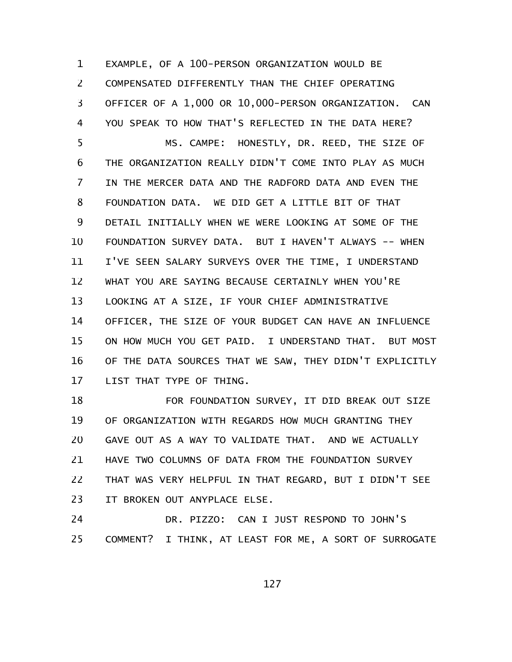EXAMPLE, OF A 100-PERSON ORGANIZATION WOULD BE COMPENSATED DIFFERENTLY THAN THE CHIEF OPERATING OFFICER OF A 1,000 OR 10,000-PERSON ORGANIZATION. CAN YOU SPEAK TO HOW THAT'S REFLECTED IN THE DATA HERE? MS. CAMPE: HONESTLY, DR. REED, THE SIZE OF THE ORGANIZATION REALLY DIDN'T COME INTO PLAY AS MUCH IN THE MERCER DATA AND THE RADFORD DATA AND EVEN THE FOUNDATION DATA. WE DID GET A LITTLE BIT OF THAT DETAIL INITIALLY WHEN WE WERE LOOKING AT SOME OF THE FOUNDATION SURVEY DATA. BUT I HAVEN'T ALWAYS -- WHEN I'VE SEEN SALARY SURVEYS OVER THE TIME, I UNDERSTAND WHAT YOU ARE SAYING BECAUSE CERTAINLY WHEN YOU'RE LOOKING AT A SIZE, IF YOUR CHIEF ADMINISTRATIVE OFFICER, THE SIZE OF YOUR BUDGET CAN HAVE AN INFLUENCE ON HOW MUCH YOU GET PAID. I UNDERSTAND THAT. BUT MOST OF THE DATA SOURCES THAT WE SAW, THEY DIDN'T EXPLICITLY LIST THAT TYPE OF THING. 1 2 3 4 5 6 7 8 9 10 11 12 13 14 15 16 17

FOR FOUNDATION SURVEY, IT DID BREAK OUT SIZE OF ORGANIZATION WITH REGARDS HOW MUCH GRANTING THEY GAVE OUT AS A WAY TO VALIDATE THAT. AND WE ACTUALLY HAVE TWO COLUMNS OF DATA FROM THE FOUNDATION SURVEY THAT WAS VERY HELPFUL IN THAT REGARD, BUT I DIDN'T SEE IT BROKEN OUT ANYPLACE ELSE. 18 19 20 21 22 23

DR. PIZZO: CAN I JUST RESPOND TO JOHN'S COMMENT? I THINK, AT LEAST FOR ME, A SORT OF SURROGATE 24 25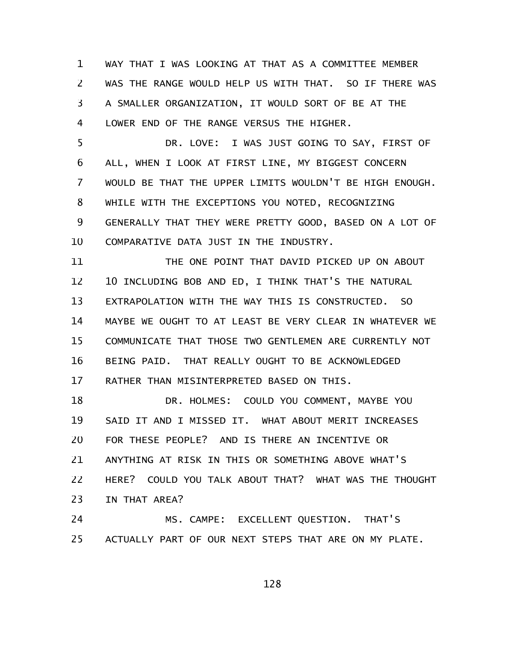WAY THAT I WAS LOOKING AT THAT AS A COMMITTEE MEMBER WAS THE RANGE WOULD HELP US WITH THAT. SO IF THERE WAS A SMALLER ORGANIZATION, IT WOULD SORT OF BE AT THE LOWER END OF THE RANGE VERSUS THE HIGHER. 1 2 3 4

DR. LOVE: I WAS JUST GOING TO SAY, FIRST OF ALL, WHEN I LOOK AT FIRST LINE, MY BIGGEST CONCERN WOULD BE THAT THE UPPER LIMITS WOULDN'T BE HIGH ENOUGH. WHILE WITH THE EXCEPTIONS YOU NOTED, RECOGNIZING GENERALLY THAT THEY WERE PRETTY GOOD, BASED ON A LOT OF COMPARATIVE DATA JUST IN THE INDUSTRY. 5 6 7 8 9 10

THE ONE POINT THAT DAVID PICKED UP ON ABOUT 10 INCLUDING BOB AND ED, I THINK THAT'S THE NATURAL EXTRAPOLATION WITH THE WAY THIS IS CONSTRUCTED. SO MAYBE WE OUGHT TO AT LEAST BE VERY CLEAR IN WHATEVER WE COMMUNICATE THAT THOSE TWO GENTLEMEN ARE CURRENTLY NOT BEING PAID. THAT REALLY OUGHT TO BE ACKNOWLEDGED RATHER THAN MISINTERPRETED BASED ON THIS. 11 12 13 14 15 16 17

DR. HOLMES: COULD YOU COMMENT, MAYBE YOU SAID IT AND I MISSED IT. WHAT ABOUT MERIT INCREASES FOR THESE PEOPLE? AND IS THERE AN INCENTIVE OR ANYTHING AT RISK IN THIS OR SOMETHING ABOVE WHAT'S HERE? COULD YOU TALK ABOUT THAT? WHAT WAS THE THOUGHT IN THAT AREA? 18 19 20 21 22 23

MS. CAMPE: EXCELLENT QUESTION. THAT'S ACTUALLY PART OF OUR NEXT STEPS THAT ARE ON MY PLATE. 24 25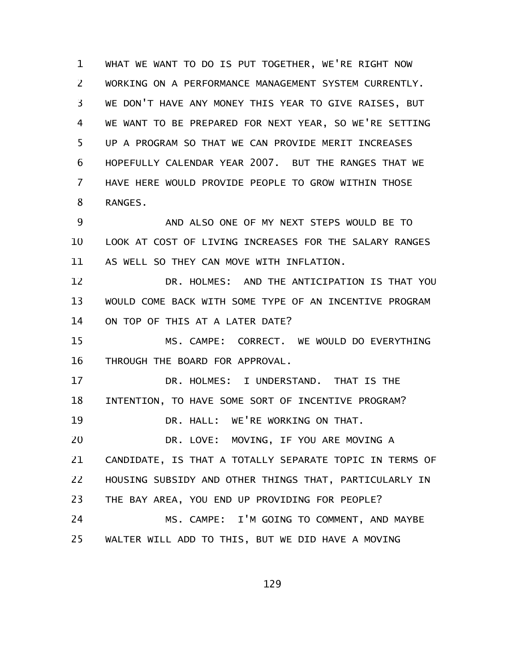WHAT WE WANT TO DO IS PUT TOGETHER, WE'RE RIGHT NOW WORKING ON A PERFORMANCE MANAGEMENT SYSTEM CURRENTLY. WE DON'T HAVE ANY MONEY THIS YEAR TO GIVE RAISES, BUT WE WANT TO BE PREPARED FOR NEXT YEAR, SO WE'RE SETTING UP A PROGRAM SO THAT WE CAN PROVIDE MERIT INCREASES HOPEFULLY CALENDAR YEAR 2007. BUT THE RANGES THAT WE HAVE HERE WOULD PROVIDE PEOPLE TO GROW WITHIN THOSE RANGES. 1 2 3 4 5 6 7 8

AND ALSO ONE OF MY NEXT STEPS WOULD BE TO LOOK AT COST OF LIVING INCREASES FOR THE SALARY RANGES AS WELL SO THEY CAN MOVE WITH INFLATION. 9 10 11

DR. HOLMES: AND THE ANTICIPATION IS THAT YOU WOULD COME BACK WITH SOME TYPE OF AN INCENTIVE PROGRAM ON TOP OF THIS AT A LATER DATE? 12 13 14

MS. CAMPE: CORRECT. WE WOULD DO EVERYTHING THROUGH THE BOARD FOR APPROVAL. 15 16

DR. HOLMES: I UNDERSTAND. THAT IS THE INTENTION, TO HAVE SOME SORT OF INCENTIVE PROGRAM? DR. HALL: WE'RE WORKING ON THAT. DR. LOVE: MOVING, IF YOU ARE MOVING A CANDIDATE, IS THAT A TOTALLY SEPARATE TOPIC IN TERMS OF HOUSING SUBSIDY AND OTHER THINGS THAT, PARTICULARLY IN THE BAY AREA, YOU END UP PROVIDING FOR PEOPLE? MS. CAMPE: I'M GOING TO COMMENT, AND MAYBE WALTER WILL ADD TO THIS, BUT WE DID HAVE A MOVING 17 18 19 20 21 22 23 24 25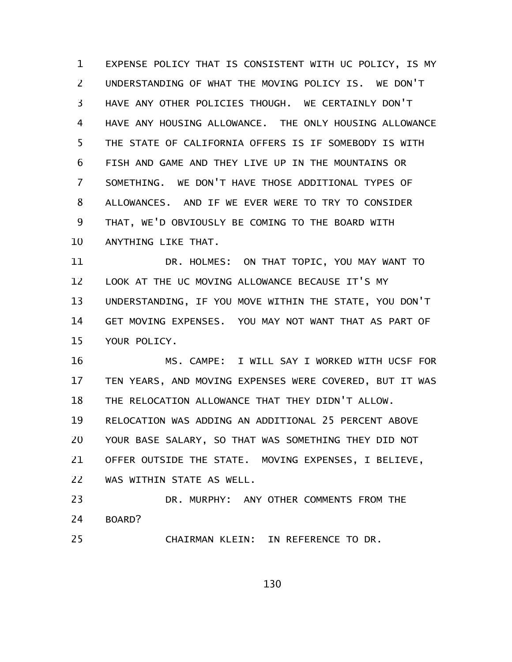EXPENSE POLICY THAT IS CONSISTENT WITH UC POLICY, IS MY UNDERSTANDING OF WHAT THE MOVING POLICY IS. WE DON'T HAVE ANY OTHER POLICIES THOUGH. WE CERTAINLY DON'T HAVE ANY HOUSING ALLOWANCE. THE ONLY HOUSING ALLOWANCE THE STATE OF CALIFORNIA OFFERS IS IF SOMEBODY IS WITH FISH AND GAME AND THEY LIVE UP IN THE MOUNTAINS OR SOMETHING. WE DON'T HAVE THOSE ADDITIONAL TYPES OF ALLOWANCES. AND IF WE EVER WERE TO TRY TO CONSIDER THAT, WE'D OBVIOUSLY BE COMING TO THE BOARD WITH ANYTHING LIKE THAT. 1 2 3 4 5 6 7 8 9 10

DR. HOLMES: ON THAT TOPIC, YOU MAY WANT TO LOOK AT THE UC MOVING ALLOWANCE BECAUSE IT'S MY UNDERSTANDING, IF YOU MOVE WITHIN THE STATE, YOU DON'T GET MOVING EXPENSES. YOU MAY NOT WANT THAT AS PART OF YOUR POLICY. 11 12 13 14 15

MS. CAMPE: I WILL SAY I WORKED WITH UCSF FOR TEN YEARS, AND MOVING EXPENSES WERE COVERED, BUT IT WAS THE RELOCATION ALLOWANCE THAT THEY DIDN'T ALLOW. RELOCATION WAS ADDING AN ADDITIONAL 25 PERCENT ABOVE YOUR BASE SALARY, SO THAT WAS SOMETHING THEY DID NOT OFFER OUTSIDE THE STATE. MOVING EXPENSES, I BELIEVE, WAS WITHIN STATE AS WELL. 16 17 18 19 20 21 22

DR. MURPHY: ANY OTHER COMMENTS FROM THE BOARD? 23 24

25

CHAIRMAN KLEIN: IN REFERENCE TO DR.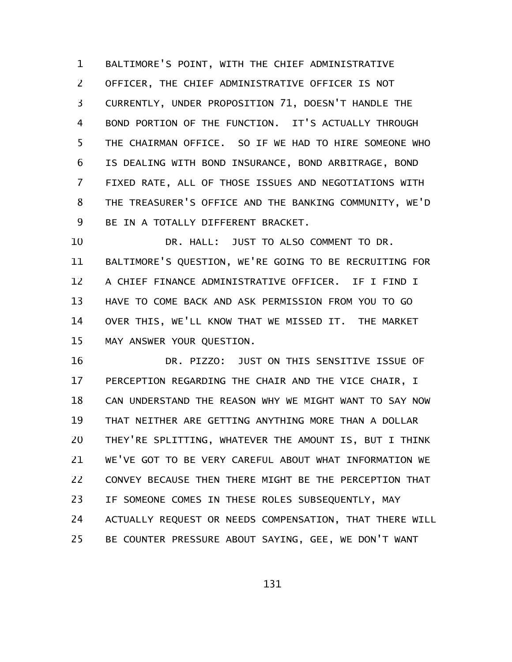BALTIMORE'S POINT, WITH THE CHIEF ADMINISTRATIVE OFFICER, THE CHIEF ADMINISTRATIVE OFFICER IS NOT CURRENTLY, UNDER PROPOSITION 71, DOESN'T HANDLE THE BOND PORTION OF THE FUNCTION. IT'S ACTUALLY THROUGH THE CHAIRMAN OFFICE. SO IF WE HAD TO HIRE SOMEONE WHO IS DEALING WITH BOND INSURANCE, BOND ARBITRAGE, BOND FIXED RATE, ALL OF THOSE ISSUES AND NEGOTIATIONS WITH THE TREASURER'S OFFICE AND THE BANKING COMMUNITY, WE'D BE IN A TOTALLY DIFFERENT BRACKET. 1 2 3 4 5 6 7 8 9

DR. HALL: JUST TO ALSO COMMENT TO DR. BALTIMORE'S QUESTION, WE'RE GOING TO BE RECRUITING FOR A CHIEF FINANCE ADMINISTRATIVE OFFICER. IF I FIND I HAVE TO COME BACK AND ASK PERMISSION FROM YOU TO GO OVER THIS, WE'LL KNOW THAT WE MISSED IT. THE MARKET MAY ANSWER YOUR QUESTION. 10 11 12 13 14 15

DR. PIZZO: JUST ON THIS SENSITIVE ISSUE OF PERCEPTION REGARDING THE CHAIR AND THE VICE CHAIR, I CAN UNDERSTAND THE REASON WHY WE MIGHT WANT TO SAY NOW THAT NEITHER ARE GETTING ANYTHING MORE THAN A DOLLAR THEY'RE SPLITTING, WHATEVER THE AMOUNT IS, BUT I THINK WE'VE GOT TO BE VERY CAREFUL ABOUT WHAT INFORMATION WE CONVEY BECAUSE THEN THERE MIGHT BE THE PERCEPTION THAT IF SOMEONE COMES IN THESE ROLES SUBSEQUENTLY, MAY ACTUALLY REQUEST OR NEEDS COMPENSATION, THAT THERE WILL BE COUNTER PRESSURE ABOUT SAYING, GEE, WE DON'T WANT 16 17 18 19 20 21 22 23 24 25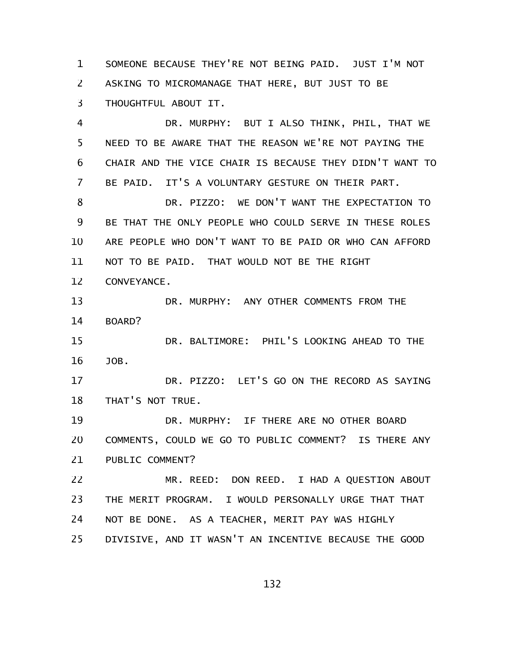SOMEONE BECAUSE THEY'RE NOT BEING PAID. JUST I'M NOT ASKING TO MICROMANAGE THAT HERE, BUT JUST TO BE THOUGHTFUL ABOUT IT. 1 2 3

DR. MURPHY: BUT I ALSO THINK, PHIL, THAT WE NEED TO BE AWARE THAT THE REASON WE'RE NOT PAYING THE CHAIR AND THE VICE CHAIR IS BECAUSE THEY DIDN'T WANT TO BE PAID. IT'S A VOLUNTARY GESTURE ON THEIR PART. 4 5 6 7

DR. PIZZO: WE DON'T WANT THE EXPECTATION TO BE THAT THE ONLY PEOPLE WHO COULD SERVE IN THESE ROLES ARE PEOPLE WHO DON'T WANT TO BE PAID OR WHO CAN AFFORD NOT TO BE PAID. THAT WOULD NOT BE THE RIGHT 8 9 10 11

CONVEYANCE. 12

DR. MURPHY: ANY OTHER COMMENTS FROM THE BOARD? 13 14

DR. BALTIMORE: PHIL'S LOOKING AHEAD TO THE JOB. 15 16

DR. PIZZO: LET'S GO ON THE RECORD AS SAYING THAT'S NOT TRUE. 17 18

DR. MURPHY: IF THERE ARE NO OTHER BOARD COMMENTS, COULD WE GO TO PUBLIC COMMENT? IS THERE ANY PUBLIC COMMENT? 19 20 21

MR. REED: DON REED. I HAD A QUESTION ABOUT THE MERIT PROGRAM. I WOULD PERSONALLY URGE THAT THAT NOT BE DONE. AS A TEACHER, MERIT PAY WAS HIGHLY DIVISIVE, AND IT WASN'T AN INCENTIVE BECAUSE THE GOOD 22 23 24 25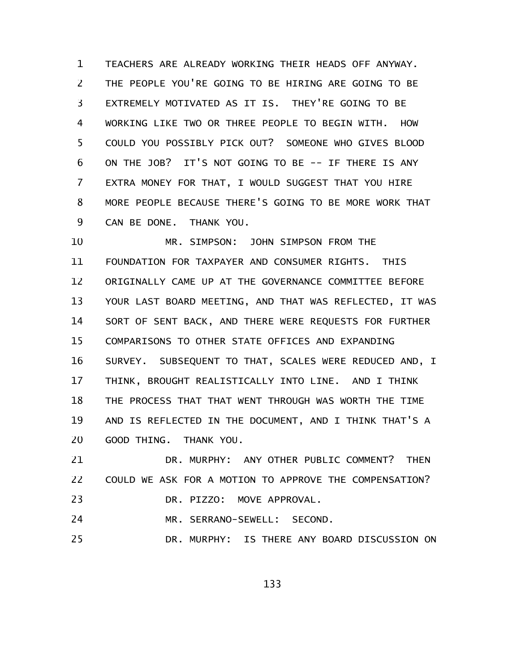TEACHERS ARE ALREADY WORKING THEIR HEADS OFF ANYWAY. THE PEOPLE YOU'RE GOING TO BE HIRING ARE GOING TO BE EXTREMELY MOTIVATED AS IT IS. THEY'RE GOING TO BE WORKING LIKE TWO OR THREE PEOPLE TO BEGIN WITH. HOW COULD YOU POSSIBLY PICK OUT? SOMEONE WHO GIVES BLOOD ON THE JOB? IT'S NOT GOING TO BE -- IF THERE IS ANY EXTRA MONEY FOR THAT, I WOULD SUGGEST THAT YOU HIRE MORE PEOPLE BECAUSE THERE'S GOING TO BE MORE WORK THAT CAN BE DONE. THANK YOU. 1 2 3 4 5 6 7 8 9

MR. SIMPSON: JOHN SIMPSON FROM THE FOUNDATION FOR TAXPAYER AND CONSUMER RIGHTS. THIS ORIGINALLY CAME UP AT THE GOVERNANCE COMMITTEE BEFORE YOUR LAST BOARD MEETING, AND THAT WAS REFLECTED, IT WAS SORT OF SENT BACK, AND THERE WERE REQUESTS FOR FURTHER COMPARISONS TO OTHER STATE OFFICES AND EXPANDING SURVEY. SUBSEQUENT TO THAT, SCALES WERE REDUCED AND, I THINK, BROUGHT REALISTICALLY INTO LINE. AND I THINK THE PROCESS THAT THAT WENT THROUGH WAS WORTH THE TIME AND IS REFLECTED IN THE DOCUMENT, AND I THINK THAT'S A GOOD THING. THANK YOU. 10 11 12 13 14 15 16 17 18 19 20

DR. MURPHY: ANY OTHER PUBLIC COMMENT? THEN COULD WE ASK FOR A MOTION TO APPROVE THE COMPENSATION? DR. PIZZO: MOVE APPROVAL. 21 22 23

MR. SERRANO-SEWELL: SECOND. 24

DR. MURPHY: IS THERE ANY BOARD DISCUSSION ON 25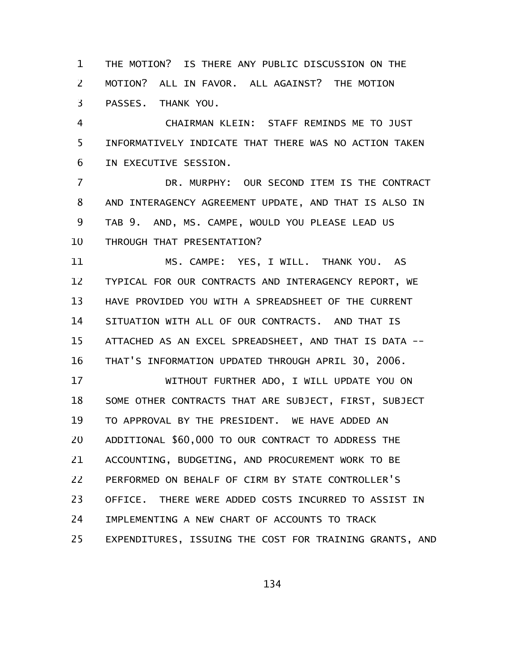THE MOTION? IS THERE ANY PUBLIC DISCUSSION ON THE MOTION? ALL IN FAVOR. ALL AGAINST? THE MOTION PASSES. THANK YOU. 1 2 3

CHAIRMAN KLEIN: STAFF REMINDS ME TO JUST INFORMATIVELY INDICATE THAT THERE WAS NO ACTION TAKEN IN EXECUTIVE SESSION. 4 5 6

DR. MURPHY: OUR SECOND ITEM IS THE CONTRACT AND INTERAGENCY AGREEMENT UPDATE, AND THAT IS ALSO IN TAB 9. AND, MS. CAMPE, WOULD YOU PLEASE LEAD US THROUGH THAT PRESENTATION? 7 8 9 10

MS. CAMPE: YES, I WILL. THANK YOU. AS TYPICAL FOR OUR CONTRACTS AND INTERAGENCY REPORT, WE HAVE PROVIDED YOU WITH A SPREADSHEET OF THE CURRENT SITUATION WITH ALL OF OUR CONTRACTS. AND THAT IS ATTACHED AS AN EXCEL SPREADSHEET, AND THAT IS DATA -- THAT'S INFORMATION UPDATED THROUGH APRIL 30, 2006. 11 12 13 14 15 16

WITHOUT FURTHER ADO, I WILL UPDATE YOU ON SOME OTHER CONTRACTS THAT ARE SUBJECT, FIRST, SUBJECT TO APPROVAL BY THE PRESIDENT. WE HAVE ADDED AN ADDITIONAL \$60,000 TO OUR CONTRACT TO ADDRESS THE ACCOUNTING, BUDGETING, AND PROCUREMENT WORK TO BE PERFORMED ON BEHALF OF CIRM BY STATE CONTROLLER'S OFFICE. THERE WERE ADDED COSTS INCURRED TO ASSIST IN IMPLEMENTING A NEW CHART OF ACCOUNTS TO TRACK EXPENDITURES, ISSUING THE COST FOR TRAINING GRANTS, AND 17 18 19 20 21 22 23 24 25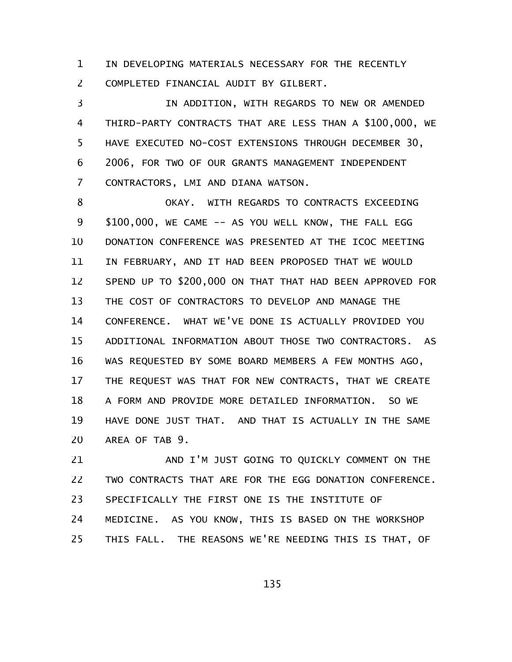IN DEVELOPING MATERIALS NECESSARY FOR THE RECENTLY COMPLETED FINANCIAL AUDIT BY GILBERT. 1 2

IN ADDITION, WITH REGARDS TO NEW OR AMENDED THIRD-PARTY CONTRACTS THAT ARE LESS THAN A \$100,000, WE HAVE EXECUTED NO-COST EXTENSIONS THROUGH DECEMBER 30, 2006, FOR TWO OF OUR GRANTS MANAGEMENT INDEPENDENT CONTRACTORS, LMI AND DIANA WATSON. 3 4 5 6 7

OKAY. WITH REGARDS TO CONTRACTS EXCEEDING \$100,000, WE CAME -- AS YOU WELL KNOW, THE FALL EGG DONATION CONFERENCE WAS PRESENTED AT THE ICOC MEETING IN FEBRUARY, AND IT HAD BEEN PROPOSED THAT WE WOULD SPEND UP TO \$200,000 ON THAT THAT HAD BEEN APPROVED FOR THE COST OF CONTRACTORS TO DEVELOP AND MANAGE THE CONFERENCE. WHAT WE'VE DONE IS ACTUALLY PROVIDED YOU ADDITIONAL INFORMATION ABOUT THOSE TWO CONTRACTORS. AS WAS REQUESTED BY SOME BOARD MEMBERS A FEW MONTHS AGO, THE REQUEST WAS THAT FOR NEW CONTRACTS, THAT WE CREATE A FORM AND PROVIDE MORE DETAILED INFORMATION. SO WE HAVE DONE JUST THAT. AND THAT IS ACTUALLY IN THE SAME AREA OF TAB 9. 8 9 10 11 12 13 14 15 16 17 18 19 20

AND I'M JUST GOING TO QUICKLY COMMENT ON THE TWO CONTRACTS THAT ARE FOR THE EGG DONATION CONFERENCE. SPECIFICALLY THE FIRST ONE IS THE INSTITUTE OF MEDICINE. AS YOU KNOW, THIS IS BASED ON THE WORKSHOP THIS FALL. THE REASONS WE'RE NEEDING THIS IS THAT, OF 21 22 23 24 25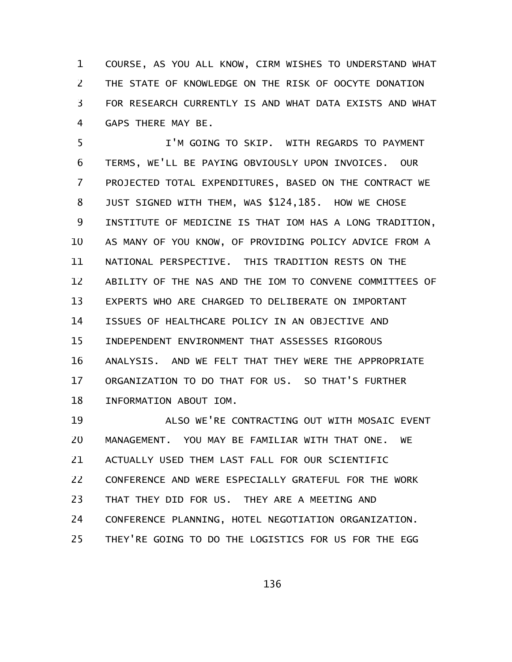COURSE, AS YOU ALL KNOW, CIRM WISHES TO UNDERSTAND WHAT THE STATE OF KNOWLEDGE ON THE RISK OF OOCYTE DONATION FOR RESEARCH CURRENTLY IS AND WHAT DATA EXISTS AND WHAT GAPS THERE MAY BE. 1 2 3 4

I'M GOING TO SKIP. WITH REGARDS TO PAYMENT TERMS, WE'LL BE PAYING OBVIOUSLY UPON INVOICES. OUR PROJECTED TOTAL EXPENDITURES, BASED ON THE CONTRACT WE JUST SIGNED WITH THEM, WAS \$124,185. HOW WE CHOSE INSTITUTE OF MEDICINE IS THAT IOM HAS A LONG TRADITION, AS MANY OF YOU KNOW, OF PROVIDING POLICY ADVICE FROM A NATIONAL PERSPECTIVE. THIS TRADITION RESTS ON THE ABILITY OF THE NAS AND THE IOM TO CONVENE COMMITTEES OF EXPERTS WHO ARE CHARGED TO DELIBERATE ON IMPORTANT ISSUES OF HEALTHCARE POLICY IN AN OBJECTIVE AND INDEPENDENT ENVIRONMENT THAT ASSESSES RIGOROUS ANALYSIS. AND WE FELT THAT THEY WERE THE APPROPRIATE ORGANIZATION TO DO THAT FOR US. SO THAT'S FURTHER INFORMATION ABOUT IOM. 5 6 7 8 9 10 11 12 13 14 15 16 17 18

ALSO WE'RE CONTRACTING OUT WITH MOSAIC EVENT MANAGEMENT. YOU MAY BE FAMILIAR WITH THAT ONE. WE ACTUALLY USED THEM LAST FALL FOR OUR SCIENTIFIC CONFERENCE AND WERE ESPECIALLY GRATEFUL FOR THE WORK THAT THEY DID FOR US. THEY ARE A MEETING AND CONFERENCE PLANNING, HOTEL NEGOTIATION ORGANIZATION. THEY'RE GOING TO DO THE LOGISTICS FOR US FOR THE EGG 19 20 21 22 23 24 25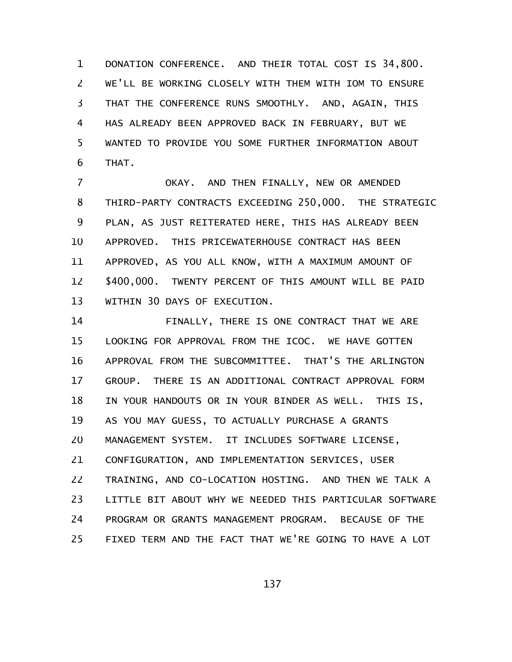DONATION CONFERENCE. AND THEIR TOTAL COST IS 34,800. WE'LL BE WORKING CLOSELY WITH THEM WITH IOM TO ENSURE THAT THE CONFERENCE RUNS SMOOTHLY. AND, AGAIN, THIS HAS ALREADY BEEN APPROVED BACK IN FEBRUARY, BUT WE WANTED TO PROVIDE YOU SOME FURTHER INFORMATION ABOUT THAT. 1 2 3 4 5 6

OKAY. AND THEN FINALLY, NEW OR AMENDED THIRD-PARTY CONTRACTS EXCEEDING 250,000. THE STRATEGIC PLAN, AS JUST REITERATED HERE, THIS HAS ALREADY BEEN APPROVED. THIS PRICEWATERHOUSE CONTRACT HAS BEEN APPROVED, AS YOU ALL KNOW, WITH A MAXIMUM AMOUNT OF \$400,000. TWENTY PERCENT OF THIS AMOUNT WILL BE PAID WITHIN 30 DAYS OF EXECUTION. 7 8 9 10 11 12 13

FINALLY, THERE IS ONE CONTRACT THAT WE ARE LOOKING FOR APPROVAL FROM THE ICOC. WE HAVE GOTTEN APPROVAL FROM THE SUBCOMMITTEE. THAT'S THE ARLINGTON GROUP. THERE IS AN ADDITIONAL CONTRACT APPROVAL FORM IN YOUR HANDOUTS OR IN YOUR BINDER AS WELL. THIS IS, AS YOU MAY GUESS, TO ACTUALLY PURCHASE A GRANTS MANAGEMENT SYSTEM. IT INCLUDES SOFTWARE LICENSE, CONFIGURATION, AND IMPLEMENTATION SERVICES, USER TRAINING, AND CO-LOCATION HOSTING. AND THEN WE TALK A LITTLE BIT ABOUT WHY WE NEEDED THIS PARTICULAR SOFTWARE PROGRAM OR GRANTS MANAGEMENT PROGRAM. BECAUSE OF THE FIXED TERM AND THE FACT THAT WE'RE GOING TO HAVE A LOT 14 15 16 17 18 19 20 21 22 23 24 25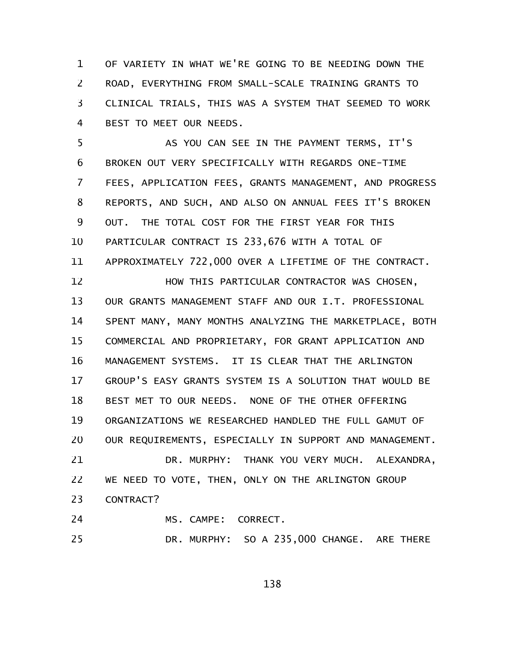OF VARIETY IN WHAT WE'RE GOING TO BE NEEDING DOWN THE ROAD, EVERYTHING FROM SMALL-SCALE TRAINING GRANTS TO CLINICAL TRIALS, THIS WAS A SYSTEM THAT SEEMED TO WORK BEST TO MEET OUR NEEDS. 1 2 3 4

AS YOU CAN SEE IN THE PAYMENT TERMS, IT'S BROKEN OUT VERY SPECIFICALLY WITH REGARDS ONE-TIME FEES, APPLICATION FEES, GRANTS MANAGEMENT, AND PROGRESS REPORTS, AND SUCH, AND ALSO ON ANNUAL FEES IT'S BROKEN OUT. THE TOTAL COST FOR THE FIRST YEAR FOR THIS PARTICULAR CONTRACT IS 233,676 WITH A TOTAL OF APPROXIMATELY 722,000 OVER A LIFETIME OF THE CONTRACT. HOW THIS PARTICULAR CONTRACTOR WAS CHOSEN, OUR GRANTS MANAGEMENT STAFF AND OUR I.T. PROFESSIONAL SPENT MANY, MANY MONTHS ANALYZING THE MARKETPLACE, BOTH COMMERCIAL AND PROPRIETARY, FOR GRANT APPLICATION AND MANAGEMENT SYSTEMS. IT IS CLEAR THAT THE ARLINGTON GROUP'S EASY GRANTS SYSTEM IS A SOLUTION THAT WOULD BE BEST MET TO OUR NEEDS. NONE OF THE OTHER OFFERING ORGANIZATIONS WE RESEARCHED HANDLED THE FULL GAMUT OF OUR REQUIREMENTS, ESPECIALLY IN SUPPORT AND MANAGEMENT. DR. MURPHY: THANK YOU VERY MUCH. ALEXANDRA, WE NEED TO VOTE, THEN, ONLY ON THE ARLINGTON GROUP CONTRACT? 5 6 7 8 9 10 11 12 13 14 15 16 17 18 19 20 21 22 23

- MS. CAMPE: CORRECT. 24
- DR. MURPHY: SO A 235,000 CHANGE. ARE THERE 25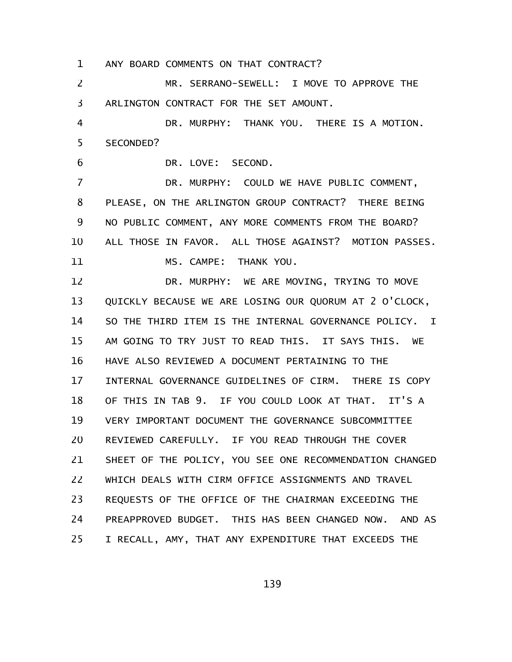ANY BOARD COMMENTS ON THAT CONTRACT? 1

MR. SERRANO-SEWELL: I MOVE TO APPROVE THE ARLINGTON CONTRACT FOR THE SET AMOUNT. 2 3

DR. MURPHY: THANK YOU. THERE IS A MOTION. SECONDED? 4 5

DR. LOVE: SECOND.

6

DR. MURPHY: COULD WE HAVE PUBLIC COMMENT, PLEASE, ON THE ARLINGTON GROUP CONTRACT? THERE BEING NO PUBLIC COMMENT, ANY MORE COMMENTS FROM THE BOARD? ALL THOSE IN FAVOR. ALL THOSE AGAINST? MOTION PASSES. MS. CAMPE: THANK YOU. 7 8 9 10 11

DR. MURPHY: WE ARE MOVING, TRYING TO MOVE QUICKLY BECAUSE WE ARE LOSING OUR QUORUM AT 2 O'CLOCK, SO THE THIRD ITEM IS THE INTERNAL GOVERNANCE POLICY. I AM GOING TO TRY JUST TO READ THIS. IT SAYS THIS. WE HAVE ALSO REVIEWED A DOCUMENT PERTAINING TO THE INTERNAL GOVERNANCE GUIDELINES OF CIRM. THERE IS COPY OF THIS IN TAB 9. IF YOU COULD LOOK AT THAT. IT'S A VERY IMPORTANT DOCUMENT THE GOVERNANCE SUBCOMMITTEE REVIEWED CAREFULLY. IF YOU READ THROUGH THE COVER SHEET OF THE POLICY, YOU SEE ONE RECOMMENDATION CHANGED WHICH DEALS WITH CIRM OFFICE ASSIGNMENTS AND TRAVEL REQUESTS OF THE OFFICE OF THE CHAIRMAN EXCEEDING THE PREAPPROVED BUDGET. THIS HAS BEEN CHANGED NOW. AND AS I RECALL, AMY, THAT ANY EXPENDITURE THAT EXCEEDS THE 12 13 14 15 16 17 18 19 20 21 22 23 24 25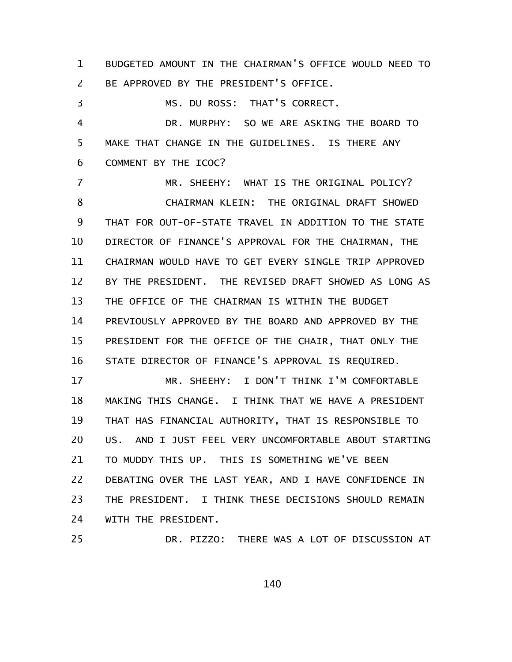BUDGETED AMOUNT IN THE CHAIRMAN'S OFFICE WOULD NEED TO BE APPROVED BY THE PRESIDENT'S OFFICE. 1 2

MS. DU ROSS: THAT'S CORRECT. 3

DR. MURPHY: SO WE ARE ASKING THE BOARD TO MAKE THAT CHANGE IN THE GUIDELINES. IS THERE ANY COMMENT BY THE ICOC? 4 5 6

MR. SHEEHY: WHAT IS THE ORIGINAL POLICY? CHAIRMAN KLEIN: THE ORIGINAL DRAFT SHOWED THAT FOR OUT-OF-STATE TRAVEL IN ADDITION TO THE STATE DIRECTOR OF FINANCE'S APPROVAL FOR THE CHAIRMAN, THE CHAIRMAN WOULD HAVE TO GET EVERY SINGLE TRIP APPROVED BY THE PRESIDENT. THE REVISED DRAFT SHOWED AS LONG AS THE OFFICE OF THE CHAIRMAN IS WITHIN THE BUDGET PREVIOUSLY APPROVED BY THE BOARD AND APPROVED BY THE PRESIDENT FOR THE OFFICE OF THE CHAIR, THAT ONLY THE STATE DIRECTOR OF FINANCE'S APPROVAL IS REQUIRED. 7 8 9 10 11 12 13 14 15 16

MR. SHEEHY: I DON'T THINK I'M COMFORTABLE MAKING THIS CHANGE. I THINK THAT WE HAVE A PRESIDENT THAT HAS FINANCIAL AUTHORITY, THAT IS RESPONSIBLE TO US. AND I JUST FEEL VERY UNCOMFORTABLE ABOUT STARTING TO MUDDY THIS UP. THIS IS SOMETHING WE'VE BEEN DEBATING OVER THE LAST YEAR, AND I HAVE CONFIDENCE IN THE PRESIDENT. I THINK THESE DECISIONS SHOULD REMAIN WITH THE PRESIDENT. 17 18 19 20 21 22 23 24

25

DR. PIZZO: THERE WAS A LOT OF DISCUSSION AT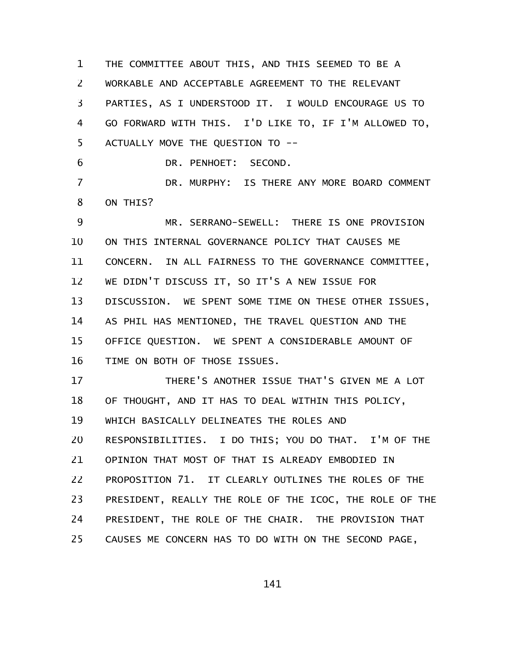THE COMMITTEE ABOUT THIS, AND THIS SEEMED TO BE A WORKABLE AND ACCEPTABLE AGREEMENT TO THE RELEVANT PARTIES, AS I UNDERSTOOD IT. I WOULD ENCOURAGE US TO GO FORWARD WITH THIS. I'D LIKE TO, IF I'M ALLOWED TO, ACTUALLY MOVE THE QUESTION TO -- DR. PENHOET: SECOND. DR. MURPHY: IS THERE ANY MORE BOARD COMMENT ON THIS? MR. SERRANO-SEWELL: THERE IS ONE PROVISION ON THIS INTERNAL GOVERNANCE POLICY THAT CAUSES ME CONCERN. IN ALL FAIRNESS TO THE GOVERNANCE COMMITTEE, WE DIDN'T DISCUSS IT, SO IT'S A NEW ISSUE FOR 1 2 3 4 5 6 7 8 9 10 11 12

DISCUSSION. WE SPENT SOME TIME ON THESE OTHER ISSUES, AS PHIL HAS MENTIONED, THE TRAVEL QUESTION AND THE OFFICE QUESTION. WE SPENT A CONSIDERABLE AMOUNT OF TIME ON BOTH OF THOSE ISSUES. 13 14 15 16

THERE'S ANOTHER ISSUE THAT'S GIVEN ME A LOT OF THOUGHT, AND IT HAS TO DEAL WITHIN THIS POLICY, WHICH BASICALLY DELINEATES THE ROLES AND RESPONSIBILITIES. I DO THIS; YOU DO THAT. I'M OF THE OPINION THAT MOST OF THAT IS ALREADY EMBODIED IN PROPOSITION 71. IT CLEARLY OUTLINES THE ROLES OF THE PRESIDENT, REALLY THE ROLE OF THE ICOC, THE ROLE OF THE PRESIDENT, THE ROLE OF THE CHAIR. THE PROVISION THAT CAUSES ME CONCERN HAS TO DO WITH ON THE SECOND PAGE, 17 18 19 20 21 22 23 24 25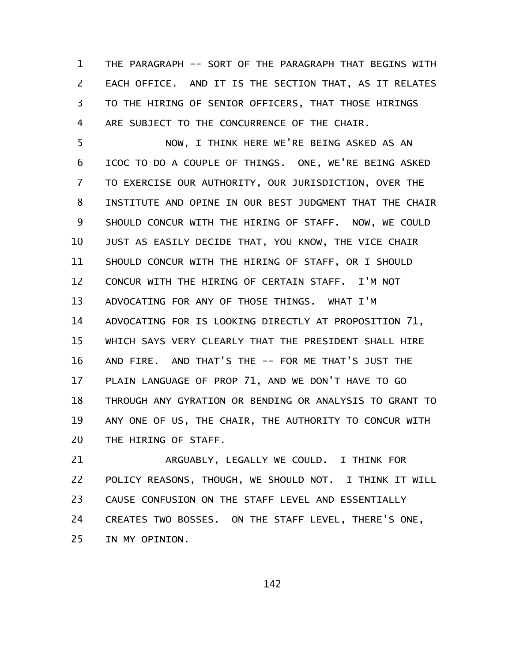THE PARAGRAPH -- SORT OF THE PARAGRAPH THAT BEGINS WITH EACH OFFICE. AND IT IS THE SECTION THAT, AS IT RELATES TO THE HIRING OF SENIOR OFFICERS, THAT THOSE HIRINGS ARE SUBJECT TO THE CONCURRENCE OF THE CHAIR. 1 2 3 4

NOW, I THINK HERE WE'RE BEING ASKED AS AN ICOC TO DO A COUPLE OF THINGS. ONE, WE'RE BEING ASKED TO EXERCISE OUR AUTHORITY, OUR JURISDICTION, OVER THE INSTITUTE AND OPINE IN OUR BEST JUDGMENT THAT THE CHAIR SHOULD CONCUR WITH THE HIRING OF STAFF. NOW, WE COULD JUST AS EASILY DECIDE THAT, YOU KNOW, THE VICE CHAIR SHOULD CONCUR WITH THE HIRING OF STAFF, OR I SHOULD CONCUR WITH THE HIRING OF CERTAIN STAFF. I'M NOT ADVOCATING FOR ANY OF THOSE THINGS. WHAT I'M ADVOCATING FOR IS LOOKING DIRECTLY AT PROPOSITION 71, WHICH SAYS VERY CLEARLY THAT THE PRESIDENT SHALL HIRE AND FIRE. AND THAT'S THE -- FOR ME THAT'S JUST THE PLAIN LANGUAGE OF PROP 71, AND WE DON'T HAVE TO GO THROUGH ANY GYRATION OR BENDING OR ANALYSIS TO GRANT TO ANY ONE OF US, THE CHAIR, THE AUTHORITY TO CONCUR WITH THE HIRING OF STAFF. 5 6 7 8 9 10 11 12 13 14 15 16 17 18 19 20

ARGUABLY, LEGALLY WE COULD. I THINK FOR POLICY REASONS, THOUGH, WE SHOULD NOT. I THINK IT WILL CAUSE CONFUSION ON THE STAFF LEVEL AND ESSENTIALLY CREATES TWO BOSSES. ON THE STAFF LEVEL, THERE'S ONE, IN MY OPINION. 21 22 23 24 25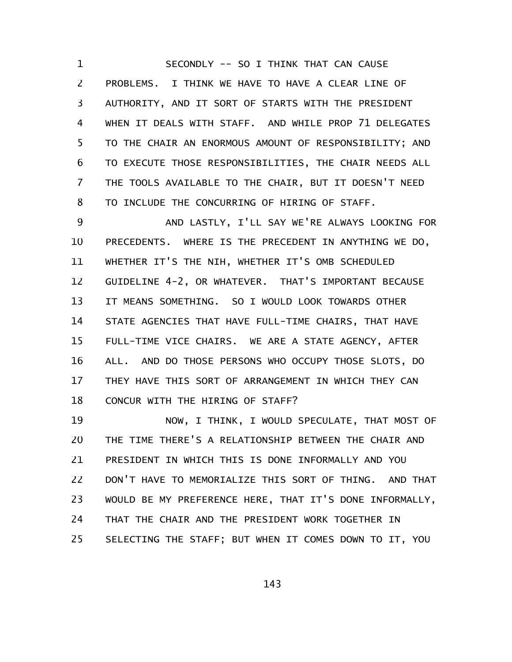SECONDLY -- SO I THINK THAT CAN CAUSE PROBLEMS. I THINK WE HAVE TO HAVE A CLEAR LINE OF AUTHORITY, AND IT SORT OF STARTS WITH THE PRESIDENT WHEN IT DEALS WITH STAFF. AND WHILE PROP 71 DELEGATES TO THE CHAIR AN ENORMOUS AMOUNT OF RESPONSIBILITY; AND TO EXECUTE THOSE RESPONSIBILITIES, THE CHAIR NEEDS ALL THE TOOLS AVAILABLE TO THE CHAIR, BUT IT DOESN'T NEED TO INCLUDE THE CONCURRING OF HIRING OF STAFF. 1 2 3 4 5 6 7 8

AND LASTLY, I'LL SAY WE'RE ALWAYS LOOKING FOR PRECEDENTS. WHERE IS THE PRECEDENT IN ANYTHING WE DO, WHETHER IT'S THE NIH, WHETHER IT'S OMB SCHEDULED GUIDELINE 4-2, OR WHATEVER. THAT'S IMPORTANT BECAUSE IT MEANS SOMETHING. SO I WOULD LOOK TOWARDS OTHER STATE AGENCIES THAT HAVE FULL-TIME CHAIRS, THAT HAVE FULL-TIME VICE CHAIRS. WE ARE A STATE AGENCY, AFTER ALL. AND DO THOSE PERSONS WHO OCCUPY THOSE SLOTS, DO THEY HAVE THIS SORT OF ARRANGEMENT IN WHICH THEY CAN CONCUR WITH THE HIRING OF STAFF? 9 10 11 12 13 14 15 16 17 18

NOW, I THINK, I WOULD SPECULATE, THAT MOST OF THE TIME THERE'S A RELATIONSHIP BETWEEN THE CHAIR AND PRESIDENT IN WHICH THIS IS DONE INFORMALLY AND YOU DON'T HAVE TO MEMORIALIZE THIS SORT OF THING. AND THAT WOULD BE MY PREFERENCE HERE, THAT IT'S DONE INFORMALLY, THAT THE CHAIR AND THE PRESIDENT WORK TOGETHER IN SELECTING THE STAFF; BUT WHEN IT COMES DOWN TO IT, YOU 19 20 21 22 23 24 25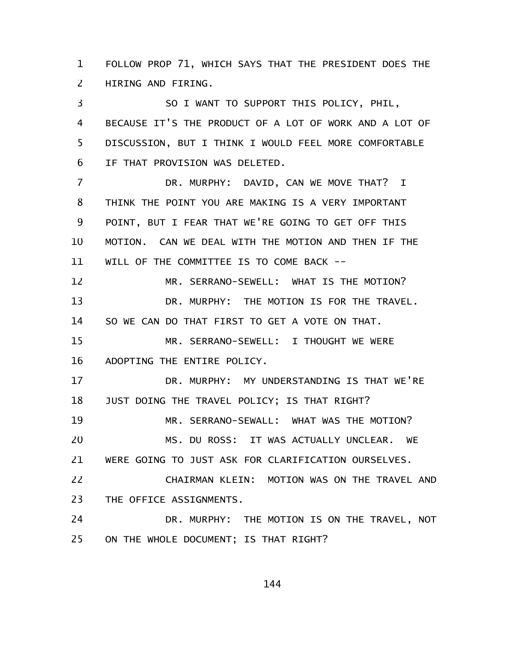FOLLOW PROP 71, WHICH SAYS THAT THE PRESIDENT DOES THE HIRING AND FIRING. 1 2

SO I WANT TO SUPPORT THIS POLICY, PHIL, BECAUSE IT'S THE PRODUCT OF A LOT OF WORK AND A LOT OF DISCUSSION, BUT I THINK I WOULD FEEL MORE COMFORTABLE IF THAT PROVISION WAS DELETED. DR. MURPHY: DAVID, CAN WE MOVE THAT? I THINK THE POINT YOU ARE MAKING IS A VERY IMPORTANT POINT, BUT I FEAR THAT WE'RE GOING TO GET OFF THIS MOTION. CAN WE DEAL WITH THE MOTION AND THEN IF THE WILL OF THE COMMITTEE IS TO COME BACK -- MR. SERRANO-SEWELL: WHAT IS THE MOTION? DR. MURPHY: THE MOTION IS FOR THE TRAVEL. SO WE CAN DO THAT FIRST TO GET A VOTE ON THAT. MR. SERRANO-SEWELL: I THOUGHT WE WERE ADOPTING THE ENTIRE POLICY. DR. MURPHY: MY UNDERSTANDING IS THAT WE'RE JUST DOING THE TRAVEL POLICY; IS THAT RIGHT? MR. SERRANO-SEWALL: WHAT WAS THE MOTION? MS. DU ROSS: IT WAS ACTUALLY UNCLEAR. WE WERE GOING TO JUST ASK FOR CLARIFICATION OURSELVES. CHAIRMAN KLEIN: MOTION WAS ON THE TRAVEL AND THE OFFICE ASSIGNMENTS. DR. MURPHY: THE MOTION IS ON THE TRAVEL, NOT ON THE WHOLE DOCUMENT; IS THAT RIGHT? 3 4 5 6 7 8 9 10 11 12 13 14 15 16 17 18 19 20 21 22 23 24 25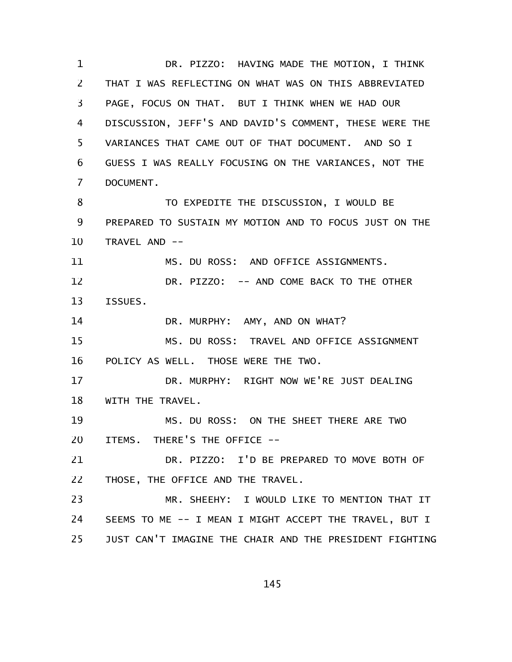DR. PIZZO: HAVING MADE THE MOTION, I THINK THAT I WAS REFLECTING ON WHAT WAS ON THIS ABBREVIATED PAGE, FOCUS ON THAT. BUT I THINK WHEN WE HAD OUR DISCUSSION, JEFF'S AND DAVID'S COMMENT, THESE WERE THE VARIANCES THAT CAME OUT OF THAT DOCUMENT. AND SO I GUESS I WAS REALLY FOCUSING ON THE VARIANCES, NOT THE DOCUMENT. TO EXPEDITE THE DISCUSSION, I WOULD BE PREPARED TO SUSTAIN MY MOTION AND TO FOCUS JUST ON THE TRAVEL AND -- MS. DU ROSS: AND OFFICE ASSIGNMENTS. DR. PIZZO: -- AND COME BACK TO THE OTHER ISSUES. DR. MURPHY: AMY, AND ON WHAT? MS. DU ROSS: TRAVEL AND OFFICE ASSIGNMENT POLICY AS WELL. THOSE WERE THE TWO. DR. MURPHY: RIGHT NOW WE'RE JUST DEALING WITH THE TRAVEL. MS. DU ROSS: ON THE SHEET THERE ARE TWO ITEMS. THERE'S THE OFFICE -- DR. PIZZO: I'D BE PREPARED TO MOVE BOTH OF THOSE, THE OFFICE AND THE TRAVEL. MR. SHEEHY: I WOULD LIKE TO MENTION THAT IT SEEMS TO ME -- I MEAN I MIGHT ACCEPT THE TRAVEL, BUT I JUST CAN'T IMAGINE THE CHAIR AND THE PRESIDENT FIGHTING 1 2 3 4 5 6 7 8 9 10 11 12 13 14 15 16 17 18 19 20 21 22 23 24 25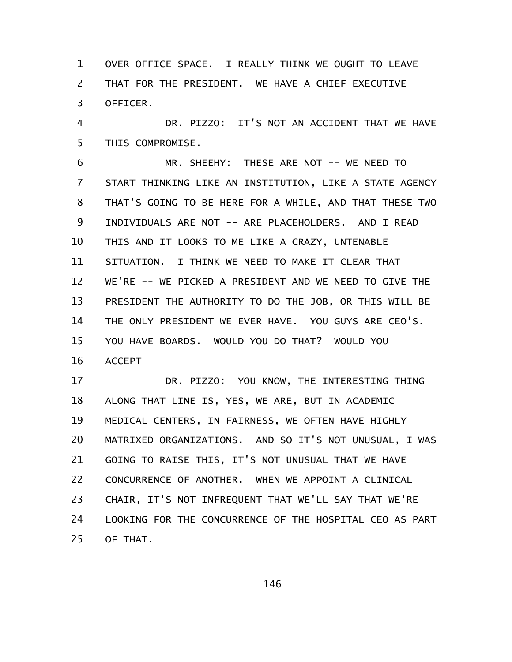OVER OFFICE SPACE. I REALLY THINK WE OUGHT TO LEAVE THAT FOR THE PRESIDENT. WE HAVE A CHIEF EXECUTIVE OFFICER. 1 2 3

DR. PIZZO: IT'S NOT AN ACCIDENT THAT WE HAVE THIS COMPROMISE. 4 5

MR. SHEEHY: THESE ARE NOT -- WE NEED TO START THINKING LIKE AN INSTITUTION, LIKE A STATE AGENCY THAT'S GOING TO BE HERE FOR A WHILE, AND THAT THESE TWO INDIVIDUALS ARE NOT -- ARE PLACEHOLDERS. AND I READ THIS AND IT LOOKS TO ME LIKE A CRAZY, UNTENABLE SITUATION. I THINK WE NEED TO MAKE IT CLEAR THAT WE'RE -- WE PICKED A PRESIDENT AND WE NEED TO GIVE THE PRESIDENT THE AUTHORITY TO DO THE JOB, OR THIS WILL BE THE ONLY PRESIDENT WE EVER HAVE. YOU GUYS ARE CEO'S. YOU HAVE BOARDS. WOULD YOU DO THAT? WOULD YOU ACCEPT -- 6 7 8 9 10 11 12 13 14 15 16

DR. PIZZO: YOU KNOW, THE INTERESTING THING ALONG THAT LINE IS, YES, WE ARE, BUT IN ACADEMIC MEDICAL CENTERS, IN FAIRNESS, WE OFTEN HAVE HIGHLY MATRIXED ORGANIZATIONS. AND SO IT'S NOT UNUSUAL, I WAS GOING TO RAISE THIS, IT'S NOT UNUSUAL THAT WE HAVE CONCURRENCE OF ANOTHER. WHEN WE APPOINT A CLINICAL CHAIR, IT'S NOT INFREQUENT THAT WE'LL SAY THAT WE'RE LOOKING FOR THE CONCURRENCE OF THE HOSPITAL CEO AS PART OF THAT. 17 18 19 20 21 22 23 24 25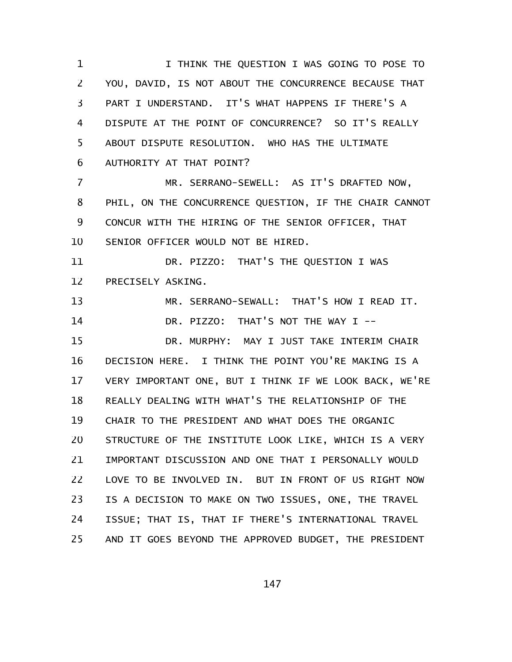I THINK THE QUESTION I WAS GOING TO POSE TO YOU, DAVID, IS NOT ABOUT THE CONCURRENCE BECAUSE THAT PART I UNDERSTAND. IT'S WHAT HAPPENS IF THERE'S A DISPUTE AT THE POINT OF CONCURRENCE? SO IT'S REALLY ABOUT DISPUTE RESOLUTION. WHO HAS THE ULTIMATE AUTHORITY AT THAT POINT? MR. SERRANO-SEWELL: AS IT'S DRAFTED NOW, PHIL, ON THE CONCURRENCE QUESTION, IF THE CHAIR CANNOT CONCUR WITH THE HIRING OF THE SENIOR OFFICER, THAT SENIOR OFFICER WOULD NOT BE HIRED. DR. PIZZO: THAT'S THE QUESTION I WAS PRECISELY ASKING. MR. SERRANO-SEWALL: THAT'S HOW I READ IT. DR. PIZZO: THAT'S NOT THE WAY I --DR. MURPHY: MAY I JUST TAKE INTERIM CHAIR DECISION HERE. I THINK THE POINT YOU'RE MAKING IS A VERY IMPORTANT ONE, BUT I THINK IF WE LOOK BACK, WE'RE REALLY DEALING WITH WHAT'S THE RELATIONSHIP OF THE CHAIR TO THE PRESIDENT AND WHAT DOES THE ORGANIC STRUCTURE OF THE INSTITUTE LOOK LIKE, WHICH IS A VERY IMPORTANT DISCUSSION AND ONE THAT I PERSONALLY WOULD LOVE TO BE INVOLVED IN. BUT IN FRONT OF US RIGHT NOW IS A DECISION TO MAKE ON TWO ISSUES, ONE, THE TRAVEL ISSUE; THAT IS, THAT IF THERE'S INTERNATIONAL TRAVEL AND IT GOES BEYOND THE APPROVED BUDGET, THE PRESIDENT 1 2 3 4 5 6 7 8 9 10 11 12 13 14 15 16 17 18 19 20 21 22 23 24 25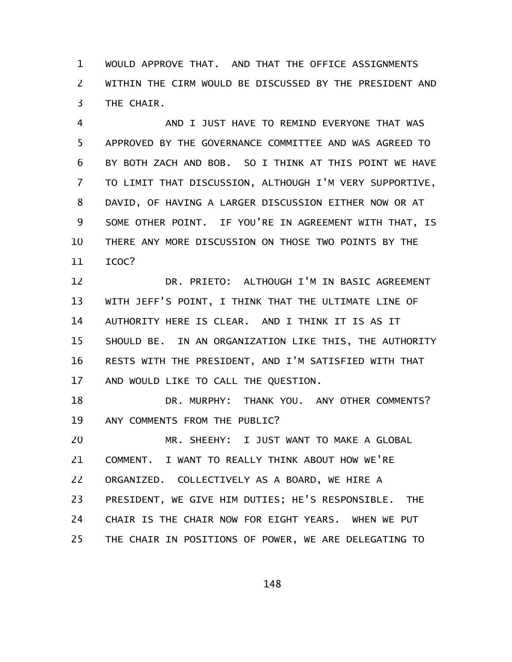WOULD APPROVE THAT. AND THAT THE OFFICE ASSIGNMENTS WITHIN THE CIRM WOULD BE DISCUSSED BY THE PRESIDENT AND THE CHAIR. 1 2 3

AND I JUST HAVE TO REMIND EVERYONE THAT WAS APPROVED BY THE GOVERNANCE COMMITTEE AND WAS AGREED TO BY BOTH ZACH AND BOB. SO I THINK AT THIS POINT WE HAVE TO LIMIT THAT DISCUSSION, ALTHOUGH I'M VERY SUPPORTIVE, DAVID, OF HAVING A LARGER DISCUSSION EITHER NOW OR AT SOME OTHER POINT. IF YOU'RE IN AGREEMENT WITH THAT, IS THERE ANY MORE DISCUSSION ON THOSE TWO POINTS BY THE ICOC? 4 5 6 7 8 9 10 11

DR. PRIETO: ALTHOUGH I'M IN BASIC AGREEMENT WITH JEFF'S POINT, I THINK THAT THE ULTIMATE LINE OF AUTHORITY HERE IS CLEAR. AND I THINK IT IS AS IT SHOULD BE. IN AN ORGANIZATION LIKE THIS, THE AUTHORITY RESTS WITH THE PRESIDENT, AND I'M SATISFIED WITH THAT AND WOULD LIKE TO CALL THE QUESTION. 12 13 14 15 16 17

DR. MURPHY: THANK YOU. ANY OTHER COMMENTS? ANY COMMENTS FROM THE PUBLIC? 18 19

MR. SHEEHY: I JUST WANT TO MAKE A GLOBAL COMMENT. I WANT TO REALLY THINK ABOUT HOW WE'RE ORGANIZED. COLLECTIVELY AS A BOARD, WE HIRE A PRESIDENT, WE GIVE HIM DUTIES; HE'S RESPONSIBLE. THE CHAIR IS THE CHAIR NOW FOR EIGHT YEARS. WHEN WE PUT THE CHAIR IN POSITIONS OF POWER, WE ARE DELEGATING TO 20 21 22 23 24 25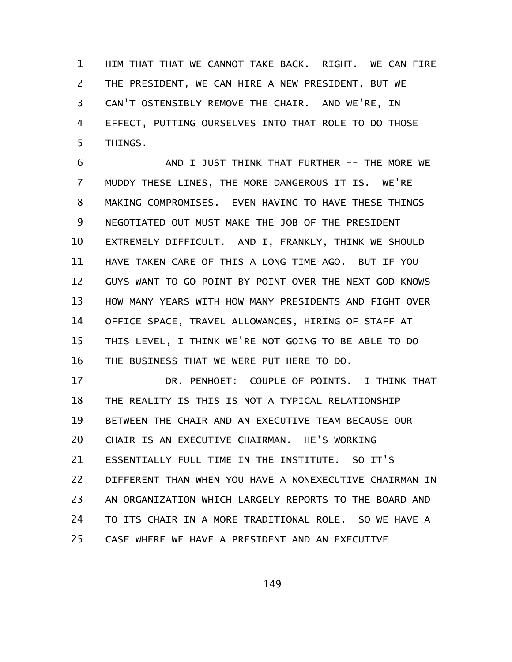HIM THAT THAT WE CANNOT TAKE BACK. RIGHT. WE CAN FIRE THE PRESIDENT, WE CAN HIRE A NEW PRESIDENT, BUT WE CAN'T OSTENSIBLY REMOVE THE CHAIR. AND WE'RE, IN EFFECT, PUTTING OURSELVES INTO THAT ROLE TO DO THOSE THINGS. 1 2 3 4 5

AND I JUST THINK THAT FURTHER -- THE MORE WE MUDDY THESE LINES, THE MORE DANGEROUS IT IS. WE'RE MAKING COMPROMISES. EVEN HAVING TO HAVE THESE THINGS NEGOTIATED OUT MUST MAKE THE JOB OF THE PRESIDENT EXTREMELY DIFFICULT. AND I, FRANKLY, THINK WE SHOULD HAVE TAKEN CARE OF THIS A LONG TIME AGO. BUT IF YOU GUYS WANT TO GO POINT BY POINT OVER THE NEXT GOD KNOWS HOW MANY YEARS WITH HOW MANY PRESIDENTS AND FIGHT OVER OFFICE SPACE, TRAVEL ALLOWANCES, HIRING OF STAFF AT THIS LEVEL, I THINK WE'RE NOT GOING TO BE ABLE TO DO THE BUSINESS THAT WE WERE PUT HERE TO DO. 6 7 8 9 10 11 12 13 14 15 16

DR. PENHOET: COUPLE OF POINTS. I THINK THAT THE REALITY IS THIS IS NOT A TYPICAL RELATIONSHIP BETWEEN THE CHAIR AND AN EXECUTIVE TEAM BECAUSE OUR CHAIR IS AN EXECUTIVE CHAIRMAN. HE'S WORKING ESSENTIALLY FULL TIME IN THE INSTITUTE. SO IT'S DIFFERENT THAN WHEN YOU HAVE A NONEXECUTIVE CHAIRMAN IN AN ORGANIZATION WHICH LARGELY REPORTS TO THE BOARD AND TO ITS CHAIR IN A MORE TRADITIONAL ROLE. SO WE HAVE A CASE WHERE WE HAVE A PRESIDENT AND AN EXECUTIVE 17 18 19 20 21 22 23 24 25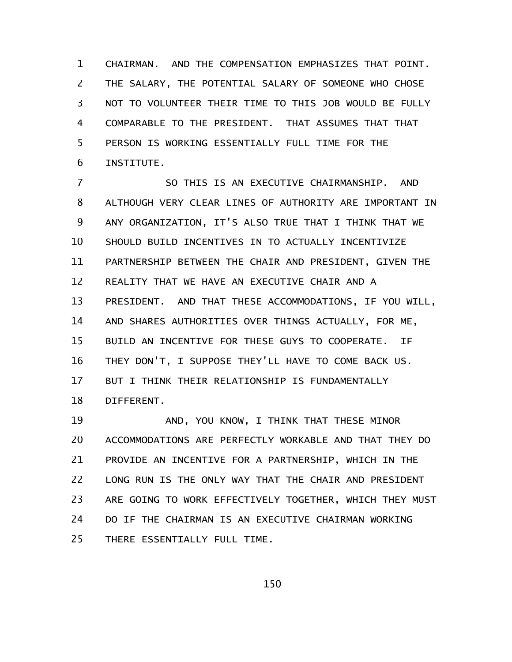CHAIRMAN. AND THE COMPENSATION EMPHASIZES THAT POINT. THE SALARY, THE POTENTIAL SALARY OF SOMEONE WHO CHOSE NOT TO VOLUNTEER THEIR TIME TO THIS JOB WOULD BE FULLY COMPARABLE TO THE PRESIDENT. THAT ASSUMES THAT THAT PERSON IS WORKING ESSENTIALLY FULL TIME FOR THE INSTITUTE. 1 2 3 4 5 6

SO THIS IS AN EXECUTIVE CHAIRMANSHIP. AND ALTHOUGH VERY CLEAR LINES OF AUTHORITY ARE IMPORTANT IN ANY ORGANIZATION, IT'S ALSO TRUE THAT I THINK THAT WE SHOULD BUILD INCENTIVES IN TO ACTUALLY INCENTIVIZE PARTNERSHIP BETWEEN THE CHAIR AND PRESIDENT, GIVEN THE REALITY THAT WE HAVE AN EXECUTIVE CHAIR AND A PRESIDENT. AND THAT THESE ACCOMMODATIONS, IF YOU WILL, AND SHARES AUTHORITIES OVER THINGS ACTUALLY, FOR ME, BUILD AN INCENTIVE FOR THESE GUYS TO COOPERATE. IF THEY DON'T, I SUPPOSE THEY'LL HAVE TO COME BACK US. BUT I THINK THEIR RELATIONSHIP IS FUNDAMENTALLY DIFFERENT. 7 8 9 10 11 12 13 14 15 16 17 18

AND, YOU KNOW, I THINK THAT THESE MINOR ACCOMMODATIONS ARE PERFECTLY WORKABLE AND THAT THEY DO PROVIDE AN INCENTIVE FOR A PARTNERSHIP, WHICH IN THE LONG RUN IS THE ONLY WAY THAT THE CHAIR AND PRESIDENT ARE GOING TO WORK EFFECTIVELY TOGETHER, WHICH THEY MUST DO IF THE CHAIRMAN IS AN EXECUTIVE CHAIRMAN WORKING THERE ESSENTIALLY FULL TIME. 19 20 21 22 23 24 25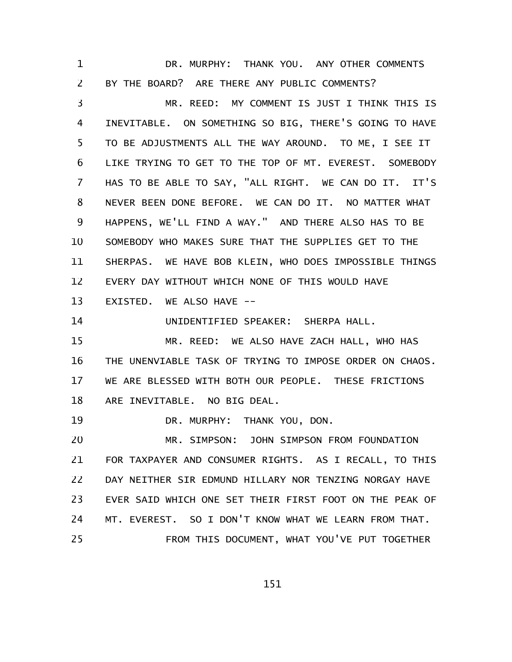DR. MURPHY: THANK YOU. ANY OTHER COMMENTS BY THE BOARD? ARE THERE ANY PUBLIC COMMENTS? 1 2

MR. REED: MY COMMENT IS JUST I THINK THIS IS INEVITABLE. ON SOMETHING SO BIG, THERE'S GOING TO HAVE TO BE ADJUSTMENTS ALL THE WAY AROUND. TO ME, I SEE IT LIKE TRYING TO GET TO THE TOP OF MT. EVEREST. SOMEBODY HAS TO BE ABLE TO SAY, "ALL RIGHT. WE CAN DO IT. IT'S NEVER BEEN DONE BEFORE. WE CAN DO IT. NO MATTER WHAT HAPPENS, WE'LL FIND A WAY." AND THERE ALSO HAS TO BE SOMEBODY WHO MAKES SURE THAT THE SUPPLIES GET TO THE SHERPAS. WE HAVE BOB KLEIN, WHO DOES IMPOSSIBLE THINGS EVERY DAY WITHOUT WHICH NONE OF THIS WOULD HAVE EXISTED. WE ALSO HAVE -- 3 4 5 6 7 8 9 10 11 12 13

UNIDENTIFIED SPEAKER: SHERPA HALL. 14

MR. REED: WE ALSO HAVE ZACH HALL, WHO HAS THE UNENVIABLE TASK OF TRYING TO IMPOSE ORDER ON CHAOS. WE ARE BLESSED WITH BOTH OUR PEOPLE. THESE FRICTIONS ARE INEVITABLE. NO BIG DEAL. 15 16 17 18

DR. MURPHY: THANK YOU, DON. 19

MR. SIMPSON: JOHN SIMPSON FROM FOUNDATION FOR TAXPAYER AND CONSUMER RIGHTS. AS I RECALL, TO THIS DAY NEITHER SIR EDMUND HILLARY NOR TENZING NORGAY HAVE EVER SAID WHICH ONE SET THEIR FIRST FOOT ON THE PEAK OF MT. EVEREST. SO I DON'T KNOW WHAT WE LEARN FROM THAT. FROM THIS DOCUMENT, WHAT YOU'VE PUT TOGETHER 20 21 22 23 24 25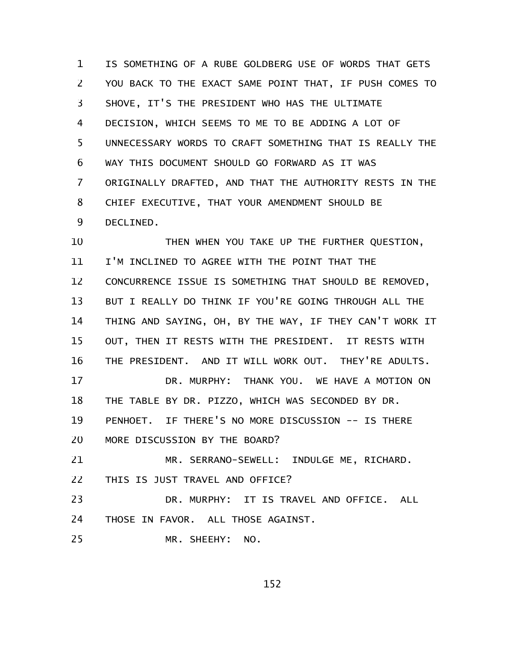IS SOMETHING OF A RUBE GOLDBERG USE OF WORDS THAT GETS YOU BACK TO THE EXACT SAME POINT THAT, IF PUSH COMES TO SHOVE, IT'S THE PRESIDENT WHO HAS THE ULTIMATE DECISION, WHICH SEEMS TO ME TO BE ADDING A LOT OF UNNECESSARY WORDS TO CRAFT SOMETHING THAT IS REALLY THE WAY THIS DOCUMENT SHOULD GO FORWARD AS IT WAS ORIGINALLY DRAFTED, AND THAT THE AUTHORITY RESTS IN THE CHIEF EXECUTIVE, THAT YOUR AMENDMENT SHOULD BE DECLINED. 1 2 3 4 5 6 7 8 9

THEN WHEN YOU TAKE UP THE FURTHER QUESTION, I'M INCLINED TO AGREE WITH THE POINT THAT THE CONCURRENCE ISSUE IS SOMETHING THAT SHOULD BE REMOVED, BUT I REALLY DO THINK IF YOU'RE GOING THROUGH ALL THE THING AND SAYING, OH, BY THE WAY, IF THEY CAN'T WORK IT OUT, THEN IT RESTS WITH THE PRESIDENT. IT RESTS WITH THE PRESIDENT. AND IT WILL WORK OUT. THEY'RE ADULTS. DR. MURPHY: THANK YOU. WE HAVE A MOTION ON THE TABLE BY DR. PIZZO, WHICH WAS SECONDED BY DR. PENHOET. IF THERE'S NO MORE DISCUSSION -- IS THERE MORE DISCUSSION BY THE BOARD? MR. SERRANO-SEWELL: INDULGE ME, RICHARD. THIS IS JUST TRAVEL AND OFFICE? DR. MURPHY: IT IS TRAVEL AND OFFICE. ALL THOSE IN FAVOR. ALL THOSE AGAINST. 10 11 12 13 14 15 16 17 18 19 20 21 22 23 24

MR. SHEEHY: NO. 25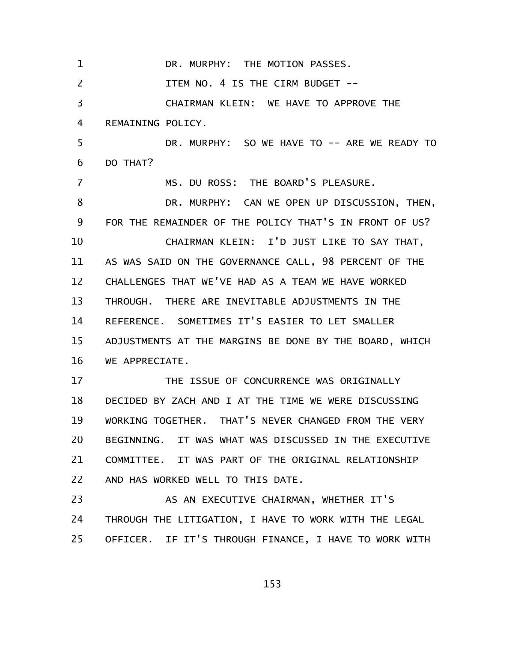DR. MURPHY: THE MOTION PASSES. ITEM NO. 4 IS THE CIRM BUDGET -- CHAIRMAN KLEIN: WE HAVE TO APPROVE THE REMAINING POLICY. DR. MURPHY: SO WE HAVE TO -- ARE WE READY TO DO THAT? MS. DU ROSS: THE BOARD'S PLEASURE. DR. MURPHY: CAN WE OPEN UP DISCUSSION, THEN, FOR THE REMAINDER OF THE POLICY THAT'S IN FRONT OF US? CHAIRMAN KLEIN: I'D JUST LIKE TO SAY THAT, AS WAS SAID ON THE GOVERNANCE CALL, 98 PERCENT OF THE CHALLENGES THAT WE'VE HAD AS A TEAM WE HAVE WORKED THROUGH. THERE ARE INEVITABLE ADJUSTMENTS IN THE REFERENCE. SOMETIMES IT'S EASIER TO LET SMALLER ADJUSTMENTS AT THE MARGINS BE DONE BY THE BOARD, WHICH WE APPRECIATE. THE ISSUE OF CONCURRENCE WAS ORIGINALLY DECIDED BY ZACH AND I AT THE TIME WE WERE DISCUSSING WORKING TOGETHER. THAT'S NEVER CHANGED FROM THE VERY BEGINNING. IT WAS WHAT WAS DISCUSSED IN THE EXECUTIVE COMMITTEE. IT WAS PART OF THE ORIGINAL RELATIONSHIP AND HAS WORKED WELL TO THIS DATE. AS AN EXECUTIVE CHAIRMAN, WHETHER IT'S THROUGH THE LITIGATION, I HAVE TO WORK WITH THE LEGAL OFFICER. IF IT'S THROUGH FINANCE, I HAVE TO WORK WITH 1 2 3 4 5 6 7 8 9 10 11 12 13 14 15 16 17 18 19 20 21 22 23 24 25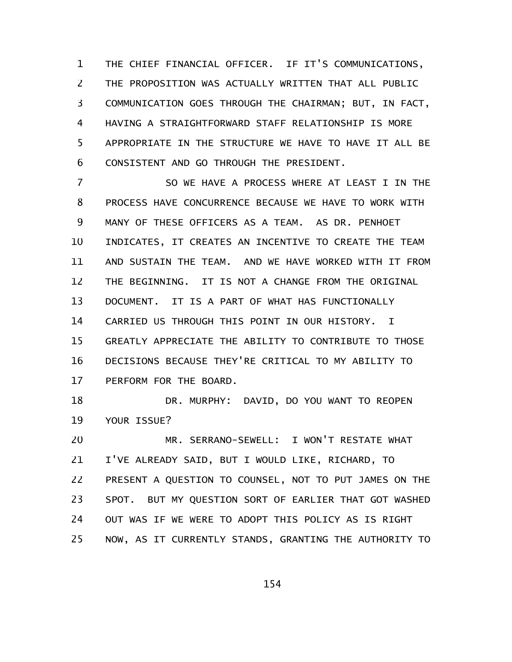THE CHIEF FINANCIAL OFFICER. IF IT'S COMMUNICATIONS, THE PROPOSITION WAS ACTUALLY WRITTEN THAT ALL PUBLIC COMMUNICATION GOES THROUGH THE CHAIRMAN; BUT, IN FACT, HAVING A STRAIGHTFORWARD STAFF RELATIONSHIP IS MORE APPROPRIATE IN THE STRUCTURE WE HAVE TO HAVE IT ALL BE CONSISTENT AND GO THROUGH THE PRESIDENT. 1 2 3 4 5 6

SO WE HAVE A PROCESS WHERE AT LEAST I IN THE PROCESS HAVE CONCURRENCE BECAUSE WE HAVE TO WORK WITH MANY OF THESE OFFICERS AS A TEAM. AS DR. PENHOET INDICATES, IT CREATES AN INCENTIVE TO CREATE THE TEAM AND SUSTAIN THE TEAM. AND WE HAVE WORKED WITH IT FROM THE BEGINNING. IT IS NOT A CHANGE FROM THE ORIGINAL DOCUMENT. IT IS A PART OF WHAT HAS FUNCTIONALLY CARRIED US THROUGH THIS POINT IN OUR HISTORY. I GREATLY APPRECIATE THE ABILITY TO CONTRIBUTE TO THOSE DECISIONS BECAUSE THEY'RE CRITICAL TO MY ABILITY TO PERFORM FOR THE BOARD. 7 8 9 10 11 12 13 14 15 16 17

DR. MURPHY: DAVID, DO YOU WANT TO REOPEN YOUR ISSUE? 18 19

MR. SERRANO-SEWELL: I WON'T RESTATE WHAT I'VE ALREADY SAID, BUT I WOULD LIKE, RICHARD, TO PRESENT A QUESTION TO COUNSEL, NOT TO PUT JAMES ON THE SPOT. BUT MY QUESTION SORT OF EARLIER THAT GOT WASHED OUT WAS IF WE WERE TO ADOPT THIS POLICY AS IS RIGHT NOW, AS IT CURRENTLY STANDS, GRANTING THE AUTHORITY TO 20 21 22 23 24 25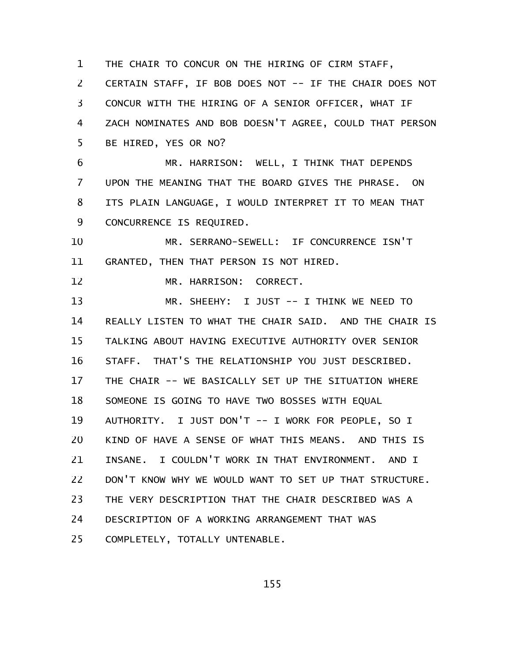THE CHAIR TO CONCUR ON THE HIRING OF CIRM STAFF, 1

CERTAIN STAFF, IF BOB DOES NOT -- IF THE CHAIR DOES NOT CONCUR WITH THE HIRING OF A SENIOR OFFICER, WHAT IF ZACH NOMINATES AND BOB DOESN'T AGREE, COULD THAT PERSON BE HIRED, YES OR NO? 2 3 4 5

MR. HARRISON: WELL, I THINK THAT DEPENDS UPON THE MEANING THAT THE BOARD GIVES THE PHRASE. ON ITS PLAIN LANGUAGE, I WOULD INTERPRET IT TO MEAN THAT CONCURRENCE IS REQUIRED. 6 7 8 9

MR. SERRANO-SEWELL: IF CONCURRENCE ISN'T GRANTED, THEN THAT PERSON IS NOT HIRED. 10 11

12

MR. HARRISON: CORRECT.

MR. SHEEHY: I JUST -- I THINK WE NEED TO REALLY LISTEN TO WHAT THE CHAIR SAID. AND THE CHAIR IS TALKING ABOUT HAVING EXECUTIVE AUTHORITY OVER SENIOR STAFF. THAT'S THE RELATIONSHIP YOU JUST DESCRIBED. THE CHAIR -- WE BASICALLY SET UP THE SITUATION WHERE SOMEONE IS GOING TO HAVE TWO BOSSES WITH EQUAL AUTHORITY. I JUST DON'T -- I WORK FOR PEOPLE, SO I KIND OF HAVE A SENSE OF WHAT THIS MEANS. AND THIS IS INSANE. I COULDN'T WORK IN THAT ENVIRONMENT. AND I DON'T KNOW WHY WE WOULD WANT TO SET UP THAT STRUCTURE. THE VERY DESCRIPTION THAT THE CHAIR DESCRIBED WAS A DESCRIPTION OF A WORKING ARRANGEMENT THAT WAS COMPLETELY, TOTALLY UNTENABLE. 13 14 15 16 17 18 19 20 21 22 23 24 25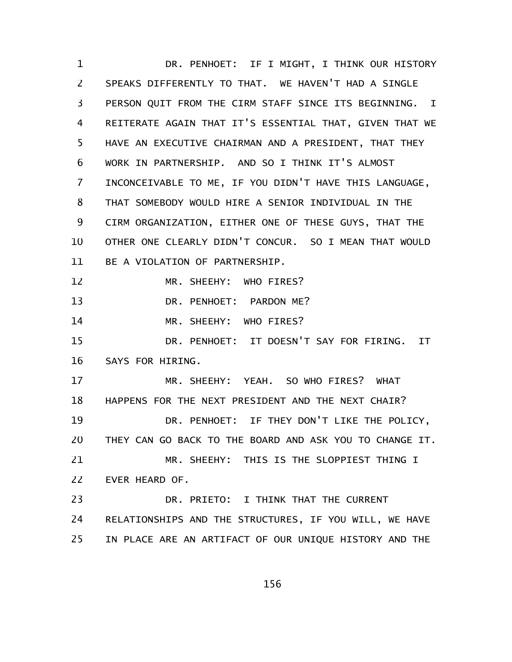DR. PENHOET: IF I MIGHT, I THINK OUR HISTORY SPEAKS DIFFERENTLY TO THAT. WE HAVEN'T HAD A SINGLE PERSON QUIT FROM THE CIRM STAFF SINCE ITS BEGINNING. I REITERATE AGAIN THAT IT'S ESSENTIAL THAT, GIVEN THAT WE HAVE AN EXECUTIVE CHAIRMAN AND A PRESIDENT, THAT THEY WORK IN PARTNERSHIP. AND SO I THINK IT'S ALMOST INCONCEIVABLE TO ME, IF YOU DIDN'T HAVE THIS LANGUAGE, THAT SOMEBODY WOULD HIRE A SENIOR INDIVIDUAL IN THE CIRM ORGANIZATION, EITHER ONE OF THESE GUYS, THAT THE OTHER ONE CLEARLY DIDN'T CONCUR. SO I MEAN THAT WOULD BE A VIOLATION OF PARTNERSHIP. MR. SHEEHY: WHO FIRES? DR. PENHOET: PARDON ME? MR. SHEEHY: WHO FIRES? DR. PENHOET: IT DOESN'T SAY FOR FIRING. IT SAYS FOR HIRING. MR. SHEEHY: YEAH. SO WHO FIRES? WHAT HAPPENS FOR THE NEXT PRESIDENT AND THE NEXT CHAIR? DR. PENHOET: IF THEY DON'T LIKE THE POLICY, THEY CAN GO BACK TO THE BOARD AND ASK YOU TO CHANGE IT. MR. SHEEHY: THIS IS THE SLOPPIEST THING I EVER HEARD OF. DR. PRIETO: I THINK THAT THE CURRENT RELATIONSHIPS AND THE STRUCTURES, IF YOU WILL, WE HAVE IN PLACE ARE AN ARTIFACT OF OUR UNIQUE HISTORY AND THE 1 2 3 4 5 6 7 8 9 10 11 12 13 14 15 16 17 18 19 20 21 22 23 24 25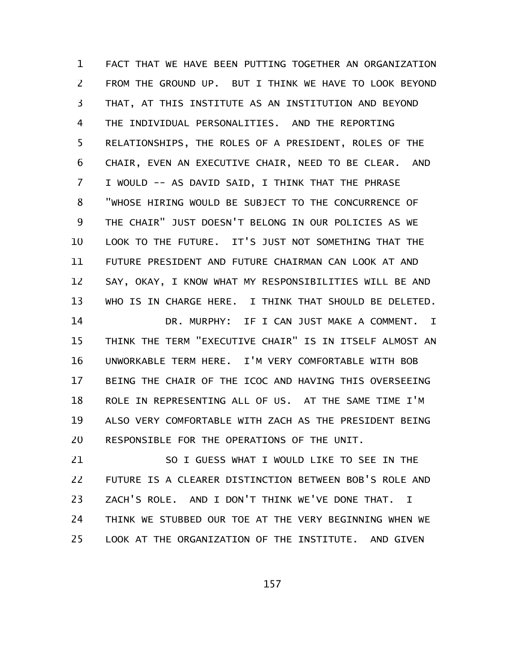FACT THAT WE HAVE BEEN PUTTING TOGETHER AN ORGANIZATION FROM THE GROUND UP. BUT I THINK WE HAVE TO LOOK BEYOND THAT, AT THIS INSTITUTE AS AN INSTITUTION AND BEYOND THE INDIVIDUAL PERSONALITIES. AND THE REPORTING RELATIONSHIPS, THE ROLES OF A PRESIDENT, ROLES OF THE CHAIR, EVEN AN EXECUTIVE CHAIR, NEED TO BE CLEAR. AND I WOULD -- AS DAVID SAID, I THINK THAT THE PHRASE "WHOSE HIRING WOULD BE SUBJECT TO THE CONCURRENCE OF THE CHAIR" JUST DOESN'T BELONG IN OUR POLICIES AS WE LOOK TO THE FUTURE. IT'S JUST NOT SOMETHING THAT THE FUTURE PRESIDENT AND FUTURE CHAIRMAN CAN LOOK AT AND SAY, OKAY, I KNOW WHAT MY RESPONSIBILITIES WILL BE AND WHO IS IN CHARGE HERE. I THINK THAT SHOULD BE DELETED. DR. MURPHY: IF I CAN JUST MAKE A COMMENT. I THINK THE TERM "EXECUTIVE CHAIR" IS IN ITSELF ALMOST AN UNWORKABLE TERM HERE. I'M VERY COMFORTABLE WITH BOB BEING THE CHAIR OF THE ICOC AND HAVING THIS OVERSEEING ROLE IN REPRESENTING ALL OF US. AT THE SAME TIME I'M ALSO VERY COMFORTABLE WITH ZACH AS THE PRESIDENT BEING RESPONSIBLE FOR THE OPERATIONS OF THE UNIT. 1 2 3 4 5 6 7 8 9 10 11 12 13 14 15 16 17 18 19 20

SO I GUESS WHAT I WOULD LIKE TO SEE IN THE FUTURE IS A CLEARER DISTINCTION BETWEEN BOB'S ROLE AND ZACH'S ROLE. AND I DON'T THINK WE'VE DONE THAT. I THINK WE STUBBED OUR TOE AT THE VERY BEGINNING WHEN WE LOOK AT THE ORGANIZATION OF THE INSTITUTE. AND GIVEN 21 22 23 24 25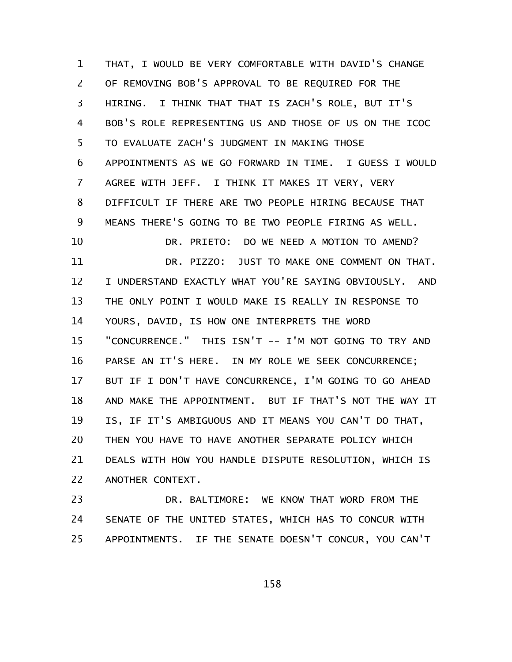THAT, I WOULD BE VERY COMFORTABLE WITH DAVID'S CHANGE OF REMOVING BOB'S APPROVAL TO BE REQUIRED FOR THE HIRING. I THINK THAT THAT IS ZACH'S ROLE, BUT IT'S BOB'S ROLE REPRESENTING US AND THOSE OF US ON THE ICOC TO EVALUATE ZACH'S JUDGMENT IN MAKING THOSE APPOINTMENTS AS WE GO FORWARD IN TIME. I GUESS I WOULD AGREE WITH JEFF. I THINK IT MAKES IT VERY, VERY DIFFICULT IF THERE ARE TWO PEOPLE HIRING BECAUSE THAT MEANS THERE'S GOING TO BE TWO PEOPLE FIRING AS WELL. DR. PRIETO: DO WE NEED A MOTION TO AMEND? DR. PIZZO: JUST TO MAKE ONE COMMENT ON THAT. I UNDERSTAND EXACTLY WHAT YOU'RE SAYING OBVIOUSLY. AND THE ONLY POINT I WOULD MAKE IS REALLY IN RESPONSE TO YOURS, DAVID, IS HOW ONE INTERPRETS THE WORD "CONCURRENCE." THIS ISN'T -- I'M NOT GOING TO TRY AND PARSE AN IT'S HERE. IN MY ROLE WE SEEK CONCURRENCE; BUT IF I DON'T HAVE CONCURRENCE, I'M GOING TO GO AHEAD AND MAKE THE APPOINTMENT. BUT IF THAT'S NOT THE WAY IT IS, IF IT'S AMBIGUOUS AND IT MEANS YOU CAN'T DO THAT, THEN YOU HAVE TO HAVE ANOTHER SEPARATE POLICY WHICH DEALS WITH HOW YOU HANDLE DISPUTE RESOLUTION, WHICH IS ANOTHER CONTEXT. 1 2 3 4 5 6 7 8 9 10 11 12 13 14 15 16 17 18 19 20 21 22

DR. BALTIMORE: WE KNOW THAT WORD FROM THE SENATE OF THE UNITED STATES, WHICH HAS TO CONCUR WITH APPOINTMENTS. IF THE SENATE DOESN'T CONCUR, YOU CAN'T 23 24 25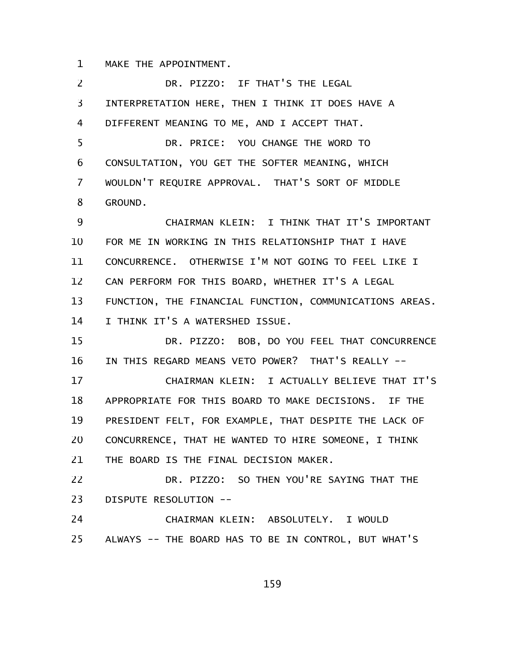MAKE THE APPOINTMENT. 1

DR. PIZZO: IF THAT'S THE LEGAL INTERPRETATION HERE, THEN I THINK IT DOES HAVE A DIFFERENT MEANING TO ME, AND I ACCEPT THAT. DR. PRICE: YOU CHANGE THE WORD TO CONSULTATION, YOU GET THE SOFTER MEANING, WHICH WOULDN'T REQUIRE APPROVAL. THAT'S SORT OF MIDDLE GROUND. CHAIRMAN KLEIN: I THINK THAT IT'S IMPORTANT FOR ME IN WORKING IN THIS RELATIONSHIP THAT I HAVE CONCURRENCE. OTHERWISE I'M NOT GOING TO FEEL LIKE I CAN PERFORM FOR THIS BOARD, WHETHER IT'S A LEGAL FUNCTION, THE FINANCIAL FUNCTION, COMMUNICATIONS AREAS. I THINK IT'S A WATERSHED ISSUE. DR. PIZZO: BOB, DO YOU FEEL THAT CONCURRENCE IN THIS REGARD MEANS VETO POWER? THAT'S REALLY -- CHAIRMAN KLEIN: I ACTUALLY BELIEVE THAT IT'S APPROPRIATE FOR THIS BOARD TO MAKE DECISIONS. IF THE PRESIDENT FELT, FOR EXAMPLE, THAT DESPITE THE LACK OF CONCURRENCE, THAT HE WANTED TO HIRE SOMEONE, I THINK THE BOARD IS THE FINAL DECISION MAKER. DR. PIZZO: SO THEN YOU'RE SAYING THAT THE DISPUTE RESOLUTION -- CHAIRMAN KLEIN: ABSOLUTELY. I WOULD ALWAYS -- THE BOARD HAS TO BE IN CONTROL, BUT WHAT'S 2 3 4 5 6 7 8 9 10 11 12 13 14 15 16 17 18 19 20 21 22 23 24 25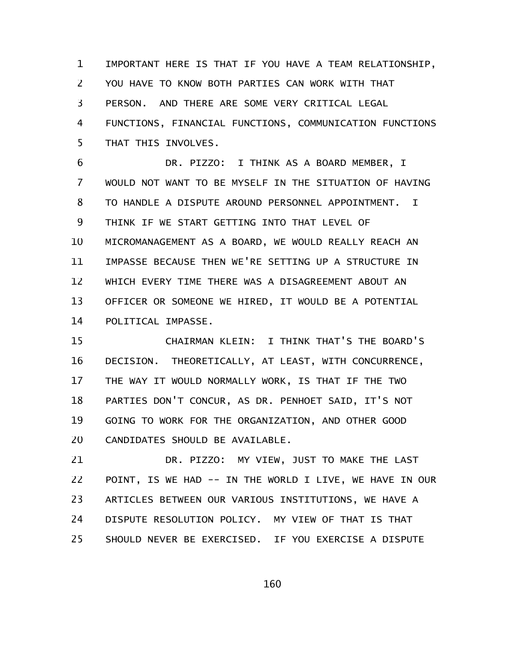IMPORTANT HERE IS THAT IF YOU HAVE A TEAM RELATIONSHIP, YOU HAVE TO KNOW BOTH PARTIES CAN WORK WITH THAT PERSON. AND THERE ARE SOME VERY CRITICAL LEGAL FUNCTIONS, FINANCIAL FUNCTIONS, COMMUNICATION FUNCTIONS THAT THIS INVOLVES. 1 2 3 4 5

DR. PIZZO: I THINK AS A BOARD MEMBER, I WOULD NOT WANT TO BE MYSELF IN THE SITUATION OF HAVING TO HANDLE A DISPUTE AROUND PERSONNEL APPOINTMENT. I THINK IF WE START GETTING INTO THAT LEVEL OF MICROMANAGEMENT AS A BOARD, WE WOULD REALLY REACH AN IMPASSE BECAUSE THEN WE'RE SETTING UP A STRUCTURE IN WHICH EVERY TIME THERE WAS A DISAGREEMENT ABOUT AN OFFICER OR SOMEONE WE HIRED, IT WOULD BE A POTENTIAL POLITICAL IMPASSE. 6 7 8 9 10 11 12 13 14

CHAIRMAN KLEIN: I THINK THAT'S THE BOARD'S DECISION. THEORETICALLY, AT LEAST, WITH CONCURRENCE, THE WAY IT WOULD NORMALLY WORK, IS THAT IF THE TWO PARTIES DON'T CONCUR, AS DR. PENHOET SAID, IT'S NOT GOING TO WORK FOR THE ORGANIZATION, AND OTHER GOOD CANDIDATES SHOULD BE AVAILABLE. 15 16 17 18 19 20

DR. PIZZO: MY VIEW, JUST TO MAKE THE LAST POINT, IS WE HAD -- IN THE WORLD I LIVE, WE HAVE IN OUR ARTICLES BETWEEN OUR VARIOUS INSTITUTIONS, WE HAVE A DISPUTE RESOLUTION POLICY. MY VIEW OF THAT IS THAT SHOULD NEVER BE EXERCISED. IF YOU EXERCISE A DISPUTE 21 22 23 24 25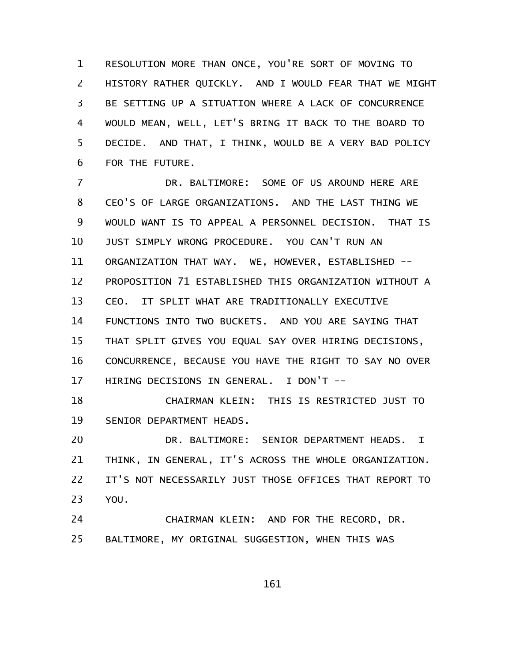RESOLUTION MORE THAN ONCE, YOU'RE SORT OF MOVING TO HISTORY RATHER QUICKLY. AND I WOULD FEAR THAT WE MIGHT BE SETTING UP A SITUATION WHERE A LACK OF CONCURRENCE WOULD MEAN, WELL, LET'S BRING IT BACK TO THE BOARD TO DECIDE. AND THAT, I THINK, WOULD BE A VERY BAD POLICY FOR THE FUTURE. 1 2 3 4 5 6

DR. BALTIMORE: SOME OF US AROUND HERE ARE CEO'S OF LARGE ORGANIZATIONS. AND THE LAST THING WE WOULD WANT IS TO APPEAL A PERSONNEL DECISION. THAT IS JUST SIMPLY WRONG PROCEDURE. YOU CAN'T RUN AN ORGANIZATION THAT WAY. WE, HOWEVER, ESTABLISHED -- PROPOSITION 71 ESTABLISHED THIS ORGANIZATION WITHOUT A CEO. IT SPLIT WHAT ARE TRADITIONALLY EXECUTIVE FUNCTIONS INTO TWO BUCKETS. AND YOU ARE SAYING THAT THAT SPLIT GIVES YOU EQUAL SAY OVER HIRING DECISIONS, CONCURRENCE, BECAUSE YOU HAVE THE RIGHT TO SAY NO OVER HIRING DECISIONS IN GENERAL. I DON'T -- 7 8 9 10 11 12 13 14 15 16 17

CHAIRMAN KLEIN: THIS IS RESTRICTED JUST TO SENIOR DEPARTMENT HEADS. 18 19

DR. BALTIMORE: SENIOR DEPARTMENT HEADS. I THINK, IN GENERAL, IT'S ACROSS THE WHOLE ORGANIZATION. IT'S NOT NECESSARILY JUST THOSE OFFICES THAT REPORT TO YOU. 20 21 22 23

CHAIRMAN KLEIN: AND FOR THE RECORD, DR. BALTIMORE, MY ORIGINAL SUGGESTION, WHEN THIS WAS 24 25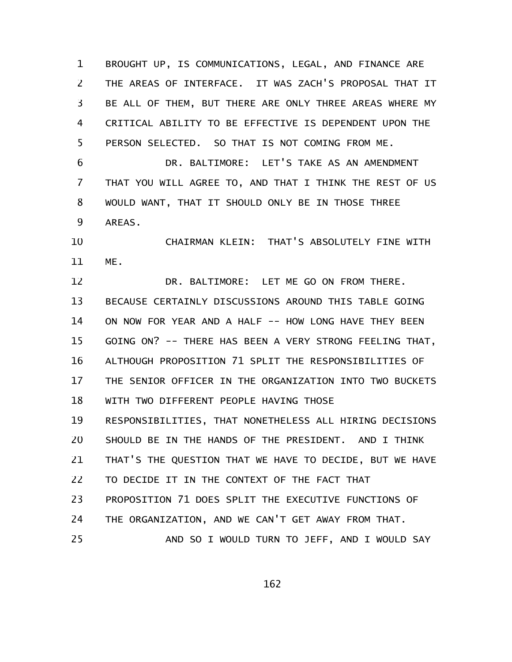BROUGHT UP, IS COMMUNICATIONS, LEGAL, AND FINANCE ARE THE AREAS OF INTERFACE. IT WAS ZACH'S PROPOSAL THAT IT BE ALL OF THEM, BUT THERE ARE ONLY THREE AREAS WHERE MY CRITICAL ABILITY TO BE EFFECTIVE IS DEPENDENT UPON THE PERSON SELECTED. SO THAT IS NOT COMING FROM ME. 1 2 3 4 5

DR. BALTIMORE: LET'S TAKE AS AN AMENDMENT THAT YOU WILL AGREE TO, AND THAT I THINK THE REST OF US WOULD WANT, THAT IT SHOULD ONLY BE IN THOSE THREE AREAS. 6 7 8 9

CHAIRMAN KLEIN: THAT'S ABSOLUTELY FINE WITH ME. 10 11

DR. BALTIMORE: LET ME GO ON FROM THERE. BECAUSE CERTAINLY DISCUSSIONS AROUND THIS TABLE GOING ON NOW FOR YEAR AND A HALF -- HOW LONG HAVE THEY BEEN GOING ON? -- THERE HAS BEEN A VERY STRONG FEELING THAT, ALTHOUGH PROPOSITION 71 SPLIT THE RESPONSIBILITIES OF THE SENIOR OFFICER IN THE ORGANIZATION INTO TWO BUCKETS WITH TWO DIFFERENT PEOPLE HAVING THOSE RESPONSIBILITIES, THAT NONETHELESS ALL HIRING DECISIONS SHOULD BE IN THE HANDS OF THE PRESIDENT. AND I THINK THAT'S THE QUESTION THAT WE HAVE TO DECIDE, BUT WE HAVE TO DECIDE IT IN THE CONTEXT OF THE FACT THAT PROPOSITION 71 DOES SPLIT THE EXECUTIVE FUNCTIONS OF THE ORGANIZATION, AND WE CAN'T GET AWAY FROM THAT. AND SO I WOULD TURN TO JEFF, AND I WOULD SAY 12 13 14 15 16 17 18 19 20 21 22 23 24 25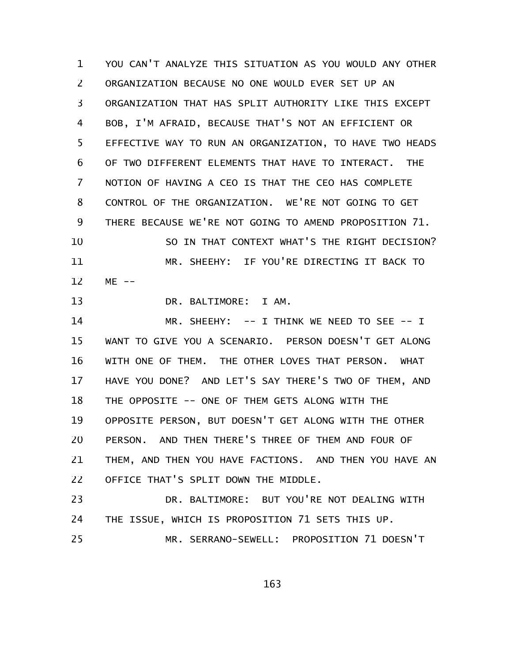YOU CAN'T ANALYZE THIS SITUATION AS YOU WOULD ANY OTHER ORGANIZATION BECAUSE NO ONE WOULD EVER SET UP AN ORGANIZATION THAT HAS SPLIT AUTHORITY LIKE THIS EXCEPT BOB, I'M AFRAID, BECAUSE THAT'S NOT AN EFFICIENT OR EFFECTIVE WAY TO RUN AN ORGANIZATION, TO HAVE TWO HEADS OF TWO DIFFERENT ELEMENTS THAT HAVE TO INTERACT. THE NOTION OF HAVING A CEO IS THAT THE CEO HAS COMPLETE CONTROL OF THE ORGANIZATION. WE'RE NOT GOING TO GET THERE BECAUSE WE'RE NOT GOING TO AMEND PROPOSITION 71. SO IN THAT CONTEXT WHAT'S THE RIGHT DECISION? MR. SHEEHY: IF YOU'RE DIRECTING IT BACK TO  $ME$   $-$ 1 2 3 4 5 6 7 8 9 10 11 12

DR. BALTIMORE: I AM. 13

MR. SHEEHY: -- I THINK WE NEED TO SEE -- I WANT TO GIVE YOU A SCENARIO. PERSON DOESN'T GET ALONG WITH ONE OF THEM. THE OTHER LOVES THAT PERSON. WHAT HAVE YOU DONE? AND LET'S SAY THERE'S TWO OF THEM, AND THE OPPOSITE -- ONE OF THEM GETS ALONG WITH THE OPPOSITE PERSON, BUT DOESN'T GET ALONG WITH THE OTHER PERSON. AND THEN THERE'S THREE OF THEM AND FOUR OF THEM, AND THEN YOU HAVE FACTIONS. AND THEN YOU HAVE AN OFFICE THAT'S SPLIT DOWN THE MIDDLE. 14 15 16 17 18 19 20 21 22

DR. BALTIMORE: BUT YOU'RE NOT DEALING WITH THE ISSUE, WHICH IS PROPOSITION 71 SETS THIS UP. MR. SERRANO-SEWELL: PROPOSITION 71 DOESN'T 23 24 25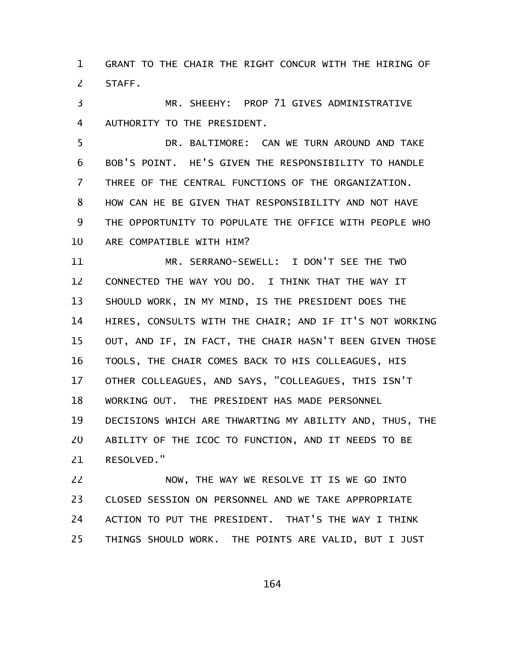GRANT TO THE CHAIR THE RIGHT CONCUR WITH THE HIRING OF STAFF. 1 2

MR. SHEEHY: PROP 71 GIVES ADMINISTRATIVE AUTHORITY TO THE PRESIDENT. 3 4

DR. BALTIMORE: CAN WE TURN AROUND AND TAKE BOB'S POINT. HE'S GIVEN THE RESPONSIBILITY TO HANDLE THREE OF THE CENTRAL FUNCTIONS OF THE ORGANIZATION. HOW CAN HE BE GIVEN THAT RESPONSIBILITY AND NOT HAVE THE OPPORTUNITY TO POPULATE THE OFFICE WITH PEOPLE WHO ARE COMPATIBLE WITH HIM? 5 6 7 8 9 10

MR. SERRANO-SEWELL: I DON'T SEE THE TWO CONNECTED THE WAY YOU DO. I THINK THAT THE WAY IT SHOULD WORK, IN MY MIND, IS THE PRESIDENT DOES THE HIRES, CONSULTS WITH THE CHAIR; AND IF IT'S NOT WORKING OUT, AND IF, IN FACT, THE CHAIR HASN'T BEEN GIVEN THOSE TOOLS, THE CHAIR COMES BACK TO HIS COLLEAGUES, HIS OTHER COLLEAGUES, AND SAYS, "COLLEAGUES, THIS ISN'T WORKING OUT. THE PRESIDENT HAS MADE PERSONNEL DECISIONS WHICH ARE THWARTING MY ABILITY AND, THUS, THE ABILITY OF THE ICOC TO FUNCTION, AND IT NEEDS TO BE RESOLVED." 11 12 13 14 15 16 17 18 19 20 21

NOW, THE WAY WE RESOLVE IT IS WE GO INTO CLOSED SESSION ON PERSONNEL AND WE TAKE APPROPRIATE ACTION TO PUT THE PRESIDENT. THAT'S THE WAY I THINK THINGS SHOULD WORK. THE POINTS ARE VALID, BUT I JUST 22 23 24 25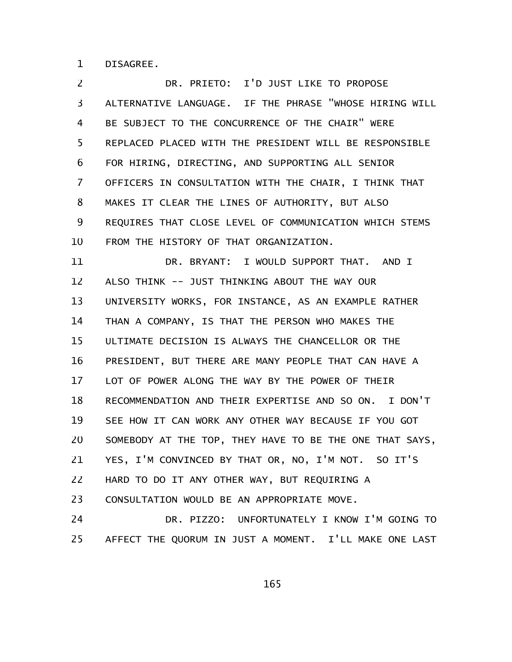DISAGREE. 1

DR. PRIETO: I'D JUST LIKE TO PROPOSE ALTERNATIVE LANGUAGE. IF THE PHRASE "WHOSE HIRING WILL BE SUBJECT TO THE CONCURRENCE OF THE CHAIR" WERE REPLACED PLACED WITH THE PRESIDENT WILL BE RESPONSIBLE FOR HIRING, DIRECTING, AND SUPPORTING ALL SENIOR OFFICERS IN CONSULTATION WITH THE CHAIR, I THINK THAT MAKES IT CLEAR THE LINES OF AUTHORITY, BUT ALSO REQUIRES THAT CLOSE LEVEL OF COMMUNICATION WHICH STEMS FROM THE HISTORY OF THAT ORGANIZATION. 2 3 4 5 6 7 8 9 10

DR. BRYANT: I WOULD SUPPORT THAT. AND I ALSO THINK -- JUST THINKING ABOUT THE WAY OUR UNIVERSITY WORKS, FOR INSTANCE, AS AN EXAMPLE RATHER THAN A COMPANY, IS THAT THE PERSON WHO MAKES THE ULTIMATE DECISION IS ALWAYS THE CHANCELLOR OR THE PRESIDENT, BUT THERE ARE MANY PEOPLE THAT CAN HAVE A LOT OF POWER ALONG THE WAY BY THE POWER OF THEIR RECOMMENDATION AND THEIR EXPERTISE AND SO ON. I DON'T SEE HOW IT CAN WORK ANY OTHER WAY BECAUSE IF YOU GOT SOMEBODY AT THE TOP, THEY HAVE TO BE THE ONE THAT SAYS, YES, I'M CONVINCED BY THAT OR, NO, I'M NOT. SO IT'S HARD TO DO IT ANY OTHER WAY, BUT REQUIRING A CONSULTATION WOULD BE AN APPROPRIATE MOVE. 11 12 13 14 15 16 17 18 19 20 21 22 23

DR. PIZZO: UNFORTUNATELY I KNOW I'M GOING TO AFFECT THE QUORUM IN JUST A MOMENT. I'LL MAKE ONE LAST 24 25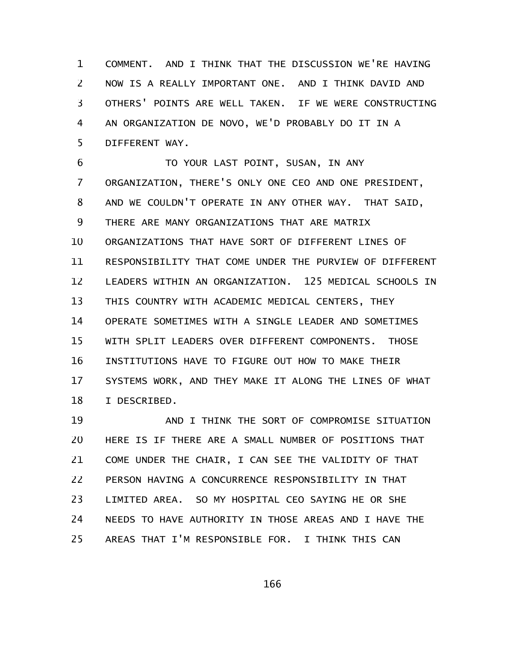COMMENT. AND I THINK THAT THE DISCUSSION WE'RE HAVING NOW IS A REALLY IMPORTANT ONE. AND I THINK DAVID AND OTHERS' POINTS ARE WELL TAKEN. IF WE WERE CONSTRUCTING AN ORGANIZATION DE NOVO, WE'D PROBABLY DO IT IN A DIFFERENT WAY. 1 2 3 4 5

TO YOUR LAST POINT, SUSAN, IN ANY ORGANIZATION, THERE'S ONLY ONE CEO AND ONE PRESIDENT, AND WE COULDN'T OPERATE IN ANY OTHER WAY. THAT SAID, THERE ARE MANY ORGANIZATIONS THAT ARE MATRIX ORGANIZATIONS THAT HAVE SORT OF DIFFERENT LINES OF RESPONSIBILITY THAT COME UNDER THE PURVIEW OF DIFFERENT LEADERS WITHIN AN ORGANIZATION. 125 MEDICAL SCHOOLS IN THIS COUNTRY WITH ACADEMIC MEDICAL CENTERS, THEY OPERATE SOMETIMES WITH A SINGLE LEADER AND SOMETIMES WITH SPLIT LEADERS OVER DIFFERENT COMPONENTS. THOSE INSTITUTIONS HAVE TO FIGURE OUT HOW TO MAKE THEIR SYSTEMS WORK, AND THEY MAKE IT ALONG THE LINES OF WHAT I DESCRIBED. 6 7 8 9 10 11 12 13 14 15 16 17 18

AND I THINK THE SORT OF COMPROMISE SITUATION HERE IS IF THERE ARE A SMALL NUMBER OF POSITIONS THAT COME UNDER THE CHAIR, I CAN SEE THE VALIDITY OF THAT PERSON HAVING A CONCURRENCE RESPONSIBILITY IN THAT LIMITED AREA. SO MY HOSPITAL CEO SAYING HE OR SHE NEEDS TO HAVE AUTHORITY IN THOSE AREAS AND I HAVE THE AREAS THAT I'M RESPONSIBLE FOR. I THINK THIS CAN 19 20 21 22 23 24 25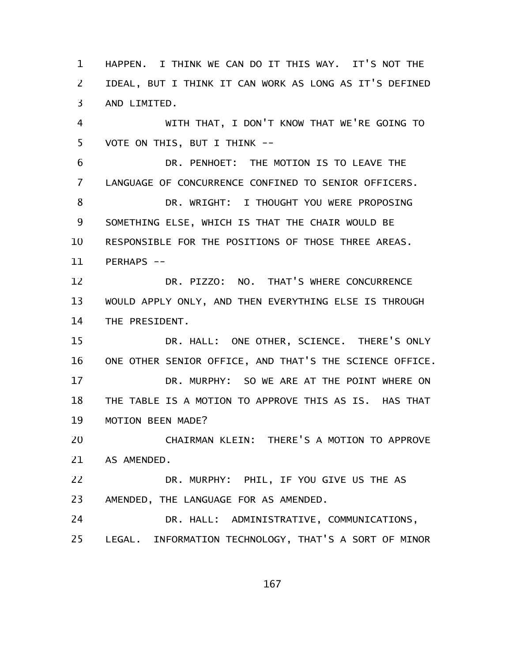HAPPEN. I THINK WE CAN DO IT THIS WAY. IT'S NOT THE IDEAL, BUT I THINK IT CAN WORK AS LONG AS IT'S DEFINED AND LIMITED. 1 2 3

WITH THAT, I DON'T KNOW THAT WE'RE GOING TO VOTE ON THIS, BUT I THINK -- 4 5

DR. PENHOET: THE MOTION IS TO LEAVE THE LANGUAGE OF CONCURRENCE CONFINED TO SENIOR OFFICERS. DR. WRIGHT: I THOUGHT YOU WERE PROPOSING SOMETHING ELSE, WHICH IS THAT THE CHAIR WOULD BE RESPONSIBLE FOR THE POSITIONS OF THOSE THREE AREAS. PERHAPS --6 7 8 9 10 11

DR. PIZZO: NO. THAT'S WHERE CONCURRENCE WOULD APPLY ONLY, AND THEN EVERYTHING ELSE IS THROUGH THE PRESIDENT. 12 13 14

DR. HALL: ONE OTHER, SCIENCE. THERE'S ONLY ONE OTHER SENIOR OFFICE, AND THAT'S THE SCIENCE OFFICE. DR. MURPHY: SO WE ARE AT THE POINT WHERE ON THE TABLE IS A MOTION TO APPROVE THIS AS IS. HAS THAT MOTION BEEN MADE? 15 16 17 18 19

CHAIRMAN KLEIN: THERE'S A MOTION TO APPROVE AS AMENDED. 20 21

DR. MURPHY: PHIL, IF YOU GIVE US THE AS AMENDED, THE LANGUAGE FOR AS AMENDED. 22 23

DR. HALL: ADMINISTRATIVE, COMMUNICATIONS, LEGAL. INFORMATION TECHNOLOGY, THAT'S A SORT OF MINOR 24 25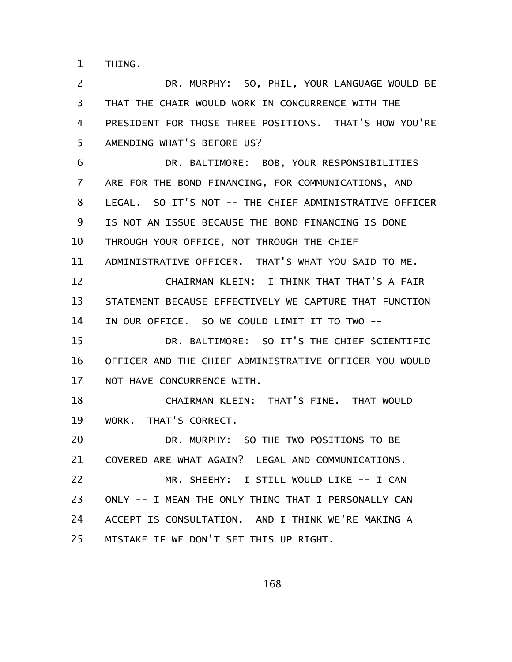THING. 1

DR. MURPHY: SO, PHIL, YOUR LANGUAGE WOULD BE THAT THE CHAIR WOULD WORK IN CONCURRENCE WITH THE PRESIDENT FOR THOSE THREE POSITIONS. THAT'S HOW YOU'RE AMENDING WHAT'S BEFORE US? 2 3 4 5

DR. BALTIMORE: BOB, YOUR RESPONSIBILITIES ARE FOR THE BOND FINANCING, FOR COMMUNICATIONS, AND LEGAL. SO IT'S NOT -- THE CHIEF ADMINISTRATIVE OFFICER IS NOT AN ISSUE BECAUSE THE BOND FINANCING IS DONE THROUGH YOUR OFFICE, NOT THROUGH THE CHIEF ADMINISTRATIVE OFFICER. THAT'S WHAT YOU SAID TO ME. CHAIRMAN KLEIN: I THINK THAT THAT'S A FAIR STATEMENT BECAUSE EFFECTIVELY WE CAPTURE THAT FUNCTION IN OUR OFFICE. SO WE COULD LIMIT IT TO TWO -- DR. BALTIMORE: SO IT'S THE CHIEF SCIENTIFIC OFFICER AND THE CHIEF ADMINISTRATIVE OFFICER YOU WOULD NOT HAVE CONCURRENCE WITH. CHAIRMAN KLEIN: THAT'S FINE. THAT WOULD WORK. THAT'S CORRECT. DR. MURPHY: SO THE TWO POSITIONS TO BE COVERED ARE WHAT AGAIN? LEGAL AND COMMUNICATIONS. MR. SHEEHY: I STILL WOULD LIKE -- I CAN ONLY -- I MEAN THE ONLY THING THAT I PERSONALLY CAN ACCEPT IS CONSULTATION. AND I THINK WE'RE MAKING A MISTAKE IF WE DON'T SET THIS UP RIGHT. 6 7 8 9 10 11 12 13 14 15 16 17 18 19 20 21 22 23 24 25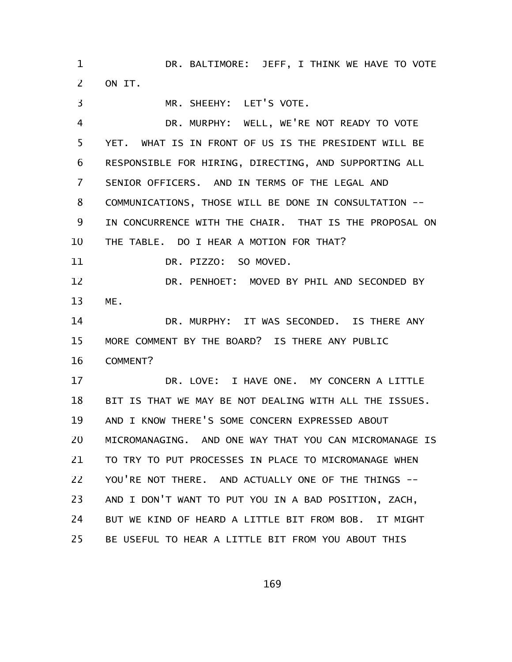DR. BALTIMORE: JEFF, I THINK WE HAVE TO VOTE ON IT. 1 2

MR. SHEEHY: LET'S VOTE. DR. MURPHY: WELL, WE'RE NOT READY TO VOTE YET. WHAT IS IN FRONT OF US IS THE PRESIDENT WILL BE RESPONSIBLE FOR HIRING, DIRECTING, AND SUPPORTING ALL SENIOR OFFICERS. AND IN TERMS OF THE LEGAL AND COMMUNICATIONS, THOSE WILL BE DONE IN CONSULTATION -- IN CONCURRENCE WITH THE CHAIR. THAT IS THE PROPOSAL ON THE TABLE. DO I HEAR A MOTION FOR THAT? DR. PIZZO: SO MOVED. DR. PENHOET: MOVED BY PHIL AND SECONDED BY ME. DR. MURPHY: IT WAS SECONDED. IS THERE ANY MORE COMMENT BY THE BOARD? IS THERE ANY PUBLIC COMMENT? DR. LOVE: I HAVE ONE. MY CONCERN A LITTLE BIT IS THAT WE MAY BE NOT DEALING WITH ALL THE ISSUES. AND I KNOW THERE'S SOME CONCERN EXPRESSED ABOUT MICROMANAGING. AND ONE WAY THAT YOU CAN MICROMANAGE IS TO TRY TO PUT PROCESSES IN PLACE TO MICROMANAGE WHEN YOU'RE NOT THERE. AND ACTUALLY ONE OF THE THINGS --AND I DON'T WANT TO PUT YOU IN A BAD POSITION, ZACH, BUT WE KIND OF HEARD A LITTLE BIT FROM BOB. IT MIGHT 3 4 5 6 7 8 9 10 11 12 13 14 15 16 17 18 19 20 21 22 23 24

169

BE USEFUL TO HEAR A LITTLE BIT FROM YOU ABOUT THIS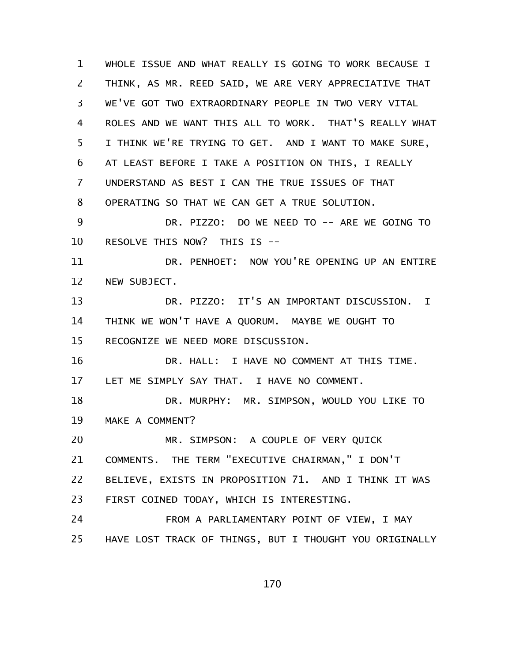WHOLE ISSUE AND WHAT REALLY IS GOING TO WORK BECAUSE I THINK, AS MR. REED SAID, WE ARE VERY APPRECIATIVE THAT WE'VE GOT TWO EXTRAORDINARY PEOPLE IN TWO VERY VITAL ROLES AND WE WANT THIS ALL TO WORK. THAT'S REALLY WHAT I THINK WE'RE TRYING TO GET. AND I WANT TO MAKE SURE, AT LEAST BEFORE I TAKE A POSITION ON THIS, I REALLY UNDERSTAND AS BEST I CAN THE TRUE ISSUES OF THAT OPERATING SO THAT WE CAN GET A TRUE SOLUTION. DR. PIZZO: DO WE NEED TO -- ARE WE GOING TO RESOLVE THIS NOW? THIS IS -- DR. PENHOET: NOW YOU'RE OPENING UP AN ENTIRE NEW SUBJECT. DR. PIZZO: IT'S AN IMPORTANT DISCUSSION. I THINK WE WON'T HAVE A QUORUM. MAYBE WE OUGHT TO RECOGNIZE WE NEED MORE DISCUSSION. DR. HALL: I HAVE NO COMMENT AT THIS TIME. LET ME SIMPLY SAY THAT. I HAVE NO COMMENT. DR. MURPHY: MR. SIMPSON, WOULD YOU LIKE TO MAKE A COMMENT? MR. SIMPSON: A COUPLE OF VERY QUICK COMMENTS. THE TERM "EXECUTIVE CHAIRMAN," I DON'T BELIEVE, EXISTS IN PROPOSITION 71. AND I THINK IT WAS FIRST COINED TODAY, WHICH IS INTERESTING. FROM A PARLIAMENTARY POINT OF VIEW, I MAY HAVE LOST TRACK OF THINGS, BUT I THOUGHT YOU ORIGINALLY 1 2 3 4 5 6 7 8 9 10 11 12 13 14 15 16 17 18 19 20 21 22 23 24 25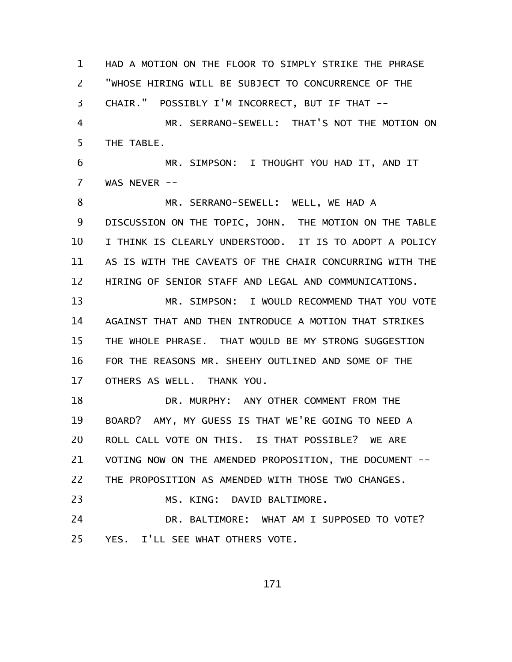HAD A MOTION ON THE FLOOR TO SIMPLY STRIKE THE PHRASE "WHOSE HIRING WILL BE SUBJECT TO CONCURRENCE OF THE CHAIR." POSSIBLY I'M INCORRECT, BUT IF THAT -- MR. SERRANO-SEWELL: THAT'S NOT THE MOTION ON THE TABLE. MR. SIMPSON: I THOUGHT YOU HAD IT, AND IT WAS NEVER --MR. SERRANO-SEWELL: WELL, WE HAD A DISCUSSION ON THE TOPIC, JOHN. THE MOTION ON THE TABLE I THINK IS CLEARLY UNDERSTOOD. IT IS TO ADOPT A POLICY AS IS WITH THE CAVEATS OF THE CHAIR CONCURRING WITH THE HIRING OF SENIOR STAFF AND LEGAL AND COMMUNICATIONS. MR. SIMPSON: I WOULD RECOMMEND THAT YOU VOTE AGAINST THAT AND THEN INTRODUCE A MOTION THAT STRIKES THE WHOLE PHRASE. THAT WOULD BE MY STRONG SUGGESTION FOR THE REASONS MR. SHEEHY OUTLINED AND SOME OF THE OTHERS AS WELL. THANK YOU. DR. MURPHY: ANY OTHER COMMENT FROM THE BOARD? AMY, MY GUESS IS THAT WE'RE GOING TO NEED A ROLL CALL VOTE ON THIS. IS THAT POSSIBLE? WE ARE VOTING NOW ON THE AMENDED PROPOSITION, THE DOCUMENT -- THE PROPOSITION AS AMENDED WITH THOSE TWO CHANGES. MS. KING: DAVID BALTIMORE. DR. BALTIMORE: WHAT AM I SUPPOSED TO VOTE? YES. I'LL SEE WHAT OTHERS VOTE. 1 2 3 4 5 6 7 8 9 10 11 12 13 14 15 16 17 18 19 20 21 22 23 24 25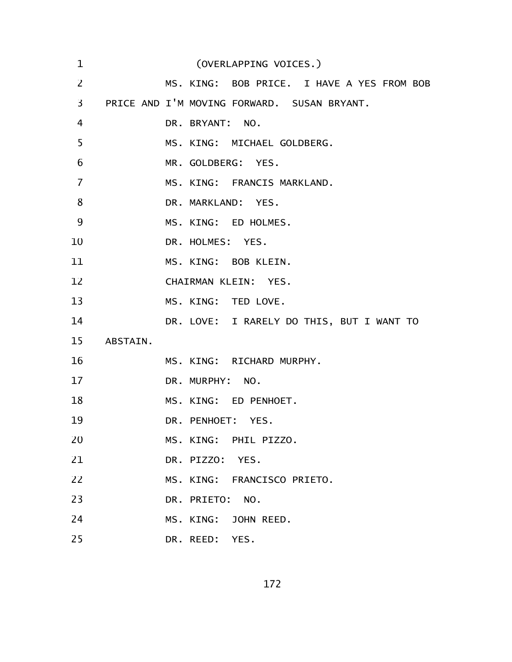| $\mathbf 1$ |          | (OVERLAPPING VOICES.)                       |
|-------------|----------|---------------------------------------------|
| 2           |          | MS. KING: BOB PRICE. I HAVE A YES FROM BOB  |
| 3           |          | PRICE AND I'M MOVING FORWARD. SUSAN BRYANT. |
| 4           |          | DR. BRYANT: NO.                             |
| 5           |          | MS. KING: MICHAEL GOLDBERG.                 |
| 6           |          | MR. GOLDBERG: YES.                          |
| 7           |          | MS. KING: FRANCIS MARKLAND.                 |
| 8           |          | DR. MARKLAND: YES.                          |
| 9           |          | MS. KING: ED HOLMES.                        |
| 10          |          | DR. HOLMES: YES.                            |
| 11          |          | MS. KING: BOB KLEIN.                        |
| 12          |          | CHAIRMAN KLEIN: YES.                        |
| 13          |          | MS. KING: TED LOVE.                         |
| 14          |          | DR. LOVE: I RARELY DO THIS, BUT I WANT TO   |
| 15          | ABSTAIN. |                                             |
| 16          |          | MS. KING: RICHARD MURPHY.                   |
| 17          |          | DR. MURPHY: NO.                             |
| 18          |          | MS. KING: ED PENHOET.                       |
| 19          |          | DR. PENHOET: YES.                           |
| 20          |          | MS. KING: PHIL PIZZO.                       |
| 21          |          | DR. PIZZO: YES.                             |
| 22          |          | MS. KING: FRANCISCO PRIETO.                 |
| 23          |          | DR. PRIETO: NO.                             |
| 24          |          | MS. KING: JOHN REED.                        |
| 25          |          | DR. REED: YES.                              |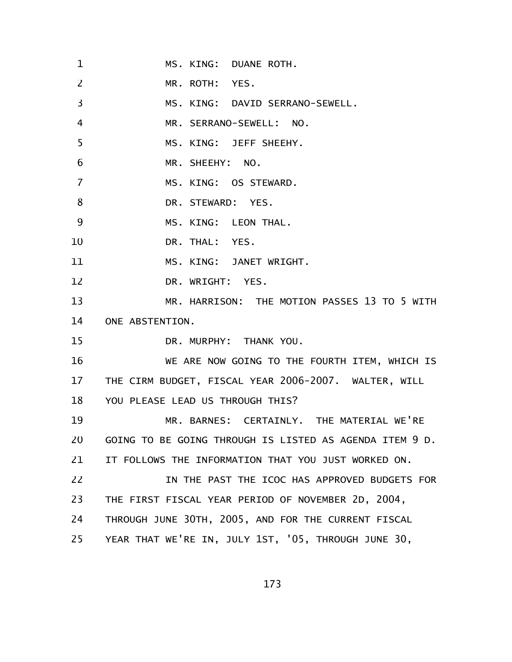MS. KING: DUANE ROTH. MR. ROTH: YES. MS. KING: DAVID SERRANO-SEWELL. MR. SERRANO-SEWELL: NO. MS. KING: JEFF SHEEHY. MR. SHEEHY: NO. MS. KING: OS STEWARD. DR. STEWARD: YES. MS. KING: LEON THAL. DR. THAL: YES. MS. KING: JANET WRIGHT. DR. WRIGHT: YES. MR. HARRISON: THE MOTION PASSES 13 TO 5 WITH ONE ABSTENTION. DR. MURPHY: THANK YOU. WE ARE NOW GOING TO THE FOURTH ITEM, WHICH IS THE CIRM BUDGET, FISCAL YEAR 2006-2007. WALTER, WILL YOU PLEASE LEAD US THROUGH THIS? MR. BARNES: CERTAINLY. THE MATERIAL WE'RE GOING TO BE GOING THROUGH IS LISTED AS AGENDA ITEM 9 D. IT FOLLOWS THE INFORMATION THAT YOU JUST WORKED ON. IN THE PAST THE ICOC HAS APPROVED BUDGETS FOR THE FIRST FISCAL YEAR PERIOD OF NOVEMBER 2D, 2004, THROUGH JUNE 30TH, 2005, AND FOR THE CURRENT FISCAL YEAR THAT WE'RE IN, JULY 1ST, '05, THROUGH JUNE 30, 1 2 3 4 5 6 7 8 9 10 11 12 13 14 15 16 17 18 19 20 21 22 23 24 25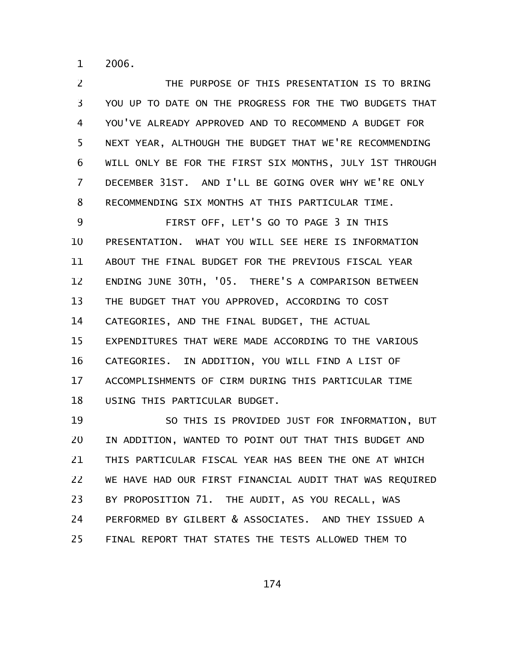2006. 1

THE PURPOSE OF THIS PRESENTATION IS TO BRING YOU UP TO DATE ON THE PROGRESS FOR THE TWO BUDGETS THAT YOU'VE ALREADY APPROVED AND TO RECOMMEND A BUDGET FOR NEXT YEAR, ALTHOUGH THE BUDGET THAT WE'RE RECOMMENDING WILL ONLY BE FOR THE FIRST SIX MONTHS, JULY 1ST THROUGH DECEMBER 31ST. AND I'LL BE GOING OVER WHY WE'RE ONLY RECOMMENDING SIX MONTHS AT THIS PARTICULAR TIME. 2 3 4 5 6 7 8

FIRST OFF, LET'S GO TO PAGE 3 IN THIS PRESENTATION. WHAT YOU WILL SEE HERE IS INFORMATION ABOUT THE FINAL BUDGET FOR THE PREVIOUS FISCAL YEAR ENDING JUNE 30TH, '05. THERE'S A COMPARISON BETWEEN THE BUDGET THAT YOU APPROVED, ACCORDING TO COST CATEGORIES, AND THE FINAL BUDGET, THE ACTUAL EXPENDITURES THAT WERE MADE ACCORDING TO THE VARIOUS CATEGORIES. IN ADDITION, YOU WILL FIND A LIST OF ACCOMPLISHMENTS OF CIRM DURING THIS PARTICULAR TIME USING THIS PARTICULAR BUDGET. 9 10 11 12 13 14 15 16 17 18

SO THIS IS PROVIDED JUST FOR INFORMATION, BUT IN ADDITION, WANTED TO POINT OUT THAT THIS BUDGET AND THIS PARTICULAR FISCAL YEAR HAS BEEN THE ONE AT WHICH WE HAVE HAD OUR FIRST FINANCIAL AUDIT THAT WAS REQUIRED BY PROPOSITION 71. THE AUDIT, AS YOU RECALL, WAS PERFORMED BY GILBERT & ASSOCIATES. AND THEY ISSUED A FINAL REPORT THAT STATES THE TESTS ALLOWED THEM TO 19 20 21 22 23 24 25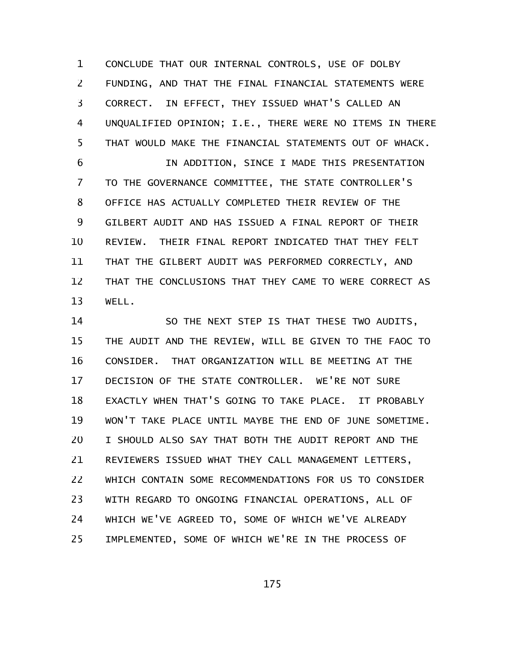CONCLUDE THAT OUR INTERNAL CONTROLS, USE OF DOLBY FUNDING, AND THAT THE FINAL FINANCIAL STATEMENTS WERE CORRECT. IN EFFECT, THEY ISSUED WHAT'S CALLED AN UNQUALIFIED OPINION; I.E., THERE WERE NO ITEMS IN THERE THAT WOULD MAKE THE FINANCIAL STATEMENTS OUT OF WHACK. 1 2 3 4 5

IN ADDITION, SINCE I MADE THIS PRESENTATION TO THE GOVERNANCE COMMITTEE, THE STATE CONTROLLER'S OFFICE HAS ACTUALLY COMPLETED THEIR REVIEW OF THE GILBERT AUDIT AND HAS ISSUED A FINAL REPORT OF THEIR REVIEW. THEIR FINAL REPORT INDICATED THAT THEY FELT THAT THE GILBERT AUDIT WAS PERFORMED CORRECTLY, AND THAT THE CONCLUSIONS THAT THEY CAME TO WERE CORRECT AS WELL. 6 7 8 9 10 11 12 13

SO THE NEXT STEP IS THAT THESE TWO AUDITS, THE AUDIT AND THE REVIEW, WILL BE GIVEN TO THE FAOC TO CONSIDER. THAT ORGANIZATION WILL BE MEETING AT THE DECISION OF THE STATE CONTROLLER. WE'RE NOT SURE EXACTLY WHEN THAT'S GOING TO TAKE PLACE. IT PROBABLY WON'T TAKE PLACE UNTIL MAYBE THE END OF JUNE SOMETIME. I SHOULD ALSO SAY THAT BOTH THE AUDIT REPORT AND THE REVIEWERS ISSUED WHAT THEY CALL MANAGEMENT LETTERS, WHICH CONTAIN SOME RECOMMENDATIONS FOR US TO CONSIDER WITH REGARD TO ONGOING FINANCIAL OPERATIONS, ALL OF WHICH WE'VE AGREED TO, SOME OF WHICH WE'VE ALREADY IMPLEMENTED, SOME OF WHICH WE'RE IN THE PROCESS OF 14 15 16 17 18 19 20 21 22 23 24 25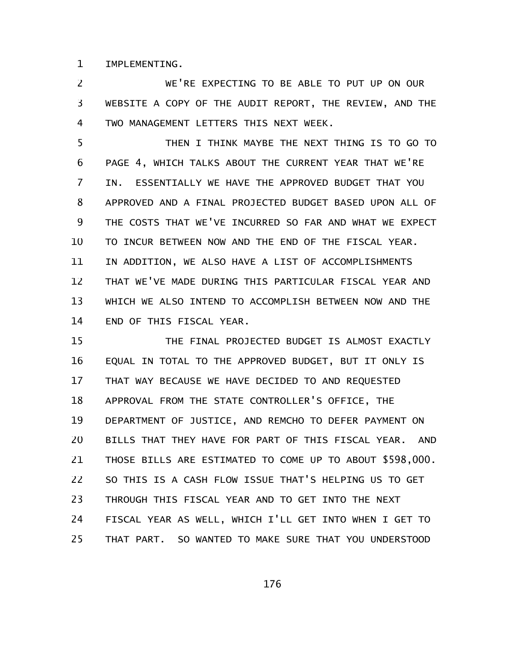IMPLEMENTING. 1

WE'RE EXPECTING TO BE ABLE TO PUT UP ON OUR WEBSITE A COPY OF THE AUDIT REPORT, THE REVIEW, AND THE TWO MANAGEMENT LETTERS THIS NEXT WEEK. 2 3 4

THEN I THINK MAYBE THE NEXT THING IS TO GO TO PAGE 4, WHICH TALKS ABOUT THE CURRENT YEAR THAT WE'RE IN. ESSENTIALLY WE HAVE THE APPROVED BUDGET THAT YOU APPROVED AND A FINAL PROJECTED BUDGET BASED UPON ALL OF THE COSTS THAT WE'VE INCURRED SO FAR AND WHAT WE EXPECT TO INCUR BETWEEN NOW AND THE END OF THE FISCAL YEAR. IN ADDITION, WE ALSO HAVE A LIST OF ACCOMPLISHMENTS THAT WE'VE MADE DURING THIS PARTICULAR FISCAL YEAR AND WHICH WE ALSO INTEND TO ACCOMPLISH BETWEEN NOW AND THE END OF THIS FISCAL YEAR. 5 6 7 8 9 10 11 12 13 14

THE FINAL PROJECTED BUDGET IS ALMOST EXACTLY EQUAL IN TOTAL TO THE APPROVED BUDGET, BUT IT ONLY IS THAT WAY BECAUSE WE HAVE DECIDED TO AND REQUESTED APPROVAL FROM THE STATE CONTROLLER'S OFFICE, THE DEPARTMENT OF JUSTICE, AND REMCHO TO DEFER PAYMENT ON BILLS THAT THEY HAVE FOR PART OF THIS FISCAL YEAR. AND THOSE BILLS ARE ESTIMATED TO COME UP TO ABOUT \$598,000. SO THIS IS A CASH FLOW ISSUE THAT'S HELPING US TO GET THROUGH THIS FISCAL YEAR AND TO GET INTO THE NEXT FISCAL YEAR AS WELL, WHICH I'LL GET INTO WHEN I GET TO THAT PART. SO WANTED TO MAKE SURE THAT YOU UNDERSTOOD 15 16 17 18 19 20 21 22 23 24 25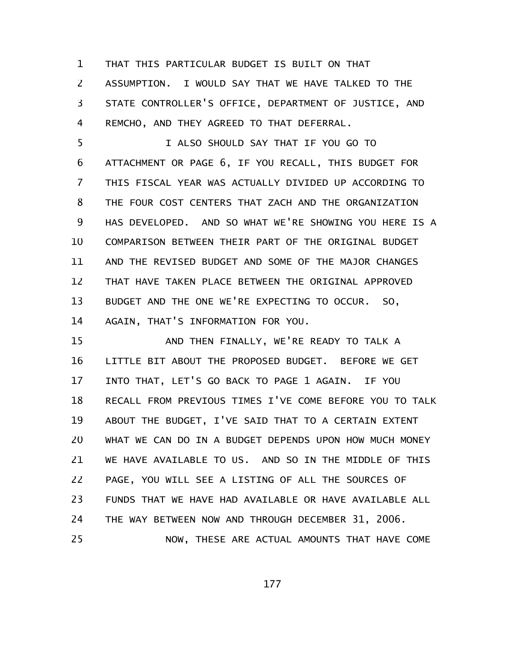THAT THIS PARTICULAR BUDGET IS BUILT ON THAT ASSUMPTION. I WOULD SAY THAT WE HAVE TALKED TO THE STATE CONTROLLER'S OFFICE, DEPARTMENT OF JUSTICE, AND REMCHO, AND THEY AGREED TO THAT DEFERRAL. 1 2 3 4

I ALSO SHOULD SAY THAT IF YOU GO TO ATTACHMENT OR PAGE 6, IF YOU RECALL, THIS BUDGET FOR THIS FISCAL YEAR WAS ACTUALLY DIVIDED UP ACCORDING TO THE FOUR COST CENTERS THAT ZACH AND THE ORGANIZATION HAS DEVELOPED. AND SO WHAT WE'RE SHOWING YOU HERE IS A COMPARISON BETWEEN THEIR PART OF THE ORIGINAL BUDGET AND THE REVISED BUDGET AND SOME OF THE MAJOR CHANGES THAT HAVE TAKEN PLACE BETWEEN THE ORIGINAL APPROVED BUDGET AND THE ONE WE'RE EXPECTING TO OCCUR. SO, AGAIN, THAT'S INFORMATION FOR YOU. 5 6 7 8 9 10 11 12 13 14

AND THEN FINALLY, WE'RE READY TO TALK A LITTLE BIT ABOUT THE PROPOSED BUDGET. BEFORE WE GET INTO THAT, LET'S GO BACK TO PAGE 1 AGAIN. IF YOU RECALL FROM PREVIOUS TIMES I'VE COME BEFORE YOU TO TALK ABOUT THE BUDGET, I'VE SAID THAT TO A CERTAIN EXTENT WHAT WE CAN DO IN A BUDGET DEPENDS UPON HOW MUCH MONEY WE HAVE AVAILABLE TO US. AND SO IN THE MIDDLE OF THIS PAGE, YOU WILL SEE A LISTING OF ALL THE SOURCES OF FUNDS THAT WE HAVE HAD AVAILABLE OR HAVE AVAILABLE ALL THE WAY BETWEEN NOW AND THROUGH DECEMBER 31, 2006. NOW, THESE ARE ACTUAL AMOUNTS THAT HAVE COME 15 16 17 18 19 20 21 22 23 24 25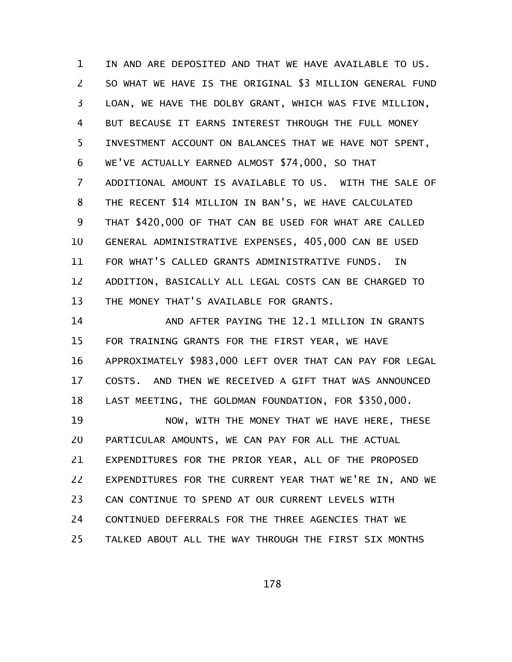IN AND ARE DEPOSITED AND THAT WE HAVE AVAILABLE TO US. SO WHAT WE HAVE IS THE ORIGINAL \$3 MILLION GENERAL FUND LOAN, WE HAVE THE DOLBY GRANT, WHICH WAS FIVE MILLION, BUT BECAUSE IT EARNS INTEREST THROUGH THE FULL MONEY INVESTMENT ACCOUNT ON BALANCES THAT WE HAVE NOT SPENT, WE'VE ACTUALLY EARNED ALMOST \$74,000, SO THAT ADDITIONAL AMOUNT IS AVAILABLE TO US. WITH THE SALE OF THE RECENT \$14 MILLION IN BAN'S, WE HAVE CALCULATED THAT \$420,000 OF THAT CAN BE USED FOR WHAT ARE CALLED GENERAL ADMINISTRATIVE EXPENSES, 405,000 CAN BE USED FOR WHAT'S CALLED GRANTS ADMINISTRATIVE FUNDS. IN ADDITION, BASICALLY ALL LEGAL COSTS CAN BE CHARGED TO THE MONEY THAT'S AVAILABLE FOR GRANTS. 1 2 3 4 5 6 7 8 9 10 11 12 13

AND AFTER PAYING THE 12.1 MILLION IN GRANTS FOR TRAINING GRANTS FOR THE FIRST YEAR, WE HAVE APPROXIMATELY \$983,000 LEFT OVER THAT CAN PAY FOR LEGAL COSTS. AND THEN WE RECEIVED A GIFT THAT WAS ANNOUNCED LAST MEETING, THE GOLDMAN FOUNDATION, FOR \$350,000. 14 15 16 17 18

NOW, WITH THE MONEY THAT WE HAVE HERE, THESE PARTICULAR AMOUNTS, WE CAN PAY FOR ALL THE ACTUAL EXPENDITURES FOR THE PRIOR YEAR, ALL OF THE PROPOSED EXPENDITURES FOR THE CURRENT YEAR THAT WE'RE IN, AND WE CAN CONTINUE TO SPEND AT OUR CURRENT LEVELS WITH CONTINUED DEFERRALS FOR THE THREE AGENCIES THAT WE TALKED ABOUT ALL THE WAY THROUGH THE FIRST SIX MONTHS 19 20 21 22 23 24 25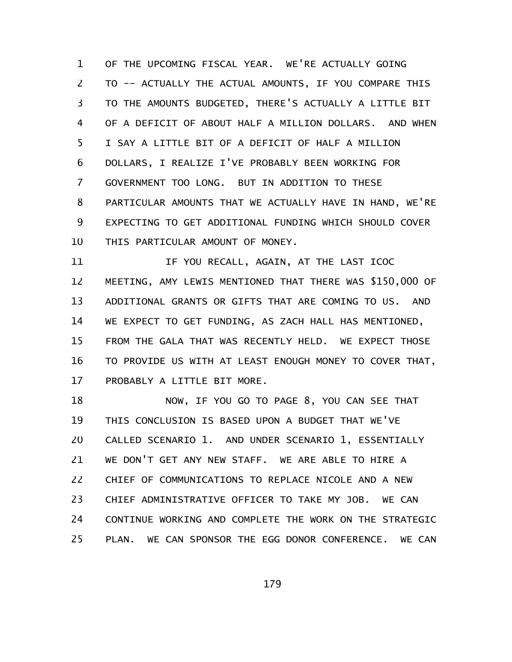OF THE UPCOMING FISCAL YEAR. WE'RE ACTUALLY GOING TO -- ACTUALLY THE ACTUAL AMOUNTS, IF YOU COMPARE THIS TO THE AMOUNTS BUDGETED, THERE'S ACTUALLY A LITTLE BIT OF A DEFICIT OF ABOUT HALF A MILLION DOLLARS. AND WHEN I SAY A LITTLE BIT OF A DEFICIT OF HALF A MILLION DOLLARS, I REALIZE I'VE PROBABLY BEEN WORKING FOR GOVERNMENT TOO LONG. BUT IN ADDITION TO THESE PARTICULAR AMOUNTS THAT WE ACTUALLY HAVE IN HAND, WE'RE EXPECTING TO GET ADDITIONAL FUNDING WHICH SHOULD COVER THIS PARTICULAR AMOUNT OF MONEY. 1 2 3 4 5 6 7 8 9 10

IF YOU RECALL, AGAIN, AT THE LAST ICOC MEETING, AMY LEWIS MENTIONED THAT THERE WAS \$150,000 OF ADDITIONAL GRANTS OR GIFTS THAT ARE COMING TO US. AND WE EXPECT TO GET FUNDING, AS ZACH HALL HAS MENTIONED, FROM THE GALA THAT WAS RECENTLY HELD. WE EXPECT THOSE TO PROVIDE US WITH AT LEAST ENOUGH MONEY TO COVER THAT, PROBABLY A LITTLE BIT MORE. 11 12 13 14 15 16 17

NOW, IF YOU GO TO PAGE 8, YOU CAN SEE THAT THIS CONCLUSION IS BASED UPON A BUDGET THAT WE'VE CALLED SCENARIO 1. AND UNDER SCENARIO 1, ESSENTIALLY WE DON'T GET ANY NEW STAFF. WE ARE ABLE TO HIRE A CHIEF OF COMMUNICATIONS TO REPLACE NICOLE AND A NEW CHIEF ADMINISTRATIVE OFFICER TO TAKE MY JOB. WE CAN CONTINUE WORKING AND COMPLETE THE WORK ON THE STRATEGIC PLAN. WE CAN SPONSOR THE EGG DONOR CONFERENCE. WE CAN 18 19 20 21 22 23 24 25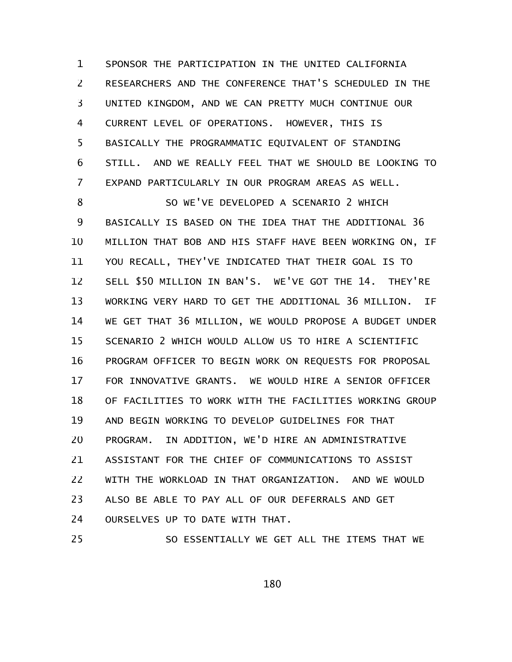SPONSOR THE PARTICIPATION IN THE UNITED CALIFORNIA RESEARCHERS AND THE CONFERENCE THAT'S SCHEDULED IN THE UNITED KINGDOM, AND WE CAN PRETTY MUCH CONTINUE OUR CURRENT LEVEL OF OPERATIONS. HOWEVER, THIS IS BASICALLY THE PROGRAMMATIC EQUIVALENT OF STANDING STILL. AND WE REALLY FEEL THAT WE SHOULD BE LOOKING TO EXPAND PARTICULARLY IN OUR PROGRAM AREAS AS WELL. 1 2 3 4 5 6 7

SO WE'VE DEVELOPED A SCENARIO 2 WHICH BASICALLY IS BASED ON THE IDEA THAT THE ADDITIONAL 36 MILLION THAT BOB AND HIS STAFF HAVE BEEN WORKING ON, IF YOU RECALL, THEY'VE INDICATED THAT THEIR GOAL IS TO SELL \$50 MILLION IN BAN'S. WE'VE GOT THE 14. THEY'RE WORKING VERY HARD TO GET THE ADDITIONAL 36 MILLION. IF WE GET THAT 36 MILLION, WE WOULD PROPOSE A BUDGET UNDER SCENARIO 2 WHICH WOULD ALLOW US TO HIRE A SCIENTIFIC PROGRAM OFFICER TO BEGIN WORK ON REQUESTS FOR PROPOSAL FOR INNOVATIVE GRANTS. WE WOULD HIRE A SENIOR OFFICER OF FACILITIES TO WORK WITH THE FACILITIES WORKING GROUP AND BEGIN WORKING TO DEVELOP GUIDELINES FOR THAT PROGRAM. IN ADDITION, WE'D HIRE AN ADMINISTRATIVE ASSISTANT FOR THE CHIEF OF COMMUNICATIONS TO ASSIST WITH THE WORKLOAD IN THAT ORGANIZATION. AND WE WOULD ALSO BE ABLE TO PAY ALL OF OUR DEFERRALS AND GET OURSELVES UP TO DATE WITH THAT. 8 9 10 11 12 13 14 15 16 17 18 19 20 21 22 23 24

SO ESSENTIALLY WE GET ALL THE ITEMS THAT WE 25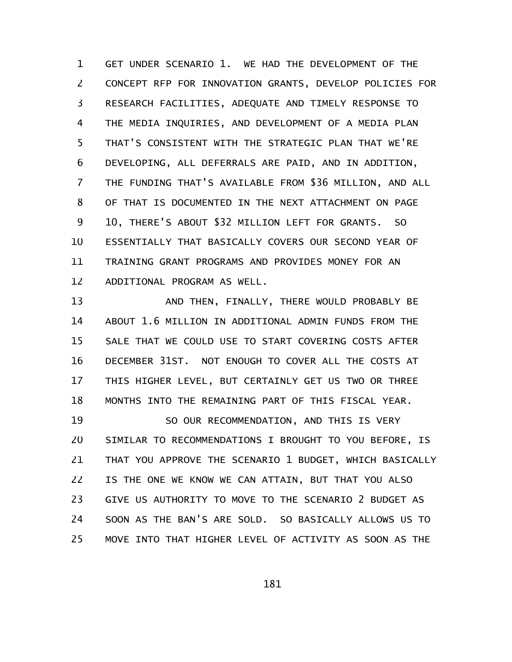GET UNDER SCENARIO 1. WE HAD THE DEVELOPMENT OF THE CONCEPT RFP FOR INNOVATION GRANTS, DEVELOP POLICIES FOR RESEARCH FACILITIES, ADEQUATE AND TIMELY RESPONSE TO THE MEDIA INQUIRIES, AND DEVELOPMENT OF A MEDIA PLAN THAT'S CONSISTENT WITH THE STRATEGIC PLAN THAT WE'RE DEVELOPING, ALL DEFERRALS ARE PAID, AND IN ADDITION, THE FUNDING THAT'S AVAILABLE FROM \$36 MILLION, AND ALL OF THAT IS DOCUMENTED IN THE NEXT ATTACHMENT ON PAGE 10, THERE'S ABOUT \$32 MILLION LEFT FOR GRANTS. SO ESSENTIALLY THAT BASICALLY COVERS OUR SECOND YEAR OF TRAINING GRANT PROGRAMS AND PROVIDES MONEY FOR AN ADDITIONAL PROGRAM AS WELL. 1 2 3 4 5 6 7 8 9 10 11 12

AND THEN, FINALLY, THERE WOULD PROBABLY BE ABOUT 1.6 MILLION IN ADDITIONAL ADMIN FUNDS FROM THE SALE THAT WE COULD USE TO START COVERING COSTS AFTER DECEMBER 31ST. NOT ENOUGH TO COVER ALL THE COSTS AT THIS HIGHER LEVEL, BUT CERTAINLY GET US TWO OR THREE MONTHS INTO THE REMAINING PART OF THIS FISCAL YEAR. 13 14 15 16 17 18

SO OUR RECOMMENDATION, AND THIS IS VERY SIMILAR TO RECOMMENDATIONS I BROUGHT TO YOU BEFORE, IS THAT YOU APPROVE THE SCENARIO 1 BUDGET, WHICH BASICALLY IS THE ONE WE KNOW WE CAN ATTAIN, BUT THAT YOU ALSO GIVE US AUTHORITY TO MOVE TO THE SCENARIO 2 BUDGET AS SOON AS THE BAN'S ARE SOLD. SO BASICALLY ALLOWS US TO MOVE INTO THAT HIGHER LEVEL OF ACTIVITY AS SOON AS THE 19 20 21 22 23 24 25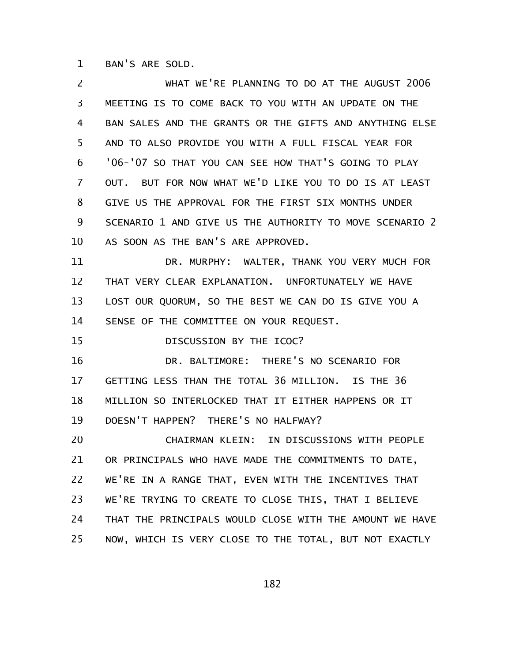BAN'S ARE SOLD. 1

WHAT WE'RE PLANNING TO DO AT THE AUGUST 2006 MEETING IS TO COME BACK TO YOU WITH AN UPDATE ON THE BAN SALES AND THE GRANTS OR THE GIFTS AND ANYTHING ELSE AND TO ALSO PROVIDE YOU WITH A FULL FISCAL YEAR FOR '06-'07 SO THAT YOU CAN SEE HOW THAT'S GOING TO PLAY OUT. BUT FOR NOW WHAT WE'D LIKE YOU TO DO IS AT LEAST GIVE US THE APPROVAL FOR THE FIRST SIX MONTHS UNDER SCENARIO 1 AND GIVE US THE AUTHORITY TO MOVE SCENARIO 2 AS SOON AS THE BAN'S ARE APPROVED. DR. MURPHY: WALTER, THANK YOU VERY MUCH FOR THAT VERY CLEAR EXPLANATION. UNFORTUNATELY WE HAVE 2 3 4 5 6 7 8 9 10 11 12

LOST OUR QUORUM, SO THE BEST WE CAN DO IS GIVE YOU A 13

SENSE OF THE COMMITTEE ON YOUR REQUEST. 14

DISCUSSION BY THE ICOC? 15

DR. BALTIMORE: THERE'S NO SCENARIO FOR GETTING LESS THAN THE TOTAL 36 MILLION. IS THE 36 MILLION SO INTERLOCKED THAT IT EITHER HAPPENS OR IT DOESN'T HAPPEN? THERE'S NO HALFWAY? 16 17 18 19

CHAIRMAN KLEIN: IN DISCUSSIONS WITH PEOPLE OR PRINCIPALS WHO HAVE MADE THE COMMITMENTS TO DATE, WE'RE IN A RANGE THAT, EVEN WITH THE INCENTIVES THAT WE'RE TRYING TO CREATE TO CLOSE THIS, THAT I BELIEVE THAT THE PRINCIPALS WOULD CLOSE WITH THE AMOUNT WE HAVE NOW, WHICH IS VERY CLOSE TO THE TOTAL, BUT NOT EXACTLY 20 21 22 23 24 25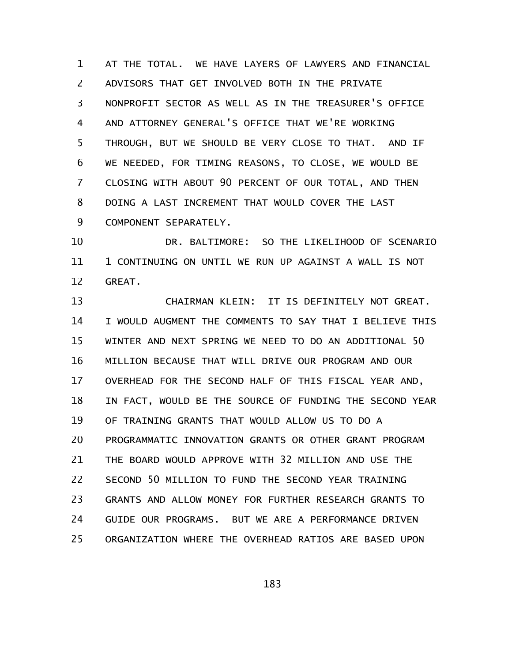AT THE TOTAL. WE HAVE LAYERS OF LAWYERS AND FINANCIAL ADVISORS THAT GET INVOLVED BOTH IN THE PRIVATE NONPROFIT SECTOR AS WELL AS IN THE TREASURER'S OFFICE AND ATTORNEY GENERAL'S OFFICE THAT WE'RE WORKING THROUGH, BUT WE SHOULD BE VERY CLOSE TO THAT. AND IF WE NEEDED, FOR TIMING REASONS, TO CLOSE, WE WOULD BE CLOSING WITH ABOUT 90 PERCENT OF OUR TOTAL, AND THEN DOING A LAST INCREMENT THAT WOULD COVER THE LAST COMPONENT SEPARATELY. 1 2 3 4 5 6 7 8 9

DR. BALTIMORE: SO THE LIKELIHOOD OF SCENARIO 1 CONTINUING ON UNTIL WE RUN UP AGAINST A WALL IS NOT GREAT. 10 11 12

CHAIRMAN KLEIN: IT IS DEFINITELY NOT GREAT. I WOULD AUGMENT THE COMMENTS TO SAY THAT I BELIEVE THIS WINTER AND NEXT SPRING WE NEED TO DO AN ADDITIONAL 50 MILLION BECAUSE THAT WILL DRIVE OUR PROGRAM AND OUR OVERHEAD FOR THE SECOND HALF OF THIS FISCAL YEAR AND, IN FACT, WOULD BE THE SOURCE OF FUNDING THE SECOND YEAR OF TRAINING GRANTS THAT WOULD ALLOW US TO DO A PROGRAMMATIC INNOVATION GRANTS OR OTHER GRANT PROGRAM THE BOARD WOULD APPROVE WITH 32 MILLION AND USE THE SECOND 50 MILLION TO FUND THE SECOND YEAR TRAINING GRANTS AND ALLOW MONEY FOR FURTHER RESEARCH GRANTS TO GUIDE OUR PROGRAMS. BUT WE ARE A PERFORMANCE DRIVEN ORGANIZATION WHERE THE OVERHEAD RATIOS ARE BASED UPON 13 14 15 16 17 18 19 20 21 22 23 24 25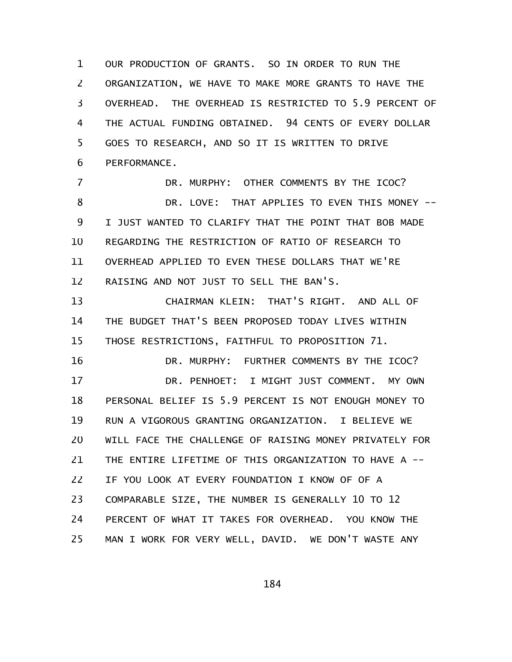OUR PRODUCTION OF GRANTS. SO IN ORDER TO RUN THE ORGANIZATION, WE HAVE TO MAKE MORE GRANTS TO HAVE THE OVERHEAD. THE OVERHEAD IS RESTRICTED TO 5.9 PERCENT OF THE ACTUAL FUNDING OBTAINED. 94 CENTS OF EVERY DOLLAR GOES TO RESEARCH, AND SO IT IS WRITTEN TO DRIVE PERFORMANCE. 1 2 3 4 5 6

DR. MURPHY: OTHER COMMENTS BY THE ICOC? DR. LOVE: THAT APPLIES TO EVEN THIS MONEY -- I JUST WANTED TO CLARIFY THAT THE POINT THAT BOB MADE REGARDING THE RESTRICTION OF RATIO OF RESEARCH TO OVERHEAD APPLIED TO EVEN THESE DOLLARS THAT WE'RE RAISING AND NOT JUST TO SELL THE BAN'S. 7 8 9 10 11 12

CHAIRMAN KLEIN: THAT'S RIGHT. AND ALL OF THE BUDGET THAT'S BEEN PROPOSED TODAY LIVES WITHIN THOSE RESTRICTIONS, FAITHFUL TO PROPOSITION 71. 13 14 15

DR. MURPHY: FURTHER COMMENTS BY THE ICOC? DR. PENHOET: I MIGHT JUST COMMENT. MY OWN PERSONAL BELIEF IS 5.9 PERCENT IS NOT ENOUGH MONEY TO RUN A VIGOROUS GRANTING ORGANIZATION. I BELIEVE WE WILL FACE THE CHALLENGE OF RAISING MONEY PRIVATELY FOR THE ENTIRE LIFETIME OF THIS ORGANIZATION TO HAVE A -- IF YOU LOOK AT EVERY FOUNDATION I KNOW OF OF A COMPARABLE SIZE, THE NUMBER IS GENERALLY 10 TO 12 PERCENT OF WHAT IT TAKES FOR OVERHEAD. YOU KNOW THE MAN I WORK FOR VERY WELL, DAVID. WE DON'T WASTE ANY 16 17 18 19 20 21 22 23 24 25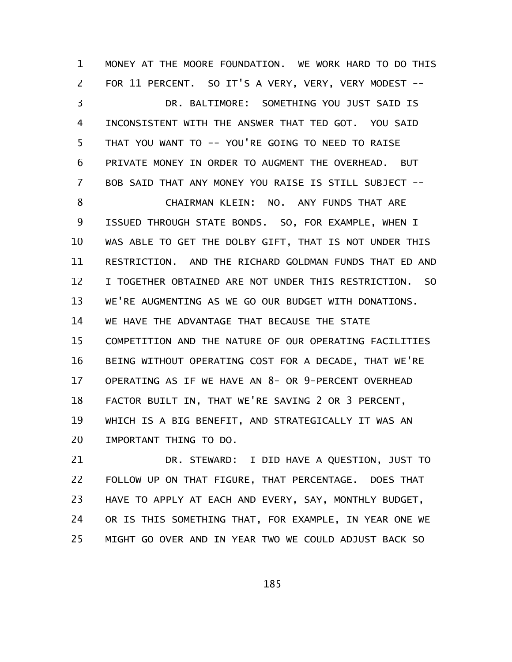MONEY AT THE MOORE FOUNDATION. WE WORK HARD TO DO THIS FOR 11 PERCENT. SO IT'S A VERY, VERY, VERY MODEST --DR. BALTIMORE: SOMETHING YOU JUST SAID IS INCONSISTENT WITH THE ANSWER THAT TED GOT. YOU SAID THAT YOU WANT TO -- YOU'RE GOING TO NEED TO RAISE PRIVATE MONEY IN ORDER TO AUGMENT THE OVERHEAD. BUT BOB SAID THAT ANY MONEY YOU RAISE IS STILL SUBJECT -- CHAIRMAN KLEIN: NO. ANY FUNDS THAT ARE ISSUED THROUGH STATE BONDS. SO, FOR EXAMPLE, WHEN I WAS ABLE TO GET THE DOLBY GIFT, THAT IS NOT UNDER THIS RESTRICTION. AND THE RICHARD GOLDMAN FUNDS THAT ED AND I TOGETHER OBTAINED ARE NOT UNDER THIS RESTRICTION. SO WE'RE AUGMENTING AS WE GO OUR BUDGET WITH DONATIONS. WE HAVE THE ADVANTAGE THAT BECAUSE THE STATE COMPETITION AND THE NATURE OF OUR OPERATING FACILITIES BEING WITHOUT OPERATING COST FOR A DECADE, THAT WE'RE OPERATING AS IF WE HAVE AN 8- OR 9-PERCENT OVERHEAD FACTOR BUILT IN, THAT WE'RE SAVING 2 OR 3 PERCENT, WHICH IS A BIG BENEFIT, AND STRATEGICALLY IT WAS AN IMPORTANT THING TO DO. 1 2 3 4 5 6 7 8 9 10 11 12 13 14 15 16 17 18 19 20

DR. STEWARD: I DID HAVE A QUESTION, JUST TO FOLLOW UP ON THAT FIGURE, THAT PERCENTAGE. DOES THAT HAVE TO APPLY AT EACH AND EVERY, SAY, MONTHLY BUDGET, OR IS THIS SOMETHING THAT, FOR EXAMPLE, IN YEAR ONE WE MIGHT GO OVER AND IN YEAR TWO WE COULD ADJUST BACK SO 21 22 23 24 25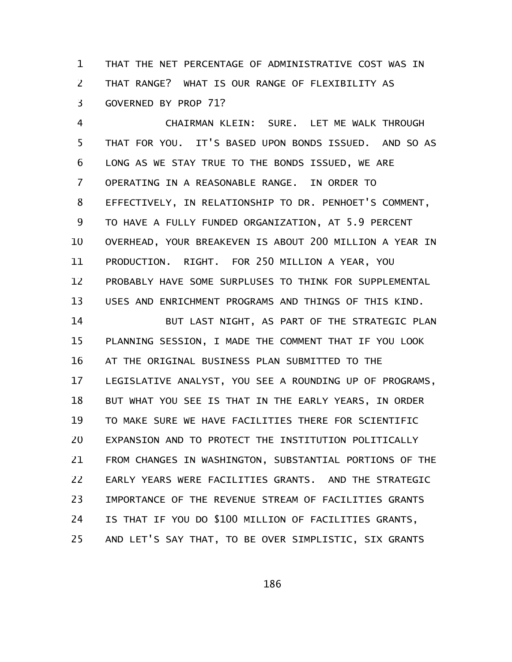THAT THE NET PERCENTAGE OF ADMINISTRATIVE COST WAS IN THAT RANGE? WHAT IS OUR RANGE OF FLEXIBILITY AS GOVERNED BY PROP 71? 1 2 3

CHAIRMAN KLEIN: SURE. LET ME WALK THROUGH THAT FOR YOU. IT'S BASED UPON BONDS ISSUED. AND SO AS LONG AS WE STAY TRUE TO THE BONDS ISSUED, WE ARE OPERATING IN A REASONABLE RANGE. IN ORDER TO EFFECTIVELY, IN RELATIONSHIP TO DR. PENHOET'S COMMENT, TO HAVE A FULLY FUNDED ORGANIZATION, AT 5.9 PERCENT OVERHEAD, YOUR BREAKEVEN IS ABOUT 200 MILLION A YEAR IN PRODUCTION. RIGHT. FOR 250 MILLION A YEAR, YOU PROBABLY HAVE SOME SURPLUSES TO THINK FOR SUPPLEMENTAL USES AND ENRICHMENT PROGRAMS AND THINGS OF THIS KIND. 4 5 6 7 8 9 10 11 12 13

BUT LAST NIGHT, AS PART OF THE STRATEGIC PLAN PLANNING SESSION, I MADE THE COMMENT THAT IF YOU LOOK AT THE ORIGINAL BUSINESS PLAN SUBMITTED TO THE LEGISLATIVE ANALYST, YOU SEE A ROUNDING UP OF PROGRAMS, BUT WHAT YOU SEE IS THAT IN THE EARLY YEARS, IN ORDER TO MAKE SURE WE HAVE FACILITIES THERE FOR SCIENTIFIC EXPANSION AND TO PROTECT THE INSTITUTION POLITICALLY FROM CHANGES IN WASHINGTON, SUBSTANTIAL PORTIONS OF THE EARLY YEARS WERE FACILITIES GRANTS. AND THE STRATEGIC IMPORTANCE OF THE REVENUE STREAM OF FACILITIES GRANTS IS THAT IF YOU DO \$100 MILLION OF FACILITIES GRANTS, AND LET'S SAY THAT, TO BE OVER SIMPLISTIC, SIX GRANTS 14 15 16 17 18 19 20 21 22 23 24 25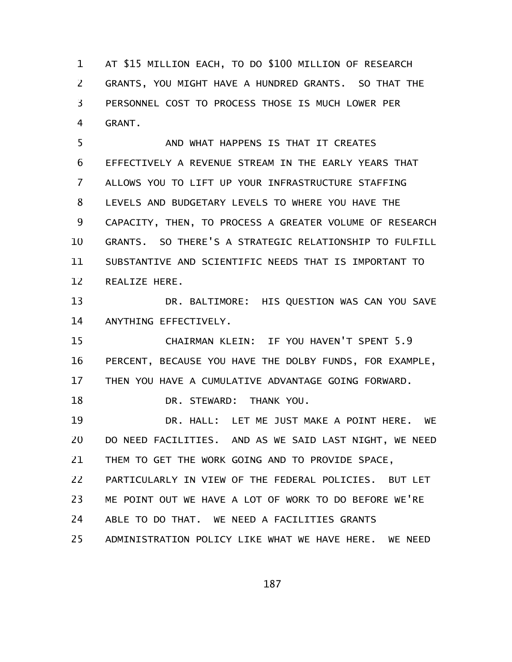AT \$15 MILLION EACH, TO DO \$100 MILLION OF RESEARCH GRANTS, YOU MIGHT HAVE A HUNDRED GRANTS. SO THAT THE PERSONNEL COST TO PROCESS THOSE IS MUCH LOWER PER GRANT. 1 2 3 4

AND WHAT HAPPENS IS THAT IT CREATES EFFECTIVELY A REVENUE STREAM IN THE EARLY YEARS THAT ALLOWS YOU TO LIFT UP YOUR INFRASTRUCTURE STAFFING LEVELS AND BUDGETARY LEVELS TO WHERE YOU HAVE THE CAPACITY, THEN, TO PROCESS A GREATER VOLUME OF RESEARCH GRANTS. SO THERE'S A STRATEGIC RELATIONSHIP TO FULFILL SUBSTANTIVE AND SCIENTIFIC NEEDS THAT IS IMPORTANT TO REALIZE HERE. 5 6 7 8 9 10 11 12

DR. BALTIMORE: HIS QUESTION WAS CAN YOU SAVE ANYTHING EFFECTIVELY. 13 14

CHAIRMAN KLEIN: IF YOU HAVEN'T SPENT 5.9 PERCENT, BECAUSE YOU HAVE THE DOLBY FUNDS, FOR EXAMPLE, THEN YOU HAVE A CUMULATIVE ADVANTAGE GOING FORWARD. 15 16 17

DR. STEWARD: THANK YOU. 18

DR. HALL: LET ME JUST MAKE A POINT HERE. WE DO NEED FACILITIES. AND AS WE SAID LAST NIGHT, WE NEED THEM TO GET THE WORK GOING AND TO PROVIDE SPACE, 19 20 21

PARTICULARLY IN VIEW OF THE FEDERAL POLICIES. BUT LET 22

ME POINT OUT WE HAVE A LOT OF WORK TO DO BEFORE WE'RE 23

ABLE TO DO THAT. WE NEED A FACILITIES GRANTS 24

ADMINISTRATION POLICY LIKE WHAT WE HAVE HERE. WE NEED 25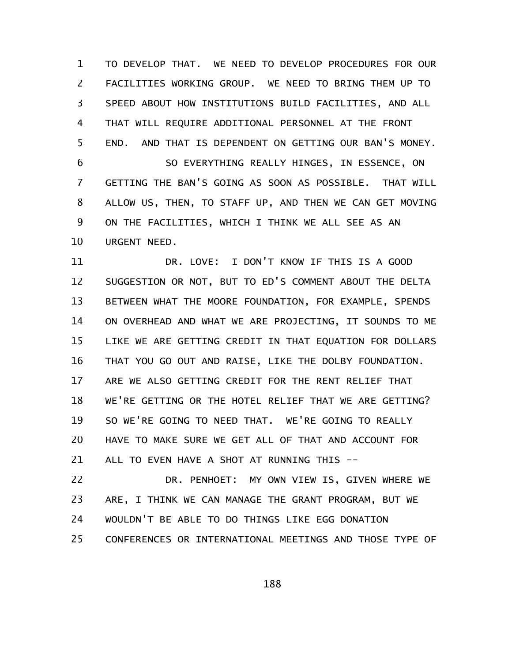TO DEVELOP THAT. WE NEED TO DEVELOP PROCEDURES FOR OUR FACILITIES WORKING GROUP. WE NEED TO BRING THEM UP TO SPEED ABOUT HOW INSTITUTIONS BUILD FACILITIES, AND ALL THAT WILL REQUIRE ADDITIONAL PERSONNEL AT THE FRONT END. AND THAT IS DEPENDENT ON GETTING OUR BAN'S MONEY. SO EVERYTHING REALLY HINGES, IN ESSENCE, ON 1 2 3 4 5 6

GETTING THE BAN'S GOING AS SOON AS POSSIBLE. THAT WILL ALLOW US, THEN, TO STAFF UP, AND THEN WE CAN GET MOVING ON THE FACILITIES, WHICH I THINK WE ALL SEE AS AN URGENT NEED. 7 8 9 10

DR. LOVE: I DON'T KNOW IF THIS IS A GOOD SUGGESTION OR NOT, BUT TO ED'S COMMENT ABOUT THE DELTA BETWEEN WHAT THE MOORE FOUNDATION, FOR EXAMPLE, SPENDS ON OVERHEAD AND WHAT WE ARE PROJECTING, IT SOUNDS TO ME LIKE WE ARE GETTING CREDIT IN THAT EQUATION FOR DOLLARS THAT YOU GO OUT AND RAISE, LIKE THE DOLBY FOUNDATION. ARE WE ALSO GETTING CREDIT FOR THE RENT RELIEF THAT WE'RE GETTING OR THE HOTEL RELIEF THAT WE ARE GETTING? SO WE'RE GOING TO NEED THAT. WE'RE GOING TO REALLY HAVE TO MAKE SURE WE GET ALL OF THAT AND ACCOUNT FOR ALL TO EVEN HAVE A SHOT AT RUNNING THIS -- 11 12 13 14 15 16 17 18 19 20 21

DR. PENHOET: MY OWN VIEW IS, GIVEN WHERE WE ARE, I THINK WE CAN MANAGE THE GRANT PROGRAM, BUT WE WOULDN'T BE ABLE TO DO THINGS LIKE EGG DONATION CONFERENCES OR INTERNATIONAL MEETINGS AND THOSE TYPE OF 22 23 24 25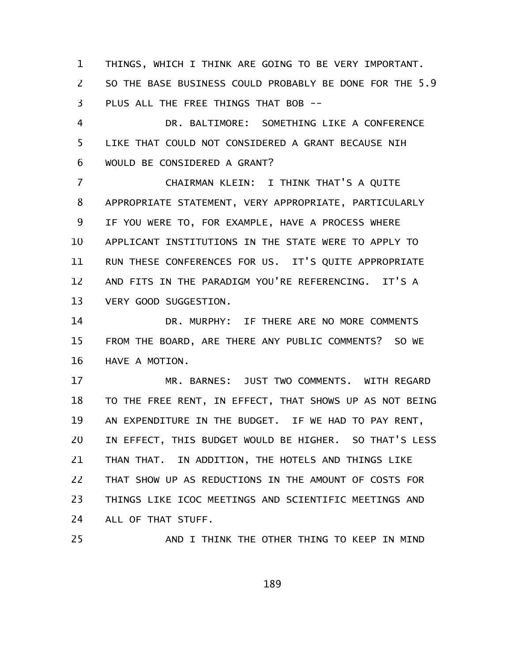THINGS, WHICH I THINK ARE GOING TO BE VERY IMPORTANT. SO THE BASE BUSINESS COULD PROBABLY BE DONE FOR THE 5.9 PLUS ALL THE FREE THINGS THAT BOB -- 1 2 3

DR. BALTIMORE: SOMETHING LIKE A CONFERENCE LIKE THAT COULD NOT CONSIDERED A GRANT BECAUSE NIH WOULD BE CONSIDERED A GRANT? 4 5 6

CHAIRMAN KLEIN: I THINK THAT'S A QUITE APPROPRIATE STATEMENT, VERY APPROPRIATE, PARTICULARLY IF YOU WERE TO, FOR EXAMPLE, HAVE A PROCESS WHERE APPLICANT INSTITUTIONS IN THE STATE WERE TO APPLY TO RUN THESE CONFERENCES FOR US. IT'S QUITE APPROPRIATE AND FITS IN THE PARADIGM YOU'RE REFERENCING. IT'S A VERY GOOD SUGGESTION. 7 8 9 10 11 12 13

DR. MURPHY: IF THERE ARE NO MORE COMMENTS FROM THE BOARD, ARE THERE ANY PUBLIC COMMENTS? SO WE HAVE A MOTION. 14 15 16

MR. BARNES: JUST TWO COMMENTS. WITH REGARD TO THE FREE RENT, IN EFFECT, THAT SHOWS UP AS NOT BEING AN EXPENDITURE IN THE BUDGET. IF WE HAD TO PAY RENT, IN EFFECT, THIS BUDGET WOULD BE HIGHER. SO THAT'S LESS THAN THAT. IN ADDITION, THE HOTELS AND THINGS LIKE THAT SHOW UP AS REDUCTIONS IN THE AMOUNT OF COSTS FOR THINGS LIKE ICOC MEETINGS AND SCIENTIFIC MEETINGS AND ALL OF THAT STUFF. 17 18 19 20 21 22 23 24

25

AND I THINK THE OTHER THING TO KEEP IN MIND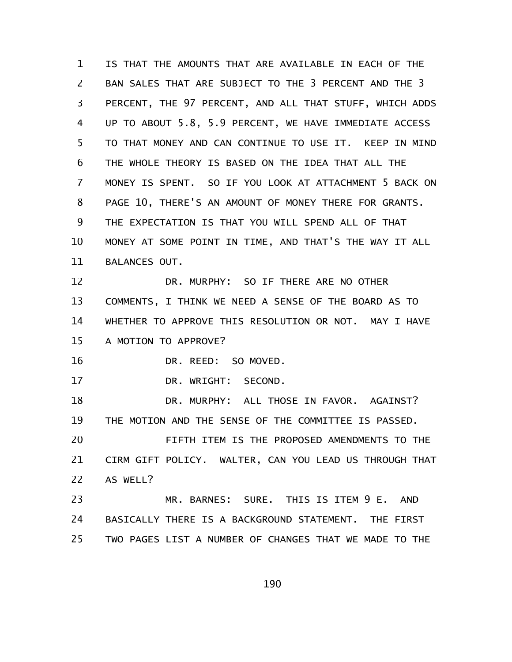IS THAT THE AMOUNTS THAT ARE AVAILABLE IN EACH OF THE BAN SALES THAT ARE SUBJECT TO THE 3 PERCENT AND THE 3 PERCENT, THE 97 PERCENT, AND ALL THAT STUFF, WHICH ADDS UP TO ABOUT 5.8, 5.9 PERCENT, WE HAVE IMMEDIATE ACCESS TO THAT MONEY AND CAN CONTINUE TO USE IT. KEEP IN MIND THE WHOLE THEORY IS BASED ON THE IDEA THAT ALL THE MONEY IS SPENT. SO IF YOU LOOK AT ATTACHMENT 5 BACK ON PAGE 10, THERE'S AN AMOUNT OF MONEY THERE FOR GRANTS. THE EXPECTATION IS THAT YOU WILL SPEND ALL OF THAT MONEY AT SOME POINT IN TIME, AND THAT'S THE WAY IT ALL BALANCES OUT. DR. MURPHY: SO IF THERE ARE NO OTHER COMMENTS, I THINK WE NEED A SENSE OF THE BOARD AS TO WHETHER TO APPROVE THIS RESOLUTION OR NOT. MAY I HAVE A MOTION TO APPROVE? DR. REED: SO MOVED. DR. WRIGHT: SECOND. DR. MURPHY: ALL THOSE IN FAVOR. AGAINST? THE MOTION AND THE SENSE OF THE COMMITTEE IS PASSED. FIFTH ITEM IS THE PROPOSED AMENDMENTS TO THE CIRM GIFT POLICY. WALTER, CAN YOU LEAD US THROUGH THAT AS WELL? MR. BARNES: SURE. THIS IS ITEM 9 E. AND 1 2 3 4 5 6 7 8 9 10 11 12 13 14 15 16 17 18 19 20 21 22 23

BASICALLY THERE IS A BACKGROUND STATEMENT. THE FIRST TWO PAGES LIST A NUMBER OF CHANGES THAT WE MADE TO THE 24 25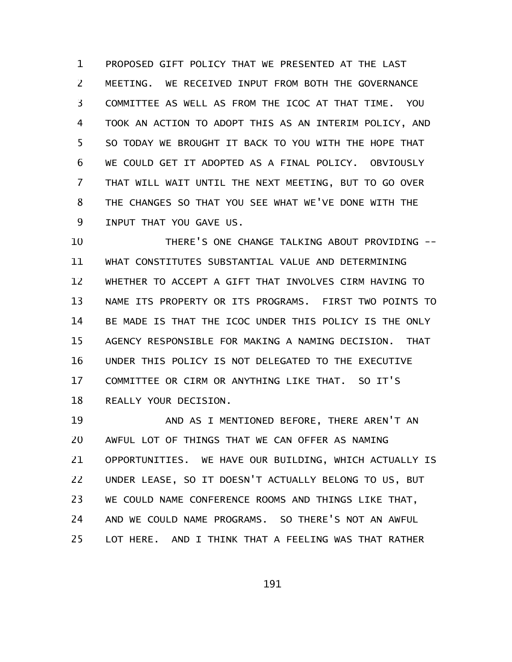PROPOSED GIFT POLICY THAT WE PRESENTED AT THE LAST MEETING. WE RECEIVED INPUT FROM BOTH THE GOVERNANCE COMMITTEE AS WELL AS FROM THE ICOC AT THAT TIME. YOU TOOK AN ACTION TO ADOPT THIS AS AN INTERIM POLICY, AND SO TODAY WE BROUGHT IT BACK TO YOU WITH THE HOPE THAT WE COULD GET IT ADOPTED AS A FINAL POLICY. OBVIOUSLY THAT WILL WAIT UNTIL THE NEXT MEETING, BUT TO GO OVER THE CHANGES SO THAT YOU SEE WHAT WE'VE DONE WITH THE INPUT THAT YOU GAVE US. 1 2 3 4 5 6 7 8 9

THERE'S ONE CHANGE TALKING ABOUT PROVIDING -- WHAT CONSTITUTES SUBSTANTIAL VALUE AND DETERMINING WHETHER TO ACCEPT A GIFT THAT INVOLVES CIRM HAVING TO NAME ITS PROPERTY OR ITS PROGRAMS. FIRST TWO POINTS TO BE MADE IS THAT THE ICOC UNDER THIS POLICY IS THE ONLY AGENCY RESPONSIBLE FOR MAKING A NAMING DECISION. THAT UNDER THIS POLICY IS NOT DELEGATED TO THE EXECUTIVE COMMITTEE OR CIRM OR ANYTHING LIKE THAT. SO IT'S REALLY YOUR DECISION. 10 11 12 13 14 15 16 17 18

AND AS I MENTIONED BEFORE, THERE AREN'T AN AWFUL LOT OF THINGS THAT WE CAN OFFER AS NAMING OPPORTUNITIES. WE HAVE OUR BUILDING, WHICH ACTUALLY IS UNDER LEASE, SO IT DOESN'T ACTUALLY BELONG TO US, BUT WE COULD NAME CONFERENCE ROOMS AND THINGS LIKE THAT, AND WE COULD NAME PROGRAMS. SO THERE'S NOT AN AWFUL LOT HERE. AND I THINK THAT A FEELING WAS THAT RATHER 19 20 21 22 23 24 25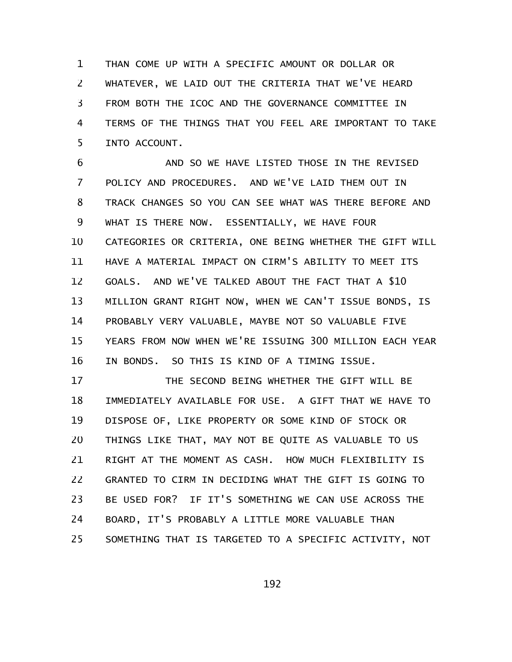THAN COME UP WITH A SPECIFIC AMOUNT OR DOLLAR OR WHATEVER, WE LAID OUT THE CRITERIA THAT WE'VE HEARD FROM BOTH THE ICOC AND THE GOVERNANCE COMMITTEE IN TERMS OF THE THINGS THAT YOU FEEL ARE IMPORTANT TO TAKE INTO ACCOUNT. 1 2 3 4 5

AND SO WE HAVE LISTED THOSE IN THE REVISED POLICY AND PROCEDURES. AND WE'VE LAID THEM OUT IN TRACK CHANGES SO YOU CAN SEE WHAT WAS THERE BEFORE AND WHAT IS THERE NOW. ESSENTIALLY, WE HAVE FOUR CATEGORIES OR CRITERIA, ONE BEING WHETHER THE GIFT WILL HAVE A MATERIAL IMPACT ON CIRM'S ABILITY TO MEET ITS GOALS. AND WE'VE TALKED ABOUT THE FACT THAT A \$10 MILLION GRANT RIGHT NOW, WHEN WE CAN'T ISSUE BONDS, IS PROBABLY VERY VALUABLE, MAYBE NOT SO VALUABLE FIVE YEARS FROM NOW WHEN WE'RE ISSUING 300 MILLION EACH YEAR IN BONDS. SO THIS IS KIND OF A TIMING ISSUE. 6 7 8 9 10 11 12 13 14 15 16

THE SECOND BEING WHETHER THE GIFT WILL BE IMMEDIATELY AVAILABLE FOR USE. A GIFT THAT WE HAVE TO DISPOSE OF, LIKE PROPERTY OR SOME KIND OF STOCK OR THINGS LIKE THAT, MAY NOT BE QUITE AS VALUABLE TO US RIGHT AT THE MOMENT AS CASH. HOW MUCH FLEXIBILITY IS GRANTED TO CIRM IN DECIDING WHAT THE GIFT IS GOING TO BE USED FOR? IF IT'S SOMETHING WE CAN USE ACROSS THE BOARD, IT'S PROBABLY A LITTLE MORE VALUABLE THAN SOMETHING THAT IS TARGETED TO A SPECIFIC ACTIVITY, NOT 17 18 19 20 21 22 23 24 25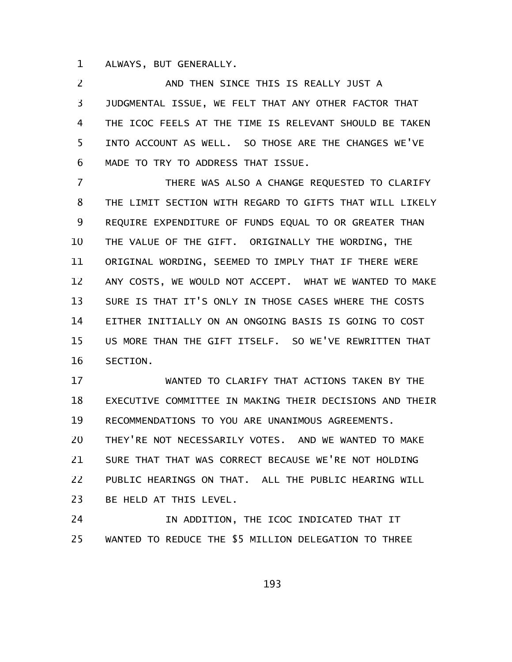ALWAYS, BUT GENERALLY. 1

AND THEN SINCE THIS IS REALLY JUST A JUDGMENTAL ISSUE, WE FELT THAT ANY OTHER FACTOR THAT THE ICOC FEELS AT THE TIME IS RELEVANT SHOULD BE TAKEN INTO ACCOUNT AS WELL. SO THOSE ARE THE CHANGES WE'VE MADE TO TRY TO ADDRESS THAT ISSUE. 2 3 4 5 6

THERE WAS ALSO A CHANGE REQUESTED TO CLARIFY THE LIMIT SECTION WITH REGARD TO GIFTS THAT WILL LIKELY REQUIRE EXPENDITURE OF FUNDS EQUAL TO OR GREATER THAN THE VALUE OF THE GIFT. ORIGINALLY THE WORDING, THE ORIGINAL WORDING, SEEMED TO IMPLY THAT IF THERE WERE ANY COSTS, WE WOULD NOT ACCEPT. WHAT WE WANTED TO MAKE SURE IS THAT IT'S ONLY IN THOSE CASES WHERE THE COSTS EITHER INITIALLY ON AN ONGOING BASIS IS GOING TO COST US MORE THAN THE GIFT ITSELF. SO WE'VE REWRITTEN THAT SECTION. 7 8 9 10 11 12 13 14 15 16

WANTED TO CLARIFY THAT ACTIONS TAKEN BY THE EXECUTIVE COMMITTEE IN MAKING THEIR DECISIONS AND THEIR RECOMMENDATIONS TO YOU ARE UNANIMOUS AGREEMENTS. THEY'RE NOT NECESSARILY VOTES. AND WE WANTED TO MAKE SURE THAT THAT WAS CORRECT BECAUSE WE'RE NOT HOLDING PUBLIC HEARINGS ON THAT. ALL THE PUBLIC HEARING WILL BE HELD AT THIS LEVEL. 17 18 19 20 21 22 23

IN ADDITION, THE ICOC INDICATED THAT IT WANTED TO REDUCE THE \$5 MILLION DELEGATION TO THREE 24 25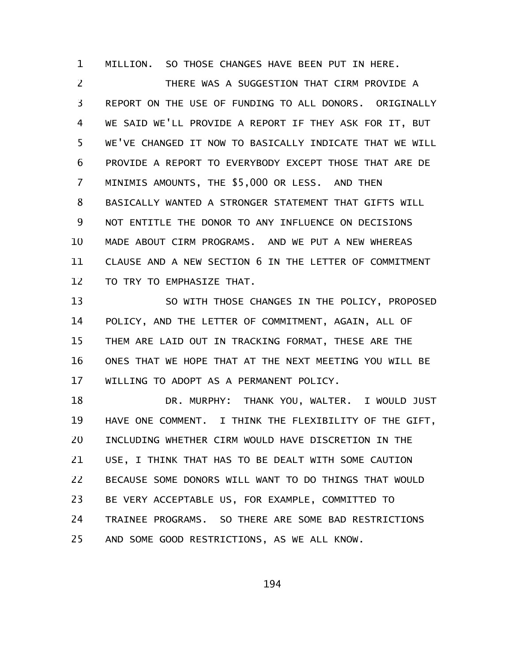MILLION. SO THOSE CHANGES HAVE BEEN PUT IN HERE. 1

THERE WAS A SUGGESTION THAT CIRM PROVIDE A REPORT ON THE USE OF FUNDING TO ALL DONORS. ORIGINALLY WE SAID WE'LL PROVIDE A REPORT IF THEY ASK FOR IT, BUT WE'VE CHANGED IT NOW TO BASICALLY INDICATE THAT WE WILL PROVIDE A REPORT TO EVERYBODY EXCEPT THOSE THAT ARE DE MINIMIS AMOUNTS, THE \$5,000 OR LESS. AND THEN BASICALLY WANTED A STRONGER STATEMENT THAT GIFTS WILL NOT ENTITLE THE DONOR TO ANY INFLUENCE ON DECISIONS MADE ABOUT CIRM PROGRAMS. AND WE PUT A NEW WHEREAS CLAUSE AND A NEW SECTION 6 IN THE LETTER OF COMMITMENT TO TRY TO EMPHASIZE THAT. 2 3 4 5 6 7 8 9 10 11 12

SO WITH THOSE CHANGES IN THE POLICY, PROPOSED POLICY, AND THE LETTER OF COMMITMENT, AGAIN, ALL OF THEM ARE LAID OUT IN TRACKING FORMAT, THESE ARE THE ONES THAT WE HOPE THAT AT THE NEXT MEETING YOU WILL BE WILLING TO ADOPT AS A PERMANENT POLICY. 13 14 15 16 17

DR. MURPHY: THANK YOU, WALTER. I WOULD JUST HAVE ONE COMMENT. I THINK THE FLEXIBILITY OF THE GIFT, INCLUDING WHETHER CIRM WOULD HAVE DISCRETION IN THE USE, I THINK THAT HAS TO BE DEALT WITH SOME CAUTION BECAUSE SOME DONORS WILL WANT TO DO THINGS THAT WOULD BE VERY ACCEPTABLE US, FOR EXAMPLE, COMMITTED TO TRAINEE PROGRAMS. SO THERE ARE SOME BAD RESTRICTIONS AND SOME GOOD RESTRICTIONS, AS WE ALL KNOW. 18 19 20 21 22 23 24 25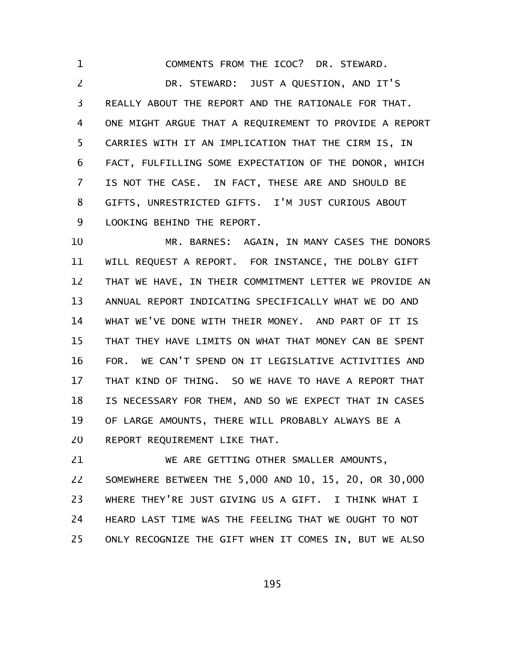COMMENTS FROM THE ICOC? DR. STEWARD. DR. STEWARD: JUST A QUESTION, AND IT'S REALLY ABOUT THE REPORT AND THE RATIONALE FOR THAT. ONE MIGHT ARGUE THAT A REQUIREMENT TO PROVIDE A REPORT CARRIES WITH IT AN IMPLICATION THAT THE CIRM IS, IN FACT, FULFILLING SOME EXPECTATION OF THE DONOR, WHICH IS NOT THE CASE. IN FACT, THESE ARE AND SHOULD BE GIFTS, UNRESTRICTED GIFTS. I'M JUST CURIOUS ABOUT LOOKING BEHIND THE REPORT. 1 2 3 4 5 6 7 8 9

MR. BARNES: AGAIN, IN MANY CASES THE DONORS WILL REQUEST A REPORT. FOR INSTANCE, THE DOLBY GIFT THAT WE HAVE, IN THEIR COMMITMENT LETTER WE PROVIDE AN ANNUAL REPORT INDICATING SPECIFICALLY WHAT WE DO AND WHAT WE'VE DONE WITH THEIR MONEY. AND PART OF IT IS THAT THEY HAVE LIMITS ON WHAT THAT MONEY CAN BE SPENT FOR. WE CAN'T SPEND ON IT LEGISLATIVE ACTIVITIES AND THAT KIND OF THING. SO WE HAVE TO HAVE A REPORT THAT IS NECESSARY FOR THEM, AND SO WE EXPECT THAT IN CASES OF LARGE AMOUNTS, THERE WILL PROBABLY ALWAYS BE A REPORT REQUIREMENT LIKE THAT. 10 11 12 13 14 15 16 17 18 19 20

WE ARE GETTING OTHER SMALLER AMOUNTS, SOMEWHERE BETWEEN THE 5,000 AND 10, 15, 20, OR 30,000 WHERE THEY'RE JUST GIVING US A GIFT. I THINK WHAT I HEARD LAST TIME WAS THE FEELING THAT WE OUGHT TO NOT ONLY RECOGNIZE THE GIFT WHEN IT COMES IN, BUT WE ALSO 21 22 23 24 25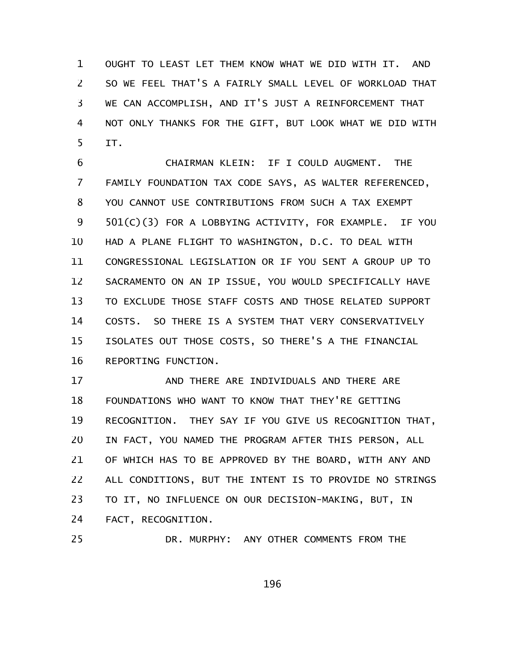OUGHT TO LEAST LET THEM KNOW WHAT WE DID WITH IT. AND SO WE FEEL THAT'S A FAIRLY SMALL LEVEL OF WORKLOAD THAT WE CAN ACCOMPLISH, AND IT'S JUST A REINFORCEMENT THAT NOT ONLY THANKS FOR THE GIFT, BUT LOOK WHAT WE DID WITH IT. 1 2 3 4 5

CHAIRMAN KLEIN: IF I COULD AUGMENT. THE FAMILY FOUNDATION TAX CODE SAYS, AS WALTER REFERENCED, YOU CANNOT USE CONTRIBUTIONS FROM SUCH A TAX EXEMPT 501(C)(3) FOR A LOBBYING ACTIVITY, FOR EXAMPLE. IF YOU HAD A PLANE FLIGHT TO WASHINGTON, D.C. TO DEAL WITH CONGRESSIONAL LEGISLATION OR IF YOU SENT A GROUP UP TO SACRAMENTO ON AN IP ISSUE, YOU WOULD SPECIFICALLY HAVE TO EXCLUDE THOSE STAFF COSTS AND THOSE RELATED SUPPORT COSTS. SO THERE IS A SYSTEM THAT VERY CONSERVATIVELY ISOLATES OUT THOSE COSTS, SO THERE'S A THE FINANCIAL REPORTING FUNCTION. 6 7 8 9 10 11 12 13 14 15 16

AND THERE ARE INDIVIDUALS AND THERE ARE FOUNDATIONS WHO WANT TO KNOW THAT THEY'RE GETTING RECOGNITION. THEY SAY IF YOU GIVE US RECOGNITION THAT, IN FACT, YOU NAMED THE PROGRAM AFTER THIS PERSON, ALL OF WHICH HAS TO BE APPROVED BY THE BOARD, WITH ANY AND ALL CONDITIONS, BUT THE INTENT IS TO PROVIDE NO STRINGS TO IT, NO INFLUENCE ON OUR DECISION-MAKING, BUT, IN FACT, RECOGNITION. 17 18 19 20 21 22 23 24

DR. MURPHY: ANY OTHER COMMENTS FROM THE 25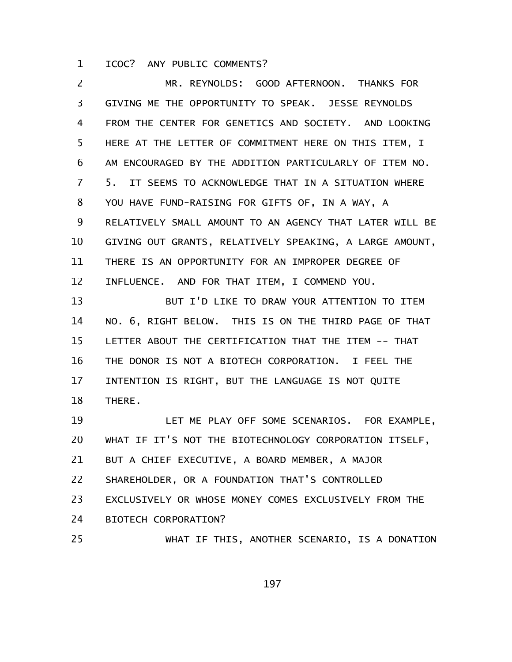ICOC? ANY PUBLIC COMMENTS? 1

MR. REYNOLDS: GOOD AFTERNOON. THANKS FOR GIVING ME THE OPPORTUNITY TO SPEAK. JESSE REYNOLDS FROM THE CENTER FOR GENETICS AND SOCIETY. AND LOOKING HERE AT THE LETTER OF COMMITMENT HERE ON THIS ITEM, I AM ENCOURAGED BY THE ADDITION PARTICULARLY OF ITEM NO. 5. IT SEEMS TO ACKNOWLEDGE THAT IN A SITUATION WHERE YOU HAVE FUND-RAISING FOR GIFTS OF, IN A WAY, A RELATIVELY SMALL AMOUNT TO AN AGENCY THAT LATER WILL BE GIVING OUT GRANTS, RELATIVELY SPEAKING, A LARGE AMOUNT, THERE IS AN OPPORTUNITY FOR AN IMPROPER DEGREE OF INFLUENCE. AND FOR THAT ITEM, I COMMEND YOU. 2 3 4 5 6 7 8 9 10 11 12

BUT I'D LIKE TO DRAW YOUR ATTENTION TO ITEM NO. 6, RIGHT BELOW. THIS IS ON THE THIRD PAGE OF THAT LETTER ABOUT THE CERTIFICATION THAT THE ITEM -- THAT THE DONOR IS NOT A BIOTECH CORPORATION. I FEEL THE INTENTION IS RIGHT, BUT THE LANGUAGE IS NOT QUITE THERE. 13 14 15 16 17 18

LET ME PLAY OFF SOME SCENARIOS. FOR EXAMPLE, WHAT IF IT'S NOT THE BIOTECHNOLOGY CORPORATION ITSELF, BUT A CHIEF EXECUTIVE, A BOARD MEMBER, A MAJOR SHAREHOLDER, OR A FOUNDATION THAT'S CONTROLLED EXCLUSIVELY OR WHOSE MONEY COMES EXCLUSIVELY FROM THE BIOTECH CORPORATION? WHAT IF THIS, ANOTHER SCENARIO, IS A DONATION 19 20 21 22 23 24 25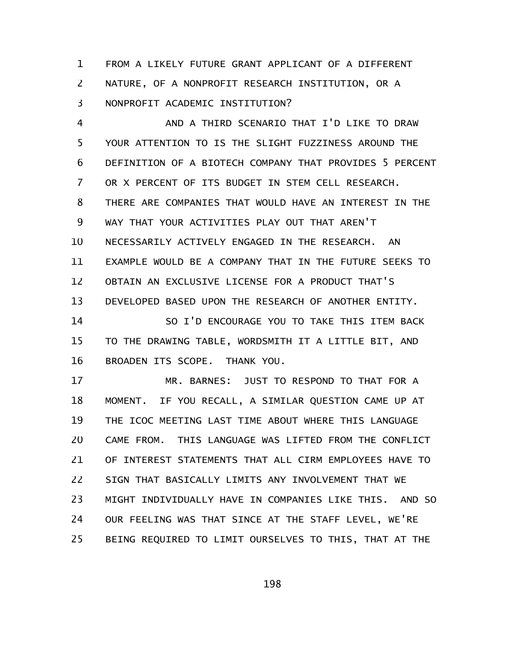FROM A LIKELY FUTURE GRANT APPLICANT OF A DIFFERENT NATURE, OF A NONPROFIT RESEARCH INSTITUTION, OR A NONPROFIT ACADEMIC INSTITUTION? 1 2 3

AND A THIRD SCENARIO THAT I'D LIKE TO DRAW YOUR ATTENTION TO IS THE SLIGHT FUZZINESS AROUND THE DEFINITION OF A BIOTECH COMPANY THAT PROVIDES 5 PERCENT OR X PERCENT OF ITS BUDGET IN STEM CELL RESEARCH. THERE ARE COMPANIES THAT WOULD HAVE AN INTEREST IN THE WAY THAT YOUR ACTIVITIES PLAY OUT THAT AREN'T NECESSARILY ACTIVELY ENGAGED IN THE RESEARCH. AN EXAMPLE WOULD BE A COMPANY THAT IN THE FUTURE SEEKS TO OBTAIN AN EXCLUSIVE LICENSE FOR A PRODUCT THAT'S DEVELOPED BASED UPON THE RESEARCH OF ANOTHER ENTITY. 4 5 6 7 8 9 10 11 12 13

SO I'D ENCOURAGE YOU TO TAKE THIS ITEM BACK TO THE DRAWING TABLE, WORDSMITH IT A LITTLE BIT, AND BROADEN ITS SCOPE. THANK YOU. 14 15 16

MR. BARNES: JUST TO RESPOND TO THAT FOR A MOMENT. IF YOU RECALL, A SIMILAR QUESTION CAME UP AT THE ICOC MEETING LAST TIME ABOUT WHERE THIS LANGUAGE CAME FROM. THIS LANGUAGE WAS LIFTED FROM THE CONFLICT OF INTEREST STATEMENTS THAT ALL CIRM EMPLOYEES HAVE TO SIGN THAT BASICALLY LIMITS ANY INVOLVEMENT THAT WE MIGHT INDIVIDUALLY HAVE IN COMPANIES LIKE THIS. AND SO OUR FEELING WAS THAT SINCE AT THE STAFF LEVEL, WE'RE BEING REQUIRED TO LIMIT OURSELVES TO THIS, THAT AT THE 17 18 19 20 21 22 23 24 25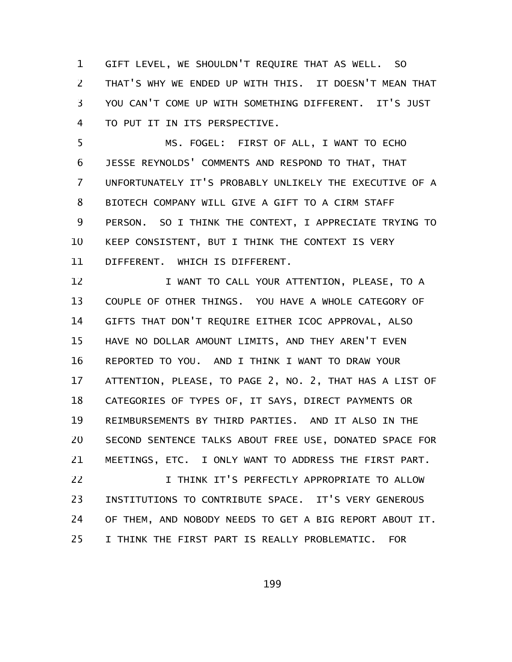GIFT LEVEL, WE SHOULDN'T REQUIRE THAT AS WELL. SO THAT'S WHY WE ENDED UP WITH THIS. IT DOESN'T MEAN THAT YOU CAN'T COME UP WITH SOMETHING DIFFERENT. IT'S JUST TO PUT IT IN ITS PERSPECTIVE. 1 2 3 4

MS. FOGEL: FIRST OF ALL, I WANT TO ECHO JESSE REYNOLDS' COMMENTS AND RESPOND TO THAT, THAT UNFORTUNATELY IT'S PROBABLY UNLIKELY THE EXECUTIVE OF A BIOTECH COMPANY WILL GIVE A GIFT TO A CIRM STAFF PERSON. SO I THINK THE CONTEXT, I APPRECIATE TRYING TO KEEP CONSISTENT, BUT I THINK THE CONTEXT IS VERY DIFFERENT. WHICH IS DIFFERENT. 5 6 7 8 9 10 11

I WANT TO CALL YOUR ATTENTION, PLEASE, TO A COUPLE OF OTHER THINGS. YOU HAVE A WHOLE CATEGORY OF GIFTS THAT DON'T REQUIRE EITHER ICOC APPROVAL, ALSO HAVE NO DOLLAR AMOUNT LIMITS, AND THEY AREN'T EVEN REPORTED TO YOU. AND I THINK I WANT TO DRAW YOUR ATTENTION, PLEASE, TO PAGE 2, NO. 2, THAT HAS A LIST OF CATEGORIES OF TYPES OF, IT SAYS, DIRECT PAYMENTS OR REIMBURSEMENTS BY THIRD PARTIES. AND IT ALSO IN THE SECOND SENTENCE TALKS ABOUT FREE USE, DONATED SPACE FOR MEETINGS, ETC. I ONLY WANT TO ADDRESS THE FIRST PART. I THINK IT'S PERFECTLY APPROPRIATE TO ALLOW 12 13 14 15 16 17 18 19 20 21 22

INSTITUTIONS TO CONTRIBUTE SPACE. IT'S VERY GENEROUS OF THEM, AND NOBODY NEEDS TO GET A BIG REPORT ABOUT IT. I THINK THE FIRST PART IS REALLY PROBLEMATIC. FOR 23 24 25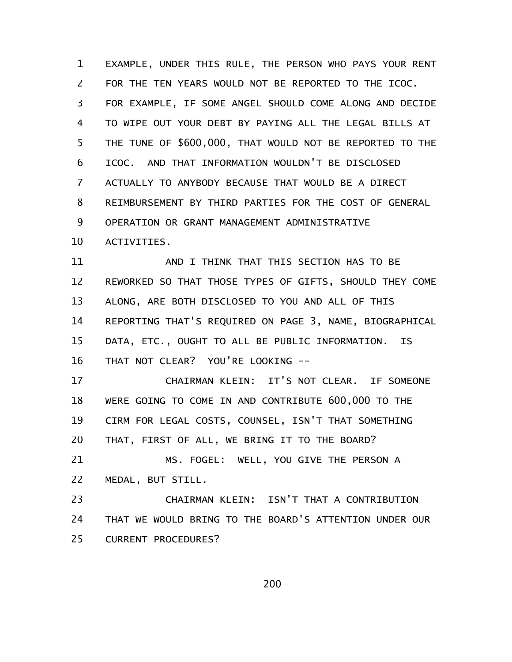EXAMPLE, UNDER THIS RULE, THE PERSON WHO PAYS YOUR RENT FOR THE TEN YEARS WOULD NOT BE REPORTED TO THE ICOC. FOR EXAMPLE, IF SOME ANGEL SHOULD COME ALONG AND DECIDE TO WIPE OUT YOUR DEBT BY PAYING ALL THE LEGAL BILLS AT THE TUNE OF \$600,000, THAT WOULD NOT BE REPORTED TO THE ICOC. AND THAT INFORMATION WOULDN'T BE DISCLOSED ACTUALLY TO ANYBODY BECAUSE THAT WOULD BE A DIRECT REIMBURSEMENT BY THIRD PARTIES FOR THE COST OF GENERAL OPERATION OR GRANT MANAGEMENT ADMINISTRATIVE ACTIVITIES. 1 2 3 4 5 6 7 8 9 10

AND I THINK THAT THIS SECTION HAS TO BE REWORKED SO THAT THOSE TYPES OF GIFTS, SHOULD THEY COME ALONG, ARE BOTH DISCLOSED TO YOU AND ALL OF THIS REPORTING THAT'S REQUIRED ON PAGE 3, NAME, BIOGRAPHICAL DATA, ETC., OUGHT TO ALL BE PUBLIC INFORMATION. IS THAT NOT CLEAR? YOU'RE LOOKING -- 11 12 13 14 15 16

CHAIRMAN KLEIN: IT'S NOT CLEAR. IF SOMEONE WERE GOING TO COME IN AND CONTRIBUTE 600,000 TO THE CIRM FOR LEGAL COSTS, COUNSEL, ISN'T THAT SOMETHING THAT, FIRST OF ALL, WE BRING IT TO THE BOARD? 17 18 19 20

MS. FOGEL: WELL, YOU GIVE THE PERSON A MEDAL, BUT STILL. 21 22

CHAIRMAN KLEIN: ISN'T THAT A CONTRIBUTION THAT WE WOULD BRING TO THE BOARD'S ATTENTION UNDER OUR CURRENT PROCEDURES? 23 24 25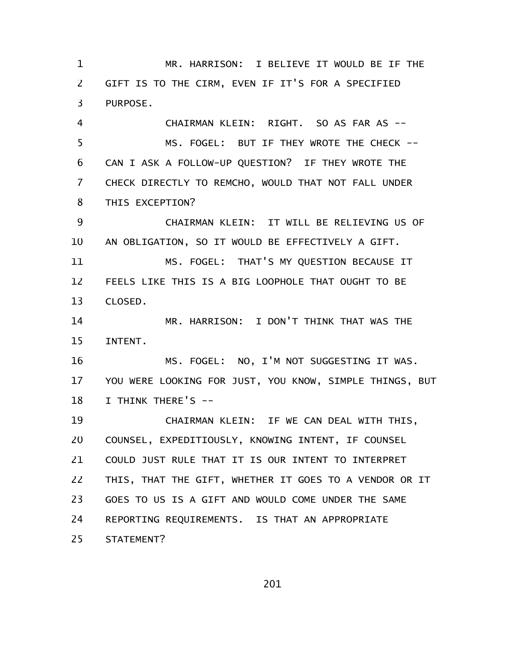MR. HARRISON: I BELIEVE IT WOULD BE IF THE GIFT IS TO THE CIRM, EVEN IF IT'S FOR A SPECIFIED PURPOSE. CHAIRMAN KLEIN: RIGHT. SO AS FAR AS -- MS. FOGEL: BUT IF THEY WROTE THE CHECK -- CAN I ASK A FOLLOW-UP QUESTION? IF THEY WROTE THE CHECK DIRECTLY TO REMCHO, WOULD THAT NOT FALL UNDER THIS EXCEPTION? CHAIRMAN KLEIN: IT WILL BE RELIEVING US OF AN OBLIGATION, SO IT WOULD BE EFFECTIVELY A GIFT. MS. FOGEL: THAT'S MY QUESTION BECAUSE IT FEELS LIKE THIS IS A BIG LOOPHOLE THAT OUGHT TO BE CLOSED. MR. HARRISON: I DON'T THINK THAT WAS THE INTENT. MS. FOGEL: NO, I'M NOT SUGGESTING IT WAS. YOU WERE LOOKING FOR JUST, YOU KNOW, SIMPLE THINGS, BUT I THINK THERE'S -- CHAIRMAN KLEIN: IF WE CAN DEAL WITH THIS, COUNSEL, EXPEDITIOUSLY, KNOWING INTENT, IF COUNSEL COULD JUST RULE THAT IT IS OUR INTENT TO INTERPRET THIS, THAT THE GIFT, WHETHER IT GOES TO A VENDOR OR IT GOES TO US IS A GIFT AND WOULD COME UNDER THE SAME REPORTING REQUIREMENTS. IS THAT AN APPROPRIATE STATEMENT? 1 2 3 4 5 6 7 8 9 10 11 12 13 14 15 16 17 18 19 20 21 22 23 24 25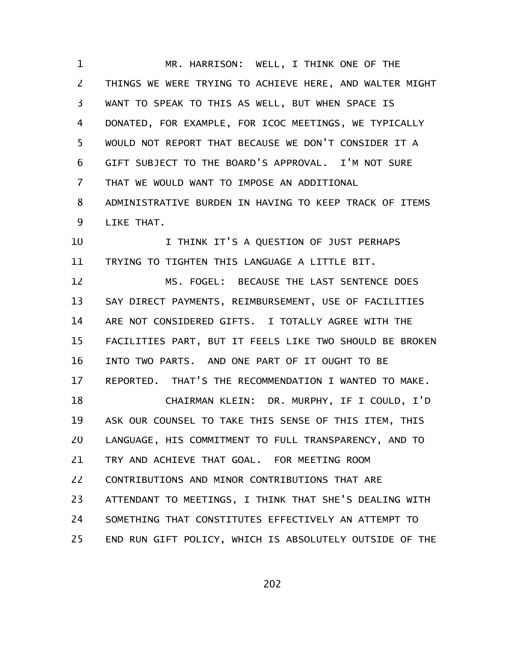MR. HARRISON: WELL, I THINK ONE OF THE THINGS WE WERE TRYING TO ACHIEVE HERE, AND WALTER MIGHT WANT TO SPEAK TO THIS AS WELL, BUT WHEN SPACE IS DONATED, FOR EXAMPLE, FOR ICOC MEETINGS, WE TYPICALLY WOULD NOT REPORT THAT BECAUSE WE DON'T CONSIDER IT A GIFT SUBJECT TO THE BOARD'S APPROVAL. I'M NOT SURE THAT WE WOULD WANT TO IMPOSE AN ADDITIONAL ADMINISTRATIVE BURDEN IN HAVING TO KEEP TRACK OF ITEMS LIKE THAT. 1 2 3 4 5 6 7 8 9

I THINK IT'S A QUESTION OF JUST PERHAPS TRYING TO TIGHTEN THIS LANGUAGE A LITTLE BIT. 10 11

MS. FOGEL: BECAUSE THE LAST SENTENCE DOES SAY DIRECT PAYMENTS, REIMBURSEMENT, USE OF FACILITIES ARE NOT CONSIDERED GIFTS. I TOTALLY AGREE WITH THE FACILITIES PART, BUT IT FEELS LIKE TWO SHOULD BE BROKEN INTO TWO PARTS. AND ONE PART OF IT OUGHT TO BE REPORTED. THAT'S THE RECOMMENDATION I WANTED TO MAKE. 12 13 14 15 16 17

CHAIRMAN KLEIN: DR. MURPHY, IF I COULD, I'D ASK OUR COUNSEL TO TAKE THIS SENSE OF THIS ITEM, THIS LANGUAGE, HIS COMMITMENT TO FULL TRANSPARENCY, AND TO TRY AND ACHIEVE THAT GOAL. FOR MEETING ROOM CONTRIBUTIONS AND MINOR CONTRIBUTIONS THAT ARE ATTENDANT TO MEETINGS, I THINK THAT SHE'S DEALING WITH SOMETHING THAT CONSTITUTES EFFECTIVELY AN ATTEMPT TO END RUN GIFT POLICY, WHICH IS ABSOLUTELY OUTSIDE OF THE 18 19 20 21 22 23 24 25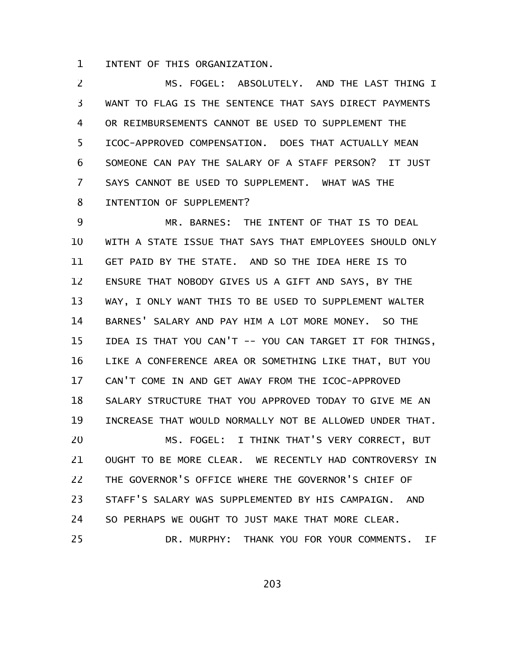INTENT OF THIS ORGANIZATION. 1

MS. FOGEL: ABSOLUTELY. AND THE LAST THING I WANT TO FLAG IS THE SENTENCE THAT SAYS DIRECT PAYMENTS OR REIMBURSEMENTS CANNOT BE USED TO SUPPLEMENT THE ICOC-APPROVED COMPENSATION. DOES THAT ACTUALLY MEAN SOMEONE CAN PAY THE SALARY OF A STAFF PERSON? IT JUST SAYS CANNOT BE USED TO SUPPLEMENT. WHAT WAS THE INTENTION OF SUPPLEMENT? 2 3 4 5 6 7 8

MR. BARNES: THE INTENT OF THAT IS TO DEAL WITH A STATE ISSUE THAT SAYS THAT EMPLOYEES SHOULD ONLY GET PAID BY THE STATE. AND SO THE IDEA HERE IS TO ENSURE THAT NOBODY GIVES US A GIFT AND SAYS, BY THE WAY, I ONLY WANT THIS TO BE USED TO SUPPLEMENT WALTER BARNES' SALARY AND PAY HIM A LOT MORE MONEY. SO THE IDEA IS THAT YOU CAN'T -- YOU CAN TARGET IT FOR THINGS, LIKE A CONFERENCE AREA OR SOMETHING LIKE THAT, BUT YOU CAN'T COME IN AND GET AWAY FROM THE ICOC-APPROVED SALARY STRUCTURE THAT YOU APPROVED TODAY TO GIVE ME AN INCREASE THAT WOULD NORMALLY NOT BE ALLOWED UNDER THAT. MS. FOGEL: I THINK THAT'S VERY CORRECT, BUT OUGHT TO BE MORE CLEAR. WE RECENTLY HAD CONTROVERSY IN THE GOVERNOR'S OFFICE WHERE THE GOVERNOR'S CHIEF OF STAFF'S SALARY WAS SUPPLEMENTED BY HIS CAMPAIGN. AND SO PERHAPS WE OUGHT TO JUST MAKE THAT MORE CLEAR. DR. MURPHY: THANK YOU FOR YOUR COMMENTS. IF 9 10 11 12 13 14 15 16 17 18 19 20 21 22 23 24 25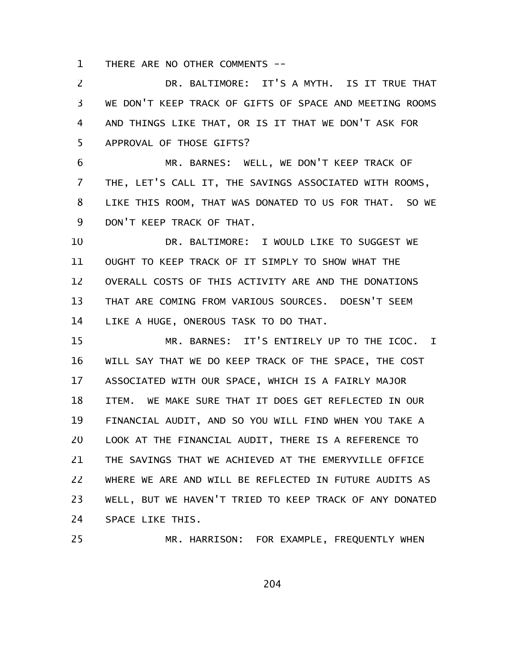THERE ARE NO OTHER COMMENTS -- 1

DR. BALTIMORE: IT'S A MYTH. IS IT TRUE THAT WE DON'T KEEP TRACK OF GIFTS OF SPACE AND MEETING ROOMS AND THINGS LIKE THAT, OR IS IT THAT WE DON'T ASK FOR APPROVAL OF THOSE GIFTS? 2 3 4 5

MR. BARNES: WELL, WE DON'T KEEP TRACK OF THE, LET'S CALL IT, THE SAVINGS ASSOCIATED WITH ROOMS, LIKE THIS ROOM, THAT WAS DONATED TO US FOR THAT. SO WE DON'T KEEP TRACK OF THAT. 6 7 8 9

DR. BALTIMORE: I WOULD LIKE TO SUGGEST WE OUGHT TO KEEP TRACK OF IT SIMPLY TO SHOW WHAT THE OVERALL COSTS OF THIS ACTIVITY ARE AND THE DONATIONS THAT ARE COMING FROM VARIOUS SOURCES. DOESN'T SEEM LIKE A HUGE, ONEROUS TASK TO DO THAT. 10 11 12 13 14

MR. BARNES: IT'S ENTIRELY UP TO THE ICOC. I WILL SAY THAT WE DO KEEP TRACK OF THE SPACE, THE COST ASSOCIATED WITH OUR SPACE, WHICH IS A FAIRLY MAJOR ITEM. WE MAKE SURE THAT IT DOES GET REFLECTED IN OUR FINANCIAL AUDIT, AND SO YOU WILL FIND WHEN YOU TAKE A LOOK AT THE FINANCIAL AUDIT, THERE IS A REFERENCE TO THE SAVINGS THAT WE ACHIEVED AT THE EMERYVILLE OFFICE WHERE WE ARE AND WILL BE REFLECTED IN FUTURE AUDITS AS WELL, BUT WE HAVEN'T TRIED TO KEEP TRACK OF ANY DONATED SPACE LIKE THIS. 15 16 17 18 19 20 21 22 23 24

25

MR. HARRISON: FOR EXAMPLE, FREQUENTLY WHEN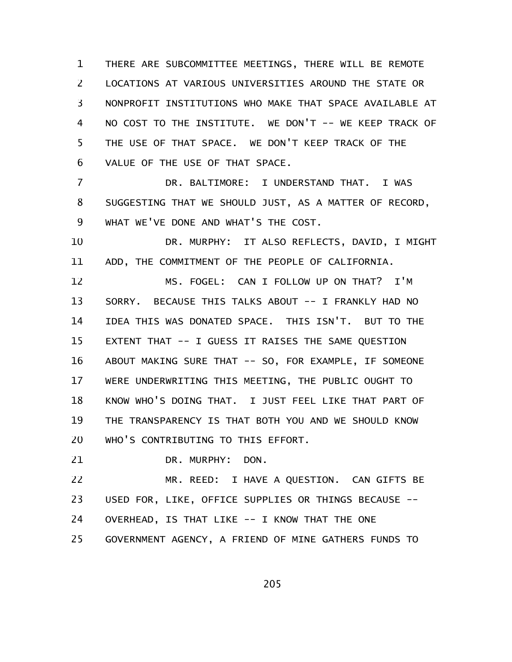THERE ARE SUBCOMMITTEE MEETINGS, THERE WILL BE REMOTE LOCATIONS AT VARIOUS UNIVERSITIES AROUND THE STATE OR NONPROFIT INSTITUTIONS WHO MAKE THAT SPACE AVAILABLE AT NO COST TO THE INSTITUTE. WE DON'T -- WE KEEP TRACK OF THE USE OF THAT SPACE. WE DON'T KEEP TRACK OF THE VALUE OF THE USE OF THAT SPACE. 1 2 3 4 5 6

DR. BALTIMORE: I UNDERSTAND THAT. I WAS SUGGESTING THAT WE SHOULD JUST, AS A MATTER OF RECORD, WHAT WE'VE DONE AND WHAT'S THE COST. 7 8 9

DR. MURPHY: IT ALSO REFLECTS, DAVID, I MIGHT ADD, THE COMMITMENT OF THE PEOPLE OF CALIFORNIA. 10 11

MS. FOGEL: CAN I FOLLOW UP ON THAT? I'M SORRY. BECAUSE THIS TALKS ABOUT -- I FRANKLY HAD NO IDEA THIS WAS DONATED SPACE. THIS ISN'T. BUT TO THE EXTENT THAT -- I GUESS IT RAISES THE SAME QUESTION ABOUT MAKING SURE THAT -- SO, FOR EXAMPLE, IF SOMEONE WERE UNDERWRITING THIS MEETING, THE PUBLIC OUGHT TO KNOW WHO'S DOING THAT. I JUST FEEL LIKE THAT PART OF THE TRANSPARENCY IS THAT BOTH YOU AND WE SHOULD KNOW WHO'S CONTRIBUTING TO THIS EFFORT. 12 13 14 15 16 17 18 19 20

DR. MURPHY: DON. 21

MR. REED: I HAVE A QUESTION. CAN GIFTS BE USED FOR, LIKE, OFFICE SUPPLIES OR THINGS BECAUSE -- OVERHEAD, IS THAT LIKE -- I KNOW THAT THE ONE GOVERNMENT AGENCY, A FRIEND OF MINE GATHERS FUNDS TO 22 23 24 25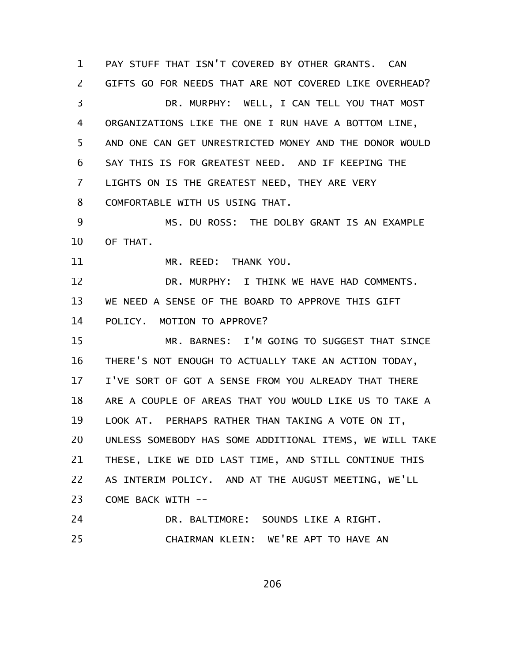PAY STUFF THAT ISN'T COVERED BY OTHER GRANTS. CAN GIFTS GO FOR NEEDS THAT ARE NOT COVERED LIKE OVERHEAD? DR. MURPHY: WELL, I CAN TELL YOU THAT MOST ORGANIZATIONS LIKE THE ONE I RUN HAVE A BOTTOM LINE, AND ONE CAN GET UNRESTRICTED MONEY AND THE DONOR WOULD SAY THIS IS FOR GREATEST NEED. AND IF KEEPING THE LIGHTS ON IS THE GREATEST NEED, THEY ARE VERY COMFORTABLE WITH US USING THAT. MS. DU ROSS: THE DOLBY GRANT IS AN EXAMPLE OF THAT. MR. REED: THANK YOU. DR. MURPHY: I THINK WE HAVE HAD COMMENTS. WE NEED A SENSE OF THE BOARD TO APPROVE THIS GIFT POLICY. MOTION TO APPROVE? MR. BARNES: I'M GOING TO SUGGEST THAT SINCE THERE'S NOT ENOUGH TO ACTUALLY TAKE AN ACTION TODAY, I'VE SORT OF GOT A SENSE FROM YOU ALREADY THAT THERE ARE A COUPLE OF AREAS THAT YOU WOULD LIKE US TO TAKE A LOOK AT. PERHAPS RATHER THAN TAKING A VOTE ON IT, UNLESS SOMEBODY HAS SOME ADDITIONAL ITEMS, WE WILL TAKE THESE, LIKE WE DID LAST TIME, AND STILL CONTINUE THIS AS INTERIM POLICY. AND AT THE AUGUST MEETING, WE'LL COME BACK WITH -- DR. BALTIMORE: SOUNDS LIKE A RIGHT. CHAIRMAN KLEIN: WE'RE APT TO HAVE AN 1 2 3 4 5 6 7 8 9 10 11 12 13 14 15 16 17 18 19 20 21 22 23 24 25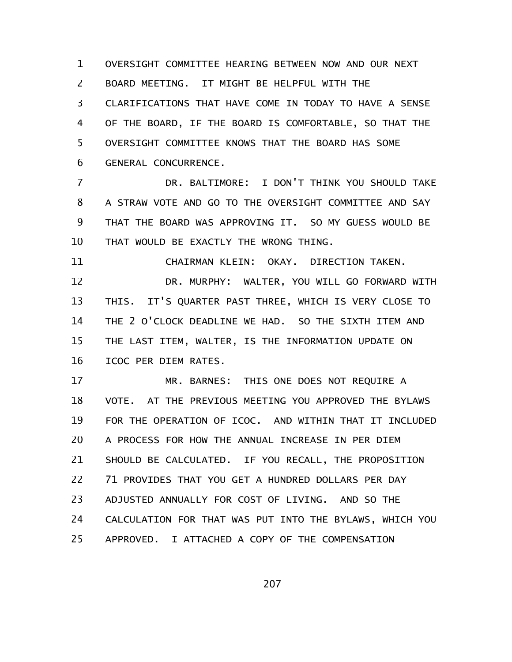OVERSIGHT COMMITTEE HEARING BETWEEN NOW AND OUR NEXT BOARD MEETING. IT MIGHT BE HELPFUL WITH THE CLARIFICATIONS THAT HAVE COME IN TODAY TO HAVE A SENSE OF THE BOARD, IF THE BOARD IS COMFORTABLE, SO THAT THE OVERSIGHT COMMITTEE KNOWS THAT THE BOARD HAS SOME GENERAL CONCURRENCE. 1 2 3 4 5 6

DR. BALTIMORE: I DON'T THINK YOU SHOULD TAKE A STRAW VOTE AND GO TO THE OVERSIGHT COMMITTEE AND SAY THAT THE BOARD WAS APPROVING IT. SO MY GUESS WOULD BE THAT WOULD BE EXACTLY THE WRONG THING. 7 8 9 10

11

CHAIRMAN KLEIN: OKAY. DIRECTION TAKEN.

DR. MURPHY: WALTER, YOU WILL GO FORWARD WITH THIS. IT'S QUARTER PAST THREE, WHICH IS VERY CLOSE TO THE 2 O'CLOCK DEADLINE WE HAD. SO THE SIXTH ITEM AND THE LAST ITEM, WALTER, IS THE INFORMATION UPDATE ON ICOC PER DIEM RATES. 12 13 14 15 16

MR. BARNES: THIS ONE DOES NOT REQUIRE A VOTE. AT THE PREVIOUS MEETING YOU APPROVED THE BYLAWS FOR THE OPERATION OF ICOC. AND WITHIN THAT IT INCLUDED A PROCESS FOR HOW THE ANNUAL INCREASE IN PER DIEM SHOULD BE CALCULATED. IF YOU RECALL, THE PROPOSITION 71 PROVIDES THAT YOU GET A HUNDRED DOLLARS PER DAY ADJUSTED ANNUALLY FOR COST OF LIVING. AND SO THE CALCULATION FOR THAT WAS PUT INTO THE BYLAWS, WHICH YOU APPROVED. I ATTACHED A COPY OF THE COMPENSATION 17 18 19 20 21 22 23 24 25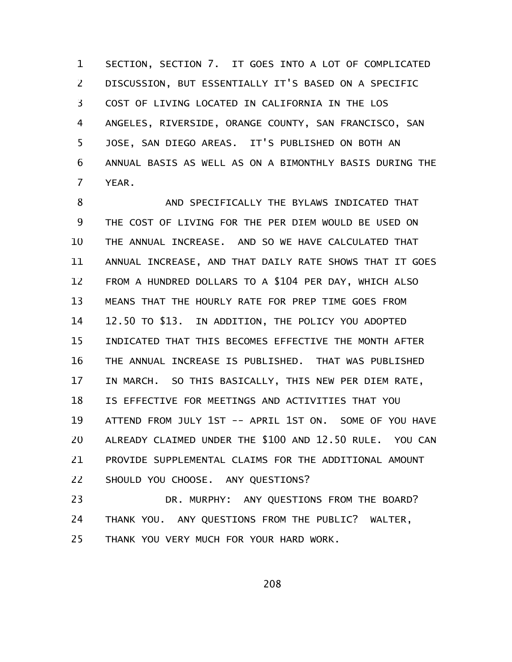SECTION, SECTION 7. IT GOES INTO A LOT OF COMPLICATED DISCUSSION, BUT ESSENTIALLY IT'S BASED ON A SPECIFIC COST OF LIVING LOCATED IN CALIFORNIA IN THE LOS ANGELES, RIVERSIDE, ORANGE COUNTY, SAN FRANCISCO, SAN JOSE, SAN DIEGO AREAS. IT'S PUBLISHED ON BOTH AN ANNUAL BASIS AS WELL AS ON A BIMONTHLY BASIS DURING THE YEAR. 1 2 3 4 5 6 7

AND SPECIFICALLY THE BYLAWS INDICATED THAT THE COST OF LIVING FOR THE PER DIEM WOULD BE USED ON THE ANNUAL INCREASE. AND SO WE HAVE CALCULATED THAT ANNUAL INCREASE, AND THAT DAILY RATE SHOWS THAT IT GOES FROM A HUNDRED DOLLARS TO A \$104 PER DAY, WHICH ALSO MEANS THAT THE HOURLY RATE FOR PREP TIME GOES FROM 12.50 TO \$13. IN ADDITION, THE POLICY YOU ADOPTED INDICATED THAT THIS BECOMES EFFECTIVE THE MONTH AFTER THE ANNUAL INCREASE IS PUBLISHED. THAT WAS PUBLISHED IN MARCH. SO THIS BASICALLY, THIS NEW PER DIEM RATE, IS EFFECTIVE FOR MEETINGS AND ACTIVITIES THAT YOU ATTEND FROM JULY 1ST -- APRIL 1ST ON. SOME OF YOU HAVE ALREADY CLAIMED UNDER THE \$100 AND 12.50 RULE. YOU CAN PROVIDE SUPPLEMENTAL CLAIMS FOR THE ADDITIONAL AMOUNT SHOULD YOU CHOOSE. ANY QUESTIONS? 8 9 10 11 12 13 14 15 16 17 18 19 20 21 22

DR. MURPHY: ANY QUESTIONS FROM THE BOARD? THANK YOU. ANY QUESTIONS FROM THE PUBLIC? WALTER, THANK YOU VERY MUCH FOR YOUR HARD WORK. 23 24 25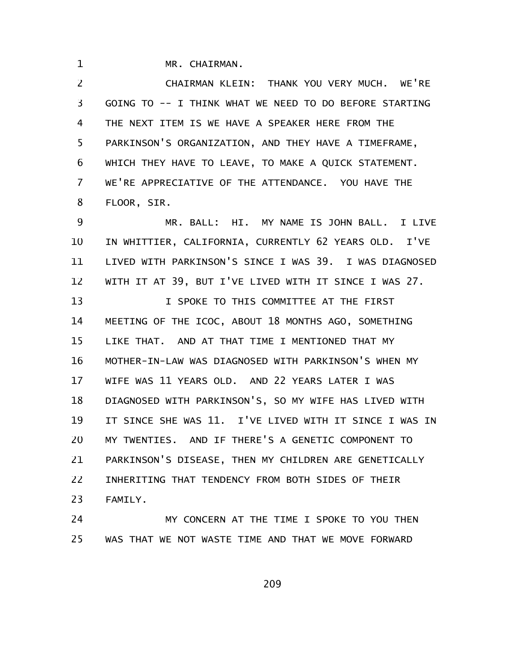MR. CHAIRMAN.

1

CHAIRMAN KLEIN: THANK YOU VERY MUCH. WE'RE GOING TO -- I THINK WHAT WE NEED TO DO BEFORE STARTING THE NEXT ITEM IS WE HAVE A SPEAKER HERE FROM THE PARKINSON'S ORGANIZATION, AND THEY HAVE A TIMEFRAME, WHICH THEY HAVE TO LEAVE, TO MAKE A QUICK STATEMENT. WE'RE APPRECIATIVE OF THE ATTENDANCE. YOU HAVE THE FLOOR, SIR. 2 3 4 5 6 7 8

MR. BALL: HI. MY NAME IS JOHN BALL. I LIVE IN WHITTIER, CALIFORNIA, CURRENTLY 62 YEARS OLD. I'VE LIVED WITH PARKINSON'S SINCE I WAS 39. I WAS DIAGNOSED WITH IT AT 39, BUT I'VE LIVED WITH IT SINCE I WAS 27. I SPOKE TO THIS COMMITTEE AT THE FIRST MEETING OF THE ICOC, ABOUT 18 MONTHS AGO, SOMETHING LIKE THAT. AND AT THAT TIME I MENTIONED THAT MY MOTHER-IN-LAW WAS DIAGNOSED WITH PARKINSON'S WHEN MY WIFE WAS 11 YEARS OLD. AND 22 YEARS LATER I WAS DIAGNOSED WITH PARKINSON'S, SO MY WIFE HAS LIVED WITH IT SINCE SHE WAS 11. I'VE LIVED WITH IT SINCE I WAS IN MY TWENTIES. AND IF THERE'S A GENETIC COMPONENT TO PARKINSON'S DISEASE, THEN MY CHILDREN ARE GENETICALLY INHERITING THAT TENDENCY FROM BOTH SIDES OF THEIR FAMILY. 9 10 11 12 13 14 15 16 17 18 19 20 21 22 23

MY CONCERN AT THE TIME I SPOKE TO YOU THEN WAS THAT WE NOT WASTE TIME AND THAT WE MOVE FORWARD 24 25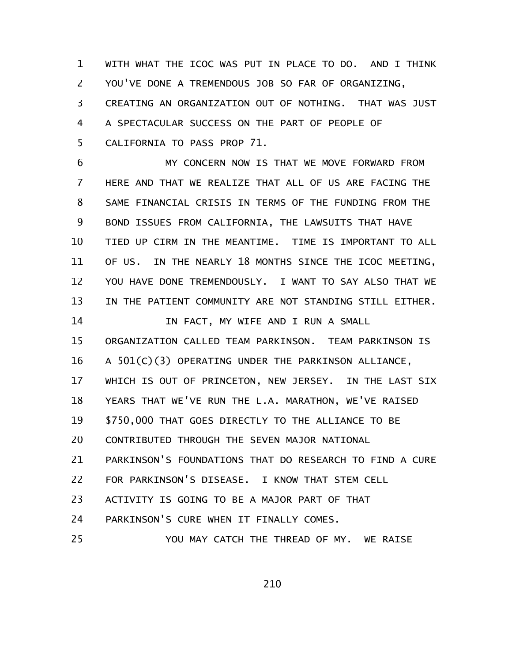WITH WHAT THE ICOC WAS PUT IN PLACE TO DO. AND I THINK YOU'VE DONE A TREMENDOUS JOB SO FAR OF ORGANIZING, CREATING AN ORGANIZATION OUT OF NOTHING. THAT WAS JUST A SPECTACULAR SUCCESS ON THE PART OF PEOPLE OF CALIFORNIA TO PASS PROP 71. 1 2 3 4 5

MY CONCERN NOW IS THAT WE MOVE FORWARD FROM HERE AND THAT WE REALIZE THAT ALL OF US ARE FACING THE SAME FINANCIAL CRISIS IN TERMS OF THE FUNDING FROM THE BOND ISSUES FROM CALIFORNIA, THE LAWSUITS THAT HAVE TIED UP CIRM IN THE MEANTIME. TIME IS IMPORTANT TO ALL OF US. IN THE NEARLY 18 MONTHS SINCE THE ICOC MEETING, YOU HAVE DONE TREMENDOUSLY. I WANT TO SAY ALSO THAT WE IN THE PATIENT COMMUNITY ARE NOT STANDING STILL EITHER. IN FACT, MY WIFE AND I RUN A SMALL ORGANIZATION CALLED TEAM PARKINSON. TEAM PARKINSON IS A 501(C)(3) OPERATING UNDER THE PARKINSON ALLIANCE, WHICH IS OUT OF PRINCETON, NEW JERSEY. IN THE LAST SIX YEARS THAT WE'VE RUN THE L.A. MARATHON, WE'VE RAISED 6 7 8 9 10 11 12 13 14 15 16 17 18

\$750,000 THAT GOES DIRECTLY TO THE ALLIANCE TO BE 19

CONTRIBUTED THROUGH THE SEVEN MAJOR NATIONAL 20

PARKINSON'S FOUNDATIONS THAT DO RESEARCH TO FIND A CURE 21

FOR PARKINSON'S DISEASE. I KNOW THAT STEM CELL 22

ACTIVITY IS GOING TO BE A MAJOR PART OF THAT 23

PARKINSON'S CURE WHEN IT FINALLY COMES. 24

YOU MAY CATCH THE THREAD OF MY. WE RAISE 25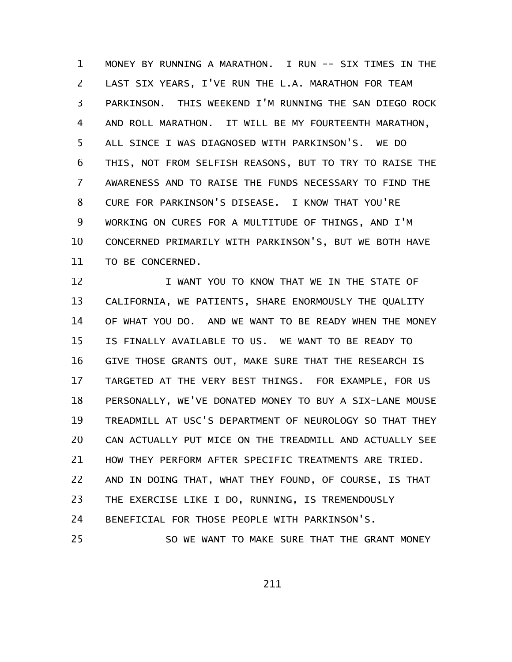MONEY BY RUNNING A MARATHON. I RUN -- SIX TIMES IN THE LAST SIX YEARS, I'VE RUN THE L.A. MARATHON FOR TEAM PARKINSON. THIS WEEKEND I'M RUNNING THE SAN DIEGO ROCK AND ROLL MARATHON. IT WILL BE MY FOURTEENTH MARATHON, ALL SINCE I WAS DIAGNOSED WITH PARKINSON'S. WE DO THIS, NOT FROM SELFISH REASONS, BUT TO TRY TO RAISE THE AWARENESS AND TO RAISE THE FUNDS NECESSARY TO FIND THE CURE FOR PARKINSON'S DISEASE. I KNOW THAT YOU'RE WORKING ON CURES FOR A MULTITUDE OF THINGS, AND I'M CONCERNED PRIMARILY WITH PARKINSON'S, BUT WE BOTH HAVE TO BE CONCERNED. 1 2 3 4 5 6 7 8 9 10 11

I WANT YOU TO KNOW THAT WE IN THE STATE OF CALIFORNIA, WE PATIENTS, SHARE ENORMOUSLY THE QUALITY OF WHAT YOU DO. AND WE WANT TO BE READY WHEN THE MONEY IS FINALLY AVAILABLE TO US. WE WANT TO BE READY TO GIVE THOSE GRANTS OUT, MAKE SURE THAT THE RESEARCH IS TARGETED AT THE VERY BEST THINGS. FOR EXAMPLE, FOR US PERSONALLY, WE'VE DONATED MONEY TO BUY A SIX-LANE MOUSE TREADMILL AT USC'S DEPARTMENT OF NEUROLOGY SO THAT THEY CAN ACTUALLY PUT MICE ON THE TREADMILL AND ACTUALLY SEE HOW THEY PERFORM AFTER SPECIFIC TREATMENTS ARE TRIED. AND IN DOING THAT, WHAT THEY FOUND, OF COURSE, IS THAT THE EXERCISE LIKE I DO, RUNNING, IS TREMENDOUSLY BENEFICIAL FOR THOSE PEOPLE WITH PARKINSON'S. SO WE WANT TO MAKE SURE THAT THE GRANT MONEY 12 13 14 15 16 17 18 19 20 21 22 23 24 25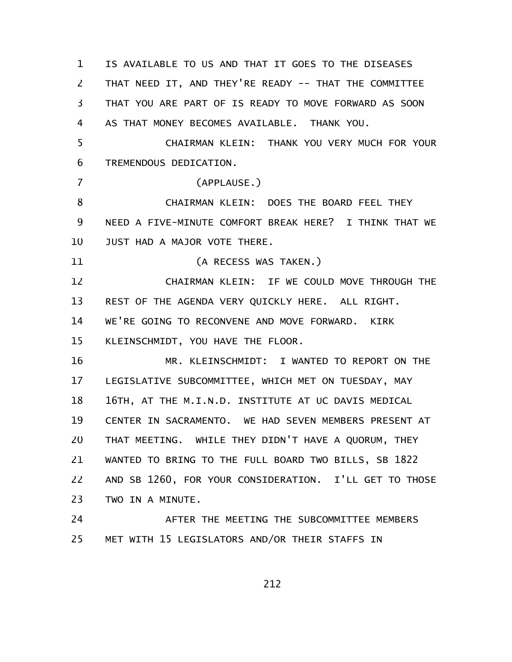IS AVAILABLE TO US AND THAT IT GOES TO THE DISEASES THAT NEED IT, AND THEY'RE READY -- THAT THE COMMITTEE THAT YOU ARE PART OF IS READY TO MOVE FORWARD AS SOON AS THAT MONEY BECOMES AVAILABLE. THANK YOU. CHAIRMAN KLEIN: THANK YOU VERY MUCH FOR YOUR TREMENDOUS DEDICATION. (APPLAUSE.) CHAIRMAN KLEIN: DOES THE BOARD FEEL THEY NEED A FIVE-MINUTE COMFORT BREAK HERE? I THINK THAT WE JUST HAD A MAJOR VOTE THERE. (A RECESS WAS TAKEN.) CHAIRMAN KLEIN: IF WE COULD MOVE THROUGH THE REST OF THE AGENDA VERY QUICKLY HERE. ALL RIGHT. WE'RE GOING TO RECONVENE AND MOVE FORWARD. KIRK KLEINSCHMIDT, YOU HAVE THE FLOOR. MR. KLEINSCHMIDT: I WANTED TO REPORT ON THE LEGISLATIVE SUBCOMMITTEE, WHICH MET ON TUESDAY, MAY 16TH, AT THE M.I.N.D. INSTITUTE AT UC DAVIS MEDICAL CENTER IN SACRAMENTO. WE HAD SEVEN MEMBERS PRESENT AT THAT MEETING. WHILE THEY DIDN'T HAVE A QUORUM, THEY WANTED TO BRING TO THE FULL BOARD TWO BILLS, SB 1822 AND SB 1260, FOR YOUR CONSIDERATION. I'LL GET TO THOSE TWO IN A MINUTE. AFTER THE MEETING THE SUBCOMMITTEE MEMBERS MET WITH 15 LEGISLATORS AND/OR THEIR STAFFS IN 1 2 3 4 5 6 7 8 9 10 11 12 13 14 15 16 17 18 19 20 21 22 23 24 25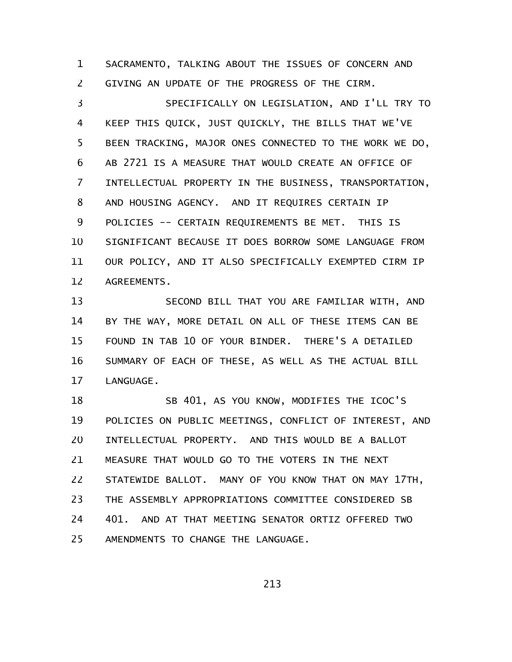SACRAMENTO, TALKING ABOUT THE ISSUES OF CONCERN AND GIVING AN UPDATE OF THE PROGRESS OF THE CIRM. 1 2

SPECIFICALLY ON LEGISLATION, AND I'LL TRY TO KEEP THIS QUICK, JUST QUICKLY, THE BILLS THAT WE'VE BEEN TRACKING, MAJOR ONES CONNECTED TO THE WORK WE DO, AB 2721 IS A MEASURE THAT WOULD CREATE AN OFFICE OF INTELLECTUAL PROPERTY IN THE BUSINESS, TRANSPORTATION, AND HOUSING AGENCY. AND IT REQUIRES CERTAIN IP POLICIES -- CERTAIN REQUIREMENTS BE MET. THIS IS SIGNIFICANT BECAUSE IT DOES BORROW SOME LANGUAGE FROM OUR POLICY, AND IT ALSO SPECIFICALLY EXEMPTED CIRM IP AGREEMENTS. 3 4 5 6 7 8 9 10 11 12

SECOND BILL THAT YOU ARE FAMILIAR WITH, AND BY THE WAY, MORE DETAIL ON ALL OF THESE ITEMS CAN BE FOUND IN TAB 10 OF YOUR BINDER. THERE'S A DETAILED SUMMARY OF EACH OF THESE, AS WELL AS THE ACTUAL BILL LANGUAGE. 13 14 15 16 17

SB 401, AS YOU KNOW, MODIFIES THE ICOC'S POLICIES ON PUBLIC MEETINGS, CONFLICT OF INTEREST, AND INTELLECTUAL PROPERTY. AND THIS WOULD BE A BALLOT MEASURE THAT WOULD GO TO THE VOTERS IN THE NEXT STATEWIDE BALLOT. MANY OF YOU KNOW THAT ON MAY 17TH, THE ASSEMBLY APPROPRIATIONS COMMITTEE CONSIDERED SB 401. AND AT THAT MEETING SENATOR ORTIZ OFFERED TWO AMENDMENTS TO CHANGE THE LANGUAGE. 18 19 20 21 22 23 24 25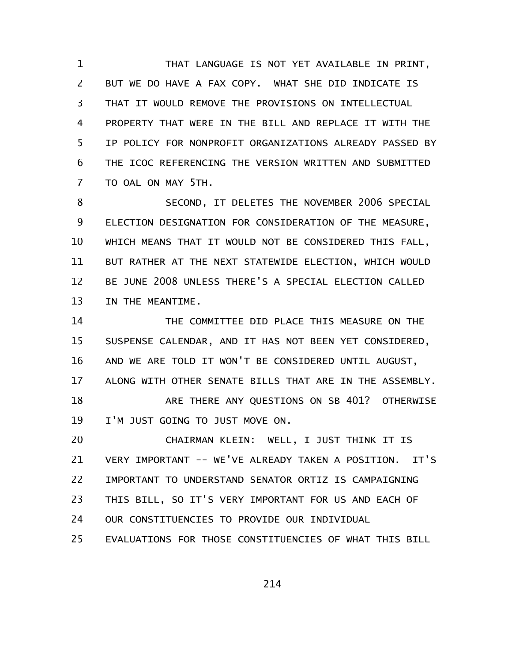THAT LANGUAGE IS NOT YET AVAILABLE IN PRINT, BUT WE DO HAVE A FAX COPY. WHAT SHE DID INDICATE IS THAT IT WOULD REMOVE THE PROVISIONS ON INTELLECTUAL PROPERTY THAT WERE IN THE BILL AND REPLACE IT WITH THE IP POLICY FOR NONPROFIT ORGANIZATIONS ALREADY PASSED BY THE ICOC REFERENCING THE VERSION WRITTEN AND SUBMITTED TO OAL ON MAY 5TH. 1 2 3 4 5 6 7

SECOND, IT DELETES THE NOVEMBER 2006 SPECIAL ELECTION DESIGNATION FOR CONSIDERATION OF THE MEASURE, WHICH MEANS THAT IT WOULD NOT BE CONSIDERED THIS FALL, BUT RATHER AT THE NEXT STATEWIDE ELECTION, WHICH WOULD BE JUNE 2008 UNLESS THERE'S A SPECIAL ELECTION CALLED IN THE MEANTIME. 8 9 10 11 12 13

THE COMMITTEE DID PLACE THIS MEASURE ON THE SUSPENSE CALENDAR, AND IT HAS NOT BEEN YET CONSIDERED, AND WE ARE TOLD IT WON'T BE CONSIDERED UNTIL AUGUST, ALONG WITH OTHER SENATE BILLS THAT ARE IN THE ASSEMBLY. ARE THERE ANY QUESTIONS ON SB 401? OTHERWISE I'M JUST GOING TO JUST MOVE ON. 14 15 16 17 18 19

CHAIRMAN KLEIN: WELL, I JUST THINK IT IS VERY IMPORTANT -- WE'VE ALREADY TAKEN A POSITION. IT'S IMPORTANT TO UNDERSTAND SENATOR ORTIZ IS CAMPAIGNING THIS BILL, SO IT'S VERY IMPORTANT FOR US AND EACH OF OUR CONSTITUENCIES TO PROVIDE OUR INDIVIDUAL EVALUATIONS FOR THOSE CONSTITUENCIES OF WHAT THIS BILL 20 21 22 23 24 25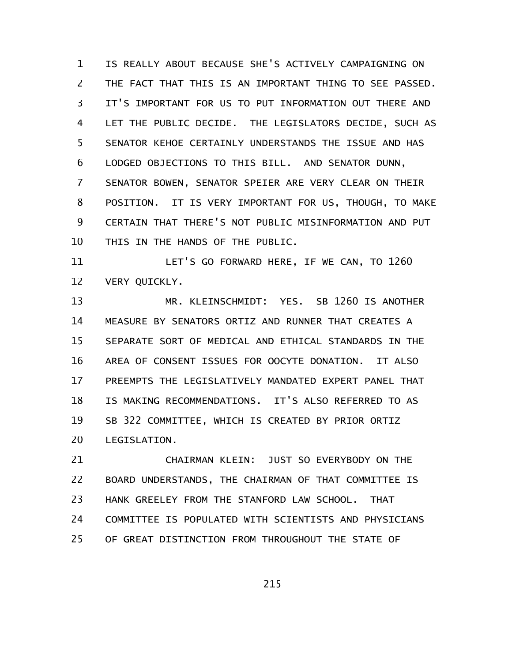IS REALLY ABOUT BECAUSE SHE'S ACTIVELY CAMPAIGNING ON THE FACT THAT THIS IS AN IMPORTANT THING TO SEE PASSED. IT'S IMPORTANT FOR US TO PUT INFORMATION OUT THERE AND LET THE PUBLIC DECIDE. THE LEGISLATORS DECIDE, SUCH AS SENATOR KEHOE CERTAINLY UNDERSTANDS THE ISSUE AND HAS LODGED OBJECTIONS TO THIS BILL. AND SENATOR DUNN, SENATOR BOWEN, SENATOR SPEIER ARE VERY CLEAR ON THEIR POSITION. IT IS VERY IMPORTANT FOR US, THOUGH, TO MAKE CERTAIN THAT THERE'S NOT PUBLIC MISINFORMATION AND PUT THIS IN THE HANDS OF THE PUBLIC. 1 2 3 4 5 6 7 8 9 10

LET'S GO FORWARD HERE, IF WE CAN, TO 1260 VERY QUICKLY. 11 12

MR. KLEINSCHMIDT: YES. SB 1260 IS ANOTHER MEASURE BY SENATORS ORTIZ AND RUNNER THAT CREATES A SEPARATE SORT OF MEDICAL AND ETHICAL STANDARDS IN THE AREA OF CONSENT ISSUES FOR OOCYTE DONATION. IT ALSO PREEMPTS THE LEGISLATIVELY MANDATED EXPERT PANEL THAT IS MAKING RECOMMENDATIONS. IT'S ALSO REFERRED TO AS SB 322 COMMITTEE, WHICH IS CREATED BY PRIOR ORTIZ LEGISLATION. 13 14 15 16 17 18 19 20

CHAIRMAN KLEIN: JUST SO EVERYBODY ON THE BOARD UNDERSTANDS, THE CHAIRMAN OF THAT COMMITTEE IS HANK GREELEY FROM THE STANFORD LAW SCHOOL. THAT COMMITTEE IS POPULATED WITH SCIENTISTS AND PHYSICIANS OF GREAT DISTINCTION FROM THROUGHOUT THE STATE OF 21 22 23 24 25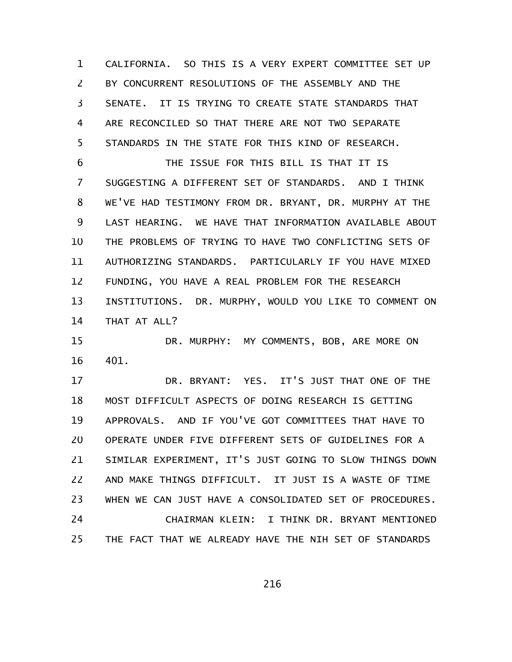CALIFORNIA. SO THIS IS A VERY EXPERT COMMITTEE SET UP BY CONCURRENT RESOLUTIONS OF THE ASSEMBLY AND THE SENATE. IT IS TRYING TO CREATE STATE STANDARDS THAT ARE RECONCILED SO THAT THERE ARE NOT TWO SEPARATE STANDARDS IN THE STATE FOR THIS KIND OF RESEARCH. 1 2 3 4 5

THE ISSUE FOR THIS BILL IS THAT IT IS SUGGESTING A DIFFERENT SET OF STANDARDS. AND I THINK WE'VE HAD TESTIMONY FROM DR. BRYANT, DR. MURPHY AT THE LAST HEARING. WE HAVE THAT INFORMATION AVAILABLE ABOUT THE PROBLEMS OF TRYING TO HAVE TWO CONFLICTING SETS OF AUTHORIZING STANDARDS. PARTICULARLY IF YOU HAVE MIXED FUNDING, YOU HAVE A REAL PROBLEM FOR THE RESEARCH INSTITUTIONS. DR. MURPHY, WOULD YOU LIKE TO COMMENT ON THAT AT ALL? 6 7 8 9 10 11 12 13 14

DR. MURPHY: MY COMMENTS, BOB, ARE MORE ON 401. 15 16

DR. BRYANT: YES. IT'S JUST THAT ONE OF THE MOST DIFFICULT ASPECTS OF DOING RESEARCH IS GETTING APPROVALS. AND IF YOU'VE GOT COMMITTEES THAT HAVE TO OPERATE UNDER FIVE DIFFERENT SETS OF GUIDELINES FOR A SIMILAR EXPERIMENT, IT'S JUST GOING TO SLOW THINGS DOWN AND MAKE THINGS DIFFICULT. IT JUST IS A WASTE OF TIME WHEN WE CAN JUST HAVE A CONSOLIDATED SET OF PROCEDURES. CHAIRMAN KLEIN: I THINK DR. BRYANT MENTIONED THE FACT THAT WE ALREADY HAVE THE NIH SET OF STANDARDS 17 18 19 20 21 22 23 24 25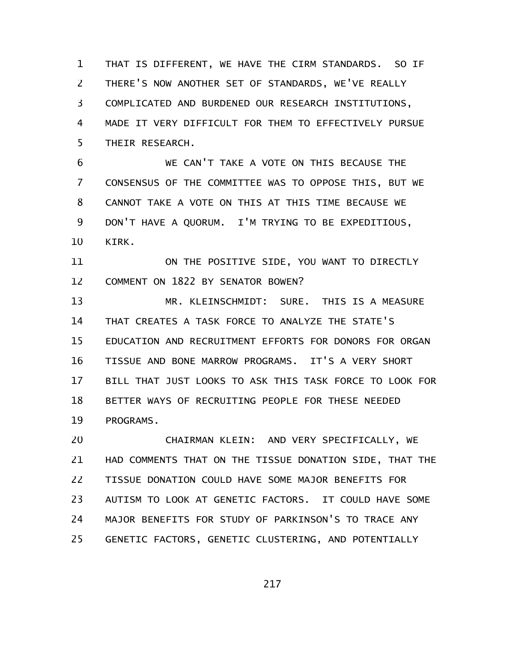THAT IS DIFFERENT, WE HAVE THE CIRM STANDARDS. SO IF THERE'S NOW ANOTHER SET OF STANDARDS, WE'VE REALLY COMPLICATED AND BURDENED OUR RESEARCH INSTITUTIONS, MADE IT VERY DIFFICULT FOR THEM TO EFFECTIVELY PURSUE THEIR RESEARCH. 1 2 3 4 5

WE CAN'T TAKE A VOTE ON THIS BECAUSE THE CONSENSUS OF THE COMMITTEE WAS TO OPPOSE THIS, BUT WE CANNOT TAKE A VOTE ON THIS AT THIS TIME BECAUSE WE DON'T HAVE A QUORUM. I'M TRYING TO BE EXPEDITIOUS, KIRK. 6 7 8 9 10

ON THE POSITIVE SIDE, YOU WANT TO DIRECTLY COMMENT ON 1822 BY SENATOR BOWEN? 11 12

MR. KLEINSCHMIDT: SURE. THIS IS A MEASURE THAT CREATES A TASK FORCE TO ANALYZE THE STATE'S EDUCATION AND RECRUITMENT EFFORTS FOR DONORS FOR ORGAN TISSUE AND BONE MARROW PROGRAMS. IT'S A VERY SHORT BILL THAT JUST LOOKS TO ASK THIS TASK FORCE TO LOOK FOR BETTER WAYS OF RECRUITING PEOPLE FOR THESE NEEDED PROGRAMS. 13 14 15 16 17 18 19

CHAIRMAN KLEIN: AND VERY SPECIFICALLY, WE HAD COMMENTS THAT ON THE TISSUE DONATION SIDE, THAT THE TISSUE DONATION COULD HAVE SOME MAJOR BENEFITS FOR AUTISM TO LOOK AT GENETIC FACTORS. IT COULD HAVE SOME MAJOR BENEFITS FOR STUDY OF PARKINSON'S TO TRACE ANY GENETIC FACTORS, GENETIC CLUSTERING, AND POTENTIALLY 20 21 22 23 24 25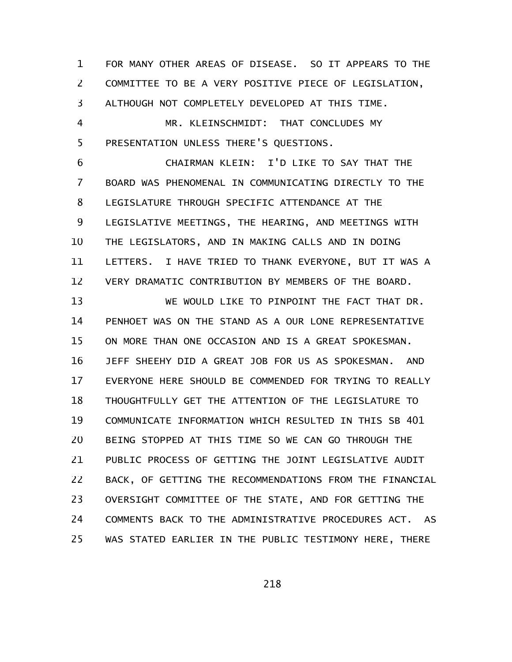FOR MANY OTHER AREAS OF DISEASE. SO IT APPEARS TO THE COMMITTEE TO BE A VERY POSITIVE PIECE OF LEGISLATION, ALTHOUGH NOT COMPLETELY DEVELOPED AT THIS TIME. 1 2 3

MR. KLEINSCHMIDT: THAT CONCLUDES MY PRESENTATION UNLESS THERE'S QUESTIONS. 4 5

CHAIRMAN KLEIN: I'D LIKE TO SAY THAT THE BOARD WAS PHENOMENAL IN COMMUNICATING DIRECTLY TO THE LEGISLATURE THROUGH SPECIFIC ATTENDANCE AT THE LEGISLATIVE MEETINGS, THE HEARING, AND MEETINGS WITH THE LEGISLATORS, AND IN MAKING CALLS AND IN DOING LETTERS. I HAVE TRIED TO THANK EVERYONE, BUT IT WAS A VERY DRAMATIC CONTRIBUTION BY MEMBERS OF THE BOARD. 6 7 8 9 10 11 12

WE WOULD LIKE TO PINPOINT THE FACT THAT DR. PENHOET WAS ON THE STAND AS A OUR LONE REPRESENTATIVE ON MORE THAN ONE OCCASION AND IS A GREAT SPOKESMAN. JEFF SHEEHY DID A GREAT JOB FOR US AS SPOKESMAN. AND EVERYONE HERE SHOULD BE COMMENDED FOR TRYING TO REALLY THOUGHTFULLY GET THE ATTENTION OF THE LEGISLATURE TO COMMUNICATE INFORMATION WHICH RESULTED IN THIS SB 401 BEING STOPPED AT THIS TIME SO WE CAN GO THROUGH THE PUBLIC PROCESS OF GETTING THE JOINT LEGISLATIVE AUDIT BACK, OF GETTING THE RECOMMENDATIONS FROM THE FINANCIAL OVERSIGHT COMMITTEE OF THE STATE, AND FOR GETTING THE COMMENTS BACK TO THE ADMINISTRATIVE PROCEDURES ACT. AS WAS STATED EARLIER IN THE PUBLIC TESTIMONY HERE, THERE 13 14 15 16 17 18 19 20 21 22 23 24 25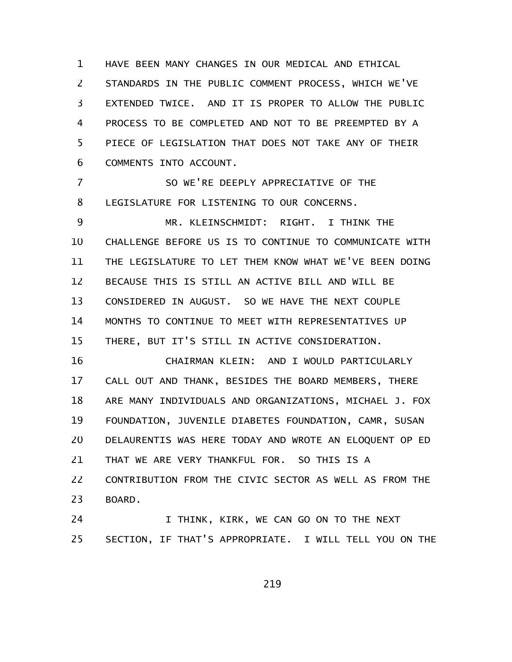HAVE BEEN MANY CHANGES IN OUR MEDICAL AND ETHICAL STANDARDS IN THE PUBLIC COMMENT PROCESS, WHICH WE'VE EXTENDED TWICE. AND IT IS PROPER TO ALLOW THE PUBLIC PROCESS TO BE COMPLETED AND NOT TO BE PREEMPTED BY A PIECE OF LEGISLATION THAT DOES NOT TAKE ANY OF THEIR COMMENTS INTO ACCOUNT. 1 2 3 4 5 6

SO WE'RE DEEPLY APPRECIATIVE OF THE LEGISLATURE FOR LISTENING TO OUR CONCERNS. 7 8

MR. KLEINSCHMIDT: RIGHT. I THINK THE CHALLENGE BEFORE US IS TO CONTINUE TO COMMUNICATE WITH THE LEGISLATURE TO LET THEM KNOW WHAT WE'VE BEEN DOING BECAUSE THIS IS STILL AN ACTIVE BILL AND WILL BE CONSIDERED IN AUGUST. SO WE HAVE THE NEXT COUPLE MONTHS TO CONTINUE TO MEET WITH REPRESENTATIVES UP THERE, BUT IT'S STILL IN ACTIVE CONSIDERATION. 9 10 11 12 13 14 15

CHAIRMAN KLEIN: AND I WOULD PARTICULARLY CALL OUT AND THANK, BESIDES THE BOARD MEMBERS, THERE ARE MANY INDIVIDUALS AND ORGANIZATIONS, MICHAEL J. FOX FOUNDATION, JUVENILE DIABETES FOUNDATION, CAMR, SUSAN DELAURENTIS WAS HERE TODAY AND WROTE AN ELOQUENT OP ED THAT WE ARE VERY THANKFUL FOR. SO THIS IS A CONTRIBUTION FROM THE CIVIC SECTOR AS WELL AS FROM THE BOARD. 16 17 18 19 20 21 22 23

I THINK, KIRK, WE CAN GO ON TO THE NEXT SECTION, IF THAT'S APPROPRIATE. I WILL TELL YOU ON THE 24 25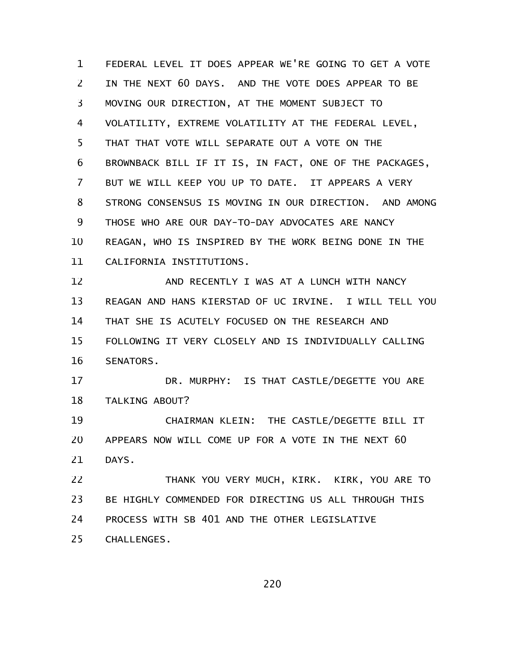FEDERAL LEVEL IT DOES APPEAR WE'RE GOING TO GET A VOTE IN THE NEXT 60 DAYS. AND THE VOTE DOES APPEAR TO BE MOVING OUR DIRECTION, AT THE MOMENT SUBJECT TO VOLATILITY, EXTREME VOLATILITY AT THE FEDERAL LEVEL, THAT THAT VOTE WILL SEPARATE OUT A VOTE ON THE BROWNBACK BILL IF IT IS, IN FACT, ONE OF THE PACKAGES, BUT WE WILL KEEP YOU UP TO DATE. IT APPEARS A VERY STRONG CONSENSUS IS MOVING IN OUR DIRECTION. AND AMONG THOSE WHO ARE OUR DAY-TO-DAY ADVOCATES ARE NANCY REAGAN, WHO IS INSPIRED BY THE WORK BEING DONE IN THE CALIFORNIA INSTITUTIONS. 1 2 3 4 5 6 7 8 9 10 11

AND RECENTLY I WAS AT A LUNCH WITH NANCY REAGAN AND HANS KIERSTAD OF UC IRVINE. I WILL TELL YOU THAT SHE IS ACUTELY FOCUSED ON THE RESEARCH AND FOLLOWING IT VERY CLOSELY AND IS INDIVIDUALLY CALLING SENATORS. 12 13 14 15 16

DR. MURPHY: IS THAT CASTLE/DEGETTE YOU ARE TALKING ABOUT? 17 18

CHAIRMAN KLEIN: THE CASTLE/DEGETTE BILL IT APPEARS NOW WILL COME UP FOR A VOTE IN THE NEXT 60 DAYS. 19 20 21

THANK YOU VERY MUCH, KIRK. KIRK, YOU ARE TO BE HIGHLY COMMENDED FOR DIRECTING US ALL THROUGH THIS PROCESS WITH SB 401 AND THE OTHER LEGISLATIVE CHALLENGES. 22 23 24 25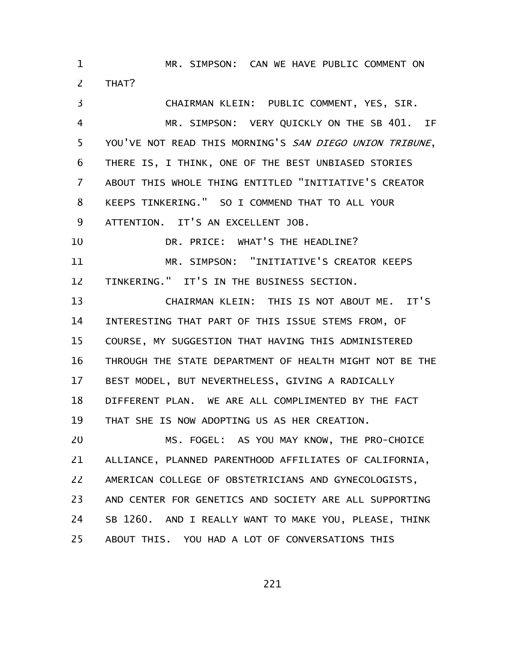MR. SIMPSON: CAN WE HAVE PUBLIC COMMENT ON THAT? 1 2

CHAIRMAN KLEIN: PUBLIC COMMENT, YES, SIR. MR. SIMPSON: VERY QUICKLY ON THE SB 401. IF YOU'VE NOT READ THIS MORNING'S SAN DIEGO UNION TRIBUNE, THERE IS, I THINK, ONE OF THE BEST UNBIASED STORIES ABOUT THIS WHOLE THING ENTITLED "INITIATIVE'S CREATOR KEEPS TINKERING." SO I COMMEND THAT TO ALL YOUR ATTENTION. IT'S AN EXCELLENT JOB. DR. PRICE: WHAT'S THE HEADLINE? MR. SIMPSON: "INITIATIVE'S CREATOR KEEPS TINKERING." IT'S IN THE BUSINESS SECTION. CHAIRMAN KLEIN: THIS IS NOT ABOUT ME. IT'S INTERESTING THAT PART OF THIS ISSUE STEMS FROM, OF COURSE, MY SUGGESTION THAT HAVING THIS ADMINISTERED THROUGH THE STATE DEPARTMENT OF HEALTH MIGHT NOT BE THE BEST MODEL, BUT NEVERTHELESS, GIVING A RADICALLY DIFFERENT PLAN. WE ARE ALL COMPLIMENTED BY THE FACT THAT SHE IS NOW ADOPTING US AS HER CREATION. MS. FOGEL: AS YOU MAY KNOW, THE PRO-CHOICE ALLIANCE, PLANNED PARENTHOOD AFFILIATES OF CALIFORNIA, AMERICAN COLLEGE OF OBSTETRICIANS AND GYNECOLOGISTS, AND CENTER FOR GENETICS AND SOCIETY ARE ALL SUPPORTING SB 1260. AND I REALLY WANT TO MAKE YOU, PLEASE, THINK 3 4 5 6 7 8 9 10 11 12 13 14 15 16 17 18 19 20 21 22 23 24

ABOUT THIS. YOU HAD A LOT OF CONVERSATIONS THIS 25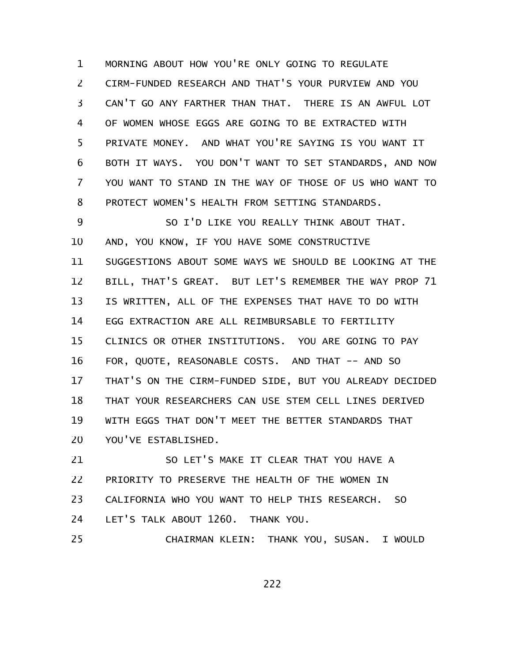MORNING ABOUT HOW YOU'RE ONLY GOING TO REGULATE CIRM-FUNDED RESEARCH AND THAT'S YOUR PURVIEW AND YOU CAN'T GO ANY FARTHER THAN THAT. THERE IS AN AWFUL LOT OF WOMEN WHOSE EGGS ARE GOING TO BE EXTRACTED WITH PRIVATE MONEY. AND WHAT YOU'RE SAYING IS YOU WANT IT BOTH IT WAYS. YOU DON'T WANT TO SET STANDARDS, AND NOW YOU WANT TO STAND IN THE WAY OF THOSE OF US WHO WANT TO PROTECT WOMEN'S HEALTH FROM SETTING STANDARDS. SO I'D LIKE YOU REALLY THINK ABOUT THAT. AND, YOU KNOW, IF YOU HAVE SOME CONSTRUCTIVE 1 2 3 4 5 6 7 8 9 10

SUGGESTIONS ABOUT SOME WAYS WE SHOULD BE LOOKING AT THE BILL, THAT'S GREAT. BUT LET'S REMEMBER THE WAY PROP 71 IS WRITTEN, ALL OF THE EXPENSES THAT HAVE TO DO WITH EGG EXTRACTION ARE ALL REIMBURSABLE TO FERTILITY CLINICS OR OTHER INSTITUTIONS. YOU ARE GOING TO PAY FOR, QUOTE, REASONABLE COSTS. AND THAT -- AND SO THAT'S ON THE CIRM-FUNDED SIDE, BUT YOU ALREADY DECIDED THAT YOUR RESEARCHERS CAN USE STEM CELL LINES DERIVED WITH EGGS THAT DON'T MEET THE BETTER STANDARDS THAT YOU'VE ESTABLISHED. 11 12 13 14 15 16 17 18 19 20

SO LET'S MAKE IT CLEAR THAT YOU HAVE A PRIORITY TO PRESERVE THE HEALTH OF THE WOMEN IN CALIFORNIA WHO YOU WANT TO HELP THIS RESEARCH. SO LET'S TALK ABOUT 1260. THANK YOU. 21 22 23 24

CHAIRMAN KLEIN: THANK YOU, SUSAN. I WOULD 25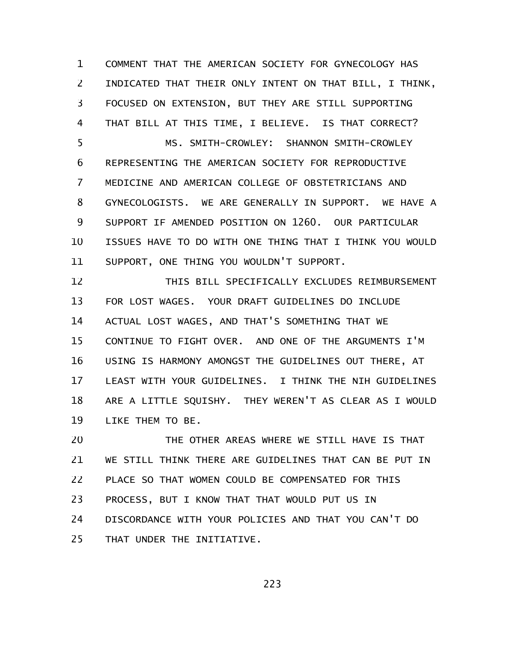COMMENT THAT THE AMERICAN SOCIETY FOR GYNECOLOGY HAS INDICATED THAT THEIR ONLY INTENT ON THAT BILL, I THINK, FOCUSED ON EXTENSION, BUT THEY ARE STILL SUPPORTING THAT BILL AT THIS TIME, I BELIEVE. IS THAT CORRECT? MS. SMITH-CROWLEY: SHANNON SMITH-CROWLEY REPRESENTING THE AMERICAN SOCIETY FOR REPRODUCTIVE MEDICINE AND AMERICAN COLLEGE OF OBSTETRICIANS AND GYNECOLOGISTS. WE ARE GENERALLY IN SUPPORT. WE HAVE A SUPPORT IF AMENDED POSITION ON 1260. OUR PARTICULAR ISSUES HAVE TO DO WITH ONE THING THAT I THINK YOU WOULD SUPPORT, ONE THING YOU WOULDN'T SUPPORT. 1 2 3 4 5 6 7 8 9 10 11

THIS BILL SPECIFICALLY EXCLUDES REIMBURSEMENT FOR LOST WAGES. YOUR DRAFT GUIDELINES DO INCLUDE ACTUAL LOST WAGES, AND THAT'S SOMETHING THAT WE CONTINUE TO FIGHT OVER. AND ONE OF THE ARGUMENTS I'M USING IS HARMONY AMONGST THE GUIDELINES OUT THERE, AT LEAST WITH YOUR GUIDELINES. I THINK THE NIH GUIDELINES ARE A LITTLE SQUISHY. THEY WEREN'T AS CLEAR AS I WOULD LIKE THEM TO BE. 12 13 14 15 16 17 18 19

THE OTHER AREAS WHERE WE STILL HAVE IS THAT WE STILL THINK THERE ARE GUIDELINES THAT CAN BE PUT IN PLACE SO THAT WOMEN COULD BE COMPENSATED FOR THIS PROCESS, BUT I KNOW THAT THAT WOULD PUT US IN DISCORDANCE WITH YOUR POLICIES AND THAT YOU CAN'T DO THAT UNDER THE INITIATIVE. 20 21 22 23 24 25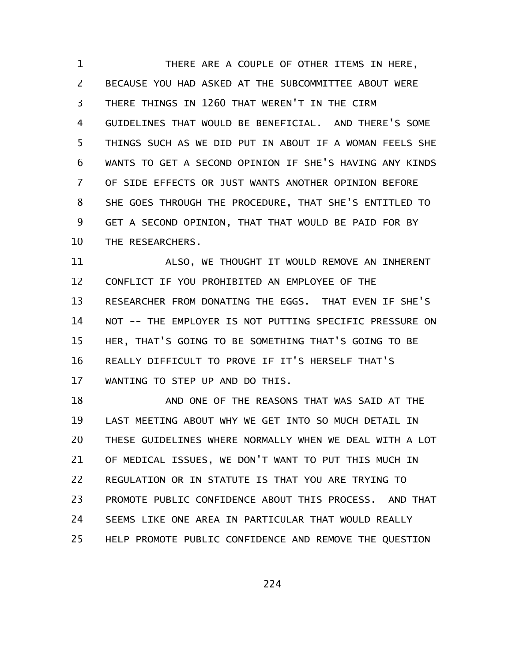THERE ARE A COUPLE OF OTHER ITEMS IN HERE, BECAUSE YOU HAD ASKED AT THE SUBCOMMITTEE ABOUT WERE THERE THINGS IN 1260 THAT WEREN'T IN THE CIRM GUIDELINES THAT WOULD BE BENEFICIAL. AND THERE'S SOME THINGS SUCH AS WE DID PUT IN ABOUT IF A WOMAN FEELS SHE WANTS TO GET A SECOND OPINION IF SHE'S HAVING ANY KINDS OF SIDE EFFECTS OR JUST WANTS ANOTHER OPINION BEFORE SHE GOES THROUGH THE PROCEDURE, THAT SHE'S ENTITLED TO GET A SECOND OPINION, THAT THAT WOULD BE PAID FOR BY THE RESEARCHERS. 1 2 3 4 5 6 7 8 9 10

ALSO, WE THOUGHT IT WOULD REMOVE AN INHERENT CONFLICT IF YOU PROHIBITED AN EMPLOYEE OF THE RESEARCHER FROM DONATING THE EGGS. THAT EVEN IF SHE'S NOT -- THE EMPLOYER IS NOT PUTTING SPECIFIC PRESSURE ON HER, THAT'S GOING TO BE SOMETHING THAT'S GOING TO BE REALLY DIFFICULT TO PROVE IF IT'S HERSELF THAT'S WANTING TO STEP UP AND DO THIS. 11 12 13 14 15 16 17

AND ONE OF THE REASONS THAT WAS SAID AT THE LAST MEETING ABOUT WHY WE GET INTO SO MUCH DETAIL IN THESE GUIDELINES WHERE NORMALLY WHEN WE DEAL WITH A LOT OF MEDICAL ISSUES, WE DON'T WANT TO PUT THIS MUCH IN REGULATION OR IN STATUTE IS THAT YOU ARE TRYING TO PROMOTE PUBLIC CONFIDENCE ABOUT THIS PROCESS. AND THAT SEEMS LIKE ONE AREA IN PARTICULAR THAT WOULD REALLY HELP PROMOTE PUBLIC CONFIDENCE AND REMOVE THE QUESTION 18 19 20 21 22 23 24 25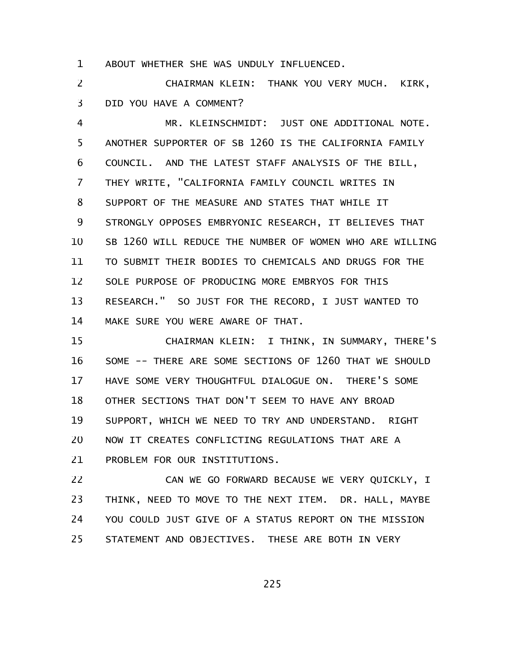ABOUT WHETHER SHE WAS UNDULY INFLUENCED. 1

CHAIRMAN KLEIN: THANK YOU VERY MUCH. KIRK, DID YOU HAVE A COMMENT? 2 3

MR. KLEINSCHMIDT: JUST ONE ADDITIONAL NOTE. ANOTHER SUPPORTER OF SB 1260 IS THE CALIFORNIA FAMILY COUNCIL. AND THE LATEST STAFF ANALYSIS OF THE BILL, THEY WRITE, "CALIFORNIA FAMILY COUNCIL WRITES IN SUPPORT OF THE MEASURE AND STATES THAT WHILE IT STRONGLY OPPOSES EMBRYONIC RESEARCH, IT BELIEVES THAT SB 1260 WILL REDUCE THE NUMBER OF WOMEN WHO ARE WILLING TO SUBMIT THEIR BODIES TO CHEMICALS AND DRUGS FOR THE SOLE PURPOSE OF PRODUCING MORE EMBRYOS FOR THIS RESEARCH." SO JUST FOR THE RECORD, I JUST WANTED TO MAKE SURE YOU WERE AWARE OF THAT. 4 5 6 7 8 9 10 11 12 13 14

CHAIRMAN KLEIN: I THINK, IN SUMMARY, THERE'S SOME -- THERE ARE SOME SECTIONS OF 1260 THAT WE SHOULD HAVE SOME VERY THOUGHTFUL DIALOGUE ON. THERE'S SOME OTHER SECTIONS THAT DON'T SEEM TO HAVE ANY BROAD SUPPORT, WHICH WE NEED TO TRY AND UNDERSTAND. RIGHT NOW IT CREATES CONFLICTING REGULATIONS THAT ARE A PROBLEM FOR OUR INSTITUTIONS. 15 16 17 18 19 20 21

CAN WE GO FORWARD BECAUSE WE VERY QUICKLY, I THINK, NEED TO MOVE TO THE NEXT ITEM. DR. HALL, MAYBE YOU COULD JUST GIVE OF A STATUS REPORT ON THE MISSION STATEMENT AND OBJECTIVES. THESE ARE BOTH IN VERY 22 23 24 25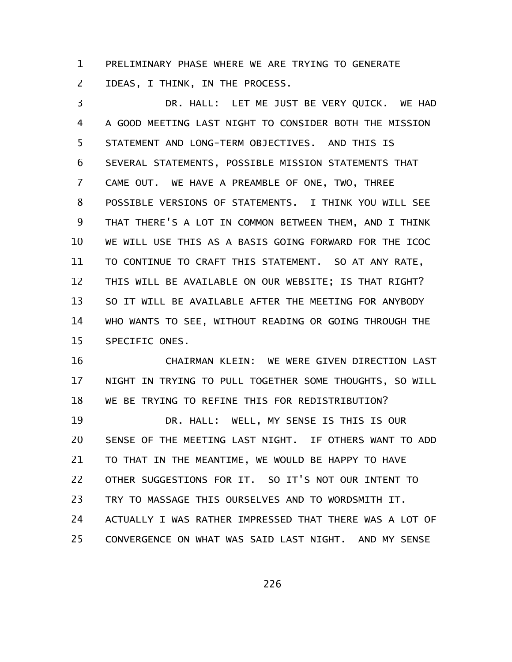PRELIMINARY PHASE WHERE WE ARE TRYING TO GENERATE IDEAS, I THINK, IN THE PROCESS. 1 2

DR. HALL: LET ME JUST BE VERY QUICK. WE HAD A GOOD MEETING LAST NIGHT TO CONSIDER BOTH THE MISSION STATEMENT AND LONG-TERM OBJECTIVES. AND THIS IS SEVERAL STATEMENTS, POSSIBLE MISSION STATEMENTS THAT CAME OUT. WE HAVE A PREAMBLE OF ONE, TWO, THREE POSSIBLE VERSIONS OF STATEMENTS. I THINK YOU WILL SEE THAT THERE'S A LOT IN COMMON BETWEEN THEM, AND I THINK WE WILL USE THIS AS A BASIS GOING FORWARD FOR THE ICOC TO CONTINUE TO CRAFT THIS STATEMENT. SO AT ANY RATE, THIS WILL BE AVAILABLE ON OUR WEBSITE; IS THAT RIGHT? SO IT WILL BE AVAILABLE AFTER THE MEETING FOR ANYBODY WHO WANTS TO SEE, WITHOUT READING OR GOING THROUGH THE SPECIFIC ONES. 3 4 5 6 7 8 9 10 11 12 13 14 15

CHAIRMAN KLEIN: WE WERE GIVEN DIRECTION LAST NIGHT IN TRYING TO PULL TOGETHER SOME THOUGHTS, SO WILL WE BE TRYING TO REFINE THIS FOR REDISTRIBUTION? DR. HALL: WELL, MY SENSE IS THIS IS OUR SENSE OF THE MEETING LAST NIGHT. IF OTHERS WANT TO ADD TO THAT IN THE MEANTIME, WE WOULD BE HAPPY TO HAVE OTHER SUGGESTIONS FOR IT. SO IT'S NOT OUR INTENT TO TRY TO MASSAGE THIS OURSELVES AND TO WORDSMITH IT. ACTUALLY I WAS RATHER IMPRESSED THAT THERE WAS A LOT OF CONVERGENCE ON WHAT WAS SAID LAST NIGHT. AND MY SENSE 16 17 18 19 20 21 22 23 24 25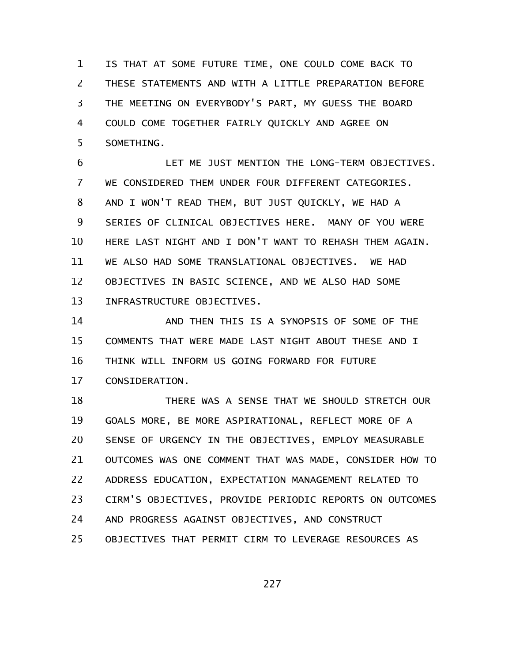IS THAT AT SOME FUTURE TIME, ONE COULD COME BACK TO THESE STATEMENTS AND WITH A LITTLE PREPARATION BEFORE THE MEETING ON EVERYBODY'S PART, MY GUESS THE BOARD COULD COME TOGETHER FAIRLY QUICKLY AND AGREE ON SOMETHING. 1 2 3 4 5

LET ME JUST MENTION THE LONG-TERM OBJECTIVES. WE CONSIDERED THEM UNDER FOUR DIFFERENT CATEGORIES. AND I WON'T READ THEM, BUT JUST QUICKLY, WE HAD A SERIES OF CLINICAL OBJECTIVES HERE. MANY OF YOU WERE HERE LAST NIGHT AND I DON'T WANT TO REHASH THEM AGAIN. WE ALSO HAD SOME TRANSLATIONAL OBJECTIVES. WE HAD OBJECTIVES IN BASIC SCIENCE, AND WE ALSO HAD SOME INFRASTRUCTURE OBJECTIVES. 6 7 8 9 10 11 12 13

AND THEN THIS IS A SYNOPSIS OF SOME OF THE COMMENTS THAT WERE MADE LAST NIGHT ABOUT THESE AND I THINK WILL INFORM US GOING FORWARD FOR FUTURE CONSIDERATION. 14 15 16 17

THERE WAS A SENSE THAT WE SHOULD STRETCH OUR GOALS MORE, BE MORE ASPIRATIONAL, REFLECT MORE OF A SENSE OF URGENCY IN THE OBJECTIVES, EMPLOY MEASURABLE OUTCOMES WAS ONE COMMENT THAT WAS MADE, CONSIDER HOW TO ADDRESS EDUCATION, EXPECTATION MANAGEMENT RELATED TO CIRM'S OBJECTIVES, PROVIDE PERIODIC REPORTS ON OUTCOMES AND PROGRESS AGAINST OBJECTIVES, AND CONSTRUCT OBJECTIVES THAT PERMIT CIRM TO LEVERAGE RESOURCES AS 18 19 20 21 22 23 24 25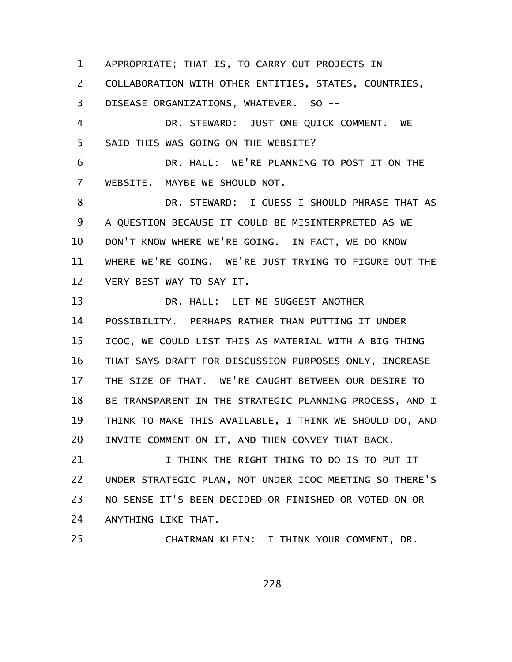APPROPRIATE; THAT IS, TO CARRY OUT PROJECTS IN 1

COLLABORATION WITH OTHER ENTITIES, STATES, COUNTRIES, 2

DISEASE ORGANIZATIONS, WHATEVER. SO -- 3

DR. STEWARD: JUST ONE QUICK COMMENT. WE SAID THIS WAS GOING ON THE WEBSITE? 4 5

DR. HALL: WE'RE PLANNING TO POST IT ON THE WEBSITE. MAYBE WE SHOULD NOT. 6 7

DR. STEWARD: I GUESS I SHOULD PHRASE THAT AS A QUESTION BECAUSE IT COULD BE MISINTERPRETED AS WE DON'T KNOW WHERE WE'RE GOING. IN FACT, WE DO KNOW WHERE WE'RE GOING. WE'RE JUST TRYING TO FIGURE OUT THE VERY BEST WAY TO SAY IT. 8 9 10 11 12

DR. HALL: LET ME SUGGEST ANOTHER POSSIBILITY. PERHAPS RATHER THAN PUTTING IT UNDER ICOC, WE COULD LIST THIS AS MATERIAL WITH A BIG THING THAT SAYS DRAFT FOR DISCUSSION PURPOSES ONLY, INCREASE THE SIZE OF THAT. WE'RE CAUGHT BETWEEN OUR DESIRE TO BE TRANSPARENT IN THE STRATEGIC PLANNING PROCESS, AND I THINK TO MAKE THIS AVAILABLE, I THINK WE SHOULD DO, AND INVITE COMMENT ON IT, AND THEN CONVEY THAT BACK. 13 14 15 16 17 18 19 20

I THINK THE RIGHT THING TO DO IS TO PUT IT UNDER STRATEGIC PLAN, NOT UNDER ICOC MEETING SO THERE'S NO SENSE IT'S BEEN DECIDED OR FINISHED OR VOTED ON OR ANYTHING LIKE THAT. 21 22 23 24

CHAIRMAN KLEIN: I THINK YOUR COMMENT, DR. 25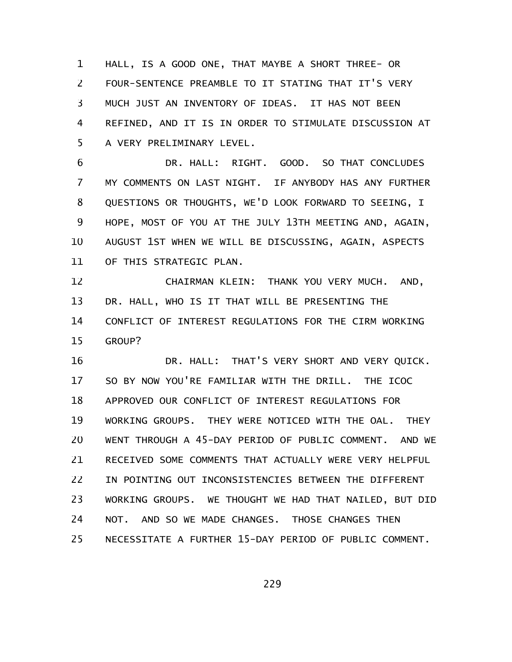HALL, IS A GOOD ONE, THAT MAYBE A SHORT THREE- OR FOUR-SENTENCE PREAMBLE TO IT STATING THAT IT'S VERY MUCH JUST AN INVENTORY OF IDEAS. IT HAS NOT BEEN REFINED, AND IT IS IN ORDER TO STIMULATE DISCUSSION AT A VERY PRELIMINARY LEVEL. 1 2 3 4 5

DR. HALL: RIGHT. GOOD. SO THAT CONCLUDES MY COMMENTS ON LAST NIGHT. IF ANYBODY HAS ANY FURTHER QUESTIONS OR THOUGHTS, WE'D LOOK FORWARD TO SEEING, I HOPE, MOST OF YOU AT THE JULY 13TH MEETING AND, AGAIN, AUGUST 1ST WHEN WE WILL BE DISCUSSING, AGAIN, ASPECTS OF THIS STRATEGIC PLAN. 6 7 8 9 10 11

CHAIRMAN KLEIN: THANK YOU VERY MUCH. AND, DR. HALL, WHO IS IT THAT WILL BE PRESENTING THE CONFLICT OF INTEREST REGULATIONS FOR THE CIRM WORKING GROUP? 12 13 14 15

DR. HALL: THAT'S VERY SHORT AND VERY QUICK. SO BY NOW YOU'RE FAMILIAR WITH THE DRILL. THE ICOC APPROVED OUR CONFLICT OF INTEREST REGULATIONS FOR WORKING GROUPS. THEY WERE NOTICED WITH THE OAL. THEY WENT THROUGH A 45-DAY PERIOD OF PUBLIC COMMENT. AND WE RECEIVED SOME COMMENTS THAT ACTUALLY WERE VERY HELPFUL IN POINTING OUT INCONSISTENCIES BETWEEN THE DIFFERENT WORKING GROUPS. WE THOUGHT WE HAD THAT NAILED, BUT DID NOT. AND SO WE MADE CHANGES. THOSE CHANGES THEN NECESSITATE A FURTHER 15-DAY PERIOD OF PUBLIC COMMENT. 16 17 18 19 20 21 22 23 24 25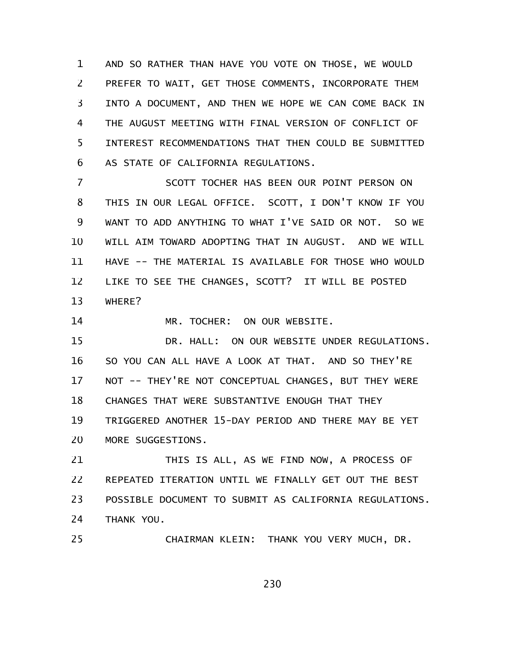AND SO RATHER THAN HAVE YOU VOTE ON THOSE, WE WOULD PREFER TO WAIT, GET THOSE COMMENTS, INCORPORATE THEM INTO A DOCUMENT, AND THEN WE HOPE WE CAN COME BACK IN THE AUGUST MEETING WITH FINAL VERSION OF CONFLICT OF INTEREST RECOMMENDATIONS THAT THEN COULD BE SUBMITTED AS STATE OF CALIFORNIA REGULATIONS. 1 2 3 4 5 6

SCOTT TOCHER HAS BEEN OUR POINT PERSON ON THIS IN OUR LEGAL OFFICE. SCOTT, I DON'T KNOW IF YOU WANT TO ADD ANYTHING TO WHAT I'VE SAID OR NOT. SO WE WILL AIM TOWARD ADOPTING THAT IN AUGUST. AND WE WILL HAVE -- THE MATERIAL IS AVAILABLE FOR THOSE WHO WOULD LIKE TO SEE THE CHANGES, SCOTT? IT WILL BE POSTED WHERE? 7 8 9 10 11 12 13

MR. TOCHER: ON OUR WEBSITE. 14

DR. HALL: ON OUR WEBSITE UNDER REGULATIONS. SO YOU CAN ALL HAVE A LOOK AT THAT. AND SO THEY'RE NOT -- THEY'RE NOT CONCEPTUAL CHANGES, BUT THEY WERE CHANGES THAT WERE SUBSTANTIVE ENOUGH THAT THEY TRIGGERED ANOTHER 15-DAY PERIOD AND THERE MAY BE YET MORE SUGGESTIONS. 15 16 17 18 19 20

THIS IS ALL, AS WE FIND NOW, A PROCESS OF REPEATED ITERATION UNTIL WE FINALLY GET OUT THE BEST POSSIBLE DOCUMENT TO SUBMIT AS CALIFORNIA REGULATIONS. THANK YOU. 21 22 23 24

CHAIRMAN KLEIN: THANK YOU VERY MUCH, DR. 25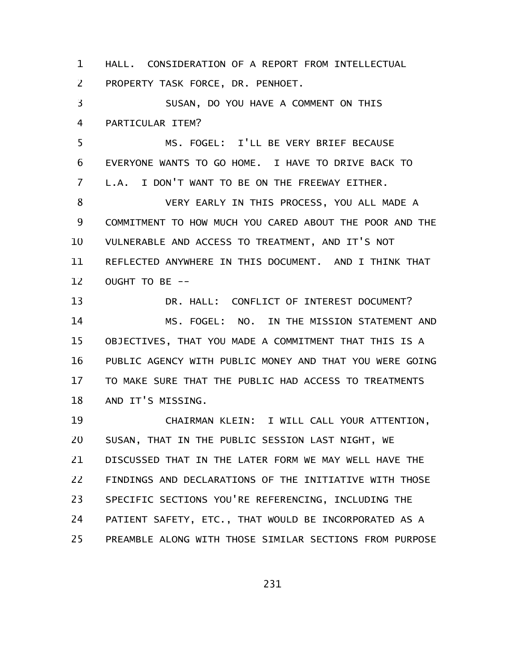HALL. CONSIDERATION OF A REPORT FROM INTELLECTUAL PROPERTY TASK FORCE, DR. PENHOET. 1 2

SUSAN, DO YOU HAVE A COMMENT ON THIS PARTICULAR ITEM? 3 4

MS. FOGEL: I'LL BE VERY BRIEF BECAUSE EVERYONE WANTS TO GO HOME. I HAVE TO DRIVE BACK TO L.A. I DON'T WANT TO BE ON THE FREEWAY EITHER. 5 6 7

VERY EARLY IN THIS PROCESS, YOU ALL MADE A COMMITMENT TO HOW MUCH YOU CARED ABOUT THE POOR AND THE VULNERABLE AND ACCESS TO TREATMENT, AND IT'S NOT REFLECTED ANYWHERE IN THIS DOCUMENT. AND I THINK THAT OUGHT TO BE -- 8 9 10 11 12

DR. HALL: CONFLICT OF INTEREST DOCUMENT? MS. FOGEL: NO. IN THE MISSION STATEMENT AND OBJECTIVES, THAT YOU MADE A COMMITMENT THAT THIS IS A PUBLIC AGENCY WITH PUBLIC MONEY AND THAT YOU WERE GOING TO MAKE SURE THAT THE PUBLIC HAD ACCESS TO TREATMENTS AND IT'S MISSING. 13 14 15 16 17 18

CHAIRMAN KLEIN: I WILL CALL YOUR ATTENTION, SUSAN, THAT IN THE PUBLIC SESSION LAST NIGHT, WE DISCUSSED THAT IN THE LATER FORM WE MAY WELL HAVE THE FINDINGS AND DECLARATIONS OF THE INITIATIVE WITH THOSE SPECIFIC SECTIONS YOU'RE REFERENCING, INCLUDING THE PATIENT SAFETY, ETC., THAT WOULD BE INCORPORATED AS A PREAMBLE ALONG WITH THOSE SIMILAR SECTIONS FROM PURPOSE 19 20 21 22 23 24 25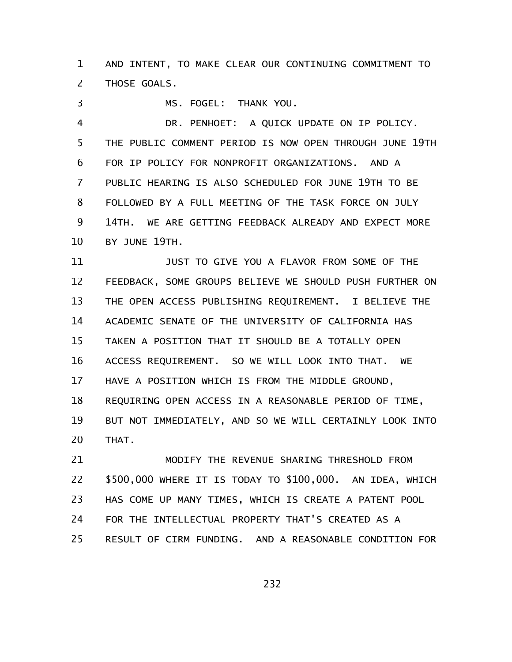AND INTENT, TO MAKE CLEAR OUR CONTINUING COMMITMENT TO THOSE GOALS. 1 2

MS. FOGEL: THANK YOU. 3

DR. PENHOET: A QUICK UPDATE ON IP POLICY. THE PUBLIC COMMENT PERIOD IS NOW OPEN THROUGH JUNE 19TH FOR IP POLICY FOR NONPROFIT ORGANIZATIONS. AND A PUBLIC HEARING IS ALSO SCHEDULED FOR JUNE 19TH TO BE FOLLOWED BY A FULL MEETING OF THE TASK FORCE ON JULY 14TH. WE ARE GETTING FEEDBACK ALREADY AND EXPECT MORE BY JUNE 19TH. 4 5 6 7 8 9 10

JUST TO GIVE YOU A FLAVOR FROM SOME OF THE FEEDBACK, SOME GROUPS BELIEVE WE SHOULD PUSH FURTHER ON THE OPEN ACCESS PUBLISHING REQUIREMENT. I BELIEVE THE ACADEMIC SENATE OF THE UNIVERSITY OF CALIFORNIA HAS TAKEN A POSITION THAT IT SHOULD BE A TOTALLY OPEN ACCESS REQUIREMENT. SO WE WILL LOOK INTO THAT. WE HAVE A POSITION WHICH IS FROM THE MIDDLE GROUND, REQUIRING OPEN ACCESS IN A REASONABLE PERIOD OF TIME, BUT NOT IMMEDIATELY, AND SO WE WILL CERTAINLY LOOK INTO THAT. 11 12 13 14 15 16 17 18 19 20

MODIFY THE REVENUE SHARING THRESHOLD FROM \$500,000 WHERE IT IS TODAY TO \$100,000. AN IDEA, WHICH HAS COME UP MANY TIMES, WHICH IS CREATE A PATENT POOL FOR THE INTELLECTUAL PROPERTY THAT'S CREATED AS A RESULT OF CIRM FUNDING. AND A REASONABLE CONDITION FOR 21 22 23 24 25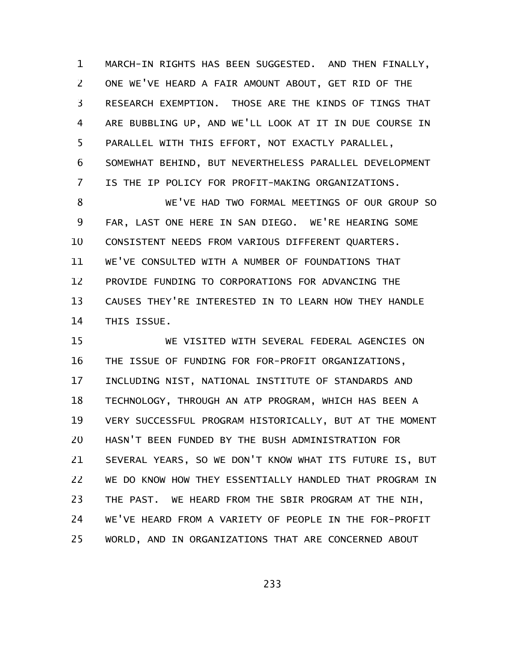MARCH-IN RIGHTS HAS BEEN SUGGESTED. AND THEN FINALLY, ONE WE'VE HEARD A FAIR AMOUNT ABOUT, GET RID OF THE RESEARCH EXEMPTION. THOSE ARE THE KINDS OF TINGS THAT ARE BUBBLING UP, AND WE'LL LOOK AT IT IN DUE COURSE IN PARALLEL WITH THIS EFFORT, NOT EXACTLY PARALLEL, SOMEWHAT BEHIND, BUT NEVERTHELESS PARALLEL DEVELOPMENT IS THE IP POLICY FOR PROFIT-MAKING ORGANIZATIONS. 1 2 3 4 5 6 7

WE'VE HAD TWO FORMAL MEETINGS OF OUR GROUP SO FAR, LAST ONE HERE IN SAN DIEGO. WE'RE HEARING SOME CONSISTENT NEEDS FROM VARIOUS DIFFERENT QUARTERS. WE'VE CONSULTED WITH A NUMBER OF FOUNDATIONS THAT PROVIDE FUNDING TO CORPORATIONS FOR ADVANCING THE CAUSES THEY'RE INTERESTED IN TO LEARN HOW THEY HANDLE THIS ISSUE. 8 9 10 11 12 13 14

WE VISITED WITH SEVERAL FEDERAL AGENCIES ON THE ISSUE OF FUNDING FOR FOR-PROFIT ORGANIZATIONS, INCLUDING NIST, NATIONAL INSTITUTE OF STANDARDS AND TECHNOLOGY, THROUGH AN ATP PROGRAM, WHICH HAS BEEN A VERY SUCCESSFUL PROGRAM HISTORICALLY, BUT AT THE MOMENT HASN'T BEEN FUNDED BY THE BUSH ADMINISTRATION FOR SEVERAL YEARS, SO WE DON'T KNOW WHAT ITS FUTURE IS, BUT WE DO KNOW HOW THEY ESSENTIALLY HANDLED THAT PROGRAM IN THE PAST. WE HEARD FROM THE SBIR PROGRAM AT THE NIH, WE'VE HEARD FROM A VARIETY OF PEOPLE IN THE FOR-PROFIT WORLD, AND IN ORGANIZATIONS THAT ARE CONCERNED ABOUT 15 16 17 18 19 20 21 22 23 24 25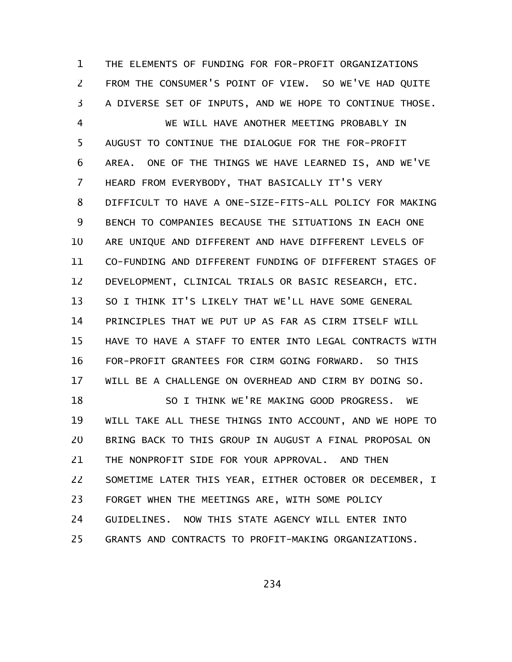THE ELEMENTS OF FUNDING FOR FOR-PROFIT ORGANIZATIONS FROM THE CONSUMER'S POINT OF VIEW. SO WE'VE HAD QUITE A DIVERSE SET OF INPUTS, AND WE HOPE TO CONTINUE THOSE. 1 2 3

WE WILL HAVE ANOTHER MEETING PROBABLY IN AUGUST TO CONTINUE THE DIALOGUE FOR THE FOR-PROFIT AREA. ONE OF THE THINGS WE HAVE LEARNED IS, AND WE'VE HEARD FROM EVERYBODY, THAT BASICALLY IT'S VERY DIFFICULT TO HAVE A ONE-SIZE-FITS-ALL POLICY FOR MAKING BENCH TO COMPANIES BECAUSE THE SITUATIONS IN EACH ONE ARE UNIQUE AND DIFFERENT AND HAVE DIFFERENT LEVELS OF CO-FUNDING AND DIFFERENT FUNDING OF DIFFERENT STAGES OF DEVELOPMENT, CLINICAL TRIALS OR BASIC RESEARCH, ETC. SO I THINK IT'S LIKELY THAT WE'LL HAVE SOME GENERAL PRINCIPLES THAT WE PUT UP AS FAR AS CIRM ITSELF WILL HAVE TO HAVE A STAFF TO ENTER INTO LEGAL CONTRACTS WITH FOR-PROFIT GRANTEES FOR CIRM GOING FORWARD. SO THIS WILL BE A CHALLENGE ON OVERHEAD AND CIRM BY DOING SO. 4 5 6 7 8 9 10 11 12 13 14 15 16 17

SO I THINK WE'RE MAKING GOOD PROGRESS. WE WILL TAKE ALL THESE THINGS INTO ACCOUNT, AND WE HOPE TO BRING BACK TO THIS GROUP IN AUGUST A FINAL PROPOSAL ON THE NONPROFIT SIDE FOR YOUR APPROVAL. AND THEN SOMETIME LATER THIS YEAR, EITHER OCTOBER OR DECEMBER, I FORGET WHEN THE MEETINGS ARE, WITH SOME POLICY GUIDELINES. NOW THIS STATE AGENCY WILL ENTER INTO GRANTS AND CONTRACTS TO PROFIT-MAKING ORGANIZATIONS. 18 19 20 21 22 23 24 25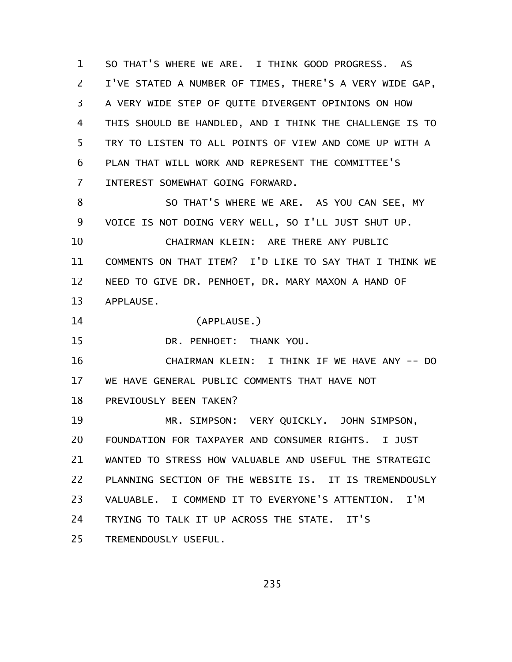SO THAT'S WHERE WE ARE. I THINK GOOD PROGRESS. AS I'VE STATED A NUMBER OF TIMES, THERE'S A VERY WIDE GAP, A VERY WIDE STEP OF QUITE DIVERGENT OPINIONS ON HOW THIS SHOULD BE HANDLED, AND I THINK THE CHALLENGE IS TO TRY TO LISTEN TO ALL POINTS OF VIEW AND COME UP WITH A PLAN THAT WILL WORK AND REPRESENT THE COMMITTEE'S INTEREST SOMEWHAT GOING FORWARD. SO THAT'S WHERE WE ARE. AS YOU CAN SEE, MY VOICE IS NOT DOING VERY WELL, SO I'LL JUST SHUT UP. CHAIRMAN KLEIN: ARE THERE ANY PUBLIC COMMENTS ON THAT ITEM? I'D LIKE TO SAY THAT I THINK WE NEED TO GIVE DR. PENHOET, DR. MARY MAXON A HAND OF APPLAUSE. (APPLAUSE.) DR. PENHOET: THANK YOU. CHAIRMAN KLEIN: I THINK IF WE HAVE ANY -- DO WE HAVE GENERAL PUBLIC COMMENTS THAT HAVE NOT PREVIOUSLY BEEN TAKEN? MR. SIMPSON: VERY QUICKLY. JOHN SIMPSON, FOUNDATION FOR TAXPAYER AND CONSUMER RIGHTS. I JUST 1 2 3 4 5 6 7 8 9 10 11 12 13 14 15 16 17 18 19 20

WANTED TO STRESS HOW VALUABLE AND USEFUL THE STRATEGIC 21

PLANNING SECTION OF THE WEBSITE IS. IT IS TREMENDOUSLY 22

VALUABLE. I COMMEND IT TO EVERYONE'S ATTENTION. I'M 23

TRYING TO TALK IT UP ACROSS THE STATE. IT'S 24

TREMENDOUSLY USEFUL. 25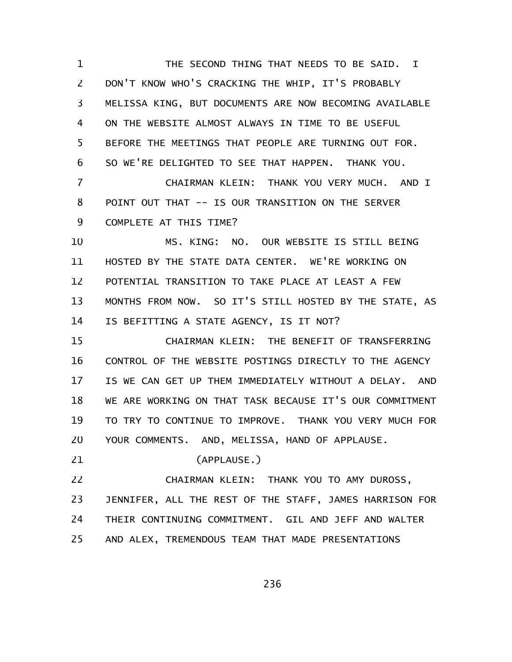THE SECOND THING THAT NEEDS TO BE SAID. I DON'T KNOW WHO'S CRACKING THE WHIP, IT'S PROBABLY MELISSA KING, BUT DOCUMENTS ARE NOW BECOMING AVAILABLE ON THE WEBSITE ALMOST ALWAYS IN TIME TO BE USEFUL BEFORE THE MEETINGS THAT PEOPLE ARE TURNING OUT FOR. SO WE'RE DELIGHTED TO SEE THAT HAPPEN. THANK YOU. CHAIRMAN KLEIN: THANK YOU VERY MUCH. AND I POINT OUT THAT -- IS OUR TRANSITION ON THE SERVER COMPLETE AT THIS TIME? MS. KING: NO. OUR WEBSITE IS STILL BEING HOSTED BY THE STATE DATA CENTER. WE'RE WORKING ON POTENTIAL TRANSITION TO TAKE PLACE AT LEAST A FEW MONTHS FROM NOW. SO IT'S STILL HOSTED BY THE STATE, AS IS BEFITTING A STATE AGENCY, IS IT NOT? CHAIRMAN KLEIN: THE BENEFIT OF TRANSFERRING CONTROL OF THE WEBSITE POSTINGS DIRECTLY TO THE AGENCY IS WE CAN GET UP THEM IMMEDIATELY WITHOUT A DELAY. AND WE ARE WORKING ON THAT TASK BECAUSE IT'S OUR COMMITMENT TO TRY TO CONTINUE TO IMPROVE. THANK YOU VERY MUCH FOR YOUR COMMENTS. AND, MELISSA, HAND OF APPLAUSE. (APPLAUSE.) CHAIRMAN KLEIN: THANK YOU TO AMY DUROSS, JENNIFER, ALL THE REST OF THE STAFF, JAMES HARRISON FOR THEIR CONTINUING COMMITMENT. GIL AND JEFF AND WALTER AND ALEX, TREMENDOUS TEAM THAT MADE PRESENTATIONS 1 2 3 4 5 6 7 8 9 10 11 12 13 14 15 16 17 18 19 20 21 22 23 24 25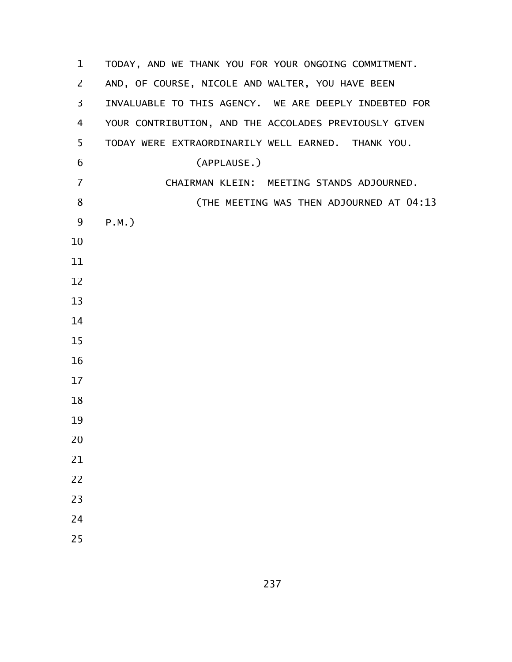| $\mathbf 1$ | TODAY, AND WE THANK YOU FOR YOUR ONGOING COMMITMENT.  |
|-------------|-------------------------------------------------------|
| 2           | AND, OF COURSE, NICOLE AND WALTER, YOU HAVE BEEN      |
| 3           | INVALUABLE TO THIS AGENCY. WE ARE DEEPLY INDEBTED FOR |
| 4           | YOUR CONTRIBUTION, AND THE ACCOLADES PREVIOUSLY GIVEN |
| 5           | TODAY WERE EXTRAORDINARILY WELL EARNED. THANK YOU.    |
| 6           | (APPLAUSE.)                                           |
| 7           | CHAIRMAN KLEIN: MEETING STANDS ADJOURNED.             |
| 8           | (THE MEETING WAS THEN ADJOURNED AT 04:13              |
| 9           | $P.M.$ )                                              |
| 10          |                                                       |
| 11          |                                                       |
| 12          |                                                       |
| 13          |                                                       |
| 14          |                                                       |
| 15          |                                                       |
| 16          |                                                       |
| 17          |                                                       |
| 18          |                                                       |
| 19          |                                                       |
| 20          |                                                       |
| 21          |                                                       |
| 22          |                                                       |
| 23          |                                                       |
| 24          |                                                       |
| 25          |                                                       |